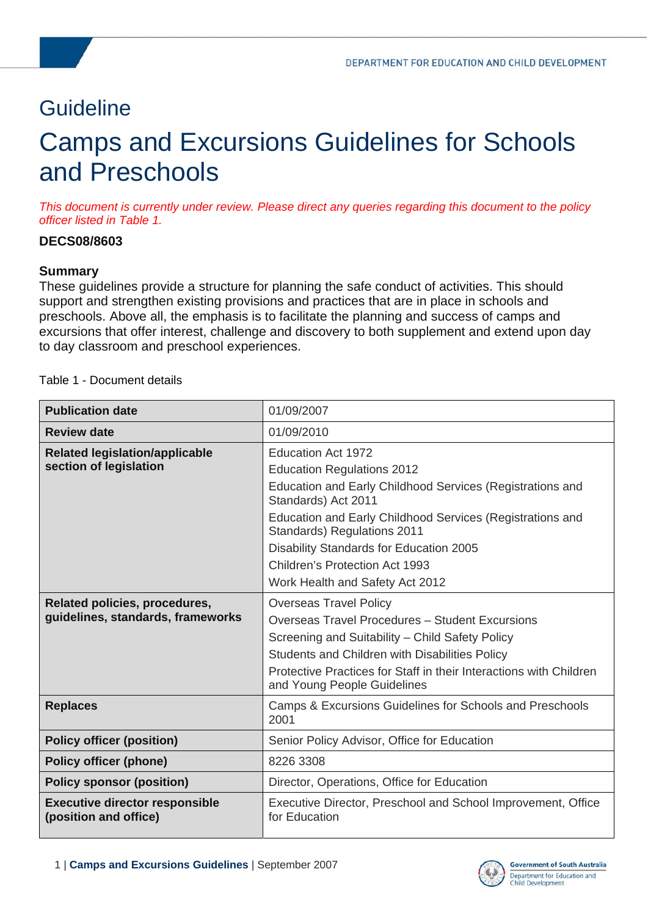# **Guideline**

# Camps and Excursions Guidelines for Schools and Preschools

*This document is currently under review. Please direct any queries regarding this document to the policy officer listed in Table 1.* 

# **DECS08/8603**

### **Summary**

These guidelines provide a structure for planning the safe conduct of activities. This should support and strengthen existing provisions and practices that are in place in schools and preschools. Above all, the emphasis is to facilitate the planning and success of camps and excursions that offer interest, challenge and discovery to both supplement and extend upon day to day classroom and preschool experiences.

|  |  | Table 1 - Document details |  |
|--|--|----------------------------|--|
|--|--|----------------------------|--|

| <b>Publication date</b>                                        | 01/09/2007                                                                                        |  |
|----------------------------------------------------------------|---------------------------------------------------------------------------------------------------|--|
| <b>Review date</b>                                             | 01/09/2010                                                                                        |  |
| <b>Related legislation/applicable</b>                          | <b>Education Act 1972</b>                                                                         |  |
| section of legislation                                         | <b>Education Regulations 2012</b>                                                                 |  |
|                                                                | Education and Early Childhood Services (Registrations and<br>Standards) Act 2011                  |  |
|                                                                | Education and Early Childhood Services (Registrations and<br>Standards) Regulations 2011          |  |
|                                                                | Disability Standards for Education 2005                                                           |  |
|                                                                | Children's Protection Act 1993                                                                    |  |
|                                                                | Work Health and Safety Act 2012                                                                   |  |
| Related policies, procedures,                                  | <b>Overseas Travel Policy</b>                                                                     |  |
| guidelines, standards, frameworks                              | <b>Overseas Travel Procedures - Student Excursions</b>                                            |  |
|                                                                | Screening and Suitability - Child Safety Policy                                                   |  |
|                                                                | Students and Children with Disabilities Policy                                                    |  |
|                                                                | Protective Practices for Staff in their Interactions with Children<br>and Young People Guidelines |  |
| <b>Replaces</b>                                                | Camps & Excursions Guidelines for Schools and Preschools<br>2001                                  |  |
| <b>Policy officer (position)</b>                               | Senior Policy Advisor, Office for Education                                                       |  |
| <b>Policy officer (phone)</b>                                  | 8226 3308                                                                                         |  |
| <b>Policy sponsor (position)</b>                               | Director, Operations, Office for Education                                                        |  |
| <b>Executive director responsible</b><br>(position and office) | Executive Director, Preschool and School Improvement, Office<br>for Education                     |  |

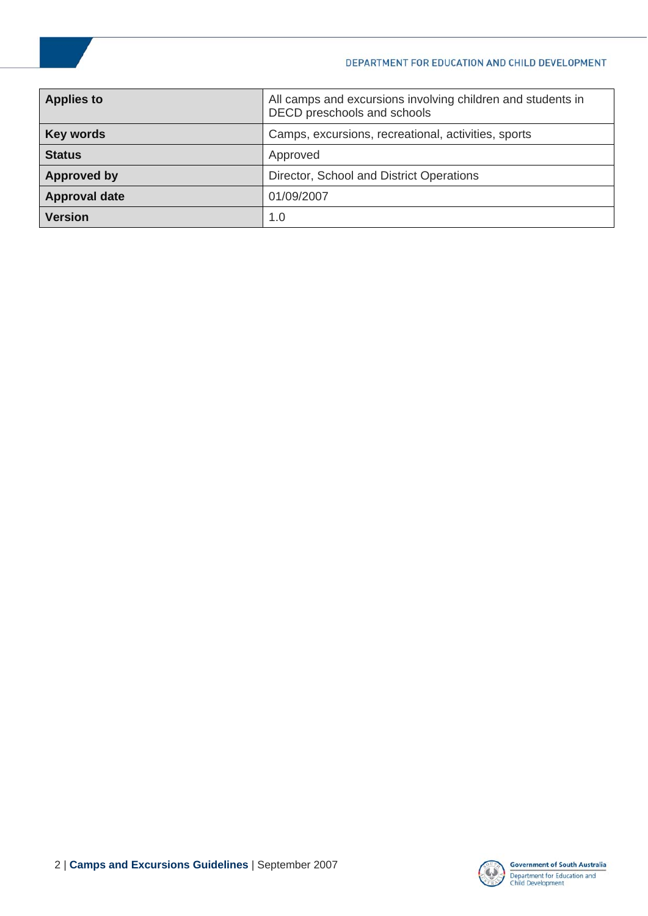#### DEPARTMENT FOR EDUCATION AND CHILD DEVELOPMENT

| <b>Applies to</b>                                                       | All camps and excursions involving children and students in<br>DECD preschools and schools |  |
|-------------------------------------------------------------------------|--------------------------------------------------------------------------------------------|--|
| Camps, excursions, recreational, activities, sports<br><b>Key words</b> |                                                                                            |  |
| <b>Status</b>                                                           | Approved                                                                                   |  |
| Director, School and District Operations<br><b>Approved by</b>          |                                                                                            |  |
| 01/09/2007<br><b>Approval date</b>                                      |                                                                                            |  |
| <b>Version</b>                                                          | 1.0                                                                                        |  |

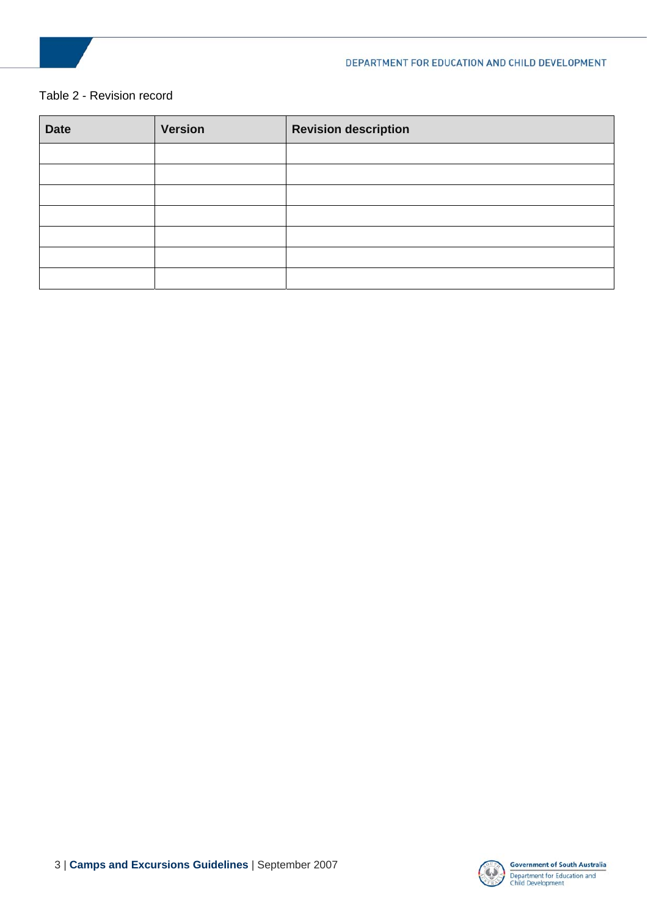

#### Table 2 - Revision record

| <b>Date</b> | <b>Version</b> | <b>Revision description</b> |
|-------------|----------------|-----------------------------|
|             |                |                             |
|             |                |                             |
|             |                |                             |
|             |                |                             |
|             |                |                             |
|             |                |                             |
|             |                |                             |

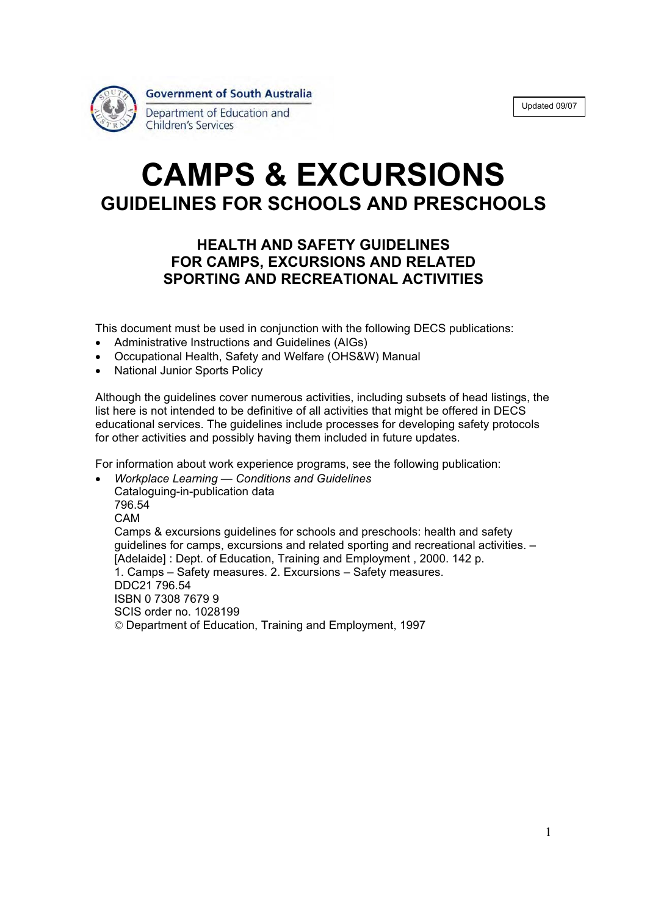| Updated 09/07 |
|---------------|
|---------------|



# **CAMPS & EXCURSIONS GUIDELINES FOR SCHOOLS AND PRESCHOOLS**

# **HEALTH AND SAFETY GUIDELINES FOR CAMPS, EXCURSIONS AND RELATED SPORTING AND RECREATIONAL ACTIVITIES**

This document must be used in conjunction with the following DECS publications:

- Administrative Instructions and Guidelines (AIGs)
- Occupational Health, Safety and Welfare (OHS&W) Manual
- **National Junior Sports Policy**

Although the guidelines cover numerous activities, including subsets of head listings, the list here is not intended to be definitive of all activities that might be offered in DECS educational services. The guidelines include processes for developing safety protocols for other activities and possibly having them included in future updates.

For information about work experience programs, see the following publication:

x *Workplace Learning — Conditions and Guidelines*  Cataloguing-in-publication data 796.54 CAM Camps & excursions guidelines for schools and preschools: health and safety guidelines for camps, excursions and related sporting and recreational activities. – [Adelaide] : Dept. of Education, Training and Employment , 2000. 142 p. 1. Camps – Safety measures. 2. Excursions – Safety measures. DDC21 796.54 ISBN 0 7308 7679 9 SCIS order no. 1028199 © Department of Education, Training and Employment, 1997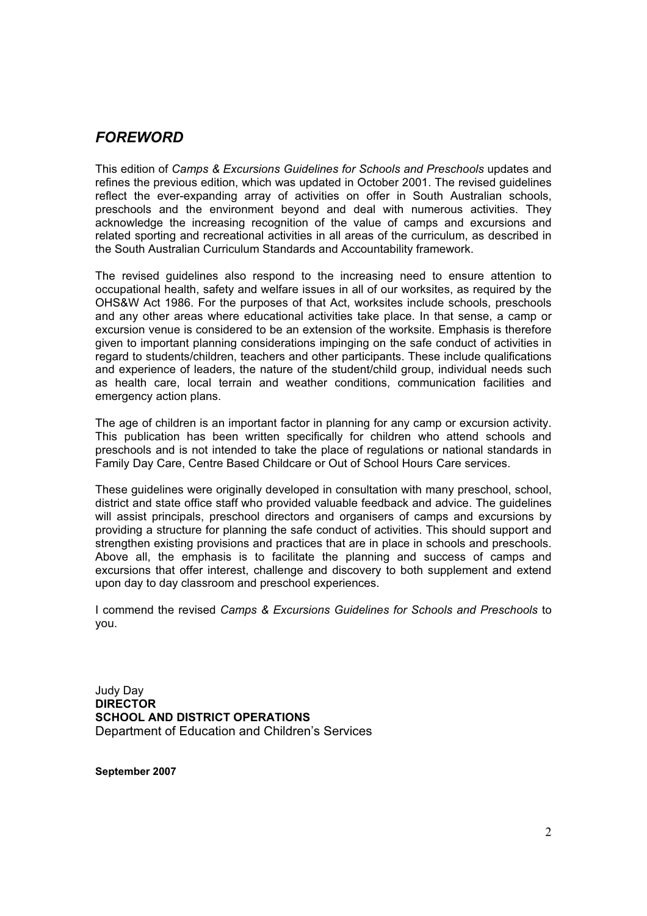# *FOREWORD*

This edition of *Camps & Excursions Guidelines for Schools and Preschools* updates and refines the previous edition, which was updated in October 2001. The revised guidelines reflect the ever-expanding array of activities on offer in South Australian schools, preschools and the environment beyond and deal with numerous activities. They acknowledge the increasing recognition of the value of camps and excursions and related sporting and recreational activities in all areas of the curriculum, as described in the South Australian Curriculum Standards and Accountability framework.

The revised guidelines also respond to the increasing need to ensure attention to occupational health, safety and welfare issues in all of our worksites, as required by the OHS&W Act 1986. For the purposes of that Act, worksites include schools, preschools and any other areas where educational activities take place. In that sense, a camp or excursion venue is considered to be an extension of the worksite. Emphasis is therefore given to important planning considerations impinging on the safe conduct of activities in regard to students/children, teachers and other participants. These include qualifications and experience of leaders, the nature of the student/child group, individual needs such as health care, local terrain and weather conditions, communication facilities and emergency action plans.

The age of children is an important factor in planning for any camp or excursion activity. This publication has been written specifically for children who attend schools and preschools and is not intended to take the place of regulations or national standards in Family Day Care, Centre Based Childcare or Out of School Hours Care services.

These guidelines were originally developed in consultation with many preschool, school, district and state office staff who provided valuable feedback and advice. The guidelines will assist principals, preschool directors and organisers of camps and excursions by providing a structure for planning the safe conduct of activities. This should support and strengthen existing provisions and practices that are in place in schools and preschools. Above all, the emphasis is to facilitate the planning and success of camps and excursions that offer interest, challenge and discovery to both supplement and extend upon day to day classroom and preschool experiences.

I commend the revised *Camps & Excursions Guidelines for Schools and Preschools* to you.

Judy Day **DIRECTOR SCHOOL AND DISTRICT OPERATIONS**  Department of Education and Children's Services

**September 2007**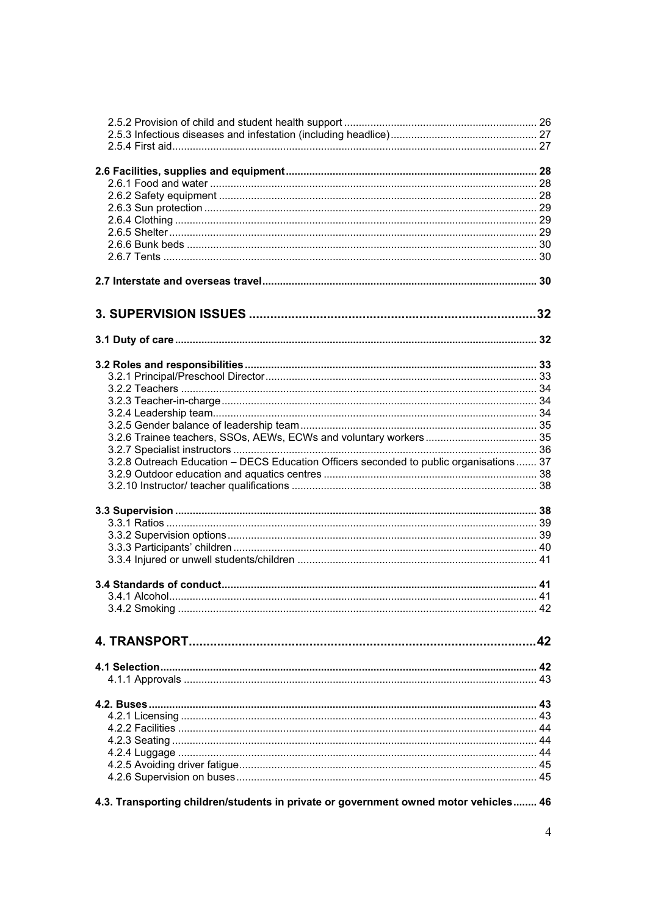| 3.2.8 Outreach Education - DECS Education Officers seconded to public organisations 37 |  |
|----------------------------------------------------------------------------------------|--|
|                                                                                        |  |
|                                                                                        |  |
|                                                                                        |  |
|                                                                                        |  |
|                                                                                        |  |
|                                                                                        |  |
|                                                                                        |  |
|                                                                                        |  |
|                                                                                        |  |
|                                                                                        |  |
|                                                                                        |  |
|                                                                                        |  |
|                                                                                        |  |
|                                                                                        |  |
|                                                                                        |  |
|                                                                                        |  |
|                                                                                        |  |
|                                                                                        |  |
|                                                                                        |  |
|                                                                                        |  |
|                                                                                        |  |
|                                                                                        |  |
|                                                                                        |  |
| 4.3. Transporting children/students in private or government owned motor vehicles 46   |  |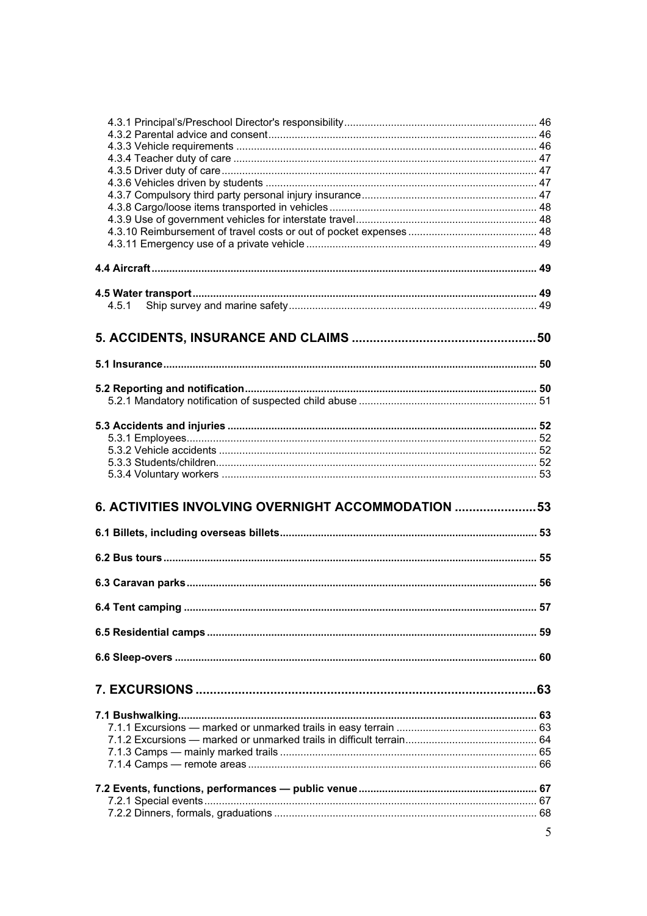| 4.5.1                                              |   |
|----------------------------------------------------|---|
|                                                    |   |
|                                                    |   |
|                                                    |   |
|                                                    |   |
|                                                    |   |
|                                                    |   |
|                                                    |   |
|                                                    |   |
|                                                    |   |
|                                                    |   |
|                                                    |   |
|                                                    |   |
|                                                    |   |
|                                                    |   |
|                                                    |   |
|                                                    |   |
| 6. ACTIVITIES INVOLVING OVERNIGHT ACCOMMODATION 53 |   |
|                                                    |   |
|                                                    |   |
|                                                    |   |
|                                                    |   |
|                                                    |   |
|                                                    |   |
|                                                    |   |
|                                                    |   |
|                                                    |   |
|                                                    |   |
|                                                    |   |
|                                                    |   |
|                                                    |   |
|                                                    |   |
|                                                    |   |
|                                                    |   |
|                                                    |   |
|                                                    |   |
|                                                    |   |
|                                                    |   |
|                                                    |   |
|                                                    |   |
|                                                    | 5 |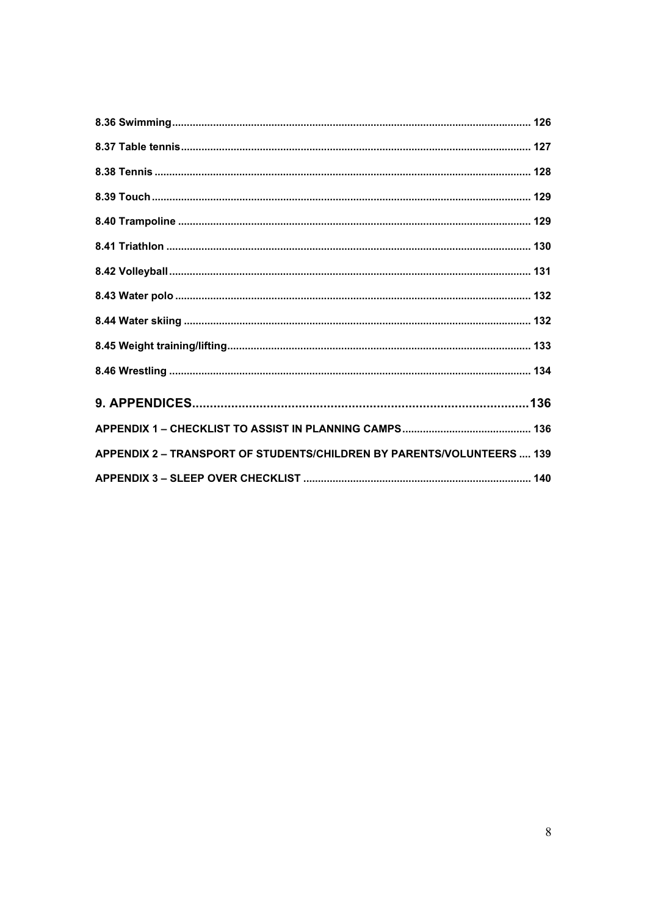| APPENDIX 2 - TRANSPORT OF STUDENTS/CHILDREN BY PARENTS/VOLUNTEERS  139 |  |
|------------------------------------------------------------------------|--|
|                                                                        |  |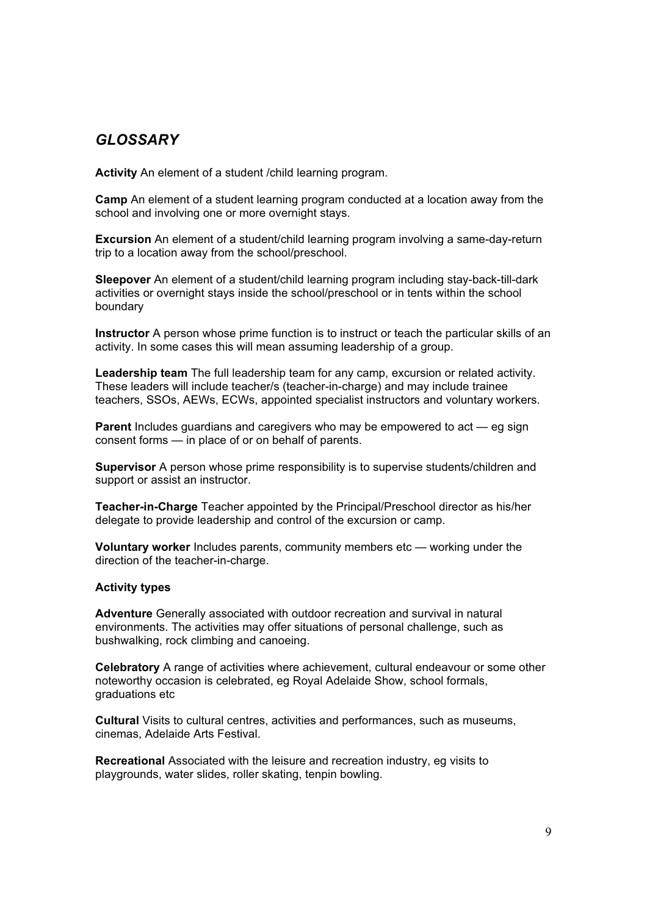# *GLOSSARY*

**Activity** An element of a student /child learning program.

**Camp** An element of a student learning program conducted at a location away from the school and involving one or more overnight stays.

**Excursion** An element of a student/child learning program involving a same-day-return trip to a location away from the school/preschool.

**Sleepover** An element of a student/child learning program including stay-back-till-dark activities or overnight stays inside the school/preschool or in tents within the school boundary

**Instructor** A person whose prime function is to instruct or teach the particular skills of an activity. In some cases this will mean assuming leadership of a group.

**Leadership team** The full leadership team for any camp, excursion or related activity. These leaders will include teacher/s (teacher-in-charge) and may include trainee teachers, SSOs, AEWs, ECWs, appointed specialist instructors and voluntary workers.

**Parent** Includes guardians and caregivers who may be empowered to act — eg sign consent forms — in place of or on behalf of parents.

**Supervisor** A person whose prime responsibility is to supervise students/children and support or assist an instructor.

**Teacher-in-Charge** Teacher appointed by the Principal/Preschool director as his/her delegate to provide leadership and control of the excursion or camp.

**Voluntary worker** Includes parents, community members etc — working under the direction of the teacher-in-charge.

#### **Activity types**

**Adventure** Generally associated with outdoor recreation and survival in natural environments. The activities may offer situations of personal challenge, such as bushwalking, rock climbing and canoeing.

**Celebratory** A range of activities where achievement, cultural endeavour or some other noteworthy occasion is celebrated, eg Royal Adelaide Show, school formals, graduations etc

**Cultural** Visits to cultural centres, activities and performances, such as museums, cinemas, Adelaide Arts Festival.

**Recreational** Associated with the leisure and recreation industry, eg visits to playgrounds, water slides, roller skating, tenpin bowling.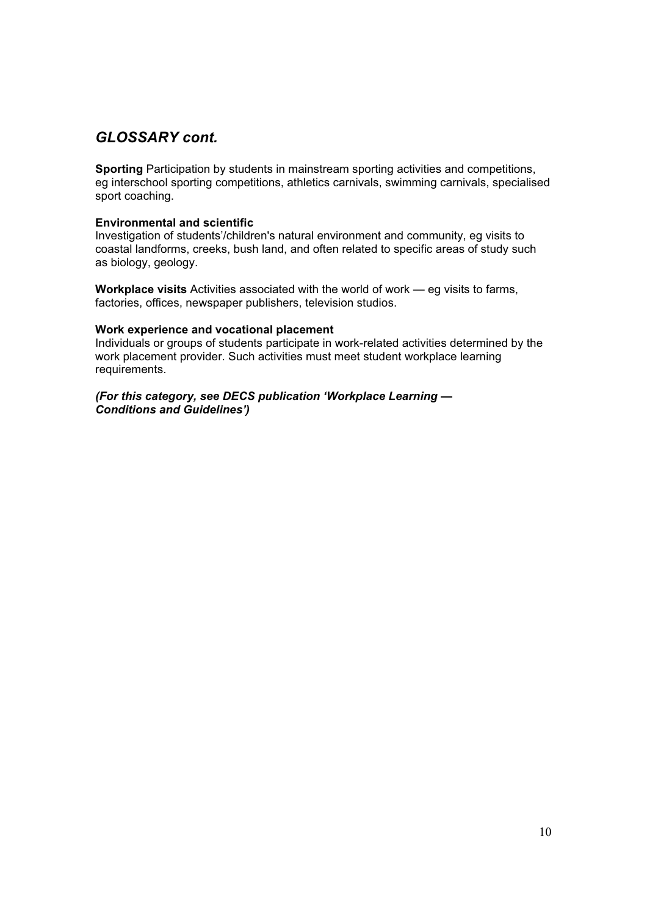# *GLOSSARY cont.*

**Sporting** Participation by students in mainstream sporting activities and competitions, eg interschool sporting competitions, athletics carnivals, swimming carnivals, specialised sport coaching.

#### **Environmental and scientific**

Investigation of students'/children's natural environment and community, eg visits to coastal landforms, creeks, bush land, and often related to specific areas of study such as biology, geology.

**Workplace visits** Activities associated with the world of work — eg visits to farms, factories, offices, newspaper publishers, television studios.

#### **Work experience and vocational placement**

Individuals or groups of students participate in work-related activities determined by the work placement provider. Such activities must meet student workplace learning requirements.

*(For this category, see DECS publication 'Workplace Learning — Conditions and Guidelines')*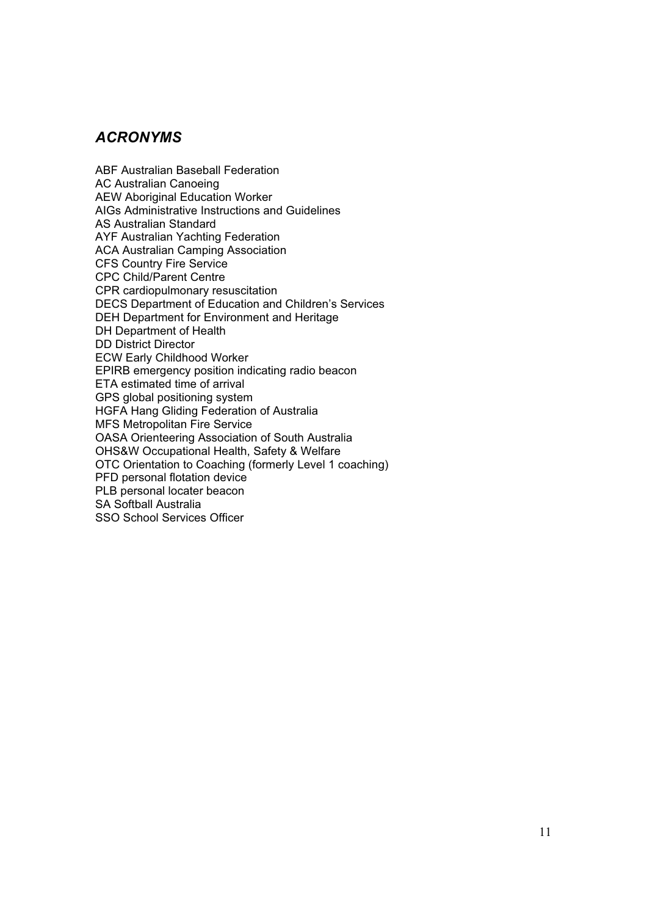# *ACRONYMS*

ABF Australian Baseball Federation AC Australian Canoeing AEW Aboriginal Education Worker AIGs Administrative Instructions and Guidelines AS Australian Standard AYF Australian Yachting Federation ACA Australian Camping Association CFS Country Fire Service CPC Child/Parent Centre CPR cardiopulmonary resuscitation DECS Department of Education and Children's Services DEH Department for Environment and Heritage DH Department of Health DD District Director ECW Early Childhood Worker EPIRB emergency position indicating radio beacon ETA estimated time of arrival GPS global positioning system HGFA Hang Gliding Federation of Australia MFS Metropolitan Fire Service OASA Orienteering Association of South Australia OHS&W Occupational Health, Safety & Welfare OTC Orientation to Coaching (formerly Level 1 coaching) PFD personal flotation device PLB personal locater beacon SA Softball Australia SSO School Services Officer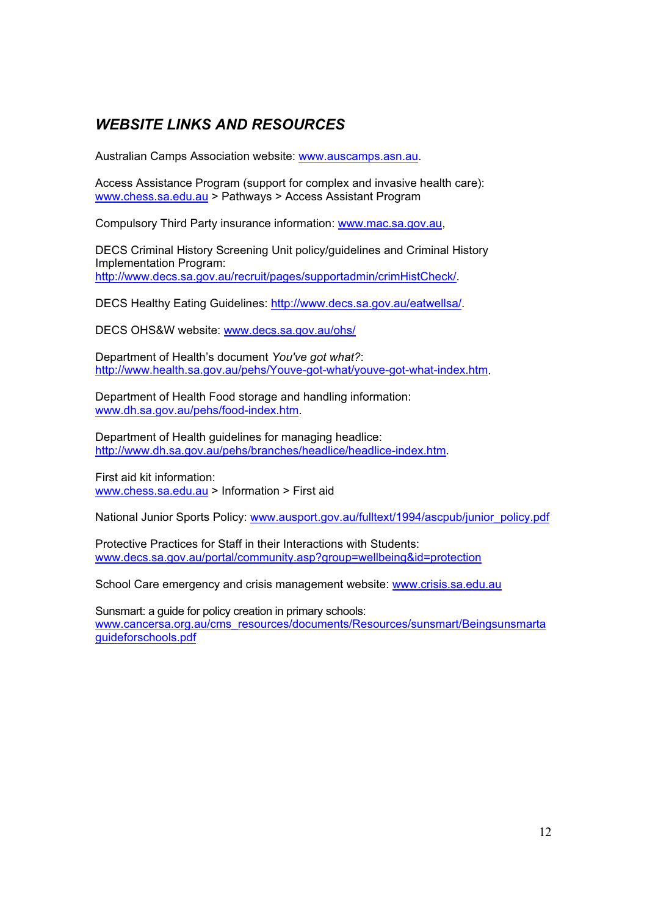# *WEBSITE LINKS AND RESOURCES*

Australian Camps Association website: www.auscamps.asn.au.

Access Assistance Program (support for complex and invasive health care): www.chess.sa.edu.au > Pathways > Access Assistant Program

Compulsory Third Party insurance information: www.mac.sa.gov.au,

DECS Criminal History Screening Unit policy/guidelines and Criminal History Implementation Program: http://www.decs.sa.gov.au/recruit/pages/supportadmin/crimHistCheck/.

DECS Healthy Eating Guidelines: http://www.decs.sa.gov.au/eatwellsa/.

DECS OHS&W website: www.decs.sa.gov.au/ohs/

Department of Health's document *You've got what?*: http://www.health.sa.gov.au/pehs/Youve-got-what/youve-got-what-index.htm.

Department of Health Food storage and handling information: www.dh.sa.gov.au/pehs/food-index.htm.

Department of Health guidelines for managing headlice: http://www.dh.sa.gov.au/pehs/branches/headlice/headlice-index.htm.

First aid kit information: www.chess.sa.edu.au > Information > First aid

National Junior Sports Policy: www.ausport.gov.au/fulltext/1994/ascpub/junior\_policy.pdf

Protective Practices for Staff in their Interactions with Students: www.decs.sa.gov.au/portal/community.asp?group=wellbeing&id=protection

School Care emergency and crisis management website: www.crisis.sa.edu.au

Sunsmart: a guide for policy creation in primary schools: www.cancersa.org.au/cms\_resources/documents/Resources/sunsmart/Beingsunsmarta guideforschools.pdf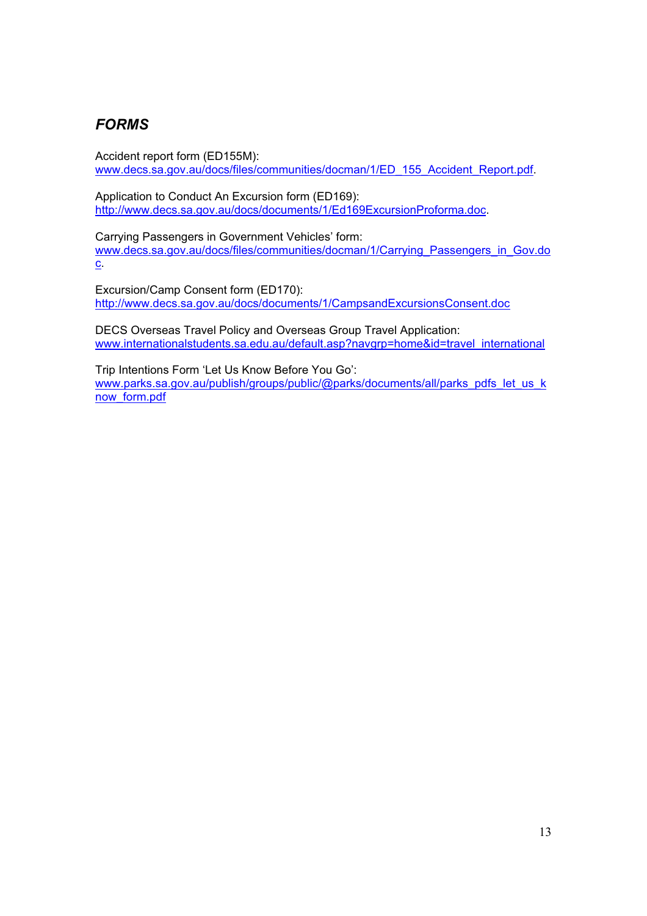# *FORMS*

Accident report form (ED155M): www.decs.sa.gov.au/docs/files/communities/docman/1/ED\_155\_Accident\_Report.pdf.

Application to Conduct An Excursion form (ED169): http://www.decs.sa.gov.au/docs/documents/1/Ed169ExcursionProforma.doc.

Carrying Passengers in Government Vehicles' form: www.decs.sa.gov.au/docs/files/communities/docman/1/Carrying\_Passengers\_in\_Gov.do c.

Excursion/Camp Consent form (ED170): http://www.decs.sa.gov.au/docs/documents/1/CampsandExcursionsConsent.doc

DECS Overseas Travel Policy and Overseas Group Travel Application: www.internationalstudents.sa.edu.au/default.asp?navgrp=home&id=travel\_international

Trip Intentions Form 'Let Us Know Before You Go': www.parks.sa.gov.au/publish/groups/public/@parks/documents/all/parks\_pdfs\_let\_us\_k now\_form.pdf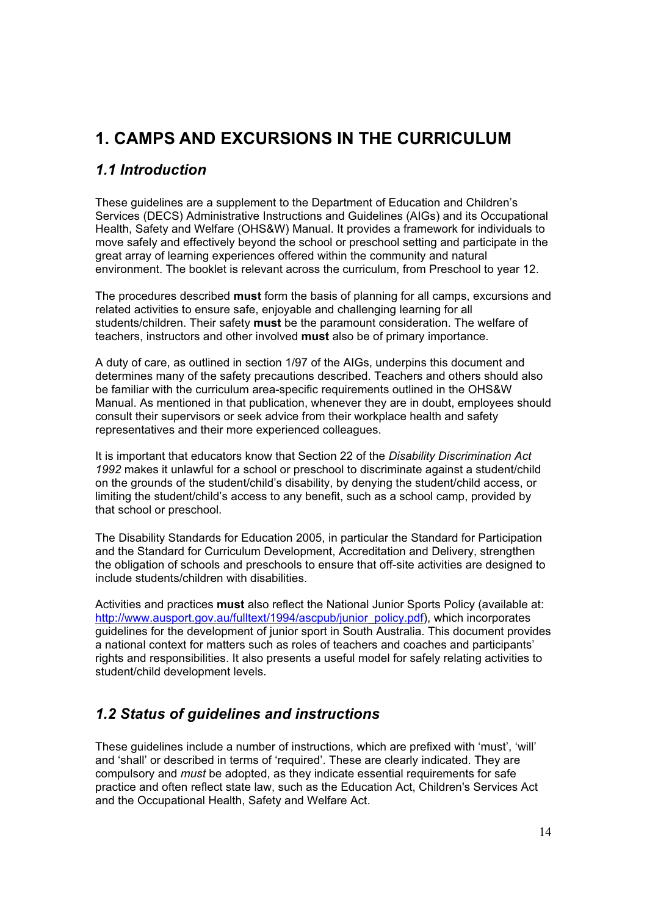# **1. CAMPS AND EXCURSIONS IN THE CURRICULUM**

# *1.1 Introduction*

These guidelines are a supplement to the Department of Education and Children's Services (DECS) Administrative Instructions and Guidelines (AIGs) and its Occupational Health, Safety and Welfare (OHS&W) Manual. It provides a framework for individuals to move safely and effectively beyond the school or preschool setting and participate in the great array of learning experiences offered within the community and natural environment. The booklet is relevant across the curriculum, from Preschool to year 12.

The procedures described **must** form the basis of planning for all camps, excursions and related activities to ensure safe, enjoyable and challenging learning for all students/children. Their safety **must** be the paramount consideration. The welfare of teachers, instructors and other involved **must** also be of primary importance.

A duty of care, as outlined in section 1/97 of the AIGs, underpins this document and determines many of the safety precautions described. Teachers and others should also be familiar with the curriculum area-specific requirements outlined in the OHS&W Manual. As mentioned in that publication, whenever they are in doubt, employees should consult their supervisors or seek advice from their workplace health and safety representatives and their more experienced colleagues.

It is important that educators know that Section 22 of the *Disability Discrimination Act 1992* makes it unlawful for a school or preschool to discriminate against a student/child on the grounds of the student/child's disability, by denying the student/child access, or limiting the student/child's access to any benefit, such as a school camp, provided by that school or preschool.

The Disability Standards for Education 2005, in particular the Standard for Participation and the Standard for Curriculum Development, Accreditation and Delivery, strengthen the obligation of schools and preschools to ensure that off-site activities are designed to include students/children with disabilities.

Activities and practices **must** also reflect the National Junior Sports Policy (available at: http://www.ausport.gov.au/fulltext/1994/ascpub/junior\_policy.pdf), which incorporates guidelines for the development of junior sport in South Australia. This document provides a national context for matters such as roles of teachers and coaches and participants' rights and responsibilities. It also presents a useful model for safely relating activities to student/child development levels.

# *1.2 Status of guidelines and instructions*

These guidelines include a number of instructions, which are prefixed with 'must', 'will' and 'shall' or described in terms of 'required'. These are clearly indicated. They are compulsory and *must* be adopted, as they indicate essential requirements for safe practice and often reflect state law, such as the Education Act, Children's Services Act and the Occupational Health, Safety and Welfare Act.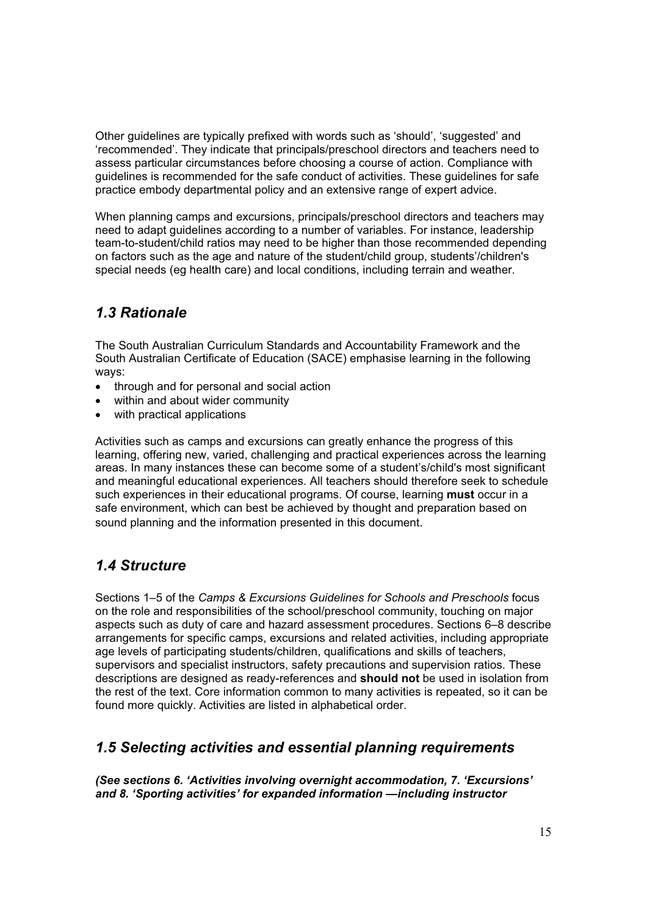Other guidelines are typically prefixed with words such as 'should', 'suggested' and 'recommended'. They indicate that principals/preschool directors and teachers need to assess particular circumstances before choosing a course of action. Compliance with guidelines is recommended for the safe conduct of activities. These guidelines for safe practice embody departmental policy and an extensive range of expert advice.

When planning camps and excursions, principals/preschool directors and teachers may need to adapt guidelines according to a number of variables. For instance, leadership team-to-student/child ratios may need to be higher than those recommended depending on factors such as the age and nature of the student/child group, students'/children's special needs (eg health care) and local conditions, including terrain and weather.

# *1.3 Rationale*

The South Australian Curriculum Standards and Accountability Framework and the South Australian Certificate of Education (SACE) emphasise learning in the following ways:

- through and for personal and social action
- within and about wider community
- with practical applications

Activities such as camps and excursions can greatly enhance the progress of this learning, offering new, varied, challenging and practical experiences across the learning areas. In many instances these can become some of a student's/child's most significant and meaningful educational experiences. All teachers should therefore seek to schedule such experiences in their educational programs. Of course, learning **must** occur in a safe environment, which can best be achieved by thought and preparation based on sound planning and the information presented in this document.

# *1.4 Structure*

Sections 1–5 of the *Camps & Excursions Guidelines for Schools and Preschools* focus on the role and responsibilities of the school/preschool community, touching on major aspects such as duty of care and hazard assessment procedures. Sections 6–8 describe arrangements for specific camps, excursions and related activities, including appropriate age levels of participating students/children, qualifications and skills of teachers, supervisors and specialist instructors, safety precautions and supervision ratios. These descriptions are designed as ready-references and **should not** be used in isolation from the rest of the text. Core information common to many activities is repeated, so it can be found more quickly. Activities are listed in alphabetical order.

# *1.5 Selecting activities and essential planning requirements*

*(See sections 6. 'Activities involving overnight accommodation, 7. 'Excursions' and 8. 'Sporting activities' for expanded information —including instructor*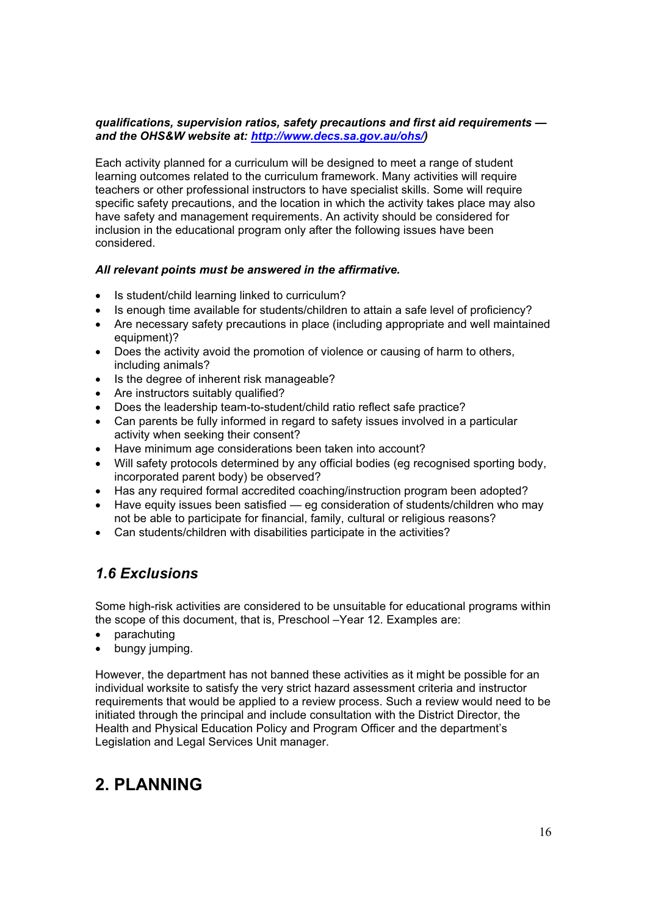#### *qualifications, supervision ratios, safety precautions and first aid requirements and the OHS&W website at: http://www.decs.sa.gov.au/ohs/)*

Each activity planned for a curriculum will be designed to meet a range of student learning outcomes related to the curriculum framework. Many activities will require teachers or other professional instructors to have specialist skills. Some will require specific safety precautions, and the location in which the activity takes place may also have safety and management requirements. An activity should be considered for inclusion in the educational program only after the following issues have been considered.

#### *All relevant points must be answered in the affirmative.*

- Is student/child learning linked to curriculum?
- Is enough time available for students/children to attain a safe level of proficiency?
- Are necessary safety precautions in place (including appropriate and well maintained equipment)?
- Does the activity avoid the promotion of violence or causing of harm to others, including animals?
- Is the degree of inherent risk manageable?
- Are instructors suitably qualified?
- Does the leadership team-to-student/child ratio reflect safe practice?
- Can parents be fully informed in regard to safety issues involved in a particular activity when seeking their consent?
- Have minimum age considerations been taken into account?
- Will safety protocols determined by any official bodies (eg recognised sporting body, incorporated parent body) be observed?
- Has any required formal accredited coaching/instruction program been adopted?
- Have equity issues been satisfied eg consideration of students/children who may not be able to participate for financial, family, cultural or religious reasons?
- Can students/children with disabilities participate in the activities?

# *1.6 Exclusions*

Some high-risk activities are considered to be unsuitable for educational programs within the scope of this document, that is, Preschool –Year 12. Examples are:

- parachuting
- bungy jumping.

However, the department has not banned these activities as it might be possible for an individual worksite to satisfy the very strict hazard assessment criteria and instructor requirements that would be applied to a review process. Such a review would need to be initiated through the principal and include consultation with the District Director, the Health and Physical Education Policy and Program Officer and the department's Legislation and Legal Services Unit manager.

# **2. PLANNING**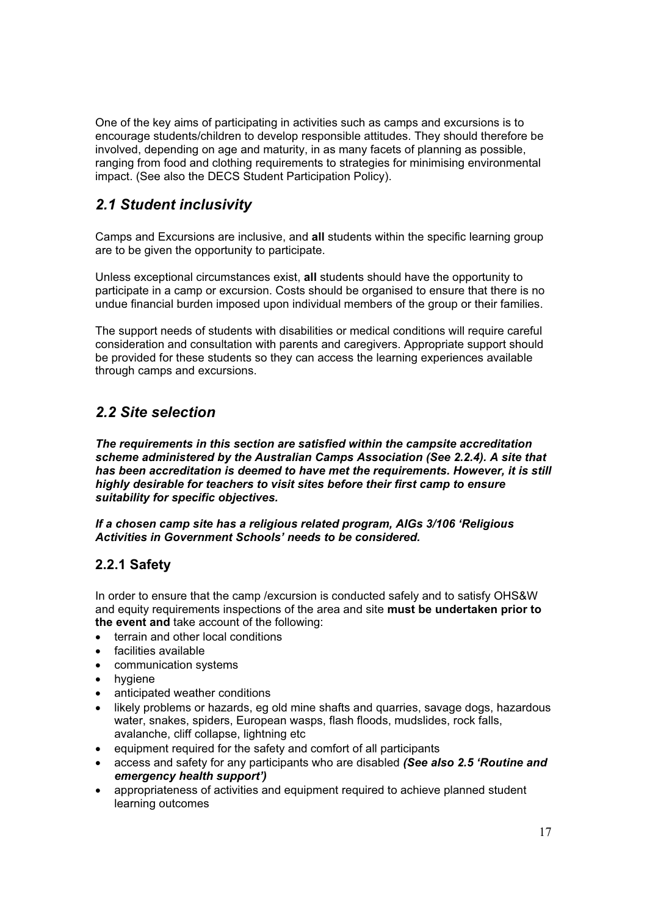One of the key aims of participating in activities such as camps and excursions is to encourage students/children to develop responsible attitudes. They should therefore be involved, depending on age and maturity, in as many facets of planning as possible, ranging from food and clothing requirements to strategies for minimising environmental impact. (See also the DECS Student Participation Policy).

# *2.1 Student inclusivity*

Camps and Excursions are inclusive, and **all** students within the specific learning group are to be given the opportunity to participate.

Unless exceptional circumstances exist, **all** students should have the opportunity to participate in a camp or excursion. Costs should be organised to ensure that there is no undue financial burden imposed upon individual members of the group or their families.

The support needs of students with disabilities or medical conditions will require careful consideration and consultation with parents and caregivers. Appropriate support should be provided for these students so they can access the learning experiences available through camps and excursions.

# *2.2 Site selection*

*The requirements in this section are satisfied within the campsite accreditation scheme administered by the Australian Camps Association (See 2.2.4). A site that has been accreditation is deemed to have met the requirements. However, it is still highly desirable for teachers to visit sites before their first camp to ensure suitability for specific objectives.* 

*If a chosen camp site has a religious related program, AIGs 3/106 'Religious Activities in Government Schools' needs to be considered.* 

# **2.2.1 Safety**

In order to ensure that the camp /excursion is conducted safely and to satisfy OHS&W and equity requirements inspections of the area and site **must be undertaken prior to the event and** take account of the following:

- terrain and other local conditions
- facilities available
- communication systems
- $\bullet$  hygiene
- anticipated weather conditions
- likely problems or hazards, eg old mine shafts and quarries, savage dogs, hazardous water, snakes, spiders, European wasps, flash floods, mudslides, rock falls, avalanche, cliff collapse, lightning etc
- equipment required for the safety and comfort of all participants
- x access and safety for any participants who are disabled *(See also 2.5 'Routine and emergency health support')*
- appropriateness of activities and equipment required to achieve planned student learning outcomes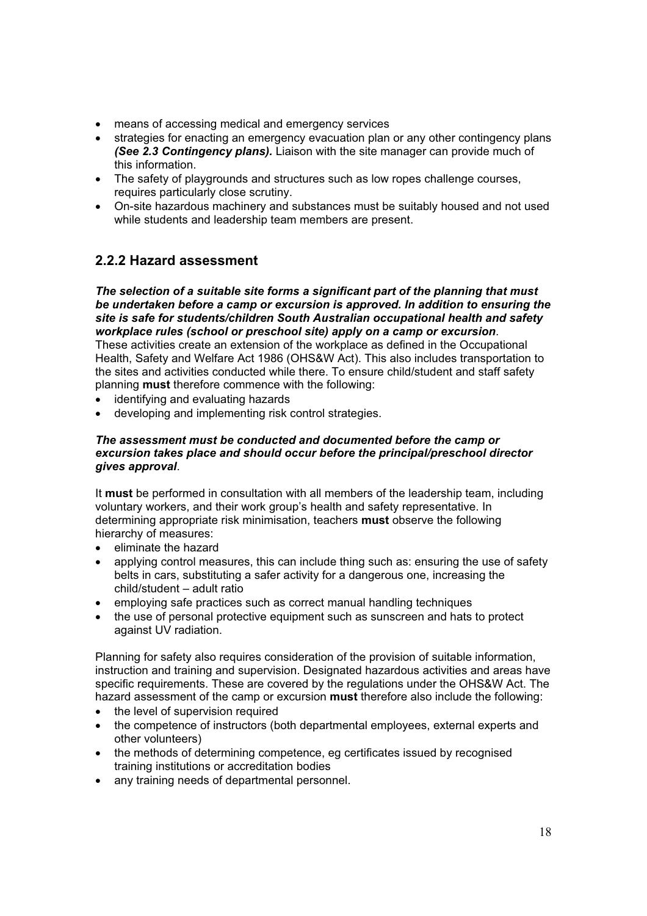- means of accessing medical and emergency services
- strategies for enacting an emergency evacuation plan or any other contingency plans *(See 2.3 Contingency plans).* Liaison with the site manager can provide much of this information.
- The safety of playgrounds and structures such as low ropes challenge courses, requires particularly close scrutiny.
- On-site hazardous machinery and substances must be suitably housed and not used while students and leadership team members are present.

# **2.2.2 Hazard assessment**

*The selection of a suitable site forms a significant part of the planning that must be undertaken before a camp or excursion is approved. In addition to ensuring the site is safe for students/children South Australian occupational health and safety workplace rules (school or preschool site) apply on a camp or excursion*. These activities create an extension of the workplace as defined in the Occupational Health, Safety and Welfare Act 1986 (OHS&W Act). This also includes transportation to the sites and activities conducted while there. To ensure child/student and staff safety planning **must** therefore commence with the following:

- identifying and evaluating hazards
- developing and implementing risk control strategies.

#### *The assessment must be conducted and documented before the camp or excursion takes place and should occur before the principal/preschool director gives approval*.

It **must** be performed in consultation with all members of the leadership team, including voluntary workers, and their work group's health and safety representative. In determining appropriate risk minimisation, teachers **must** observe the following hierarchy of measures:

- x eliminate the hazard
- applying control measures, this can include thing such as: ensuring the use of safety belts in cars, substituting a safer activity for a dangerous one, increasing the child/student – adult ratio
- employing safe practices such as correct manual handling techniques
- the use of personal protective equipment such as sunscreen and hats to protect against UV radiation.

Planning for safety also requires consideration of the provision of suitable information, instruction and training and supervision. Designated hazardous activities and areas have specific requirements. These are covered by the regulations under the OHS&W Act. The hazard assessment of the camp or excursion **must** therefore also include the following:

- the level of supervision required
- the competence of instructors (both departmental employees, external experts and other volunteers)
- the methods of determining competence, eg certificates issued by recognised training institutions or accreditation bodies
- any training needs of departmental personnel.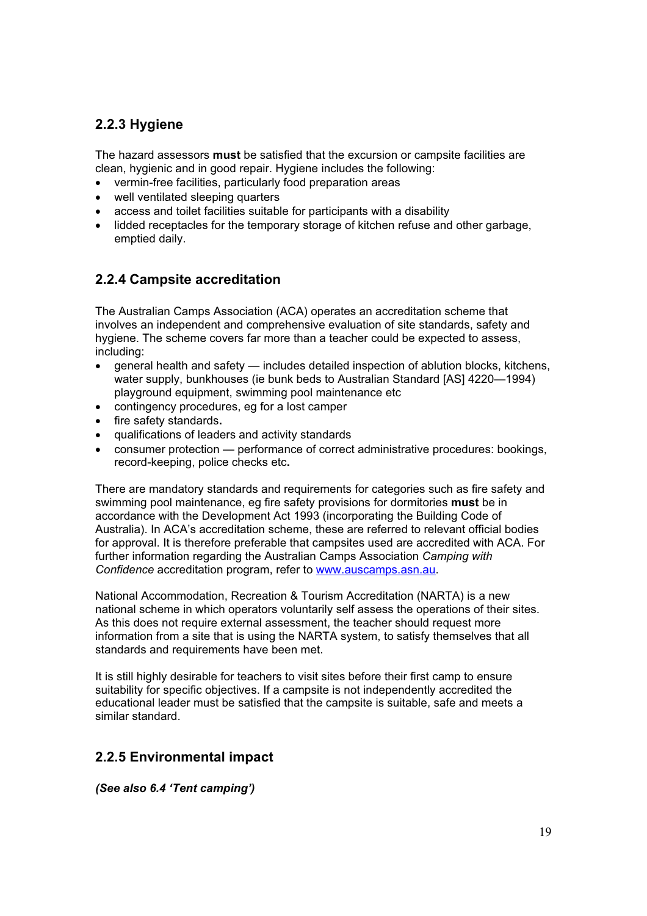# **2.2.3 Hygiene**

The hazard assessors **must** be satisfied that the excursion or campsite facilities are clean, hygienic and in good repair. Hygiene includes the following:

- vermin-free facilities, particularly food preparation areas
- well ventilated sleeping quarters
- access and toilet facilities suitable for participants with a disability
- lidded receptacles for the temporary storage of kitchen refuse and other garbage, emptied daily.

# **2.2.4 Campsite accreditation**

The Australian Camps Association (ACA) operates an accreditation scheme that involves an independent and comprehensive evaluation of site standards, safety and hygiene. The scheme covers far more than a teacher could be expected to assess, including:

- x general health and safety includes detailed inspection of ablution blocks, kitchens, water supply, bunkhouses (ie bunk beds to Australian Standard [AS] 4220—1994) playground equipment, swimming pool maintenance etc
- contingency procedures, eg for a lost camper
- **•** fire safety standards.
- x qualifications of leaders and activity standards
- consumer protection performance of correct administrative procedures: bookings, record-keeping, police checks etc**.**

There are mandatory standards and requirements for categories such as fire safety and swimming pool maintenance, eg fire safety provisions for dormitories **must** be in accordance with the Development Act 1993 (incorporating the Building Code of Australia). In ACA's accreditation scheme, these are referred to relevant official bodies for approval. It is therefore preferable that campsites used are accredited with ACA. For further information regarding the Australian Camps Association *Camping with Confidence* accreditation program, refer to www.auscamps.asn.au.

National Accommodation, Recreation & Tourism Accreditation (NARTA) is a new national scheme in which operators voluntarily self assess the operations of their sites. As this does not require external assessment, the teacher should request more information from a site that is using the NARTA system, to satisfy themselves that all standards and requirements have been met.

It is still highly desirable for teachers to visit sites before their first camp to ensure suitability for specific objectives. If a campsite is not independently accredited the educational leader must be satisfied that the campsite is suitable, safe and meets a similar standard.

# **2.2.5 Environmental impact**

*(See also 6.4 'Tent camping')*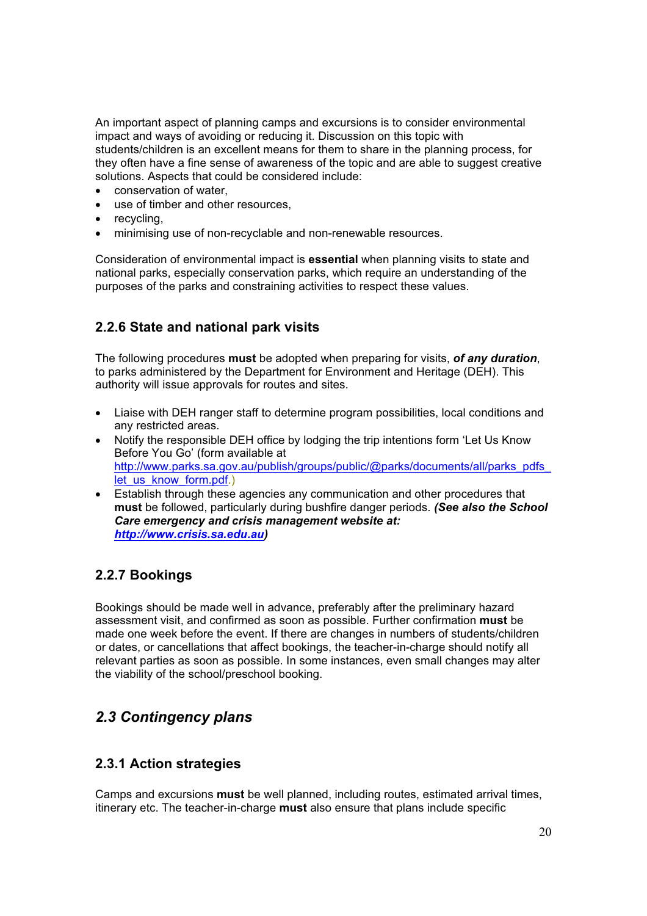An important aspect of planning camps and excursions is to consider environmental impact and ways of avoiding or reducing it. Discussion on this topic with students/children is an excellent means for them to share in the planning process, for they often have a fine sense of awareness of the topic and are able to suggest creative solutions. Aspects that could be considered include:

- conservation of water,
- use of timber and other resources.
- $\bullet$  recycling,
- minimising use of non-recyclable and non-renewable resources.

Consideration of environmental impact is **essential** when planning visits to state and national parks, especially conservation parks, which require an understanding of the purposes of the parks and constraining activities to respect these values.

# **2.2.6 State and national park visits**

The following procedures **must** be adopted when preparing for visits, *of any duration*, to parks administered by the Department for Environment and Heritage (DEH). This authority will issue approvals for routes and sites.

- Liaise with DEH ranger staff to determine program possibilities, local conditions and any restricted areas.
- Notify the responsible DEH office by lodging the trip intentions form 'Let Us Know Before You Go' (form available at http://www.parks.sa.gov.au/publish/groups/public/@parks/documents/all/parks\_pdfs\_ let us know form.pdf.)
- Establish through these agencies any communication and other procedures that **must** be followed, particularly during bushfire danger periods. *(See also the School Care emergency and crisis management website at: http://www.crisis.sa.edu.au)*

# **2.2.7 Bookings**

Bookings should be made well in advance, preferably after the preliminary hazard assessment visit, and confirmed as soon as possible. Further confirmation **must** be made one week before the event. If there are changes in numbers of students/children or dates, or cancellations that affect bookings, the teacher-in-charge should notify all relevant parties as soon as possible. In some instances, even small changes may alter the viability of the school/preschool booking.

# *2.3 Contingency plans*

# **2.3.1 Action strategies**

Camps and excursions **must** be well planned, including routes, estimated arrival times, itinerary etc. The teacher-in-charge **must** also ensure that plans include specific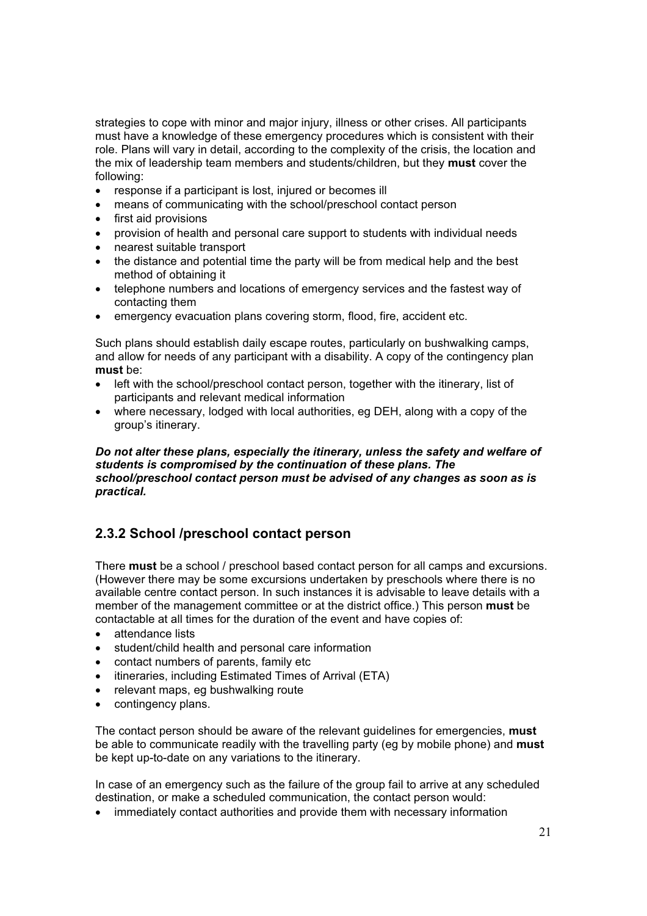strategies to cope with minor and major injury, illness or other crises. All participants must have a knowledge of these emergency procedures which is consistent with their role. Plans will vary in detail, according to the complexity of the crisis, the location and the mix of leadership team members and students/children, but they **must** cover the following:

- response if a participant is lost, injured or becomes ill
- means of communicating with the school/preschool contact person
- $\bullet$  first aid provisions
- provision of health and personal care support to students with individual needs
- nearest suitable transport
- the distance and potential time the party will be from medical help and the best method of obtaining it
- telephone numbers and locations of emergency services and the fastest way of contacting them
- emergency evacuation plans covering storm, flood, fire, accident etc.

Such plans should establish daily escape routes, particularly on bushwalking camps, and allow for needs of any participant with a disability. A copy of the contingency plan **must** be:

- left with the school/preschool contact person, together with the itinerary, list of participants and relevant medical information
- x where necessary, lodged with local authorities, eg DEH, along with a copy of the group's itinerary.

#### *Do not alter these plans, especially the itinerary, unless the safety and welfare of students is compromised by the continuation of these plans. The school/preschool contact person must be advised of any changes as soon as is practical.*

# **2.3.2 School /preschool contact person**

There **must** be a school / preschool based contact person for all camps and excursions. (However there may be some excursions undertaken by preschools where there is no available centre contact person. In such instances it is advisable to leave details with a member of the management committee or at the district office.) This person **must** be contactable at all times for the duration of the event and have copies of:

- x attendance lists
- student/child health and personal care information
- contact numbers of parents, family etc
- itineraries, including Estimated Times of Arrival (ETA)
- relevant maps, eg bushwalking route
- $\bullet$  contingency plans.

The contact person should be aware of the relevant guidelines for emergencies, **must**  be able to communicate readily with the travelling party (eg by mobile phone) and **must** be kept up-to-date on any variations to the itinerary.

In case of an emergency such as the failure of the group fail to arrive at any scheduled destination, or make a scheduled communication, the contact person would:

• immediately contact authorities and provide them with necessary information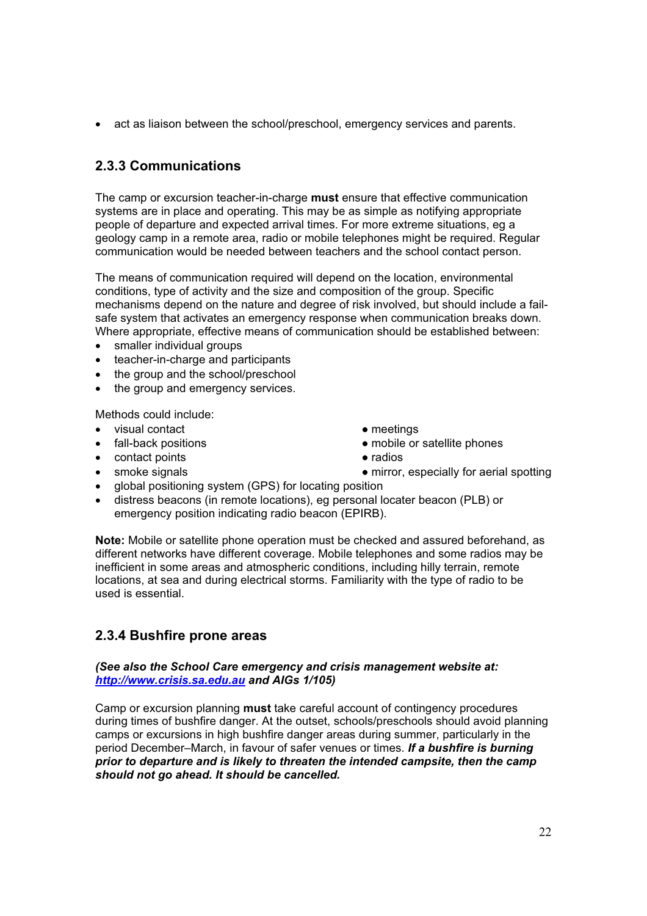• act as liaison between the school/preschool, emergency services and parents.

# **2.3.3 Communications**

The camp or excursion teacher-in-charge **must** ensure that effective communication systems are in place and operating. This may be as simple as notifying appropriate people of departure and expected arrival times. For more extreme situations, eg a geology camp in a remote area, radio or mobile telephones might be required. Regular communication would be needed between teachers and the school contact person.

The means of communication required will depend on the location, environmental conditions, type of activity and the size and composition of the group. Specific mechanisms depend on the nature and degree of risk involved, but should include a failsafe system that activates an emergency response when communication breaks down. Where appropriate, effective means of communication should be established between:

- smaller individual groups
- teacher-in-charge and participants
- the group and the school/preschool
- the group and emergency services.

Methods could include:

- visual contact and the meetings of the meetings
- 
- contact points contact points
- 
- 
- fall-back positions  $\bullet$  mobile or satellite phones
	-
- smoke signals strategies are not mirror, especially for aerial spotting
- global positioning system (GPS) for locating position
- x distress beacons (in remote locations), eg personal locater beacon (PLB) or emergency position indicating radio beacon (EPIRB).

**Note:** Mobile or satellite phone operation must be checked and assured beforehand, as different networks have different coverage. Mobile telephones and some radios may be inefficient in some areas and atmospheric conditions, including hilly terrain, remote locations, at sea and during electrical storms. Familiarity with the type of radio to be used is essential.

# **2.3.4 Bushfire prone areas**

#### *(See also the School Care emergency and crisis management website at: http://www.crisis.sa.edu.au and AIGs 1/105)*

Camp or excursion planning **must** take careful account of contingency procedures during times of bushfire danger. At the outset, schools/preschools should avoid planning camps or excursions in high bushfire danger areas during summer, particularly in the period December–March, in favour of safer venues or times. *If a bushfire is burning prior to departure and is likely to threaten the intended campsite, then the camp should not go ahead. It should be cancelled.*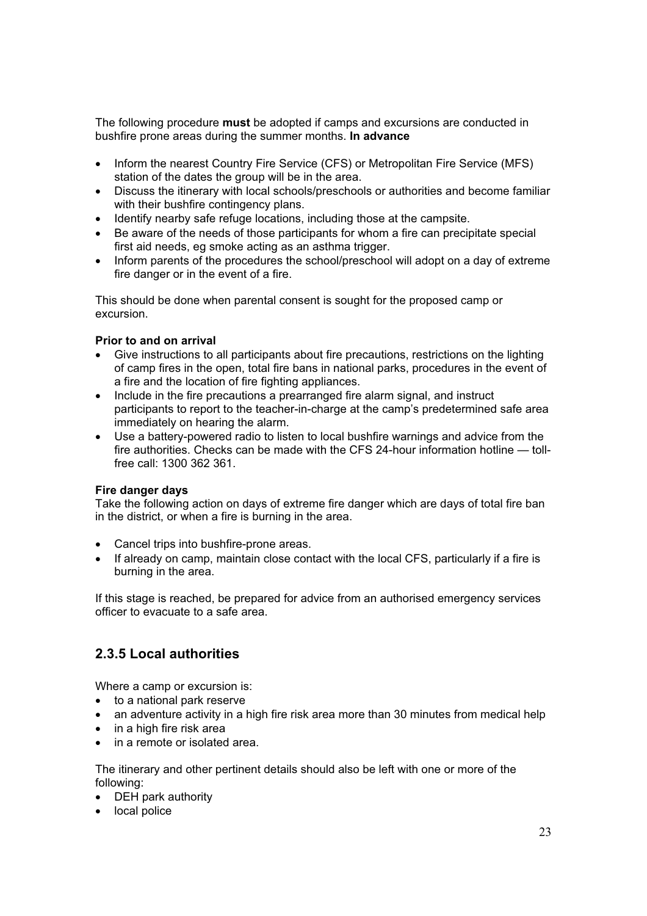The following procedure **must** be adopted if camps and excursions are conducted in bushfire prone areas during the summer months. **In advance** 

- Inform the nearest Country Fire Service (CFS) or Metropolitan Fire Service (MFS) station of the dates the group will be in the area.
- Discuss the itinerary with local schools/preschools or authorities and become familiar with their bushfire contingency plans.
- Identify nearby safe refuge locations, including those at the campsite.
- Be aware of the needs of those participants for whom a fire can precipitate special first aid needs, eg smoke acting as an asthma trigger.
- Inform parents of the procedures the school/preschool will adopt on a day of extreme fire danger or in the event of a fire.

This should be done when parental consent is sought for the proposed camp or excursion.

#### **Prior to and on arrival**

- Give instructions to all participants about fire precautions, restrictions on the lighting of camp fires in the open, total fire bans in national parks, procedures in the event of a fire and the location of fire fighting appliances.
- Include in the fire precautions a prearranged fire alarm signal, and instruct participants to report to the teacher-in-charge at the camp's predetermined safe area immediately on hearing the alarm.
- Use a battery-powered radio to listen to local bushfire warnings and advice from the fire authorities. Checks can be made with the CFS 24-hour information hotline — tollfree call: 1300 362 361.

#### **Fire danger days**

Take the following action on days of extreme fire danger which are days of total fire ban in the district, or when a fire is burning in the area.

- Cancel trips into bushfire-prone areas.
- If already on camp, maintain close contact with the local CFS, particularly if a fire is burning in the area.

If this stage is reached, be prepared for advice from an authorised emergency services officer to evacuate to a safe area.

# **2.3.5 Local authorities**

Where a camp or excursion is:

- $\bullet$  to a national park reserve
- an adventure activity in a high fire risk area more than 30 minutes from medical help
- $\bullet$  in a high fire risk area
- in a remote or isolated area.

The itinerary and other pertinent details should also be left with one or more of the following:

- DEH park authority
- local police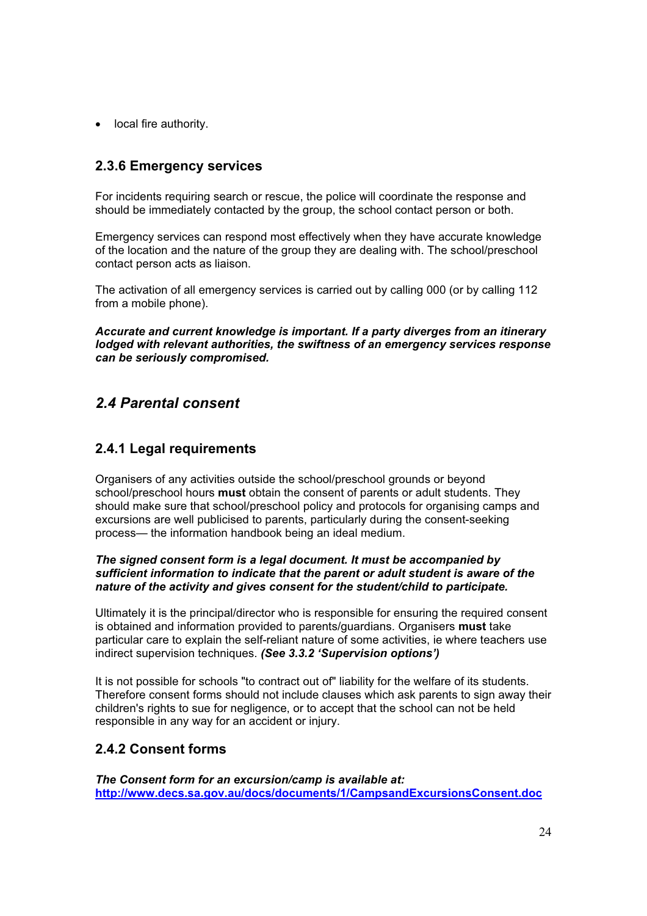• local fire authority.

### **2.3.6 Emergency services**

For incidents requiring search or rescue, the police will coordinate the response and should be immediately contacted by the group, the school contact person or both.

Emergency services can respond most effectively when they have accurate knowledge of the location and the nature of the group they are dealing with. The school/preschool contact person acts as liaison.

The activation of all emergency services is carried out by calling 000 (or by calling 112 from a mobile phone).

*Accurate and current knowledge is important. If a party diverges from an itinerary lodged with relevant authorities, the swiftness of an emergency services response can be seriously compromised.* 

# *2.4 Parental consent*

### **2.4.1 Legal requirements**

Organisers of any activities outside the school/preschool grounds or beyond school/preschool hours **must** obtain the consent of parents or adult students. They should make sure that school/preschool policy and protocols for organising camps and excursions are well publicised to parents, particularly during the consent-seeking process— the information handbook being an ideal medium.

#### *The signed consent form is a legal document. It must be accompanied by sufficient information to indicate that the parent or adult student is aware of the nature of the activity and gives consent for the student/child to participate.*

Ultimately it is the principal/director who is responsible for ensuring the required consent is obtained and information provided to parents/guardians. Organisers **must** take particular care to explain the self-reliant nature of some activities, ie where teachers use indirect supervision techniques. *(See 3.3.2 'Supervision options')* 

It is not possible for schools "to contract out of" liability for the welfare of its students. Therefore consent forms should not include clauses which ask parents to sign away their children's rights to sue for negligence, or to accept that the school can not be held responsible in any way for an accident or injury.

### **2.4.2 Consent forms**

*The Consent form for an excursion/camp is available at:*  **http://www.decs.sa.gov.au/docs/documents/1/CampsandExcursionsConsent.doc**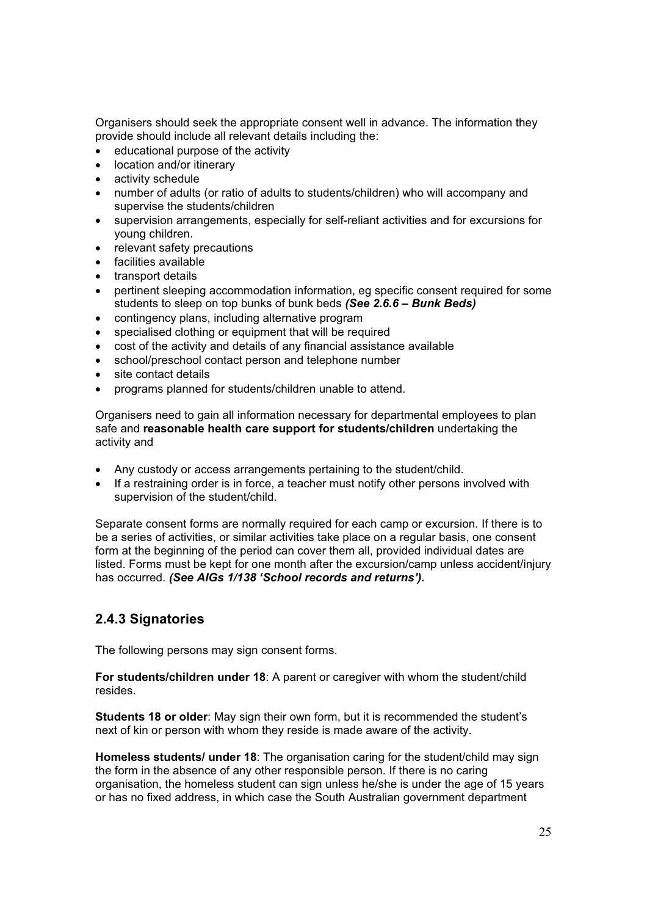Organisers should seek the appropriate consent well in advance. The information they provide should include all relevant details including the:

- educational purpose of the activity
- location and/or itinerary
- $\bullet$  activity schedule
- x number of adults (or ratio of adults to students/children) who will accompany and supervise the students/children
- supervision arrangements, especially for self-reliant activities and for excursions for young children.
- relevant safety precautions
- facilities available
- transport details
- x pertinent sleeping accommodation information, eg specific consent required for some students to sleep on top bunks of bunk beds *(See 2.6.6 – Bunk Beds)*
- contingency plans, including alternative program
- specialised clothing or equipment that will be required
- $\bullet$  cost of the activity and details of any financial assistance available
- school/preschool contact person and telephone number
- site contact details
- x programs planned for students/children unable to attend.

Organisers need to gain all information necessary for departmental employees to plan safe and **reasonable health care support for students/children** undertaking the activity and

- Any custody or access arrangements pertaining to the student/child.
- If a restraining order is in force, a teacher must notify other persons involved with supervision of the student/child.

Separate consent forms are normally required for each camp or excursion. If there is to be a series of activities, or similar activities take place on a regular basis, one consent form at the beginning of the period can cover them all, provided individual dates are listed. Forms must be kept for one month after the excursion/camp unless accident/injury has occurred. *(See AIGs 1/138 'School records and returns').*

### **2.4.3 Signatories**

The following persons may sign consent forms.

**For students/children under 18**: A parent or caregiver with whom the student/child resides.

**Students 18 or older**: May sign their own form, but it is recommended the student's next of kin or person with whom they reside is made aware of the activity.

**Homeless students/ under 18**: The organisation caring for the student/child may sign the form in the absence of any other responsible person. If there is no caring organisation, the homeless student can sign unless he/she is under the age of 15 years or has no fixed address, in which case the South Australian government department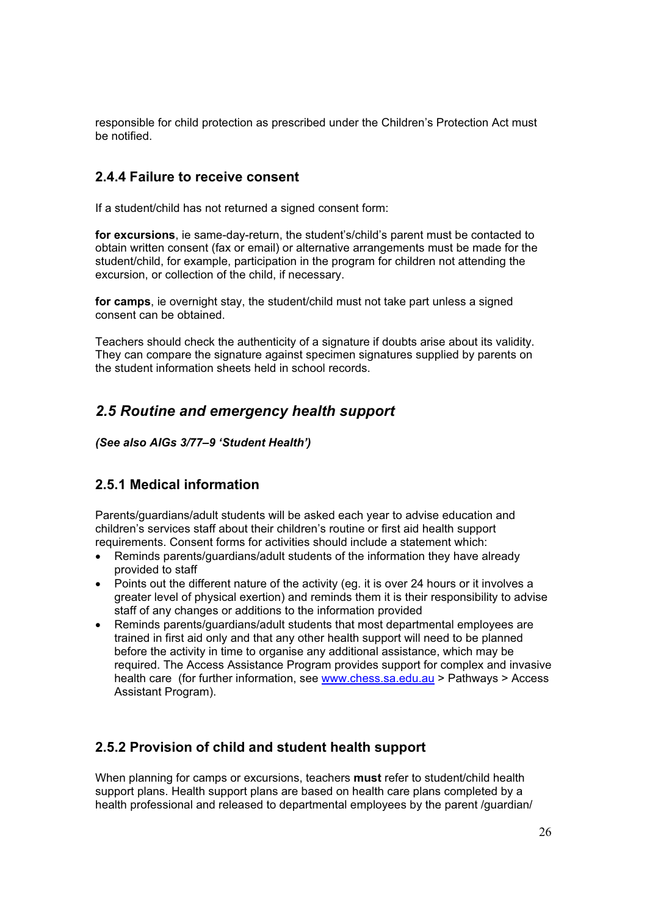responsible for child protection as prescribed under the Children's Protection Act must be notified.

### **2.4.4 Failure to receive consent**

If a student/child has not returned a signed consent form:

**for excursions**, ie same-day-return, the student's/child's parent must be contacted to obtain written consent (fax or email) or alternative arrangements must be made for the student/child, for example, participation in the program for children not attending the excursion, or collection of the child, if necessary.

**for camps**, ie overnight stay, the student/child must not take part unless a signed consent can be obtained.

Teachers should check the authenticity of a signature if doubts arise about its validity. They can compare the signature against specimen signatures supplied by parents on the student information sheets held in school records.

# *2.5 Routine and emergency health support*

*(See also AIGs 3/77–9 'Student Health')* 

### **2.5.1 Medical information**

Parents/guardians/adult students will be asked each year to advise education and children's services staff about their children's routine or first aid health support requirements. Consent forms for activities should include a statement which:

- Reminds parents/guardians/adult students of the information they have already provided to staff
- Points out the different nature of the activity (eg. it is over 24 hours or it involves a greater level of physical exertion) and reminds them it is their responsibility to advise staff of any changes or additions to the information provided
- Reminds parents/guardians/adult students that most departmental employees are trained in first aid only and that any other health support will need to be planned before the activity in time to organise any additional assistance, which may be required. The Access Assistance Program provides support for complex and invasive health care (for further information, see www.chess.sa.edu.au > Pathways > Access Assistant Program).

# **2.5.2 Provision of child and student health support**

When planning for camps or excursions, teachers **must** refer to student/child health support plans. Health support plans are based on health care plans completed by a health professional and released to departmental employees by the parent /guardian/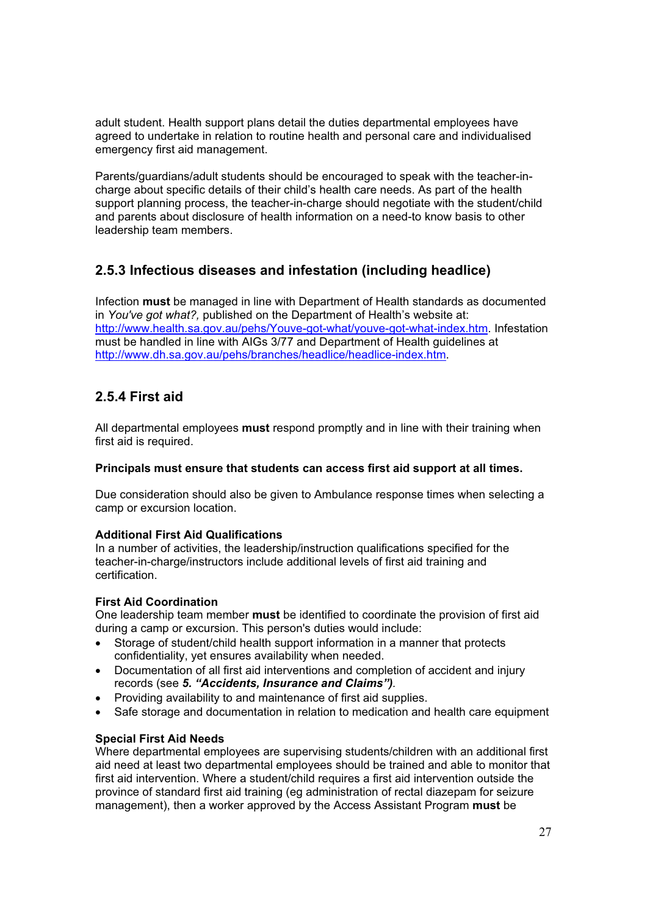adult student. Health support plans detail the duties departmental employees have agreed to undertake in relation to routine health and personal care and individualised emergency first aid management.

Parents/guardians/adult students should be encouraged to speak with the teacher-incharge about specific details of their child's health care needs. As part of the health support planning process, the teacher-in-charge should negotiate with the student/child and parents about disclosure of health information on a need-to know basis to other leadership team members.

# **2.5.3 Infectious diseases and infestation (including headlice)**

Infection **must** be managed in line with Department of Health standards as documented in *You've got what?,* published on the Department of Health's website at: http://www.health.sa.gov.au/pehs/Youve-got-what/youve-got-what-index.htm. Infestation must be handled in line with AIGs 3/77 and Department of Health guidelines at http://www.dh.sa.gov.au/pehs/branches/headlice/headlice-index.htm.

### **2.5.4 First aid**

All departmental employees **must** respond promptly and in line with their training when first aid is required.

#### **Principals must ensure that students can access first aid support at all times.**

Due consideration should also be given to Ambulance response times when selecting a camp or excursion location.

#### **Additional First Aid Qualifications**

In a number of activities, the leadership/instruction qualifications specified for the teacher-in-charge/instructors include additional levels of first aid training and certification.

#### **First Aid Coordination**

One leadership team member **must** be identified to coordinate the provision of first aid during a camp or excursion. This person's duties would include:

- Storage of student/child health support information in a manner that protects confidentiality, yet ensures availability when needed.
- Documentation of all first aid interventions and completion of accident and injury records (see *5. "Accidents, Insurance and Claims").*
- Providing availability to and maintenance of first aid supplies.
- Safe storage and documentation in relation to medication and health care equipment

#### **Special First Aid Needs**

Where departmental employees are supervising students/children with an additional first aid need at least two departmental employees should be trained and able to monitor that first aid intervention. Where a student/child requires a first aid intervention outside the province of standard first aid training (eg administration of rectal diazepam for seizure management), then a worker approved by the Access Assistant Program **must** be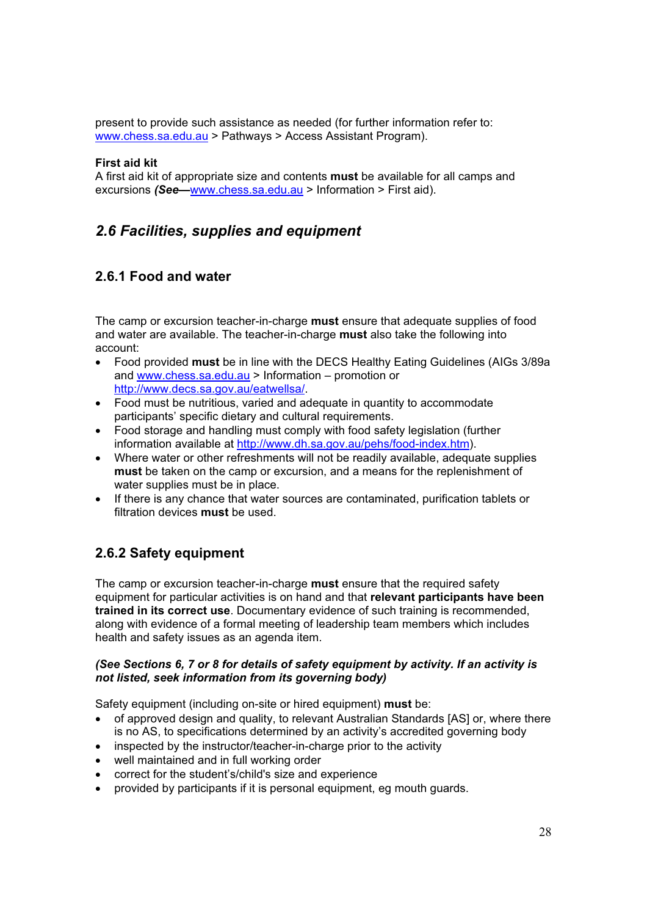present to provide such assistance as needed (for further information refer to: www.chess.sa.edu.au > Pathways > Access Assistant Program).

#### **First aid kit**

A first aid kit of appropriate size and contents **must** be available for all camps and excursions *(See—*www.chess.sa.edu.au > Information > First aid).

# *2.6 Facilities, supplies and equipment*

# **2.6.1 Food and water**

The camp or excursion teacher-in-charge **must** ensure that adequate supplies of food and water are available. The teacher-in-charge **must** also take the following into account:

- x Food provided **must** be in line with the DECS Healthy Eating Guidelines (AIGs 3/89a and www.chess.sa.edu.au > Information – promotion or http://www.decs.sa.gov.au/eatwellsa/.
- Food must be nutritious, varied and adequate in quantity to accommodate participants' specific dietary and cultural requirements.
- Food storage and handling must comply with food safety legislation (further information available at http://www.dh.sa.gov.au/pehs/food-index.htm).
- Where water or other refreshments will not be readily available, adequate supplies **must** be taken on the camp or excursion, and a means for the replenishment of water supplies must be in place.
- If there is any chance that water sources are contaminated, purification tablets or filtration devices **must** be used.

# **2.6.2 Safety equipment**

The camp or excursion teacher-in-charge **must** ensure that the required safety equipment for particular activities is on hand and that **relevant participants have been trained in its correct use**. Documentary evidence of such training is recommended, along with evidence of a formal meeting of leadership team members which includes health and safety issues as an agenda item.

#### *(See Sections 6, 7 or 8 for details of safety equipment by activity. If an activity is not listed, seek information from its governing body)*

Safety equipment (including on-site or hired equipment) **must** be:

- of approved design and quality, to relevant Australian Standards [AS] or, where there is no AS, to specifications determined by an activity's accredited governing body
- inspected by the instructor/teacher-in-charge prior to the activity
- well maintained and in full working order
- correct for the student's/child's size and experience
- provided by participants if it is personal equipment, eg mouth guards.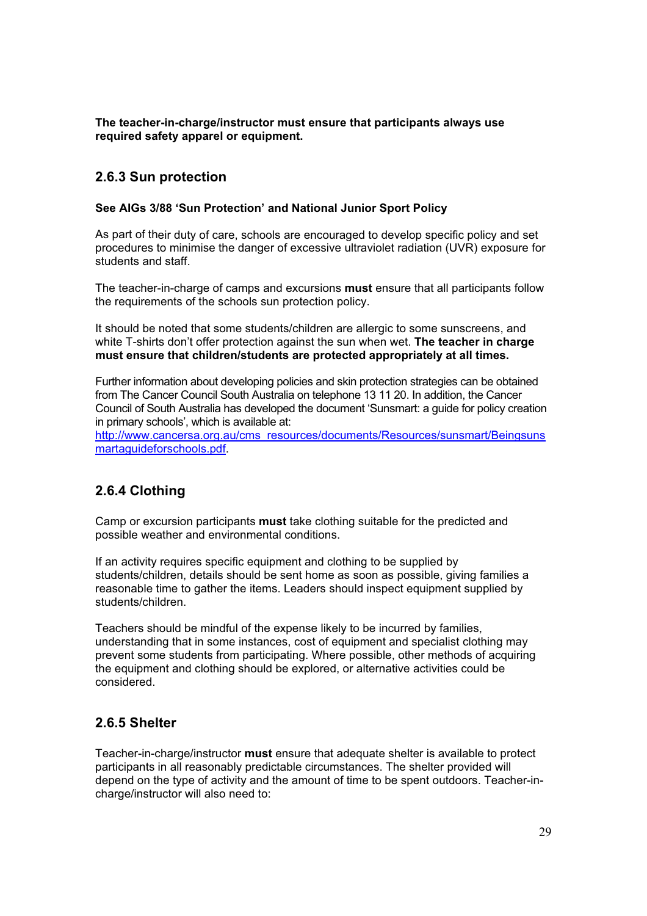**The teacher-in-charge/instructor must ensure that participants always use required safety apparel or equipment.** 

### **2.6.3 Sun protection**

#### **See AIGs 3/88 'Sun Protection' and National Junior Sport Policy**

As part of their duty of care, schools are encouraged to develop specific policy and set procedures to minimise the danger of excessive ultraviolet radiation (UVR) exposure for students and staff.

The teacher-in-charge of camps and excursions **must** ensure that all participants follow the requirements of the schools sun protection policy.

It should be noted that some students/children are allergic to some sunscreens, and white T-shirts don't offer protection against the sun when wet. **The teacher in charge must ensure that children/students are protected appropriately at all times.**

Further information about developing policies and skin protection strategies can be obtained from The Cancer Council South Australia on telephone 13 11 20. In addition, the Cancer Council of South Australia has developed the document 'Sunsmart: a guide for policy creation in primary schools', which is available at:

http://www.cancersa.org.au/cms\_resources/documents/Resources/sunsmart/Beingsuns martaguideforschools.pdf.

# **2.6.4 Clothing**

Camp or excursion participants **must** take clothing suitable for the predicted and possible weather and environmental conditions.

If an activity requires specific equipment and clothing to be supplied by students/children, details should be sent home as soon as possible, giving families a reasonable time to gather the items. Leaders should inspect equipment supplied by students/children.

Teachers should be mindful of the expense likely to be incurred by families, understanding that in some instances, cost of equipment and specialist clothing may prevent some students from participating. Where possible, other methods of acquiring the equipment and clothing should be explored, or alternative activities could be considered.

### **2.6.5 Shelter**

Teacher-in-charge/instructor **must** ensure that adequate shelter is available to protect participants in all reasonably predictable circumstances. The shelter provided will depend on the type of activity and the amount of time to be spent outdoors. Teacher-incharge/instructor will also need to: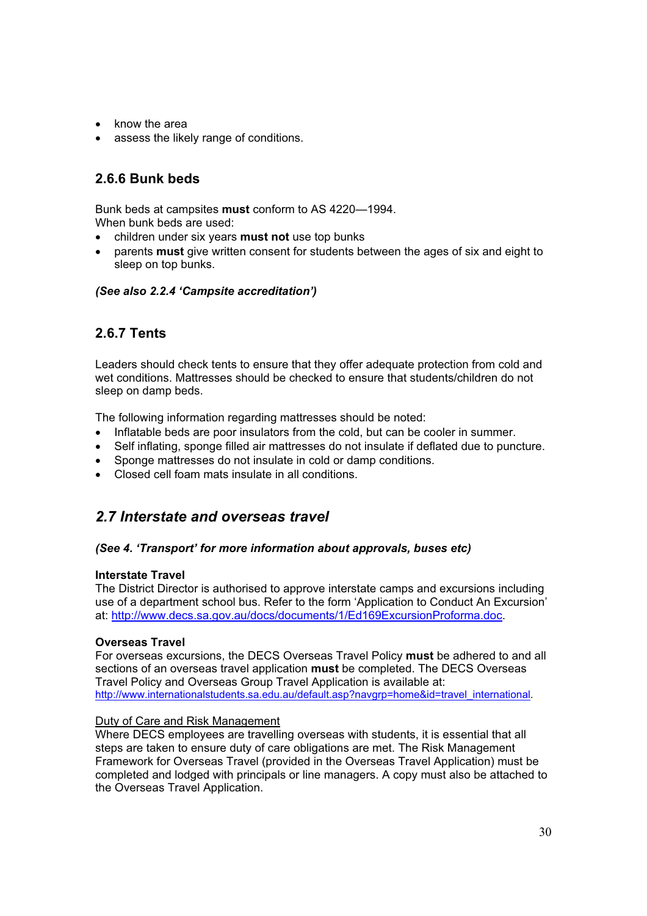- know the area
- assess the likely range of conditions.

# **2.6.6 Bunk beds**

Bunk beds at campsites **must** conform to AS 4220—1994. When bunk beds are used:

- x children under six years **must not** use top bunks
- x parents **must** give written consent for students between the ages of six and eight to sleep on top bunks.

#### *(See also 2.2.4 'Campsite accreditation')*

# **2.6.7 Tents**

Leaders should check tents to ensure that they offer adequate protection from cold and wet conditions. Mattresses should be checked to ensure that students/children do not sleep on damp beds.

The following information regarding mattresses should be noted:

- Inflatable beds are poor insulators from the cold, but can be cooler in summer.
- Self inflating, sponge filled air mattresses do not insulate if deflated due to puncture.
- Sponge mattresses do not insulate in cold or damp conditions.
- Closed cell foam mats insulate in all conditions.

# *2.7 Interstate and overseas travel*

#### *(See 4. 'Transport' for more information about approvals, buses etc)*

#### **Interstate Travel**

The District Director is authorised to approve interstate camps and excursions including use of a department school bus. Refer to the form 'Application to Conduct An Excursion' at: http://www.decs.sa.gov.au/docs/documents/1/Ed169ExcursionProforma.doc.

#### **Overseas Travel**

For overseas excursions, the DECS Overseas Travel Policy **must** be adhered to and all sections of an overseas travel application **must** be completed. The DECS Overseas Travel Policy and Overseas Group Travel Application is available at: http://www.internationalstudents.sa.edu.au/default.asp?navgrp=home&id=travel\_international.

#### Duty of Care and Risk Management

Where DECS employees are travelling overseas with students, it is essential that all steps are taken to ensure duty of care obligations are met. The Risk Management Framework for Overseas Travel (provided in the Overseas Travel Application) must be completed and lodged with principals or line managers. A copy must also be attached to the Overseas Travel Application.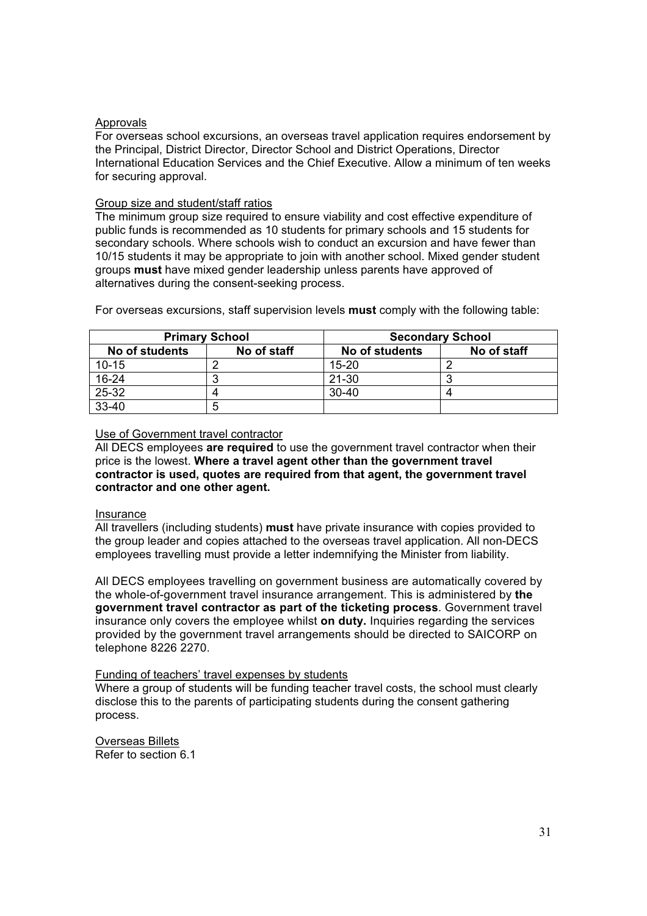#### **Approvals**

For overseas school excursions, an overseas travel application requires endorsement by the Principal, District Director, Director School and District Operations, Director International Education Services and the Chief Executive. Allow a minimum of ten weeks for securing approval.

#### Group size and student/staff ratios

The minimum group size required to ensure viability and cost effective expenditure of public funds is recommended as 10 students for primary schools and 15 students for secondary schools. Where schools wish to conduct an excursion and have fewer than 10/15 students it may be appropriate to join with another school. Mixed gender student groups **must** have mixed gender leadership unless parents have approved of alternatives during the consent-seeking process.

| <b>Primary School</b> |             | <b>Secondary School</b> |             |
|-----------------------|-------------|-------------------------|-------------|
| No of students        | No of staff | No of students          | No of staff |
| $10 - 15$             |             | $15 - 20$               |             |
| 16-24                 |             | $21 - 30$               |             |
| 25-32                 |             | $30-40$                 |             |
| 33-40                 |             |                         |             |

For overseas excursions, staff supervision levels **must** comply with the following table:

#### Use of Government travel contractor

All DECS employees **are required** to use the government travel contractor when their price is the lowest. **Where a travel agent other than the government travel contractor is used, quotes are required from that agent, the government travel contractor and one other agent.** 

#### Insurance

All travellers (including students) **must** have private insurance with copies provided to the group leader and copies attached to the overseas travel application. All non-DECS employees travelling must provide a letter indemnifying the Minister from liability.

All DECS employees travelling on government business are automatically covered by the whole-of-government travel insurance arrangement. This is administered by **the government travel contractor as part of the ticketing process**. Government travel insurance only covers the employee whilst **on duty.** Inquiries regarding the services provided by the government travel arrangements should be directed to SAICORP on telephone 8226 2270.

#### Funding of teachers' travel expenses by students

Where a group of students will be funding teacher travel costs, the school must clearly disclose this to the parents of participating students during the consent gathering process.

Overseas Billets Refer to section 6.1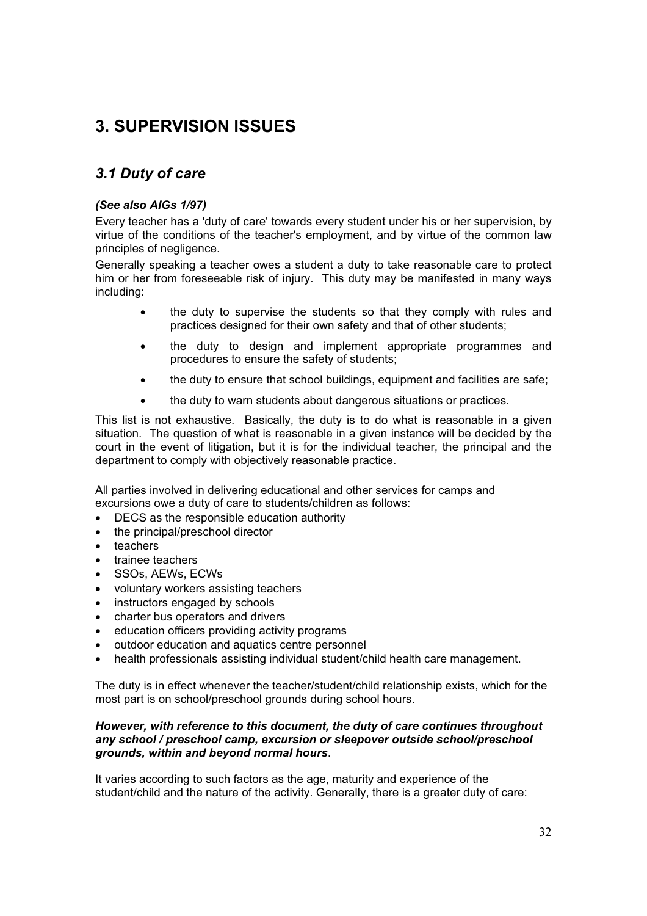# **3. SUPERVISION ISSUES**

# *3.1 Duty of care*

#### *(See also AIGs 1/97)*

Every teacher has a 'duty of care' towards every student under his or her supervision, by virtue of the conditions of the teacher's employment, and by virtue of the common law principles of negligence.

Generally speaking a teacher owes a student a duty to take reasonable care to protect him or her from foreseeable risk of injury. This duty may be manifested in many ways including:

- the duty to supervise the students so that they comply with rules and practices designed for their own safety and that of other students;
- the duty to design and implement appropriate programmes and procedures to ensure the safety of students;
- the duty to ensure that school buildings, equipment and facilities are safe;
- the duty to warn students about dangerous situations or practices.

This list is not exhaustive. Basically, the duty is to do what is reasonable in a given situation. The question of what is reasonable in a given instance will be decided by the court in the event of litigation, but it is for the individual teacher, the principal and the department to comply with objectively reasonable practice.

All parties involved in delivering educational and other services for camps and excursions owe a duty of care to students/children as follows:

- $\bullet$  DECS as the responsible education authority
- the principal/preschool director
- teachers
- trainee teachers
- x SSOs, AEWs, ECWs
- x voluntary workers assisting teachers
- instructors engaged by schools
- charter bus operators and drivers
- education officers providing activity programs
- outdoor education and aquatics centre personnel
- health professionals assisting individual student/child health care management.

The duty is in effect whenever the teacher/student/child relationship exists, which for the most part is on school/preschool grounds during school hours.

#### *However, with reference to this document, the duty of care continues throughout any school / preschool camp, excursion or sleepover outside school/preschool grounds, within and beyond normal hours*.

It varies according to such factors as the age, maturity and experience of the student/child and the nature of the activity. Generally, there is a greater duty of care: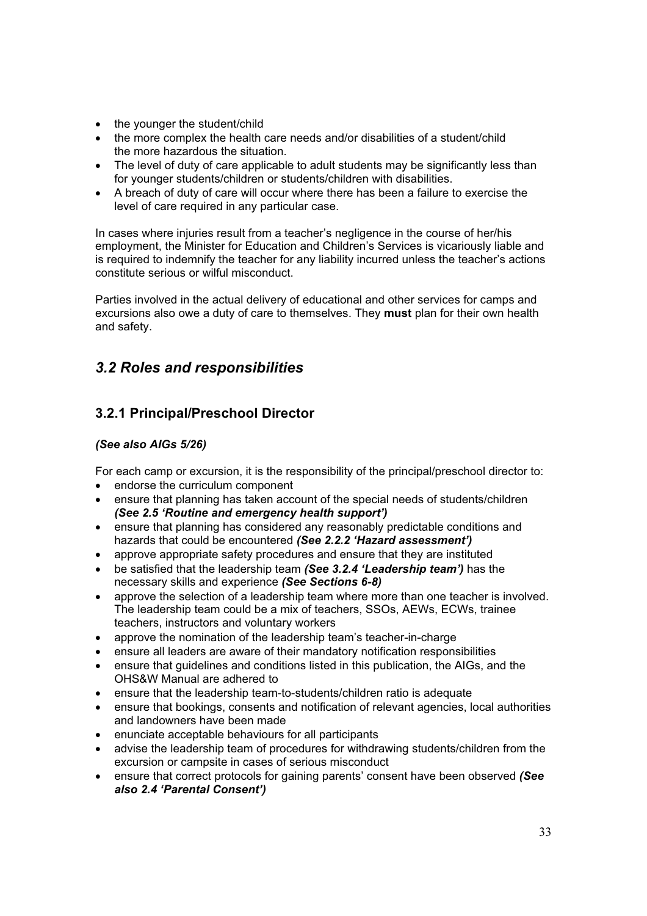- the younger the student/child
- the more complex the health care needs and/or disabilities of a student/child the more hazardous the situation.
- The level of duty of care applicable to adult students may be significantly less than for younger students/children or students/children with disabilities.
- A breach of duty of care will occur where there has been a failure to exercise the level of care required in any particular case.

In cases where injuries result from a teacher's negligence in the course of her/his employment, the Minister for Education and Children's Services is vicariously liable and is required to indemnify the teacher for any liability incurred unless the teacher's actions constitute serious or wilful misconduct.

Parties involved in the actual delivery of educational and other services for camps and excursions also owe a duty of care to themselves. They **must** plan for their own health and safety.

# *3.2 Roles and responsibilities*

# **3.2.1 Principal/Preschool Director**

#### *(See also AIGs 5/26)*

For each camp or excursion, it is the responsibility of the principal/preschool director to:

- $\bullet$  endorse the curriculum component
- ensure that planning has taken account of the special needs of students/children *(See 2.5 'Routine and emergency health support')*
- ensure that planning has considered any reasonably predictable conditions and hazards that could be encountered *(See 2.2.2 'Hazard assessment')*
- approve appropriate safety procedures and ensure that they are instituted
- x be satisfied that the leadership team *(See 3.2.4 'Leadership team')* has the necessary skills and experience *(See Sections 6-8)*
- approve the selection of a leadership team where more than one teacher is involved. The leadership team could be a mix of teachers, SSOs, AEWs, ECWs, trainee teachers, instructors and voluntary workers
- approve the nomination of the leadership team's teacher-in-charge
- ensure all leaders are aware of their mandatory notification responsibilities
- ensure that quidelines and conditions listed in this publication, the AIGs, and the OHS&W Manual are adhered to
- ensure that the leadership team-to-students/children ratio is adequate
- ensure that bookings, consents and notification of relevant agencies, local authorities and landowners have been made
- enunciate acceptable behaviours for all participants
- advise the leadership team of procedures for withdrawing students/children from the excursion or campsite in cases of serious misconduct
- **Example 2** ensure that correct protocols for gaining parents' consent have been observed *(See*) *also 2.4 'Parental Consent')*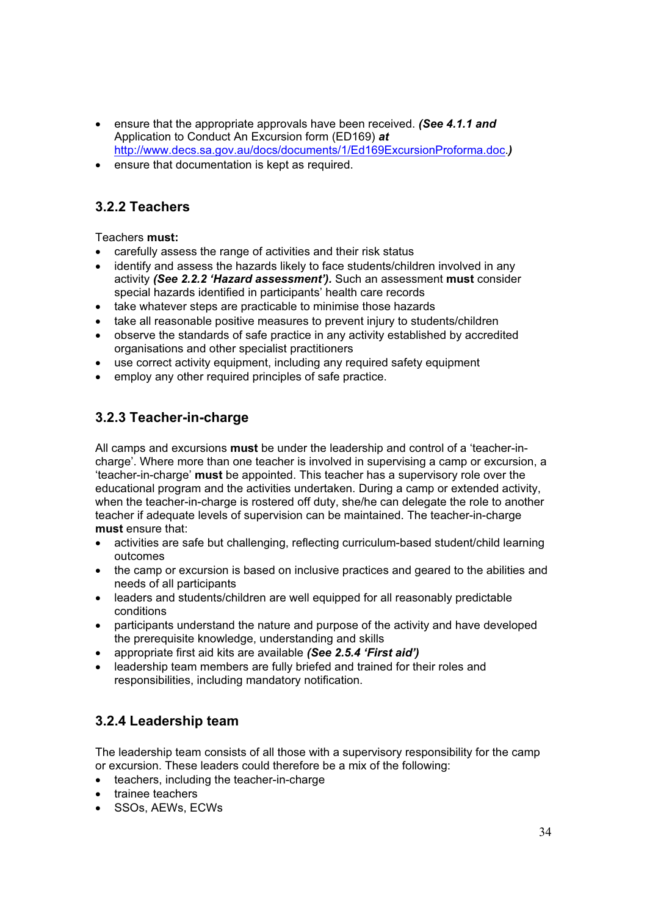- **Example 2** ensure that the appropriate approvals have been received. *(See 4.1.1 and* Application to Conduct An Excursion form (ED169) *at* http://www.decs.sa.gov.au/docs/documents/1/Ed169ExcursionProforma.doc.*)*
- ensure that documentation is kept as required.

## **3.2.2 Teachers**

Teachers **must:**

- carefully assess the range of activities and their risk status
- identify and assess the hazards likely to face students/children involved in any activity *(See 2.2.2 'Hazard assessment').* Such an assessment **must** consider special hazards identified in participants' health care records
- take whatever steps are practicable to minimise those hazards
- take all reasonable positive measures to prevent injury to students/children
- observe the standards of safe practice in any activity established by accredited organisations and other specialist practitioners
- use correct activity equipment, including any required safety equipment
- employ any other required principles of safe practice.

# **3.2.3 Teacher-in-charge**

All camps and excursions **must** be under the leadership and control of a 'teacher-incharge'. Where more than one teacher is involved in supervising a camp or excursion, a 'teacher-in-charge' **must** be appointed. This teacher has a supervisory role over the educational program and the activities undertaken. During a camp or extended activity, when the teacher-in-charge is rostered off duty, she/he can delegate the role to another teacher if adequate levels of supervision can be maintained. The teacher-in-charge **must** ensure that:

- activities are safe but challenging, reflecting curriculum-based student/child learning outcomes
- the camp or excursion is based on inclusive practices and geared to the abilities and needs of all participants
- leaders and students/children are well equipped for all reasonably predictable conditions
- participants understand the nature and purpose of the activity and have developed the prerequisite knowledge, understanding and skills
- x appropriate first aid kits are available *(See 2.5.4 'First aid')*
- leadership team members are fully briefed and trained for their roles and responsibilities, including mandatory notification.

# **3.2.4 Leadership team**

The leadership team consists of all those with a supervisory responsibility for the camp or excursion. These leaders could therefore be a mix of the following:

- teachers, including the teacher-in-charge
- trainee teachers
- SSOs, AEWs, ECWs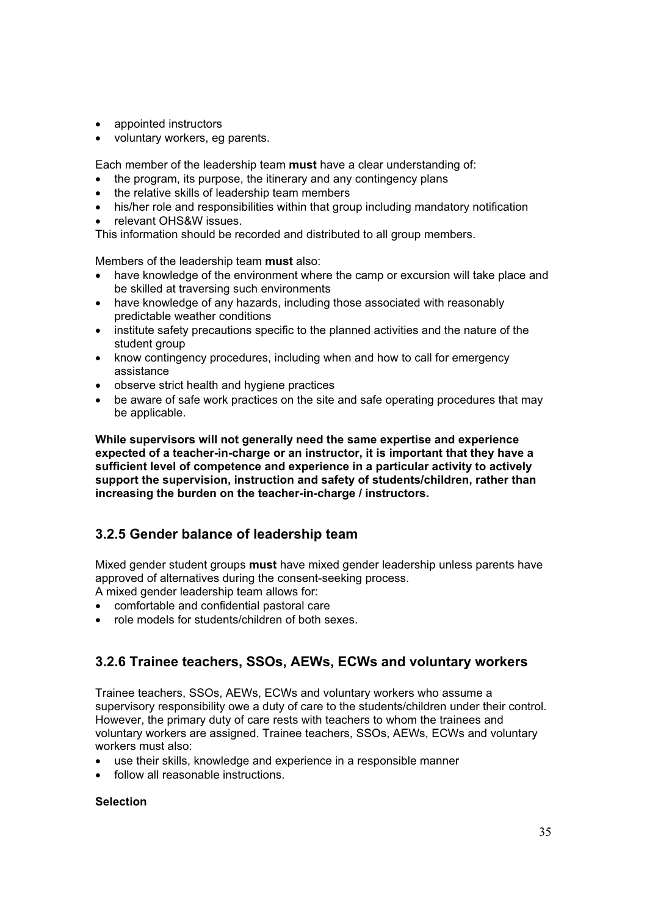- appointed instructors
- voluntary workers, eg parents.

Each member of the leadership team **must** have a clear understanding of:

- $\bullet$  the program, its purpose, the itinerary and any contingency plans
- the relative skills of leadership team members
- his/her role and responsibilities within that group including mandatory notification
- relevant OHS&W issues.

This information should be recorded and distributed to all group members.

Members of the leadership team **must** also:

- have knowledge of the environment where the camp or excursion will take place and be skilled at traversing such environments
- have knowledge of any hazards, including those associated with reasonably predictable weather conditions
- institute safety precautions specific to the planned activities and the nature of the student group
- know contingency procedures, including when and how to call for emergency assistance
- observe strict health and hygiene practices
- be aware of safe work practices on the site and safe operating procedures that may be applicable.

**While supervisors will not generally need the same expertise and experience expected of a teacher-in-charge or an instructor, it is important that they have a sufficient level of competence and experience in a particular activity to actively support the supervision, instruction and safety of students/children, rather than increasing the burden on the teacher-in-charge / instructors.** 

### **3.2.5 Gender balance of leadership team**

Mixed gender student groups **must** have mixed gender leadership unless parents have approved of alternatives during the consent-seeking process.

- A mixed gender leadership team allows for:
- comfortable and confidential pastoral care
- role models for students/children of both sexes.

### **3.2.6 Trainee teachers, SSOs, AEWs, ECWs and voluntary workers**

Trainee teachers, SSOs, AEWs, ECWs and voluntary workers who assume a supervisory responsibility owe a duty of care to the students/children under their control. However, the primary duty of care rests with teachers to whom the trainees and voluntary workers are assigned. Trainee teachers, SSOs, AEWs, ECWs and voluntary workers must also:

- use their skills, knowledge and experience in a responsible manner
- follow all reasonable instructions.

#### **Selection**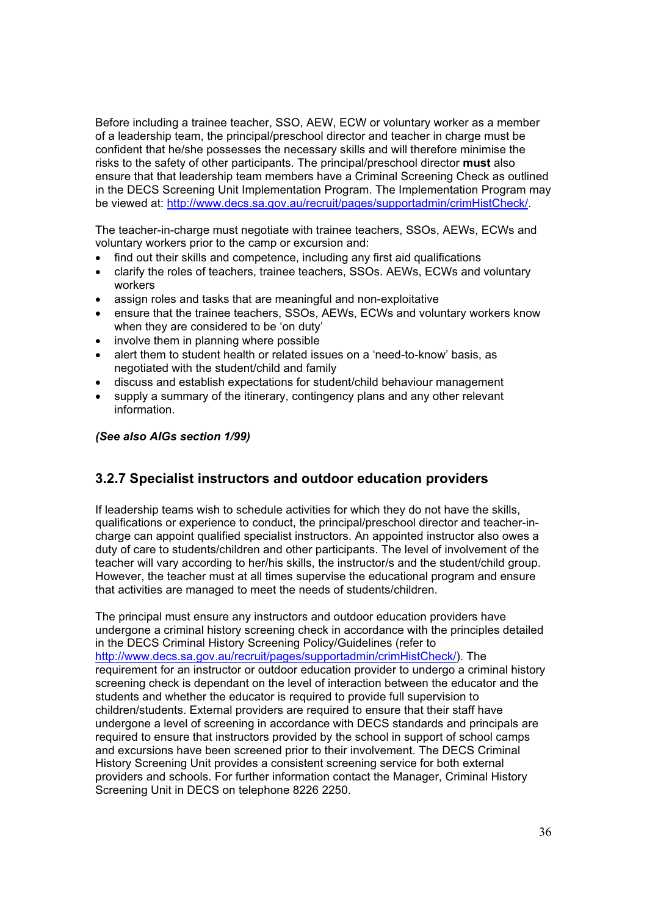Before including a trainee teacher, SSO, AEW, ECW or voluntary worker as a member of a leadership team, the principal/preschool director and teacher in charge must be confident that he/she possesses the necessary skills and will therefore minimise the risks to the safety of other participants. The principal/preschool director **must** also ensure that that leadership team members have a Criminal Screening Check as outlined in the DECS Screening Unit Implementation Program. The Implementation Program may be viewed at: http://www.decs.sa.gov.au/recruit/pages/supportadmin/crimHistCheck/.

The teacher-in-charge must negotiate with trainee teachers, SSOs, AEWs, ECWs and voluntary workers prior to the camp or excursion and:

- find out their skills and competence, including any first aid qualifications
- x clarify the roles of teachers, trainee teachers, SSOs. AEWs, ECWs and voluntary workers
- assign roles and tasks that are meaningful and non-exploitative
- ensure that the trainee teachers, SSOs, AEWs, ECWs and voluntary workers know when they are considered to be 'on duty'
- $\bullet$  involve them in planning where possible
- alert them to student health or related issues on a 'need-to-know' basis, as negotiated with the student/child and family
- discuss and establish expectations for student/child behaviour management
- supply a summary of the itinerary, contingency plans and any other relevant information.

*(See also AIGs section 1/99)* 

### **3.2.7 Specialist instructors and outdoor education providers**

If leadership teams wish to schedule activities for which they do not have the skills, qualifications or experience to conduct, the principal/preschool director and teacher-incharge can appoint qualified specialist instructors. An appointed instructor also owes a duty of care to students/children and other participants. The level of involvement of the teacher will vary according to her/his skills, the instructor/s and the student/child group. However, the teacher must at all times supervise the educational program and ensure that activities are managed to meet the needs of students/children.

The principal must ensure any instructors and outdoor education providers have undergone a criminal history screening check in accordance with the principles detailed in the DECS Criminal History Screening Policy/Guidelines (refer to http://www.decs.sa.gov.au/recruit/pages/supportadmin/crimHistCheck/). The requirement for an instructor or outdoor education provider to undergo a criminal history screening check is dependant on the level of interaction between the educator and the students and whether the educator is required to provide full supervision to children/students. External providers are required to ensure that their staff have undergone a level of screening in accordance with DECS standards and principals are required to ensure that instructors provided by the school in support of school camps and excursions have been screened prior to their involvement. The DECS Criminal History Screening Unit provides a consistent screening service for both external providers and schools. For further information contact the Manager, Criminal History Screening Unit in DECS on telephone 8226 2250.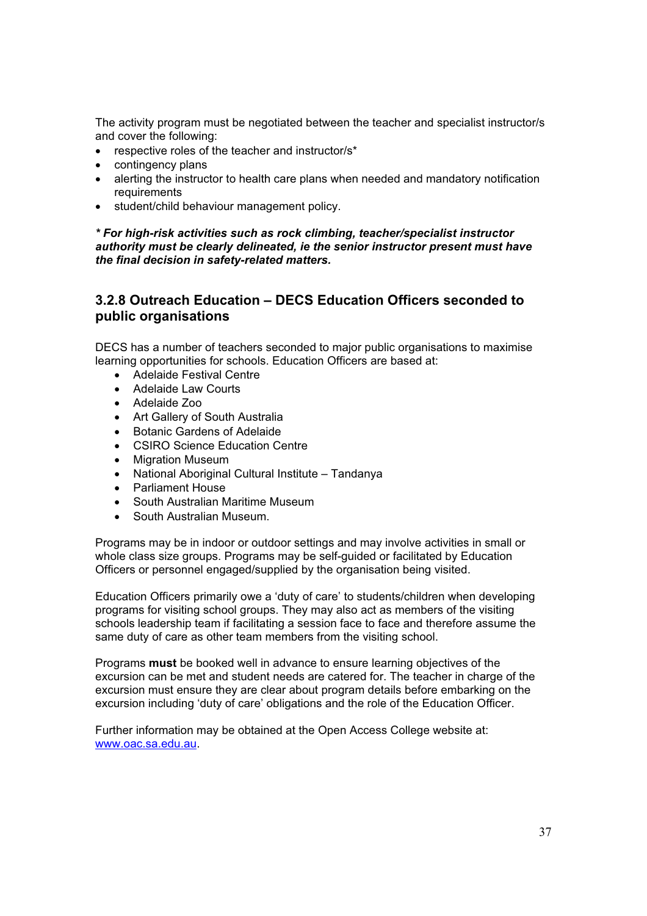The activity program must be negotiated between the teacher and specialist instructor/s and cover the following:

- $\bullet$  respective roles of the teacher and instructor/s\*
- contingency plans
- alerting the instructor to health care plans when needed and mandatory notification requirements
- student/child behaviour management policy.

*\* For high-risk activities such as rock climbing, teacher/specialist instructor authority must be clearly delineated, ie the senior instructor present must have the final decision in safety-related matters.* 

### **3.2.8 Outreach Education – DECS Education Officers seconded to public organisations**

DECS has a number of teachers seconded to major public organisations to maximise learning opportunities for schools. Education Officers are based at:

- Adelaide Festival Centre
- Adelaide Law Courts
- Adelaide Zoo
- Art Gallery of South Australia
- Botanic Gardens of Adelaide
- CSIRO Science Education Centre
- Migration Museum
- National Aboriginal Cultural Institute Tandanya
- Parliament House
- South Australian Maritime Museum
- x South Australian Museum.

Programs may be in indoor or outdoor settings and may involve activities in small or whole class size groups. Programs may be self-guided or facilitated by Education Officers or personnel engaged/supplied by the organisation being visited.

Education Officers primarily owe a 'duty of care' to students/children when developing programs for visiting school groups. They may also act as members of the visiting schools leadership team if facilitating a session face to face and therefore assume the same duty of care as other team members from the visiting school.

Programs **must** be booked well in advance to ensure learning objectives of the excursion can be met and student needs are catered for. The teacher in charge of the excursion must ensure they are clear about program details before embarking on the excursion including 'duty of care' obligations and the role of the Education Officer.

Further information may be obtained at the Open Access College website at: www.oac.sa.edu.au.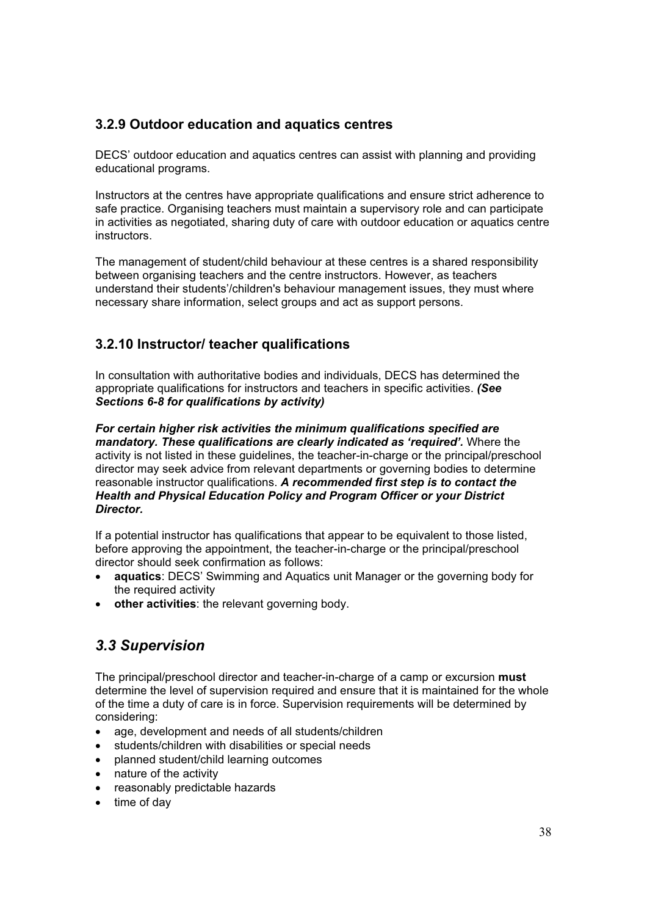### **3.2.9 Outdoor education and aquatics centres**

DECS' outdoor education and aquatics centres can assist with planning and providing educational programs.

Instructors at the centres have appropriate qualifications and ensure strict adherence to safe practice. Organising teachers must maintain a supervisory role and can participate in activities as negotiated, sharing duty of care with outdoor education or aquatics centre instructors.

The management of student/child behaviour at these centres is a shared responsibility between organising teachers and the centre instructors. However, as teachers understand their students'/children's behaviour management issues, they must where necessary share information, select groups and act as support persons.

### **3.2.10 Instructor/ teacher qualifications**

In consultation with authoritative bodies and individuals, DECS has determined the appropriate qualifications for instructors and teachers in specific activities. *(See Sections 6-8 for qualifications by activity)*

*For certain higher risk activities the minimum qualifications specified are mandatory. These qualifications are clearly indicated as 'required'.* Where the activity is not listed in these guidelines, the teacher-in-charge or the principal/preschool director may seek advice from relevant departments or governing bodies to determine reasonable instructor qualifications. *A recommended first step is to contact the Health and Physical Education Policy and Program Officer or your District Director.*

If a potential instructor has qualifications that appear to be equivalent to those listed, before approving the appointment, the teacher-in-charge or the principal/preschool director should seek confirmation as follows:

- x **aquatics**: DECS' Swimming and Aquatics unit Manager or the governing body for the required activity
- **other activities**: the relevant governing body.

# *3.3 Supervision*

The principal/preschool director and teacher-in-charge of a camp or excursion **must** determine the level of supervision required and ensure that it is maintained for the whole of the time a duty of care is in force. Supervision requirements will be determined by considering:

- age, development and needs of all students/children
- students/children with disabilities or special needs
- x planned student/child learning outcomes
- nature of the activity
- reasonably predictable hazards
- $\bullet$  time of day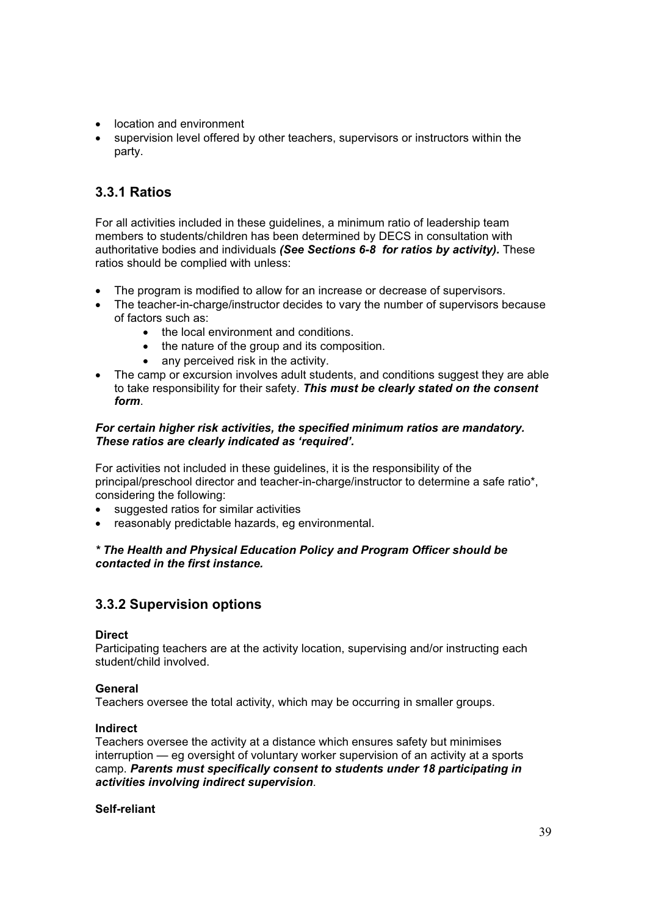- location and environment
- supervision level offered by other teachers, supervisors or instructors within the party.

### **3.3.1 Ratios**

For all activities included in these guidelines, a minimum ratio of leadership team members to students/children has been determined by DECS in consultation with authoritative bodies and individuals *(See Sections 6-8 for ratios by activity).* These ratios should be complied with unless:

- The program is modified to allow for an increase or decrease of supervisors.
- The teacher-in-charge/instructor decides to vary the number of supervisors because of factors such as:
	- the local environment and conditions.
	- the nature of the group and its composition.
	- $\bullet$  any perceived risk in the activity.
- The camp or excursion involves adult students, and conditions suggest they are able to take responsibility for their safety. *This must be clearly stated on the consent form*.

#### *For certain higher risk activities, the specified minimum ratios are mandatory. These ratios are clearly indicated as 'required'.*

For activities not included in these guidelines, it is the responsibility of the principal/preschool director and teacher-in-charge/instructor to determine a safe ratio\*, considering the following:

- suggested ratios for similar activities
- reasonably predictable hazards, eg environmental.

#### *\* The Health and Physical Education Policy and Program Officer should be contacted in the first instance.*

### **3.3.2 Supervision options**

#### **Direct**

Participating teachers are at the activity location, supervising and/or instructing each student/child involved.

#### **General**

Teachers oversee the total activity, which may be occurring in smaller groups.

#### **Indirect**

Teachers oversee the activity at a distance which ensures safety but minimises interruption — eg oversight of voluntary worker supervision of an activity at a sports camp. *Parents must specifically consent to students under 18 participating in activities involving indirect supervision*.

#### **Self-reliant**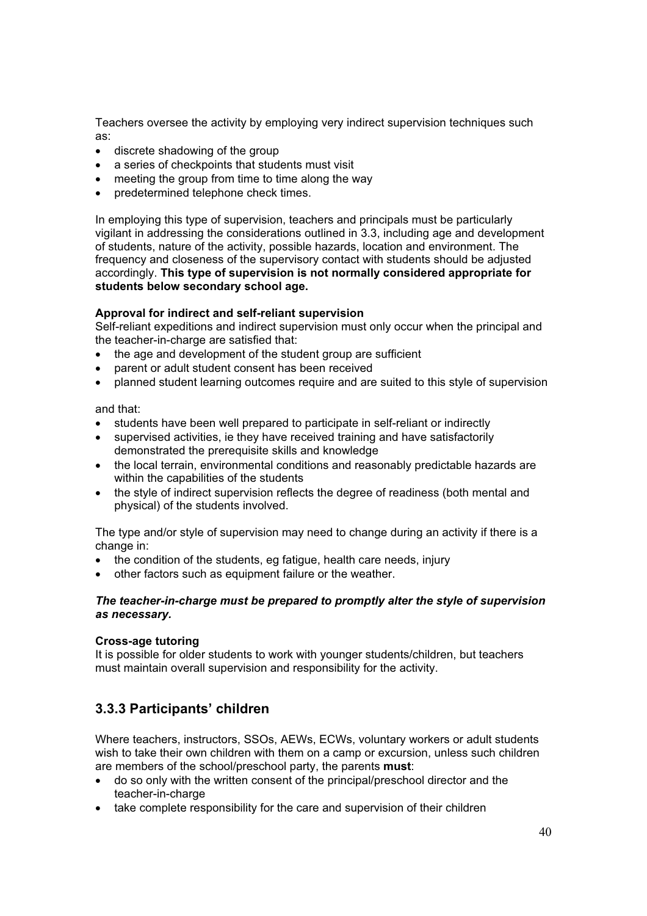Teachers oversee the activity by employing very indirect supervision techniques such as:

- discrete shadowing of the group
- $\bullet$  a series of checkpoints that students must visit
- $\bullet$  meeting the group from time to time along the way
- x predetermined telephone check times.

In employing this type of supervision, teachers and principals must be particularly vigilant in addressing the considerations outlined in 3.3, including age and development of students, nature of the activity, possible hazards, location and environment. The frequency and closeness of the supervisory contact with students should be adjusted accordingly. **This type of supervision is not normally considered appropriate for students below secondary school age.**

#### **Approval for indirect and self-reliant supervision**

Self-reliant expeditions and indirect supervision must only occur when the principal and the teacher-in-charge are satisfied that:

- the age and development of the student group are sufficient
- parent or adult student consent has been received
- planned student learning outcomes require and are suited to this style of supervision

and that:

- students have been well prepared to participate in self-reliant or indirectly
- supervised activities, ie they have received training and have satisfactorily demonstrated the prerequisite skills and knowledge
- the local terrain, environmental conditions and reasonably predictable hazards are within the capabilities of the students
- the style of indirect supervision reflects the degree of readiness (both mental and physical) of the students involved.

The type and/or style of supervision may need to change during an activity if there is a change in:

- the condition of the students, eg fatigue, health care needs, injury
- other factors such as equipment failure or the weather.

#### *The teacher-in-charge must be prepared to promptly alter the style of supervision as necessary.*

#### **Cross-age tutoring**

It is possible for older students to work with younger students/children, but teachers must maintain overall supervision and responsibility for the activity.

### **3.3.3 Participants' children**

Where teachers, instructors, SSOs, AEWs, ECWs, voluntary workers or adult students wish to take their own children with them on a camp or excursion, unless such children are members of the school/preschool party, the parents **must**:

- do so only with the written consent of the principal/preschool director and the teacher-in-charge
- take complete responsibility for the care and supervision of their children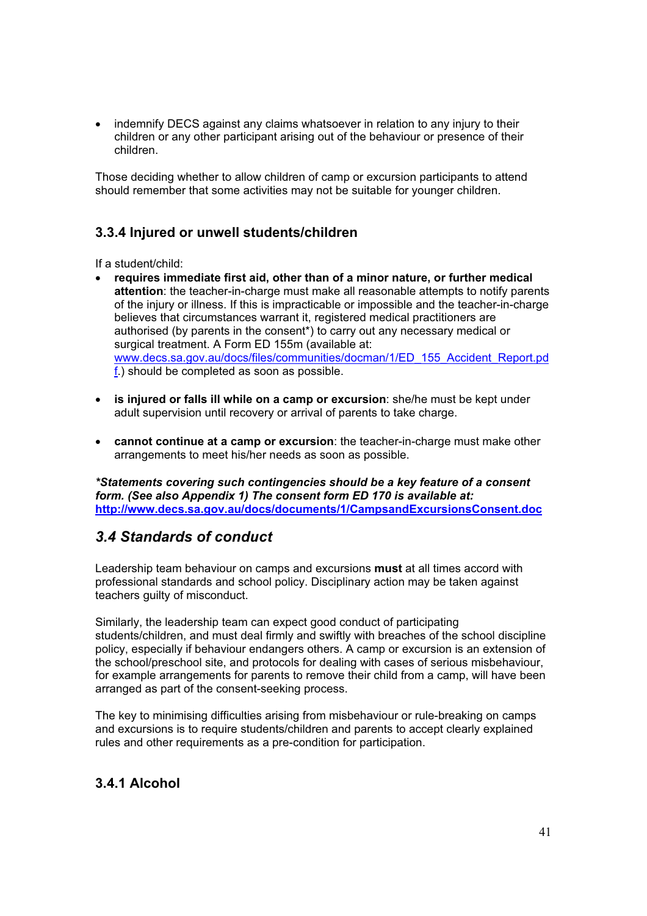indemnify DECS against any claims whatsoever in relation to any injury to their children or any other participant arising out of the behaviour or presence of their children.

Those deciding whether to allow children of camp or excursion participants to attend should remember that some activities may not be suitable for younger children.

### **3.3.4 Injured or unwell students/children**

If a student/child:

- x **requires immediate first aid, other than of a minor nature, or further medical attention**: the teacher-in-charge must make all reasonable attempts to notify parents of the injury or illness. If this is impracticable or impossible and the teacher-in-charge believes that circumstances warrant it, registered medical practitioners are authorised (by parents in the consent\*) to carry out any necessary medical or surgical treatment. A Form ED 155m (available at: www.decs.sa.gov.au/docs/files/communities/docman/1/ED\_155\_Accident\_Report.pd f.) should be completed as soon as possible.
- x **is injured or falls ill while on a camp or excursion**: she/he must be kept under adult supervision until recovery or arrival of parents to take charge.
- **cannot continue at a camp or excursion**: the teacher-in-charge must make other arrangements to meet his/her needs as soon as possible.

*\*Statements covering such contingencies should be a key feature of a consent form. (See also Appendix 1) The consent form ED 170 is available at:*  **http://www.decs.sa.gov.au/docs/documents/1/CampsandExcursionsConsent.doc**

### *3.4 Standards of conduct*

Leadership team behaviour on camps and excursions **must** at all times accord with professional standards and school policy. Disciplinary action may be taken against teachers guilty of misconduct.

Similarly, the leadership team can expect good conduct of participating students/children, and must deal firmly and swiftly with breaches of the school discipline policy, especially if behaviour endangers others. A camp or excursion is an extension of the school/preschool site, and protocols for dealing with cases of serious misbehaviour, for example arrangements for parents to remove their child from a camp, will have been arranged as part of the consent-seeking process.

The key to minimising difficulties arising from misbehaviour or rule-breaking on camps and excursions is to require students/children and parents to accept clearly explained rules and other requirements as a pre-condition for participation.

# **3.4.1 Alcohol**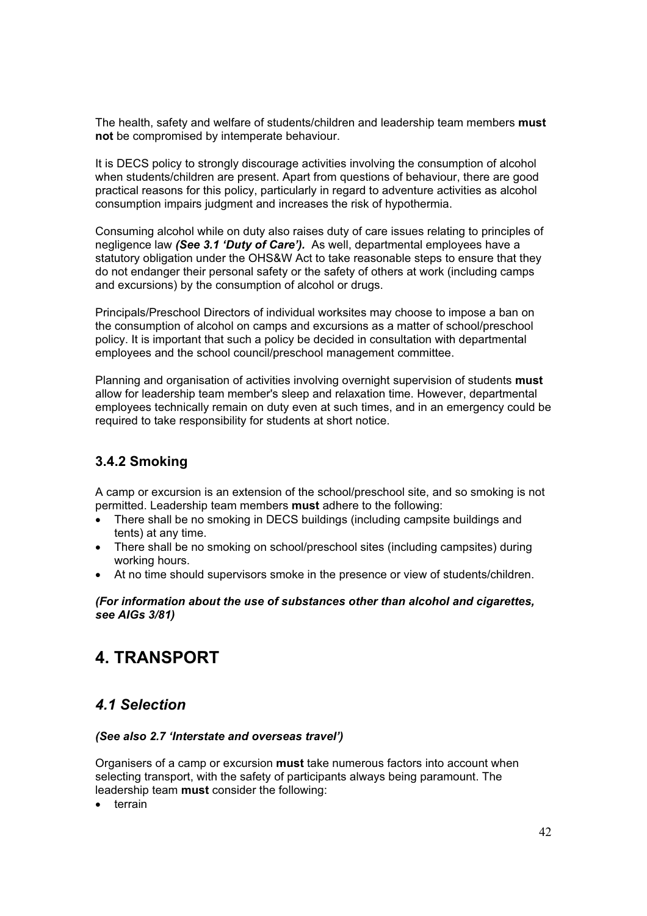The health, safety and welfare of students/children and leadership team members **must not** be compromised by intemperate behaviour.

It is DECS policy to strongly discourage activities involving the consumption of alcohol when students/children are present. Apart from questions of behaviour, there are good practical reasons for this policy, particularly in regard to adventure activities as alcohol consumption impairs judgment and increases the risk of hypothermia.

Consuming alcohol while on duty also raises duty of care issues relating to principles of negligence law *(See 3.1 'Duty of Care').* As well, departmental employees have a statutory obligation under the OHS&W Act to take reasonable steps to ensure that they do not endanger their personal safety or the safety of others at work (including camps and excursions) by the consumption of alcohol or drugs.

Principals/Preschool Directors of individual worksites may choose to impose a ban on the consumption of alcohol on camps and excursions as a matter of school/preschool policy. It is important that such a policy be decided in consultation with departmental employees and the school council/preschool management committee.

Planning and organisation of activities involving overnight supervision of students **must**  allow for leadership team member's sleep and relaxation time. However, departmental employees technically remain on duty even at such times, and in an emergency could be required to take responsibility for students at short notice.

# **3.4.2 Smoking**

A camp or excursion is an extension of the school/preschool site, and so smoking is not permitted. Leadership team members **must** adhere to the following:

- There shall be no smoking in DECS buildings (including campsite buildings and tents) at any time.
- x There shall be no smoking on school/preschool sites (including campsites) during working hours.
- At no time should supervisors smoke in the presence or view of students/children.

#### *(For information about the use of substances other than alcohol and cigarettes, see AIGs 3/81)*

# **4. TRANSPORT**

### *4.1 Selection*

#### *(See also 2.7 'Interstate and overseas travel')*

Organisers of a camp or excursion **must** take numerous factors into account when selecting transport, with the safety of participants always being paramount. The leadership team **must** consider the following:

terrain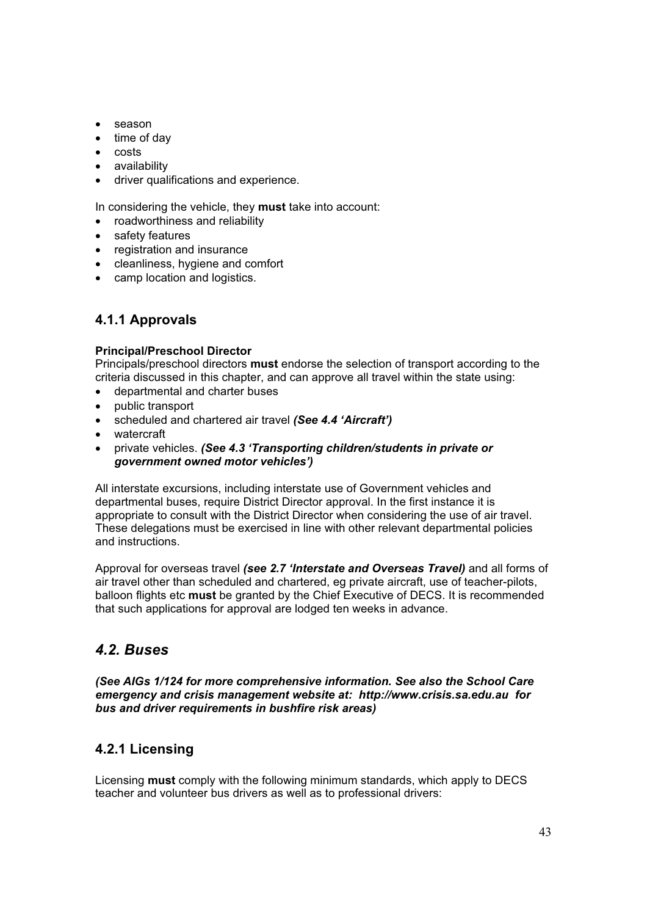- season
- $\bullet$  time of day
- $\bullet$  costs
- availability
- driver qualifications and experience.

In considering the vehicle, they **must** take into account:

- roadworthiness and reliability
- safety features
- registration and insurance
- cleanliness, hygiene and comfort
- camp location and logistics.

### **4.1.1 Approvals**

#### **Principal/Preschool Director**

Principals/preschool directors **must** endorse the selection of transport according to the criteria discussed in this chapter, and can approve all travel within the state using:

- departmental and charter buses
- public transport
- x scheduled and chartered air travel *(See 4.4 'Aircraft')*
- watercraft
- x private vehicles. *(See 4.3 'Transporting children/students in private or government owned motor vehicles')*

All interstate excursions, including interstate use of Government vehicles and departmental buses, require District Director approval. In the first instance it is appropriate to consult with the District Director when considering the use of air travel. These delegations must be exercised in line with other relevant departmental policies and instructions.

Approval for overseas travel *(see 2.7 'Interstate and Overseas Travel)* and all forms of air travel other than scheduled and chartered, eg private aircraft, use of teacher-pilots, balloon flights etc **must** be granted by the Chief Executive of DECS. It is recommended that such applications for approval are lodged ten weeks in advance.

# *4.2. Buses*

*(See AIGs 1/124 for more comprehensive information. See also the School Care emergency and crisis management website at: http://www.crisis.sa.edu.au for bus and driver requirements in bushfire risk areas)* 

### **4.2.1 Licensing**

Licensing **must** comply with the following minimum standards, which apply to DECS teacher and volunteer bus drivers as well as to professional drivers: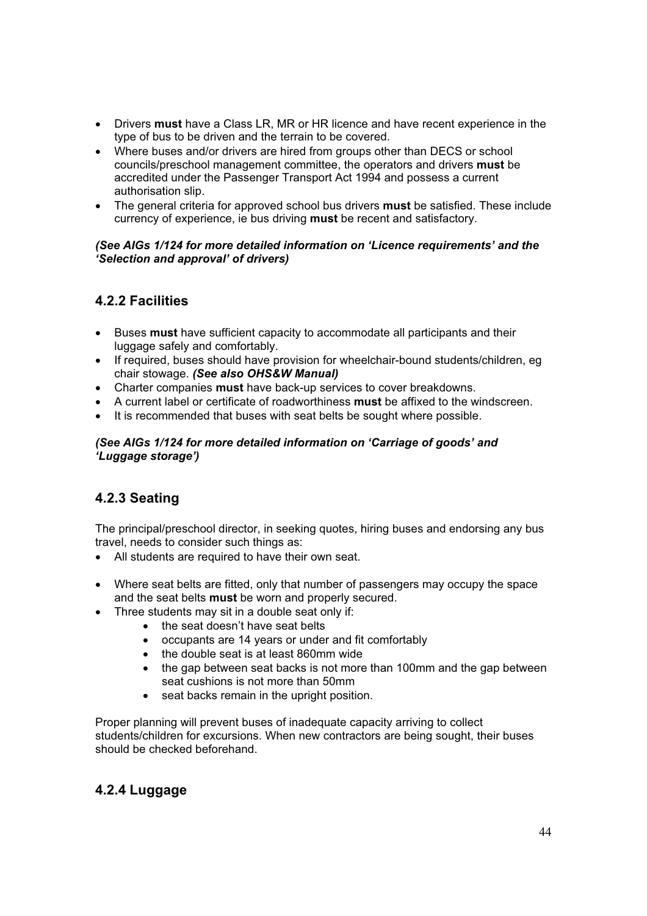- **•** Drivers **must** have a Class LR, MR or HR licence and have recent experience in the type of bus to be driven and the terrain to be covered.
- Where buses and/or drivers are hired from groups other than DECS or school councils/preschool management committee, the operators and drivers **must** be accredited under the Passenger Transport Act 1994 and possess a current authorisation slip.
- **•** The general criteria for approved school bus drivers must be satisfied. These include currency of experience, ie bus driving **must** be recent and satisfactory.

#### *(See AIGs 1/124 for more detailed information on 'Licence requirements' and the 'Selection and approval' of drivers)*

### **4.2.2 Facilities**

- x Buses **must** have sufficient capacity to accommodate all participants and their luggage safely and comfortably.
- If required, buses should have provision for wheelchair-bound students/children, eg chair stowage. *(See also OHS&W Manual)*
- Charter companies **must** have back-up services to cover breakdowns.
- x A current label or certificate of roadworthiness **must** be affixed to the windscreen.
- It is recommended that buses with seat belts be sought where possible.

#### *(See AIGs 1/124 for more detailed information on 'Carriage of goods' and 'Luggage storage')*

# **4.2.3 Seating**

The principal/preschool director, in seeking quotes, hiring buses and endorsing any bus travel, needs to consider such things as:

- All students are required to have their own seat.
- Where seat belts are fitted, only that number of passengers may occupy the space and the seat belts **must** be worn and properly secured.
- Three students may sit in a double seat only if:
	- $\bullet$  the seat doesn't have seat belts
	- occupants are 14 years or under and fit comfortably
	- the double seat is at least 860mm wide
	- x the gap between seat backs is not more than 100mm and the gap between seat cushions is not more than 50mm
	- seat backs remain in the upright position.

Proper planning will prevent buses of inadequate capacity arriving to collect students/children for excursions. When new contractors are being sought, their buses should be checked beforehand.

### **4.2.4 Luggage**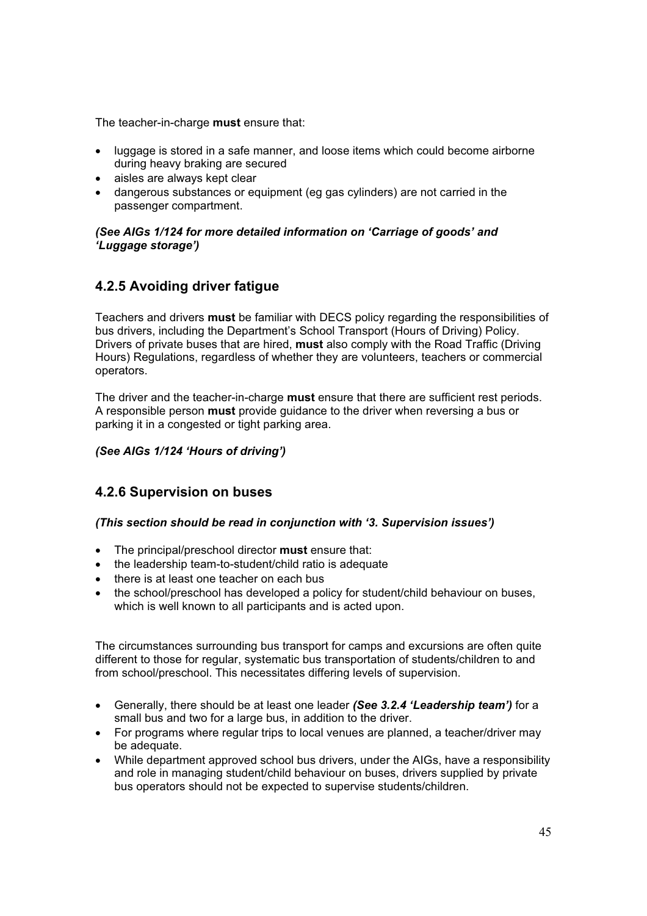The teacher-in-charge **must** ensure that:

- Iuggage is stored in a safe manner, and loose items which could become airborne during heavy braking are secured
- aisles are always kept clear
- dangerous substances or equipment (eg gas cylinders) are not carried in the passenger compartment.

#### *(See AIGs 1/124 for more detailed information on 'Carriage of goods' and 'Luggage storage')*

### **4.2.5 Avoiding driver fatigue**

Teachers and drivers **must** be familiar with DECS policy regarding the responsibilities of bus drivers, including the Department's School Transport (Hours of Driving) Policy. Drivers of private buses that are hired, **must** also comply with the Road Traffic (Driving Hours) Regulations, regardless of whether they are volunteers, teachers or commercial operators.

The driver and the teacher-in-charge **must** ensure that there are sufficient rest periods. A responsible person **must** provide guidance to the driver when reversing a bus or parking it in a congested or tight parking area.

#### *(See AIGs 1/124 'Hours of driving')*

### **4.2.6 Supervision on buses**

#### *(This section should be read in conjunction with '3. Supervision issues')*

- **•** The principal/preschool director **must** ensure that:
- the leadership team-to-student/child ratio is adequate
- $\bullet$  there is at least one teacher on each bus
- the school/preschool has developed a policy for student/child behaviour on buses, which is well known to all participants and is acted upon.

The circumstances surrounding bus transport for camps and excursions are often quite different to those for regular, systematic bus transportation of students/children to and from school/preschool. This necessitates differing levels of supervision.

- x Generally, there should be at least one leader *(See 3.2.4 'Leadership team')* for a small bus and two for a large bus, in addition to the driver.
- For programs where regular trips to local venues are planned, a teacher/driver mav be adequate.
- While department approved school bus drivers, under the AIGs, have a responsibility and role in managing student/child behaviour on buses, drivers supplied by private bus operators should not be expected to supervise students/children.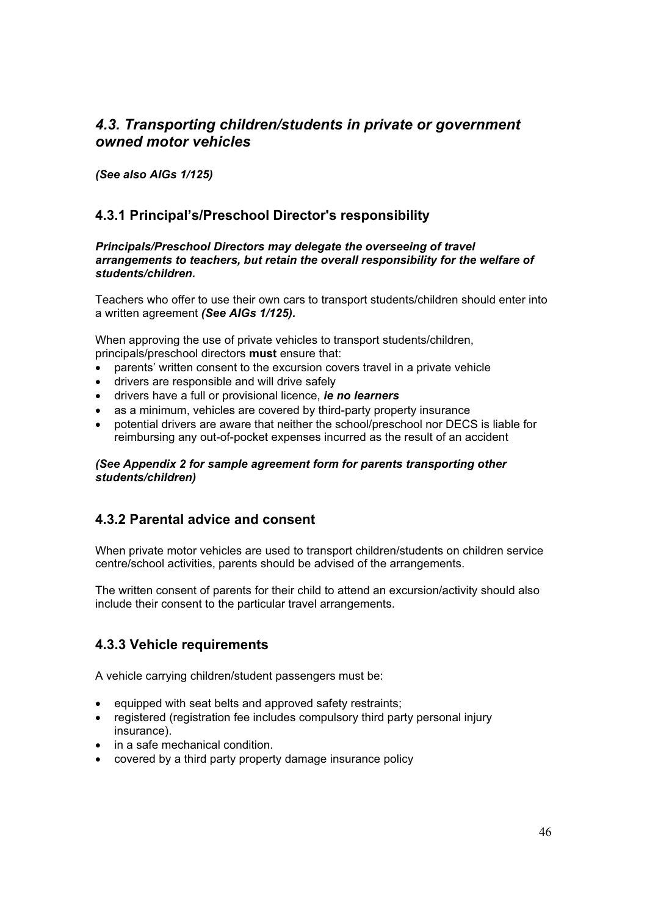# *4.3. Transporting children/students in private or government owned motor vehicles*

*(See also AIGs 1/125)* 

### **4.3.1 Principal's/Preschool Director's responsibility**

#### *Principals/Preschool Directors may delegate the overseeing of travel arrangements to teachers, but retain the overall responsibility for the welfare of students/children.*

Teachers who offer to use their own cars to transport students/children should enter into a written agreement *(See AIGs 1/125).* 

When approving the use of private vehicles to transport students/children, principals/preschool directors **must** ensure that:

- parents' written consent to the excursion covers travel in a private vehicle
- drivers are responsible and will drive safely
- x drivers have a full or provisional licence, *ie no learners*
- as a minimum, vehicles are covered by third-party property insurance
- potential drivers are aware that neither the school/preschool nor DECS is liable for reimbursing any out-of-pocket expenses incurred as the result of an accident

#### *(See Appendix 2 for sample agreement form for parents transporting other students/children)*

### **4.3.2 Parental advice and consent**

When private motor vehicles are used to transport children/students on children service centre/school activities, parents should be advised of the arrangements.

The written consent of parents for their child to attend an excursion/activity should also include their consent to the particular travel arrangements.

### **4.3.3 Vehicle requirements**

A vehicle carrying children/student passengers must be:

- equipped with seat belts and approved safety restraints;
- registered (registration fee includes compulsory third party personal injury insurance).
- in a safe mechanical condition.
- covered by a third party property damage insurance policy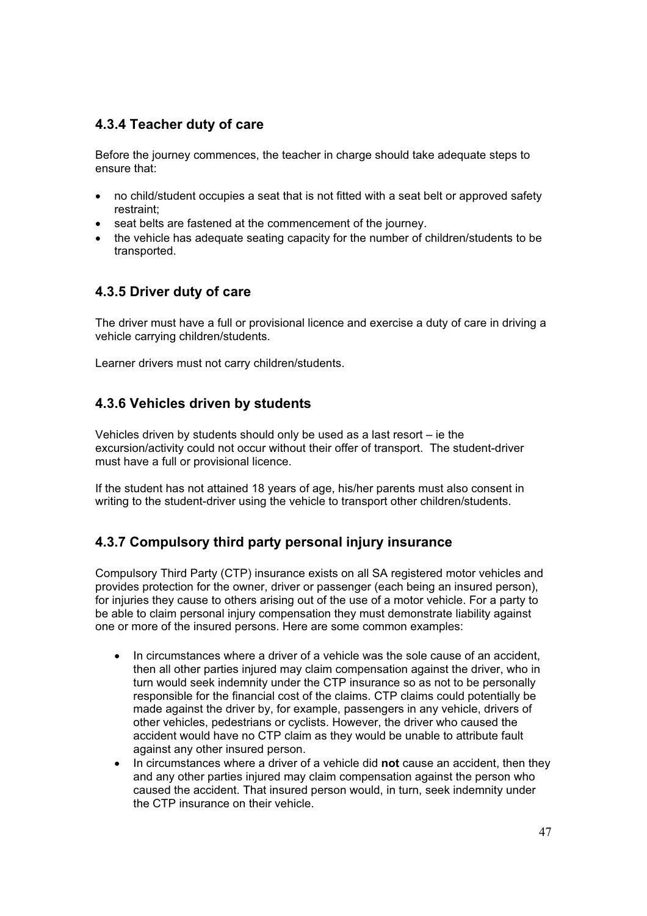### **4.3.4 Teacher duty of care**

Before the journey commences, the teacher in charge should take adequate steps to ensure that:

- no child/student occupies a seat that is not fitted with a seat belt or approved safety restraint;
- seat belts are fastened at the commencement of the journey.
- the vehicle has adequate seating capacity for the number of children/students to be transported.

### **4.3.5 Driver duty of care**

The driver must have a full or provisional licence and exercise a duty of care in driving a vehicle carrying children/students.

Learner drivers must not carry children/students.

### **4.3.6 Vehicles driven by students**

Vehicles driven by students should only be used as a last resort – ie the excursion/activity could not occur without their offer of transport. The student-driver must have a full or provisional licence.

If the student has not attained 18 years of age, his/her parents must also consent in writing to the student-driver using the vehicle to transport other children/students.

### **4.3.7 Compulsory third party personal injury insurance**

Compulsory Third Party (CTP) insurance exists on all SA registered motor vehicles and provides protection for the owner, driver or passenger (each being an insured person), for injuries they cause to others arising out of the use of a motor vehicle. For a party to be able to claim personal injury compensation they must demonstrate liability against one or more of the insured persons. Here are some common examples:

- In circumstances where a driver of a vehicle was the sole cause of an accident, then all other parties injured may claim compensation against the driver, who in turn would seek indemnity under the CTP insurance so as not to be personally responsible for the financial cost of the claims. CTP claims could potentially be made against the driver by, for example, passengers in any vehicle, drivers of other vehicles, pedestrians or cyclists. However, the driver who caused the accident would have no CTP claim as they would be unable to attribute fault against any other insured person.
- In circumstances where a driver of a vehicle did **not** cause an accident, then they and any other parties injured may claim compensation against the person who caused the accident. That insured person would, in turn, seek indemnity under the CTP insurance on their vehicle.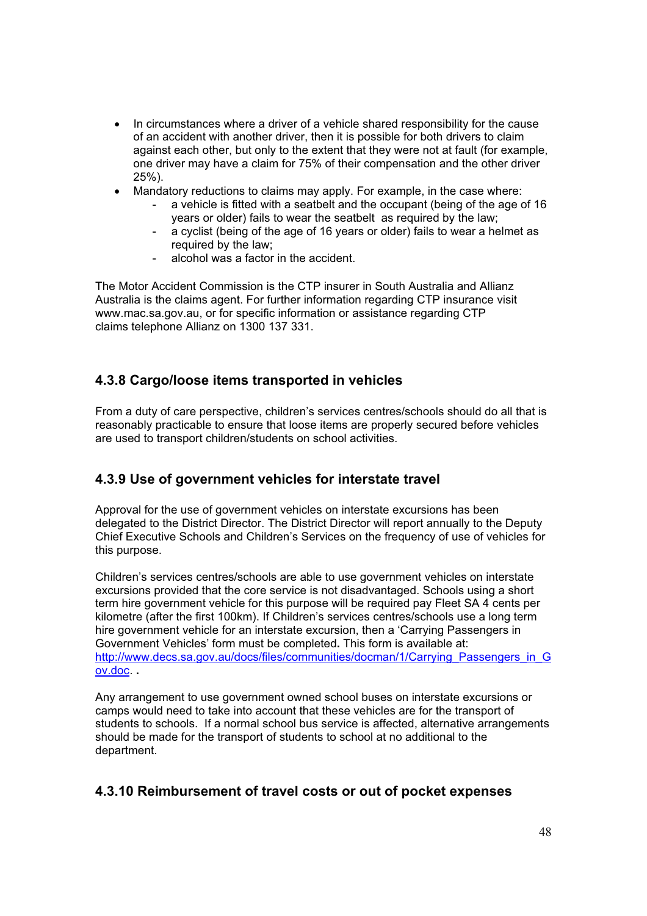- In circumstances where a driver of a vehicle shared responsibility for the cause of an accident with another driver, then it is possible for both drivers to claim against each other, but only to the extent that they were not at fault (for example, one driver may have a claim for 75% of their compensation and the other driver 25%).
- Mandatory reductions to claims may apply. For example, in the case where:
	- a vehicle is fitted with a seatbelt and the occupant (being of the age of 16 years or older) fails to wear the seatbelt as required by the law;
		- a cyclist (being of the age of 16 years or older) fails to wear a helmet as required by the law;
		- alcohol was a factor in the accident.

The Motor Accident Commission is the CTP insurer in South Australia and Allianz Australia is the claims agent. For further information regarding CTP insurance visit www.mac.sa.gov.au, or for specific information or assistance regarding CTP claims telephone Allianz on 1300 137 331.

### **4.3.8 Cargo/loose items transported in vehicles**

From a duty of care perspective, children's services centres/schools should do all that is reasonably practicable to ensure that loose items are properly secured before vehicles are used to transport children/students on school activities.

### **4.3.9 Use of government vehicles for interstate travel**

Approval for the use of government vehicles on interstate excursions has been delegated to the District Director. The District Director will report annually to the Deputy Chief Executive Schools and Children's Services on the frequency of use of vehicles for this purpose.

Children's services centres/schools are able to use government vehicles on interstate excursions provided that the core service is not disadvantaged. Schools using a short term hire government vehicle for this purpose will be required pay Fleet SA 4 cents per kilometre (after the first 100km). If Children's services centres/schools use a long term hire government vehicle for an interstate excursion, then a 'Carrying Passengers in Government Vehicles' form must be completed**.** This form is available at: http://www.decs.sa.gov.au/docs/files/communities/docman/1/Carrying\_Passengers\_in\_G ov.doc. **.**

Any arrangement to use government owned school buses on interstate excursions or camps would need to take into account that these vehicles are for the transport of students to schools. If a normal school bus service is affected, alternative arrangements should be made for the transport of students to school at no additional to the department.

### **4.3.10 Reimbursement of travel costs or out of pocket expenses**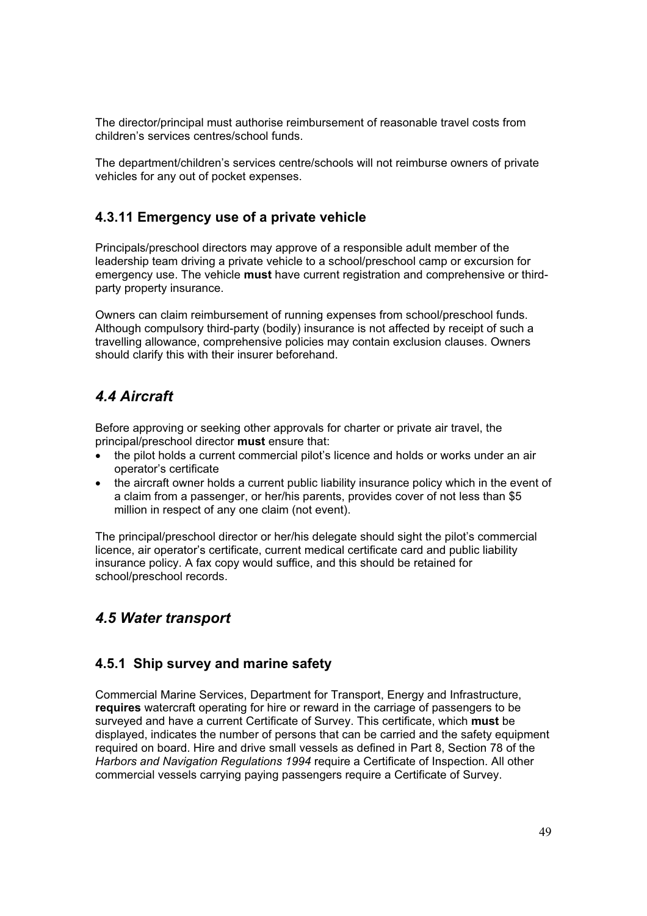The director/principal must authorise reimbursement of reasonable travel costs from children's services centres/school funds.

The department/children's services centre/schools will not reimburse owners of private vehicles for any out of pocket expenses.

### **4.3.11 Emergency use of a private vehicle**

Principals/preschool directors may approve of a responsible adult member of the leadership team driving a private vehicle to a school/preschool camp or excursion for emergency use. The vehicle **must** have current registration and comprehensive or thirdparty property insurance.

Owners can claim reimbursement of running expenses from school/preschool funds. Although compulsory third-party (bodily) insurance is not affected by receipt of such a travelling allowance, comprehensive policies may contain exclusion clauses. Owners should clarify this with their insurer beforehand.

# *4.4 Aircraft*

Before approving or seeking other approvals for charter or private air travel, the principal/preschool director **must** ensure that:

- the pilot holds a current commercial pilot's licence and holds or works under an air operator's certificate
- the aircraft owner holds a current public liability insurance policy which in the event of a claim from a passenger, or her/his parents, provides cover of not less than \$5 million in respect of any one claim (not event).

The principal/preschool director or her/his delegate should sight the pilot's commercial licence, air operator's certificate, current medical certificate card and public liability insurance policy. A fax copy would suffice, and this should be retained for school/preschool records.

# *4.5 Water transport*

### **4.5.1 Ship survey and marine safety**

Commercial Marine Services, Department for Transport, Energy and Infrastructure, **requires** watercraft operating for hire or reward in the carriage of passengers to be surveyed and have a current Certificate of Survey. This certificate, which **must** be displayed, indicates the number of persons that can be carried and the safety equipment required on board. Hire and drive small vessels as defined in Part 8, Section 78 of the *Harbors and Navigation Regulations 1994* require a Certificate of Inspection. All other commercial vessels carrying paying passengers require a Certificate of Survey.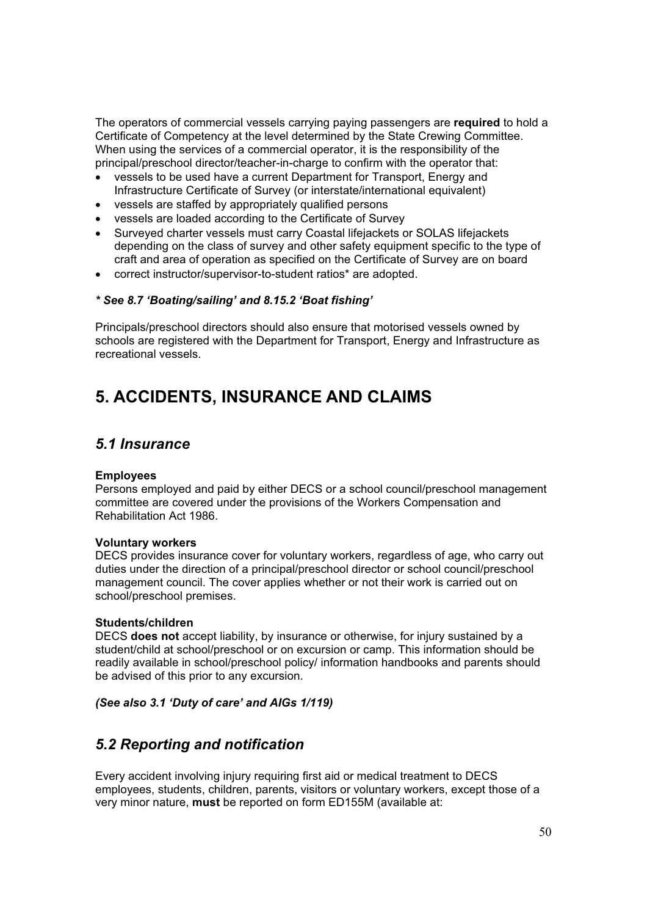The operators of commercial vessels carrying paying passengers are **required** to hold a Certificate of Competency at the level determined by the State Crewing Committee. When using the services of a commercial operator, it is the responsibility of the principal/preschool director/teacher-in-charge to confirm with the operator that:

- vessels to be used have a current Department for Transport, Energy and Infrastructure Certificate of Survey (or interstate/international equivalent)
- vessels are staffed by appropriately qualified persons
- vessels are loaded according to the Certificate of Survey
- Surveyed charter vessels must carry Coastal lifejackets or SOLAS lifejackets depending on the class of survey and other safety equipment specific to the type of craft and area of operation as specified on the Certificate of Survey are on board
- correct instructor/supervisor-to-student ratios\* are adopted.

#### *\* See 8.7 'Boating/sailing' and 8.15.2 'Boat fishing'*

Principals/preschool directors should also ensure that motorised vessels owned by schools are registered with the Department for Transport, Energy and Infrastructure as recreational vessels.

# **5. ACCIDENTS, INSURANCE AND CLAIMS**

### *5.1 Insurance*

#### **Employees**

Persons employed and paid by either DECS or a school council/preschool management committee are covered under the provisions of the Workers Compensation and Rehabilitation Act 1986.

#### **Voluntary workers**

DECS provides insurance cover for voluntary workers, regardless of age, who carry out duties under the direction of a principal/preschool director or school council/preschool management council. The cover applies whether or not their work is carried out on school/preschool premises.

#### **Students/children**

DECS **does not** accept liability, by insurance or otherwise, for injury sustained by a student/child at school/preschool or on excursion or camp. This information should be readily available in school/preschool policy/ information handbooks and parents should be advised of this prior to any excursion.

#### *(See also 3.1 'Duty of care' and AIGs 1/119)*

# *5.2 Reporting and notification*

Every accident involving injury requiring first aid or medical treatment to DECS employees, students, children, parents, visitors or voluntary workers, except those of a very minor nature, **must** be reported on form ED155M (available at: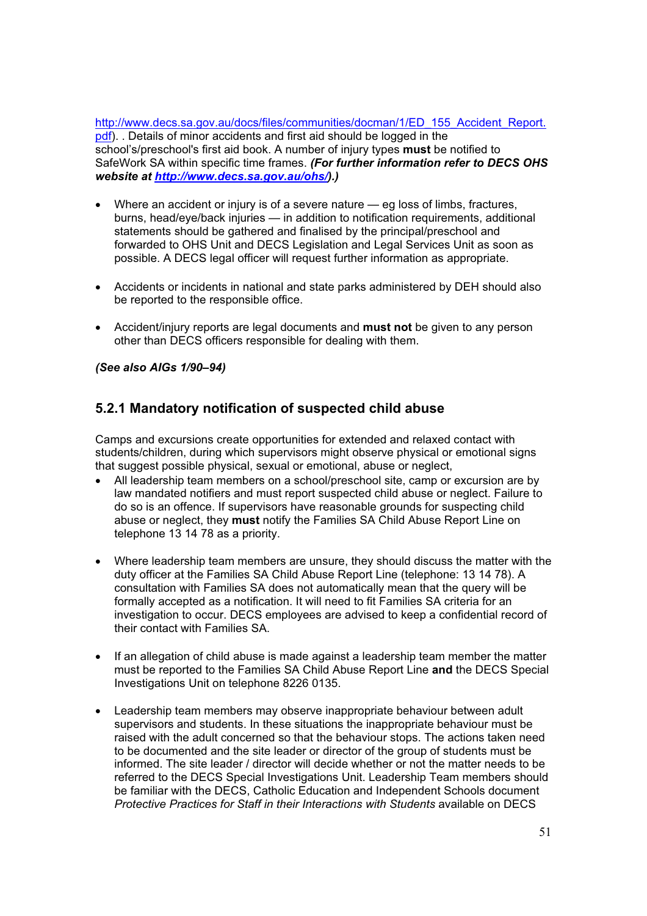http://www.decs.sa.gov.au/docs/files/communities/docman/1/ED\_155\_Accident\_Report. pdf). . Details of minor accidents and first aid should be logged in the school's/preschool's first aid book. A number of injury types **must** be notified to SafeWork SA within specific time frames. *(For further information refer to DECS OHS website at http://www.decs.sa.gov.au/ohs/).)*

- x Where an accident or injury is of a severe nature eg loss of limbs, fractures, burns, head/eye/back injuries — in addition to notification requirements, additional statements should be gathered and finalised by the principal/preschool and forwarded to OHS Unit and DECS Legislation and Legal Services Unit as soon as possible. A DECS legal officer will request further information as appropriate.
- Accidents or incidents in national and state parks administered by DEH should also be reported to the responsible office.
- x Accident/injury reports are legal documents and **must not** be given to any person other than DECS officers responsible for dealing with them.

#### *(See also AIGs 1/90–94)*

### **5.2.1 Mandatory notification of suspected child abuse**

Camps and excursions create opportunities for extended and relaxed contact with students/children, during which supervisors might observe physical or emotional signs that suggest possible physical, sexual or emotional, abuse or neglect,

- All leadership team members on a school/preschool site, camp or excursion are by law mandated notifiers and must report suspected child abuse or neglect. Failure to do so is an offence. If supervisors have reasonable grounds for suspecting child abuse or neglect, they **must** notify the Families SA Child Abuse Report Line on telephone 13 14 78 as a priority.
- Where leadership team members are unsure, they should discuss the matter with the duty officer at the Families SA Child Abuse Report Line (telephone: 13 14 78). A consultation with Families SA does not automatically mean that the query will be formally accepted as a notification. It will need to fit Families SA criteria for an investigation to occur. DECS employees are advised to keep a confidential record of their contact with Families SA.
- If an allegation of child abuse is made against a leadership team member the matter must be reported to the Families SA Child Abuse Report Line **and** the DECS Special Investigations Unit on telephone 8226 0135.
- Leadership team members may observe inappropriate behaviour between adult supervisors and students. In these situations the inappropriate behaviour must be raised with the adult concerned so that the behaviour stops. The actions taken need to be documented and the site leader or director of the group of students must be informed. The site leader / director will decide whether or not the matter needs to be referred to the DECS Special Investigations Unit. Leadership Team members should be familiar with the DECS, Catholic Education and Independent Schools document *Protective Practices for Staff in their Interactions with Students* available on DECS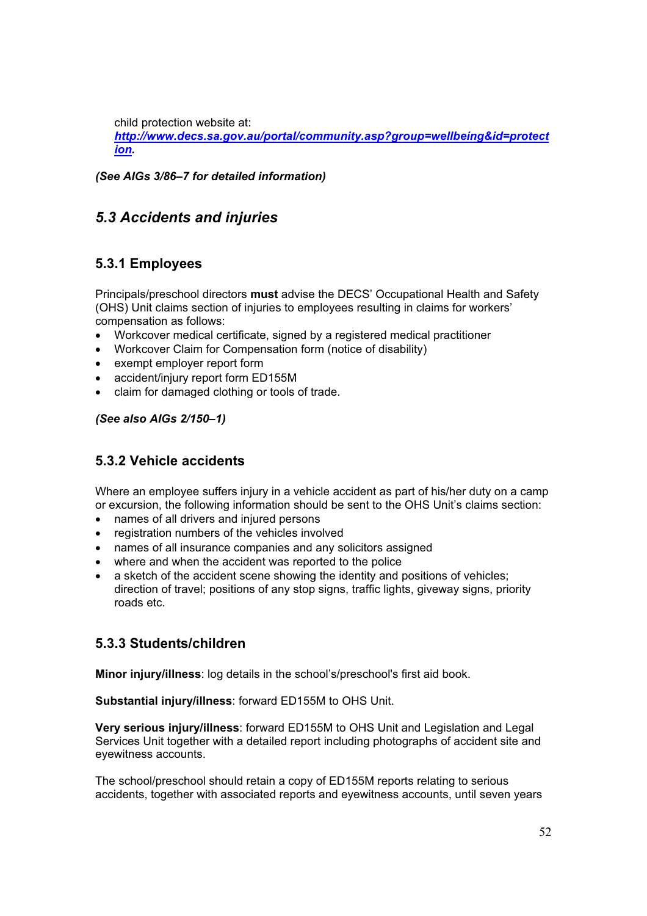child protection website at:

*http://www.decs.sa.gov.au/portal/community.asp?group=wellbeing&id=protect ion.*

*(See AIGs 3/86–7 for detailed information)* 

# *5.3 Accidents and injuries*

### **5.3.1 Employees**

Principals/preschool directors **must** advise the DECS' Occupational Health and Safety (OHS) Unit claims section of injuries to employees resulting in claims for workers' compensation as follows:

- Workcover medical certificate, signed by a registered medical practitioner
- Workcover Claim for Compensation form (notice of disability)
- exempt employer report form
- accident/injury report form ED155M
- claim for damaged clothing or tools of trade.

#### *(See also AIGs 2/150–1)*

## **5.3.2 Vehicle accidents**

Where an employee suffers injury in a vehicle accident as part of his/her duty on a camp or excursion, the following information should be sent to the OHS Unit's claims section:

- names of all drivers and injured persons
- registration numbers of the vehicles involved
- names of all insurance companies and any solicitors assigned
- where and when the accident was reported to the police
- a sketch of the accident scene showing the identity and positions of vehicles; direction of travel; positions of any stop signs, traffic lights, giveway signs, priority roads etc.

### **5.3.3 Students/children**

**Minor injury/illness**: log details in the school's/preschool's first aid book.

**Substantial injury/illness**: forward ED155M to OHS Unit.

**Very serious injury/illness**: forward ED155M to OHS Unit and Legislation and Legal Services Unit together with a detailed report including photographs of accident site and eyewitness accounts.

The school/preschool should retain a copy of ED155M reports relating to serious accidents, together with associated reports and eyewitness accounts, until seven years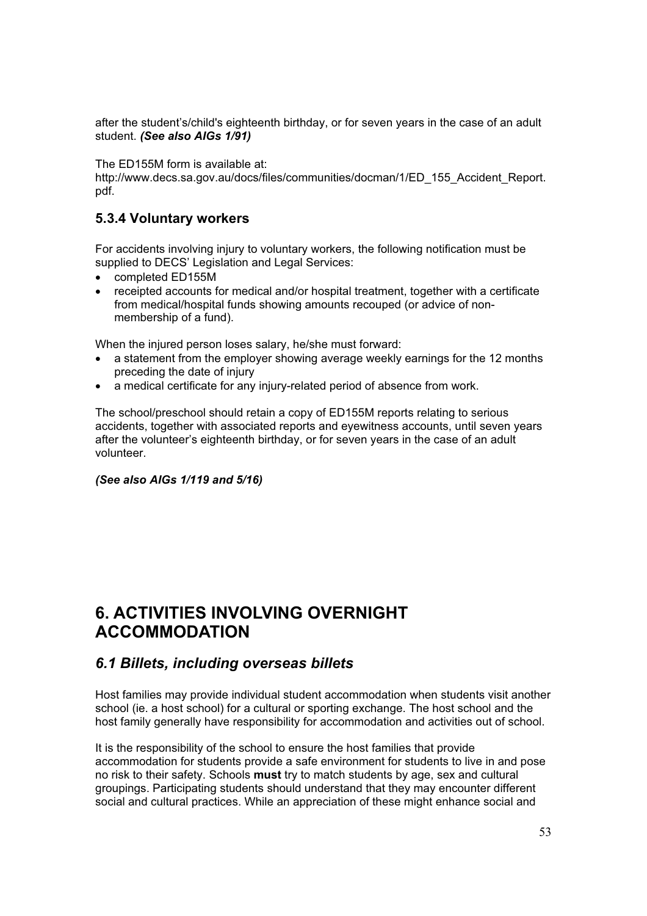after the student's/child's eighteenth birthday, or for seven years in the case of an adult student. *(See also AIGs 1/91)*

The ED155M form is available at:

http://www.decs.sa.gov.au/docs/files/communities/docman/1/ED\_155\_Accident\_Report. pdf.

### **5.3.4 Voluntary workers**

For accidents involving injury to voluntary workers, the following notification must be supplied to DECS' Legislation and Legal Services:

- completed ED155M
- receipted accounts for medical and/or hospital treatment, together with a certificate from medical/hospital funds showing amounts recouped (or advice of nonmembership of a fund).

When the injured person loses salary, he/she must forward:

- a statement from the employer showing average weekly earnings for the 12 months preceding the date of injury
- a medical certificate for any injury-related period of absence from work.

The school/preschool should retain a copy of ED155M reports relating to serious accidents, together with associated reports and eyewitness accounts, until seven years after the volunteer's eighteenth birthday, or for seven years in the case of an adult volunteer.

#### *(See also AIGs 1/119 and 5/16)*

# **6. ACTIVITIES INVOLVING OVERNIGHT ACCOMMODATION**

### *6.1 Billets, including overseas billets*

Host families may provide individual student accommodation when students visit another school (ie. a host school) for a cultural or sporting exchange. The host school and the host family generally have responsibility for accommodation and activities out of school.

It is the responsibility of the school to ensure the host families that provide accommodation for students provide a safe environment for students to live in and pose no risk to their safety. Schools **must** try to match students by age, sex and cultural groupings. Participating students should understand that they may encounter different social and cultural practices. While an appreciation of these might enhance social and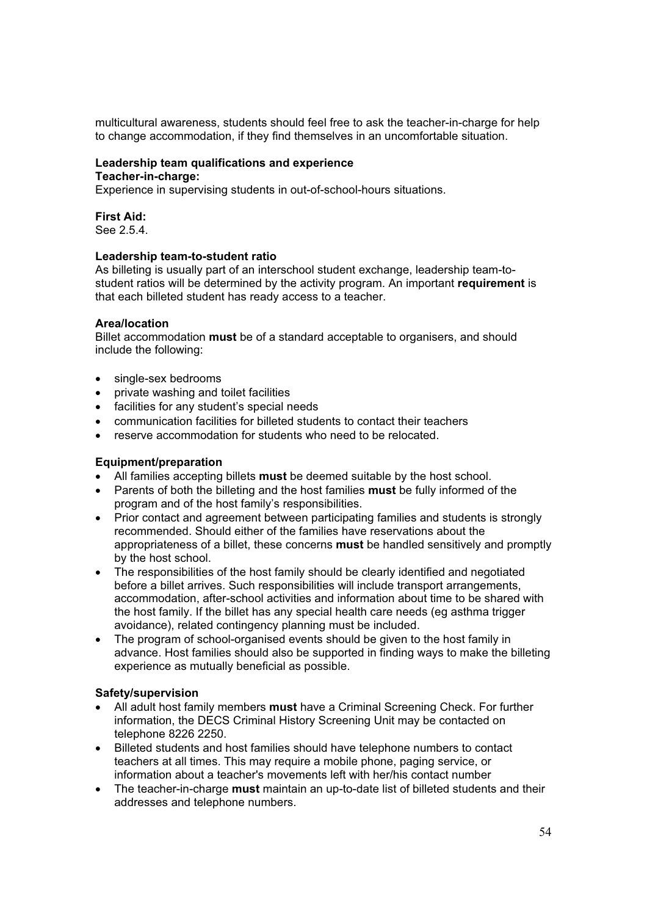multicultural awareness, students should feel free to ask the teacher-in-charge for help to change accommodation, if they find themselves in an uncomfortable situation.

#### **Leadership team qualifications and experience Teacher-in-charge:**

Experience in supervising students in out-of-school-hours situations.

### **First Aid:**

See 2.5.4.

#### **Leadership team-to-student ratio**

As billeting is usually part of an interschool student exchange, leadership team-tostudent ratios will be determined by the activity program. An important **requirement** is that each billeted student has ready access to a teacher.

#### **Area/location**

Billet accommodation **must** be of a standard acceptable to organisers, and should include the following:

- single-sex bedrooms
- private washing and toilet facilities
- facilities for any student's special needs
- communication facilities for billeted students to contact their teachers
- reserve accommodation for students who need to be relocated.

#### **Equipment/preparation**

- x All families accepting billets **must** be deemed suitable by the host school.
- x Parents of both the billeting and the host families **must** be fully informed of the program and of the host family's responsibilities.
- Prior contact and agreement between participating families and students is strongly recommended. Should either of the families have reservations about the appropriateness of a billet, these concerns **must** be handled sensitively and promptly by the host school.
- The responsibilities of the host family should be clearly identified and negotiated before a billet arrives. Such responsibilities will include transport arrangements, accommodation, after-school activities and information about time to be shared with the host family. If the billet has any special health care needs (eg asthma trigger avoidance), related contingency planning must be included.
- The program of school-organised events should be given to the host family in advance. Host families should also be supported in finding ways to make the billeting experience as mutually beneficial as possible.

#### **Safety/supervision**

- x All adult host family members **must** have a Criminal Screening Check. For further information, the DECS Criminal History Screening Unit may be contacted on telephone 8226 2250.
- Billeted students and host families should have telephone numbers to contact teachers at all times. This may require a mobile phone, paging service, or information about a teacher's movements left with her/his contact number
- The teacher-in-charge **must** maintain an up-to-date list of billeted students and their addresses and telephone numbers.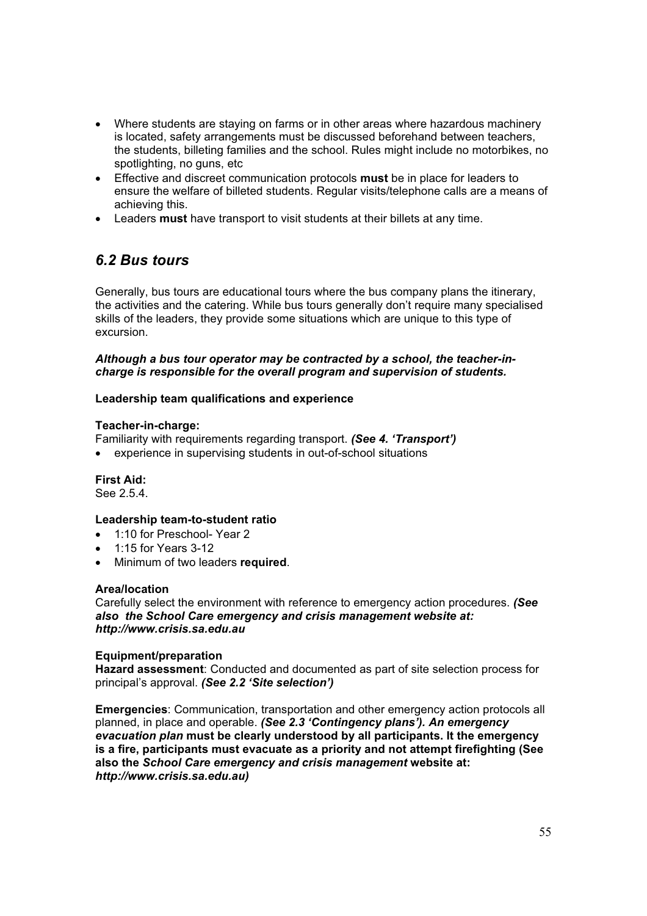- Where students are staying on farms or in other areas where hazardous machinery is located, safety arrangements must be discussed beforehand between teachers, the students, billeting families and the school. Rules might include no motorbikes, no spotlighting, no guns, etc
- **Effective and discreet communication protocols must be in place for leaders to** ensure the welfare of billeted students. Regular visits/telephone calls are a means of achieving this.
- **Example 2** Leaders **must** have transport to visit students at their billets at any time.

# *6.2 Bus tours*

Generally, bus tours are educational tours where the bus company plans the itinerary, the activities and the catering. While bus tours generally don't require many specialised skills of the leaders, they provide some situations which are unique to this type of excursion.

#### *Although a bus tour operator may be contracted by a school, the teacher-incharge is responsible for the overall program and supervision of students.*

#### **Leadership team qualifications and experience**

#### **Teacher-in-charge:**

Familiarity with requirements regarding transport. *(See 4. 'Transport')* 

• experience in supervising students in out-of-school situations

**First Aid:** 

See 2.5.4.

#### **Leadership team-to-student ratio**

- 1:10 for Preschool- Year 2
- x 1:15 for Years 3-12
- **•** Minimum of two leaders **required**.

#### **Area/location**

Carefully select the environment with reference to emergency action procedures. *(See also the School Care emergency and crisis management website at: http://www.crisis.sa.edu.au*

#### **Equipment/preparation**

**Hazard assessment**: Conducted and documented as part of site selection process for principal's approval. *(See 2.2 'Site selection')*

**Emergencies**: Communication, transportation and other emergency action protocols all planned, in place and operable. *(See 2.3 'Contingency plans'). An emergency evacuation plan* **must be clearly understood by all participants. It the emergency is a fire, participants must evacuate as a priority and not attempt firefighting (See also the** *School Care emergency and crisis management* **website at:**  *http://www.crisis.sa.edu.au)*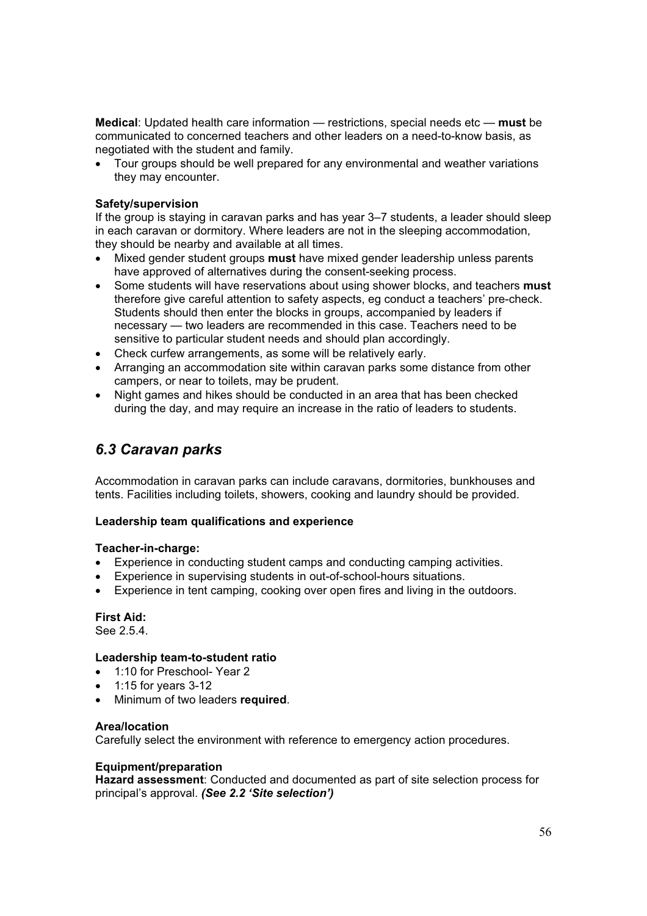**Medical**: Updated health care information — restrictions, special needs etc — **must** be communicated to concerned teachers and other leaders on a need-to-know basis, as negotiated with the student and family.

• Tour groups should be well prepared for any environmental and weather variations they may encounter.

#### **Safety/supervision**

If the group is staying in caravan parks and has year 3–7 students, a leader should sleep in each caravan or dormitory. Where leaders are not in the sleeping accommodation, they should be nearby and available at all times.

- x Mixed gender student groups **must** have mixed gender leadership unless parents have approved of alternatives during the consent-seeking process.
- x Some students will have reservations about using shower blocks, and teachers **must**  therefore give careful attention to safety aspects, eg conduct a teachers' pre-check. Students should then enter the blocks in groups, accompanied by leaders if necessary — two leaders are recommended in this case. Teachers need to be sensitive to particular student needs and should plan accordingly.
- Check curfew arrangements, as some will be relatively early.
- Arranging an accommodation site within caravan parks some distance from other campers, or near to toilets, may be prudent.
- Night games and hikes should be conducted in an area that has been checked during the day, and may require an increase in the ratio of leaders to students.

### *6.3 Caravan parks*

Accommodation in caravan parks can include caravans, dormitories, bunkhouses and tents. Facilities including toilets, showers, cooking and laundry should be provided.

#### **Leadership team qualifications and experience**

#### **Teacher-in-charge:**

- Experience in conducting student camps and conducting camping activities.
- Experience in supervising students in out-of-school-hours situations.
- Experience in tent camping, cooking over open fires and living in the outdoors.

#### **First Aid:**

See 2.5.4.

#### **Leadership team-to-student ratio**

- 1:10 for Preschool- Year 2
- x 1:15 for years 3-12
- x Minimum of two leaders **required**.

#### **Area/location**

Carefully select the environment with reference to emergency action procedures.

#### **Equipment/preparation**

**Hazard assessment**: Conducted and documented as part of site selection process for principal's approval. *(See 2.2 'Site selection')*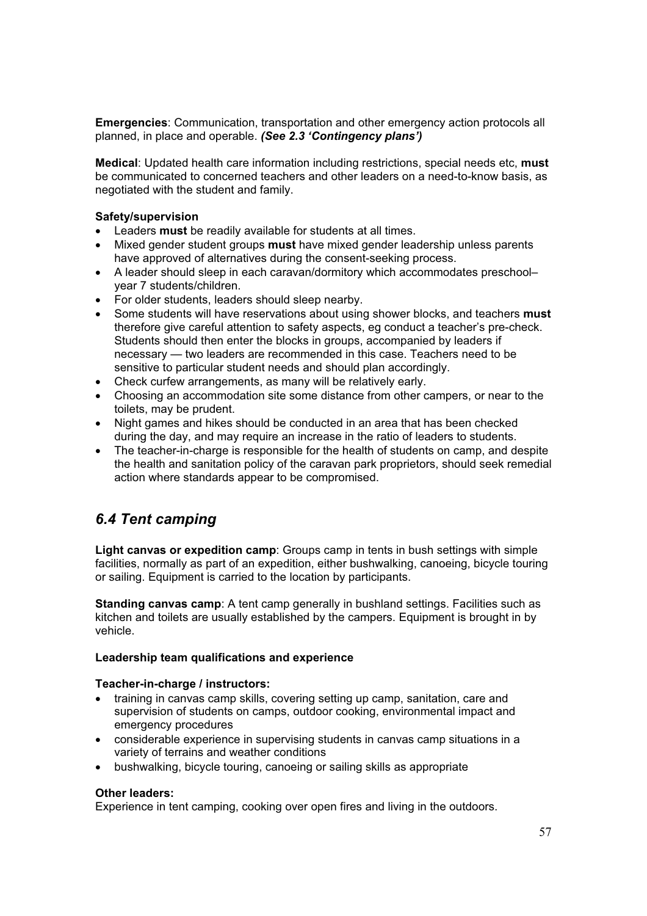**Emergencies**: Communication, transportation and other emergency action protocols all planned, in place and operable. *(See 2.3 'Contingency plans')*

**Medical**: Updated health care information including restrictions, special needs etc, **must**  be communicated to concerned teachers and other leaders on a need-to-know basis, as negotiated with the student and family.

#### **Safety/supervision**

- **•** Leaders **must** be readily available for students at all times.
- x Mixed gender student groups **must** have mixed gender leadership unless parents have approved of alternatives during the consent-seeking process.
- A leader should sleep in each caravan/dormitory which accommodates preschool– year 7 students/children.
- For older students, leaders should sleep nearby.
- Some students will have reservations about using shower blocks, and teachers **must** therefore give careful attention to safety aspects, eg conduct a teacher's pre-check. Students should then enter the blocks in groups, accompanied by leaders if necessary — two leaders are recommended in this case. Teachers need to be sensitive to particular student needs and should plan accordingly.
- Check curfew arrangements, as many will be relatively early.
- Choosing an accommodation site some distance from other campers, or near to the toilets, may be prudent.
- Night games and hikes should be conducted in an area that has been checked during the day, and may require an increase in the ratio of leaders to students.
- The teacher-in-charge is responsible for the health of students on camp, and despite the health and sanitation policy of the caravan park proprietors, should seek remedial action where standards appear to be compromised.

# *6.4 Tent camping*

**Light canvas or expedition camp**: Groups camp in tents in bush settings with simple facilities, normally as part of an expedition, either bushwalking, canoeing, bicycle touring or sailing. Equipment is carried to the location by participants.

**Standing canvas camp**: A tent camp generally in bushland settings. Facilities such as kitchen and toilets are usually established by the campers. Equipment is brought in by vehicle.

#### **Leadership team qualifications and experience**

#### **Teacher-in-charge / instructors:**

- training in canvas camp skills, covering setting up camp, sanitation, care and supervision of students on camps, outdoor cooking, environmental impact and emergency procedures
- considerable experience in supervising students in canvas camp situations in a variety of terrains and weather conditions
- bushwalking, bicycle touring, canoeing or sailing skills as appropriate

#### **Other leaders:**

Experience in tent camping, cooking over open fires and living in the outdoors.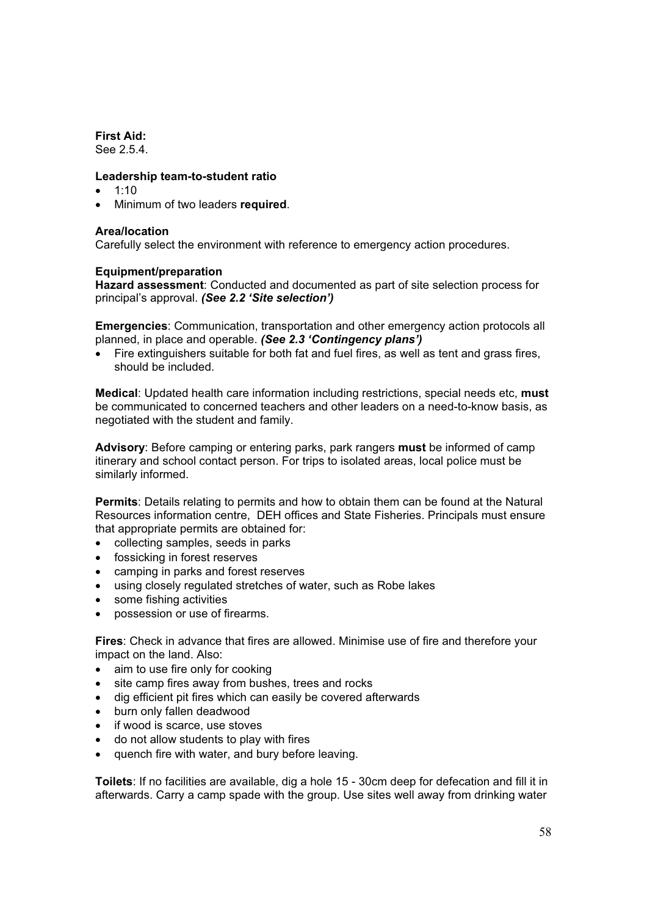### **First Aid:**

See 2.5.4.

#### **Leadership team-to-student ratio**

- $\bullet$  1:10
- x Minimum of two leaders **required**.

#### **Area/location**

Carefully select the environment with reference to emergency action procedures.

#### **Equipment/preparation**

**Hazard assessment**: Conducted and documented as part of site selection process for principal's approval. *(See 2.2 'Site selection')*

**Emergencies**: Communication, transportation and other emergency action protocols all planned, in place and operable. *(See 2.3 'Contingency plans')*

• Fire extinguishers suitable for both fat and fuel fires, as well as tent and grass fires, should be included.

**Medical**: Updated health care information including restrictions, special needs etc, **must**  be communicated to concerned teachers and other leaders on a need-to-know basis, as negotiated with the student and family.

**Advisory**: Before camping or entering parks, park rangers **must** be informed of camp itinerary and school contact person. For trips to isolated areas, local police must be similarly informed.

**Permits**: Details relating to permits and how to obtain them can be found at the Natural Resources information centre, DEH offices and State Fisheries. Principals must ensure that appropriate permits are obtained for:

- collecting samples, seeds in parks
- fossicking in forest reserves
- camping in parks and forest reserves
- using closely regulated stretches of water, such as Robe lakes
- some fishing activities
- possession or use of firearms.

**Fires**: Check in advance that fires are allowed. Minimise use of fire and therefore your impact on the land. Also:

- $\bullet$  aim to use fire only for cooking
- site camp fires away from bushes, trees and rocks
- dig efficient pit fires which can easily be covered afterwards
- burn only fallen deadwood
- $\bullet$  if wood is scarce, use stoves
- do not allow students to play with fires
- quench fire with water, and bury before leaving.

**Toilets**: If no facilities are available, dig a hole 15 - 30cm deep for defecation and fill it in afterwards. Carry a camp spade with the group. Use sites well away from drinking water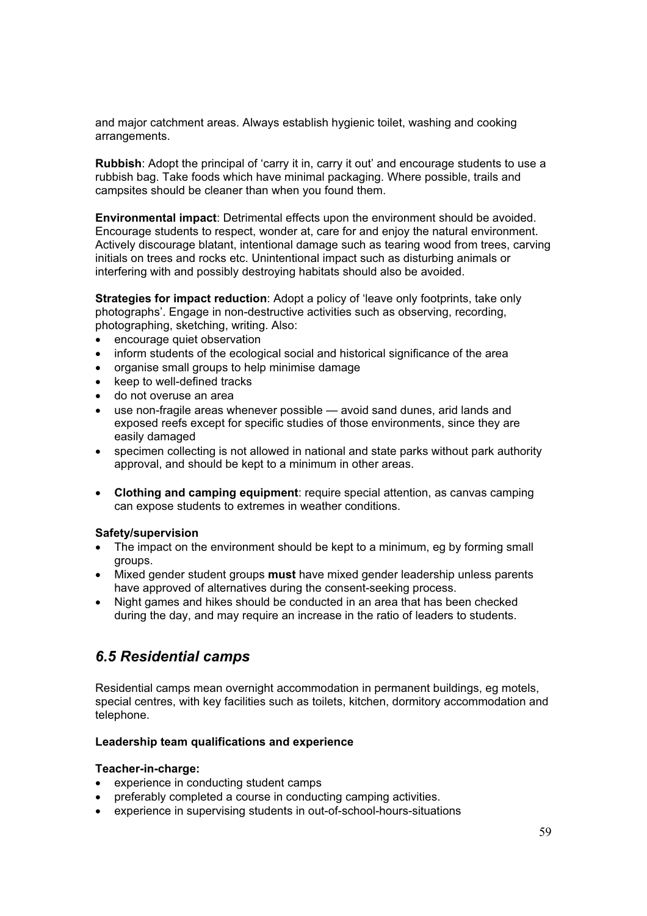and major catchment areas. Always establish hygienic toilet, washing and cooking arrangements.

**Rubbish**: Adopt the principal of 'carry it in, carry it out' and encourage students to use a rubbish bag. Take foods which have minimal packaging. Where possible, trails and campsites should be cleaner than when you found them.

**Environmental impact**: Detrimental effects upon the environment should be avoided. Encourage students to respect, wonder at, care for and enjoy the natural environment. Actively discourage blatant, intentional damage such as tearing wood from trees, carving initials on trees and rocks etc. Unintentional impact such as disturbing animals or interfering with and possibly destroying habitats should also be avoided.

**Strategies for impact reduction**: Adopt a policy of 'leave only footprints, take only photographs'. Engage in non-destructive activities such as observing, recording, photographing, sketching, writing. Also:

- encourage quiet observation
- inform students of the ecological social and historical significance of the area
- organise small groups to help minimise damage
- keep to well-defined tracks
- do not overuse an area
- use non-fragile areas whenever possible avoid sand dunes, arid lands and exposed reefs except for specific studies of those environments, since they are easily damaged
- specimen collecting is not allowed in national and state parks without park authority approval, and should be kept to a minimum in other areas.
- **Clothing and camping equipment**: require special attention, as canvas camping can expose students to extremes in weather conditions.

#### **Safety/supervision**

- The impact on the environment should be kept to a minimum, eg by forming small groups.
- **•** Mixed gender student groups **must** have mixed gender leadership unless parents have approved of alternatives during the consent-seeking process.
- Night games and hikes should be conducted in an area that has been checked during the day, and may require an increase in the ratio of leaders to students.

# *6.5 Residential camps*

Residential camps mean overnight accommodation in permanent buildings, eg motels, special centres, with key facilities such as toilets, kitchen, dormitory accommodation and telephone.

#### **Leadership team qualifications and experience**

#### **Teacher-in-charge:**

- experience in conducting student camps
- preferably completed a course in conducting camping activities.
- experience in supervising students in out-of-school-hours-situations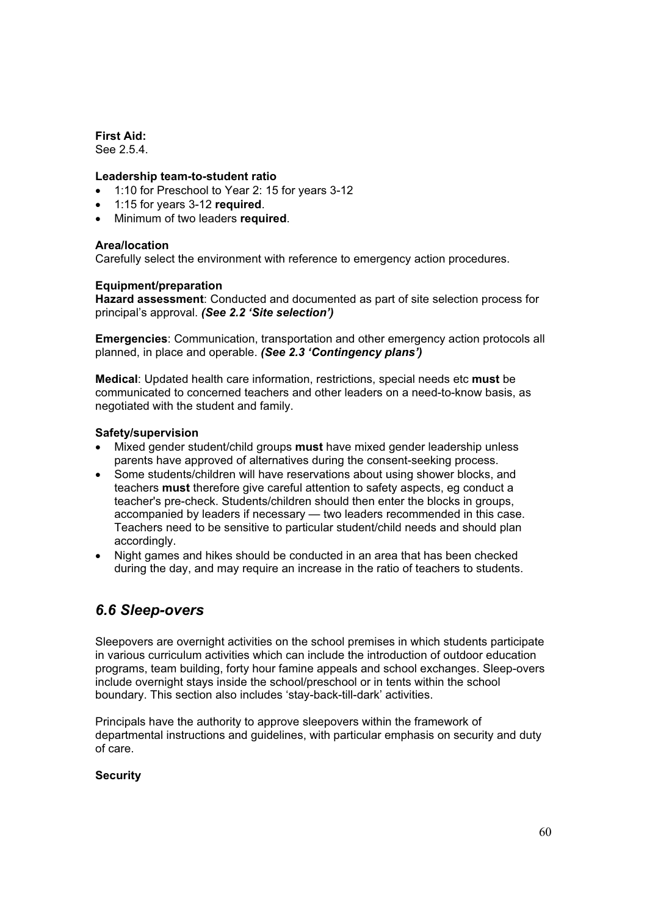**First Aid:**  See 2.5.4.

#### **Leadership team-to-student ratio**

- 1:10 for Preschool to Year 2: 15 for years 3-12
- x 1:15 for years 3-12 **required**.
- x Minimum of two leaders **required**.

#### **Area/location**

Carefully select the environment with reference to emergency action procedures.

#### **Equipment/preparation**

**Hazard assessment**: Conducted and documented as part of site selection process for principal's approval. *(See 2.2 'Site selection')*

**Emergencies**: Communication, transportation and other emergency action protocols all planned, in place and operable. *(See 2.3 'Contingency plans')*

**Medical**: Updated health care information, restrictions, special needs etc **must** be communicated to concerned teachers and other leaders on a need-to-know basis, as negotiated with the student and family.

#### **Safety/supervision**

- Mixed gender student/child groups **must** have mixed gender leadership unless parents have approved of alternatives during the consent-seeking process.
- Some students/children will have reservations about using shower blocks, and teachers **must** therefore give careful attention to safety aspects, eg conduct a teacher's pre-check. Students/children should then enter the blocks in groups, accompanied by leaders if necessary — two leaders recommended in this case. Teachers need to be sensitive to particular student/child needs and should plan accordingly.
- Night games and hikes should be conducted in an area that has been checked during the day, and may require an increase in the ratio of teachers to students.

# *6.6 Sleep-overs*

Sleepovers are overnight activities on the school premises in which students participate in various curriculum activities which can include the introduction of outdoor education programs, team building, forty hour famine appeals and school exchanges. Sleep-overs include overnight stays inside the school/preschool or in tents within the school boundary. This section also includes 'stay-back-till-dark' activities.

Principals have the authority to approve sleepovers within the framework of departmental instructions and guidelines, with particular emphasis on security and duty of care.

#### **Security**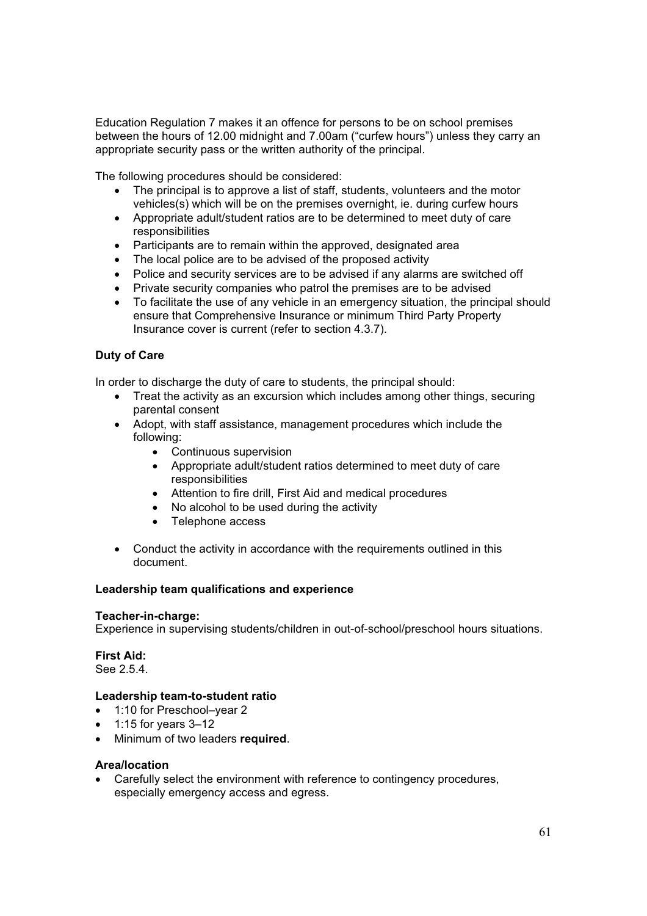Education Regulation 7 makes it an offence for persons to be on school premises between the hours of 12.00 midnight and 7.00am ("curfew hours") unless they carry an appropriate security pass or the written authority of the principal.

The following procedures should be considered:

- The principal is to approve a list of staff, students, volunteers and the motor vehicles(s) which will be on the premises overnight, ie. during curfew hours
- Appropriate adult/student ratios are to be determined to meet duty of care responsibilities
- Participants are to remain within the approved, designated area
- The local police are to be advised of the proposed activity
- Police and security services are to be advised if any alarms are switched off
- Private security companies who patrol the premises are to be advised
- $\bullet$  To facilitate the use of any vehicle in an emergency situation, the principal should ensure that Comprehensive Insurance or minimum Third Party Property Insurance cover is current (refer to section 4.3.7).

#### **Duty of Care**

In order to discharge the duty of care to students, the principal should:

- Treat the activity as an excursion which includes among other things, securing parental consent
- Adopt, with staff assistance, management procedures which include the following:
	- Continuous supervision
	- Appropriate adult/student ratios determined to meet duty of care responsibilities
	- Attention to fire drill, First Aid and medical procedures
	- No alcohol to be used during the activity
	- Telephone access
- Conduct the activity in accordance with the requirements outlined in this document.

#### **Leadership team qualifications and experience**

#### **Teacher-in-charge:**

Experience in supervising students/children in out-of-school/preschool hours situations.

**First Aid:**  See 2.5.4.

#### **Leadership team-to-student ratio**

- 1:10 for Preschool–year 2
- x 1:15 for years 3–12
- x Minimum of two leaders **required**.

#### **Area/location**

Carefully select the environment with reference to contingency procedures, especially emergency access and egress.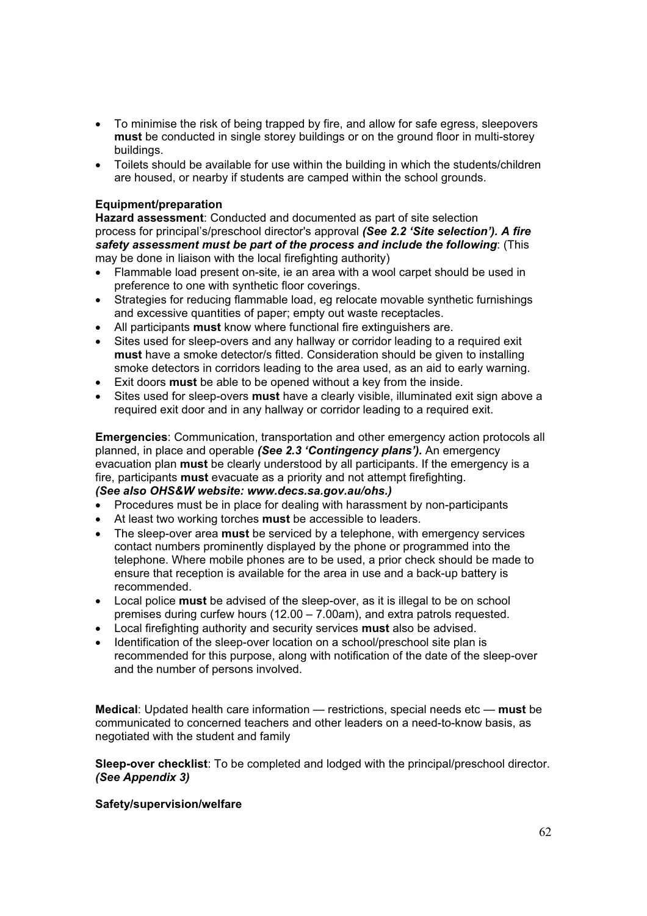- To minimise the risk of being trapped by fire, and allow for safe egress, sleepovers **must** be conducted in single storey buildings or on the ground floor in multi-storey buildings.
- Toilets should be available for use within the building in which the students/children are housed, or nearby if students are camped within the school grounds.

#### **Equipment/preparation**

**Hazard assessment**: Conducted and documented as part of site selection process for principal's/preschool director's approval *(See 2.2 'Site selection'). A fire safety assessment must be part of the process and include the following*: (This may be done in liaison with the local firefighting authority)

- Flammable load present on-site, ie an area with a wool carpet should be used in preference to one with synthetic floor coverings.
- Strategies for reducing flammable load, eg relocate movable synthetic furnishings and excessive quantities of paper; empty out waste receptacles.
- All participants **must** know where functional fire extinguishers are.
- Sites used for sleep-overs and any hallway or corridor leading to a required exit **must** have a smoke detector/s fitted. Consideration should be given to installing smoke detectors in corridors leading to the area used, as an aid to early warning.
- **Exit doors must** be able to be opened without a key from the inside.
- Sites used for sleep-overs **must** have a clearly visible, illuminated exit sign above a required exit door and in any hallway or corridor leading to a required exit.

**Emergencies**: Communication, transportation and other emergency action protocols all planned, in place and operable *(See 2.3 'Contingency plans').* An emergency evacuation plan **must** be clearly understood by all participants. If the emergency is a fire, participants **must** evacuate as a priority and not attempt firefighting.

#### *(See also OHS&W website: www.decs.sa.gov.au/ohs.)*

- Procedures must be in place for dealing with harassment by non-participants
- x At least two working torches **must** be accessible to leaders.
- x The sleep-over area **must** be serviced by a telephone, with emergency services contact numbers prominently displayed by the phone or programmed into the telephone. Where mobile phones are to be used, a prior check should be made to ensure that reception is available for the area in use and a back-up battery is recommended.
- **•** Local police **must** be advised of the sleep-over, as it is illegal to be on school premises during curfew hours (12.00 – 7.00am), and extra patrols requested.
- **EXEC** Local firefighting authority and security services **must** also be advised.
- Identification of the sleep-over location on a school/preschool site plan is recommended for this purpose, along with notification of the date of the sleep-over and the number of persons involved.

**Medical**: Updated health care information — restrictions, special needs etc — **must** be communicated to concerned teachers and other leaders on a need-to-know basis, as negotiated with the student and family

**Sleep-over checklist**: To be completed and lodged with the principal/preschool director. *(See Appendix 3)*

#### **Safety/supervision/welfare**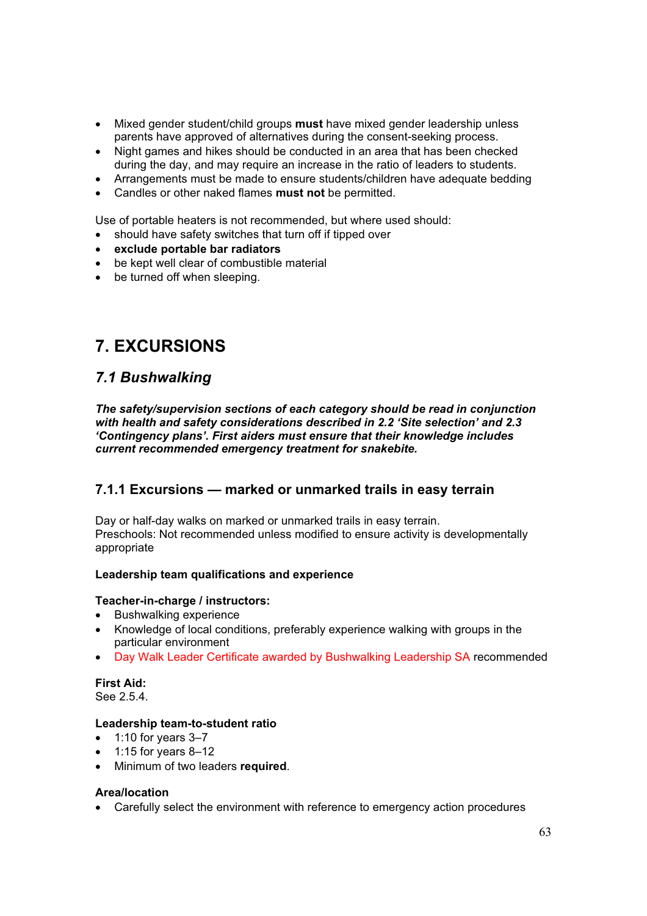- Mixed gender student/child groups must have mixed gender leadership unless parents have approved of alternatives during the consent-seeking process.
- Night games and hikes should be conducted in an area that has been checked during the day, and may require an increase in the ratio of leaders to students.
- Arrangements must be made to ensure students/children have adequate bedding
- x Candles or other naked flames **must not** be permitted.

Use of portable heaters is not recommended, but where used should:

- should have safety switches that turn off if tipped over
- x **exclude portable bar radiators**
- be kept well clear of combustible material
- $\bullet$  be turned off when sleeping.

# **7. EXCURSIONS**

# *7.1 Bushwalking*

*The safety/supervision sections of each category should be read in conjunction with health and safety considerations described in 2.2 'Site selection' and 2.3 'Contingency plans'. First aiders must ensure that their knowledge includes current recommended emergency treatment for snakebite.* 

### **7.1.1 Excursions — marked or unmarked trails in easy terrain**

Day or half-day walks on marked or unmarked trails in easy terrain. Preschools: Not recommended unless modified to ensure activity is developmentally appropriate

#### **Leadership team qualifications and experience**

#### **Teacher-in-charge / instructors:**

- Bushwalking experience
- Knowledge of local conditions, preferably experience walking with groups in the particular environment
- Day Walk Leader Certificate awarded by Bushwalking Leadership SA recommended

#### **First Aid:**  See 2.5.4.

#### **Leadership team-to-student ratio**

- $\bullet$  1:10 for years 3–7
- x 1:15 for years 8–12
- x Minimum of two leaders **required**.

#### **Area/location**

• Carefully select the environment with reference to emergency action procedures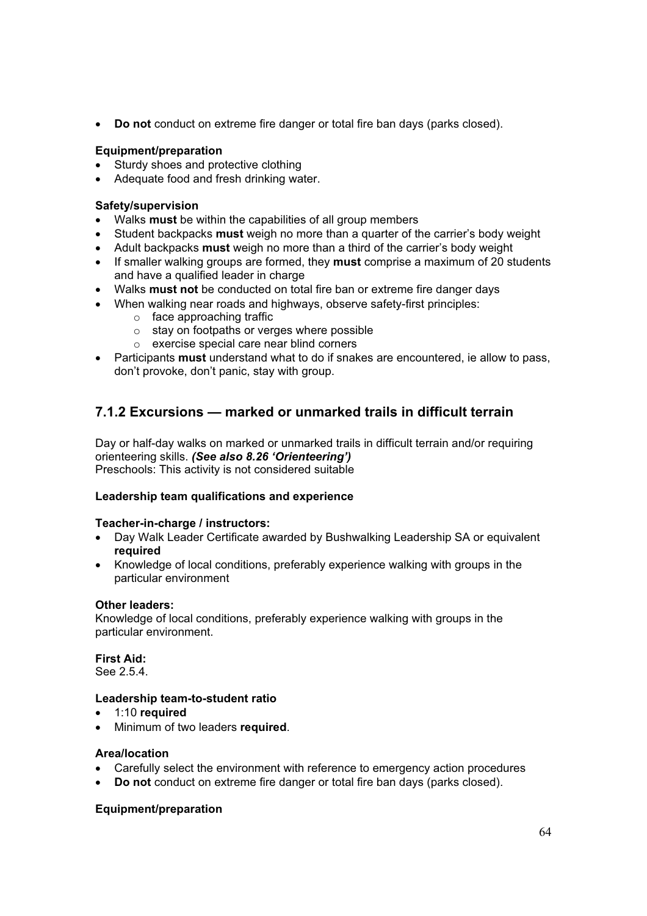**• Do not** conduct on extreme fire danger or total fire ban days (parks closed).

#### **Equipment/preparation**

- Sturdy shoes and protective clothing
- Adequate food and fresh drinking water.

#### **Safety/supervision**

- Walks **must** be within the capabilities of all group members
- x Student backpacks **must** weigh no more than a quarter of the carrier's body weight
- x Adult backpacks **must** weigh no more than a third of the carrier's body weight
- If smaller walking groups are formed, they **must** comprise a maximum of 20 students and have a qualified leader in charge
- x Walks **must not** be conducted on total fire ban or extreme fire danger days
- When walking near roads and highways, observe safety-first principles:
	- o face approaching traffic
	- o stay on footpaths or verges where possible
	- o exercise special care near blind corners
- x Participants **must** understand what to do if snakes are encountered, ie allow to pass, don't provoke, don't panic, stay with group.

### **7.1.2 Excursions — marked or unmarked trails in difficult terrain**

Day or half-day walks on marked or unmarked trails in difficult terrain and/or requiring orienteering skills. *(See also 8.26 'Orienteering')* Preschools: This activity is not considered suitable

#### **Leadership team qualifications and experience**

#### **Teacher-in-charge / instructors:**

- Day Walk Leader Certificate awarded by Bushwalking Leadership SA or equivalent **required**
- Knowledge of local conditions, preferably experience walking with groups in the particular environment

#### **Other leaders:**

Knowledge of local conditions, preferably experience walking with groups in the particular environment.

**First Aid:**  See 2.5.4.

#### **Leadership team-to-student ratio**

- **•** 1:10 **required**
- **•** Minimum of two leaders **required**.

#### **Area/location**

- Carefully select the environment with reference to emergency action procedures
- Do not conduct on extreme fire danger or total fire ban days (parks closed).

#### **Equipment/preparation**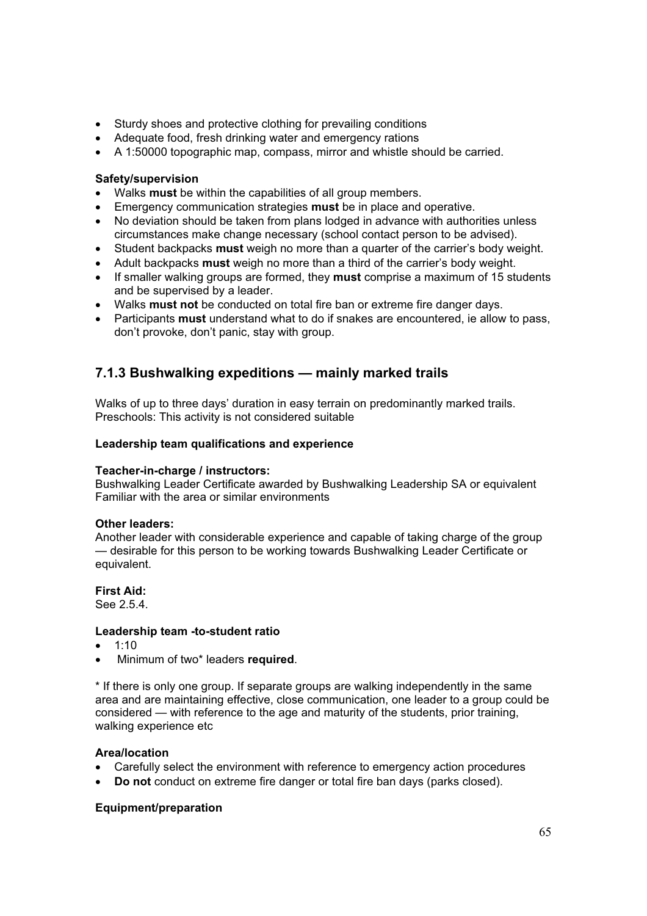- Sturdy shoes and protective clothing for prevailing conditions
- Adequate food, fresh drinking water and emergency rations
- A 1:50000 topographic map, compass, mirror and whistle should be carried.

#### **Safety/supervision**

- Walks must be within the capabilities of all group members.
- **Emergency communication strategies must** be in place and operative.
- No deviation should be taken from plans lodged in advance with authorities unless circumstances make change necessary (school contact person to be advised).
- Student backpacks **must** weigh no more than a quarter of the carrier's body weight.
- x Adult backpacks **must** weigh no more than a third of the carrier's body weight.
- If smaller walking groups are formed, they **must** comprise a maximum of 15 students and be supervised by a leader.
- **•** Walks must not be conducted on total fire ban or extreme fire danger days.
- x Participants **must** understand what to do if snakes are encountered, ie allow to pass, don't provoke, don't panic, stay with group.

### **7.1.3 Bushwalking expeditions — mainly marked trails**

Walks of up to three days' duration in easy terrain on predominantly marked trails. Preschools: This activity is not considered suitable

#### **Leadership team qualifications and experience**

#### **Teacher-in-charge / instructors:**

Bushwalking Leader Certificate awarded by Bushwalking Leadership SA or equivalent Familiar with the area or similar environments

#### **Other leaders:**

Another leader with considerable experience and capable of taking charge of the group — desirable for this person to be working towards Bushwalking Leader Certificate or equivalent.

#### **First Aid:**

See 2.5.4.

#### **Leadership team -to-student ratio**

- $\bullet$  1:10
- x Minimum of two\* leaders **required**.

\* If there is only one group. If separate groups are walking independently in the same area and are maintaining effective, close communication, one leader to a group could be considered — with reference to the age and maturity of the students, prior training, walking experience etc

#### **Area/location**

- Carefully select the environment with reference to emergency action procedures
- Do not conduct on extreme fire danger or total fire ban days (parks closed).

#### **Equipment/preparation**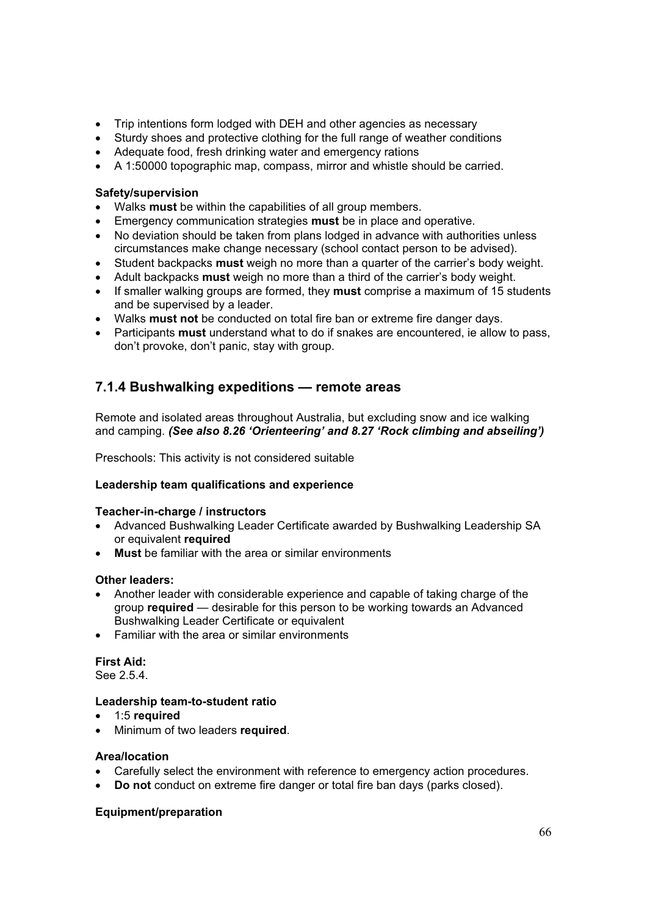- Trip intentions form lodged with DEH and other agencies as necessary
- Sturdy shoes and protective clothing for the full range of weather conditions
- Adequate food, fresh drinking water and emergency rations
- A 1:50000 topographic map, compass, mirror and whistle should be carried.

#### **Safety/supervision**

- x Walks **must** be within the capabilities of all group members.
- **Emergency communication strategies must** be in place and operative.
- No deviation should be taken from plans lodged in advance with authorities unless circumstances make change necessary (school contact person to be advised).
- x Student backpacks **must** weigh no more than a quarter of the carrier's body weight.
- x Adult backpacks **must** weigh no more than a third of the carrier's body weight.
- If smaller walking groups are formed, they **must** comprise a maximum of 15 students and be supervised by a leader.
- x Walks **must not** be conducted on total fire ban or extreme fire danger days.
- x Participants **must** understand what to do if snakes are encountered, ie allow to pass, don't provoke, don't panic, stay with group.

### **7.1.4 Bushwalking expeditions — remote areas**

Remote and isolated areas throughout Australia, but excluding snow and ice walking and camping. *(See also 8.26 'Orienteering' and 8.27 'Rock climbing and abseiling')*

Preschools: This activity is not considered suitable

#### **Leadership team qualifications and experience**

#### **Teacher-in-charge / instructors**

- Advanced Bushwalking Leader Certificate awarded by Bushwalking Leadership SA or equivalent **required**
- **Must** be familiar with the area or similar environments

#### **Other leaders:**

- Another leader with considerable experience and capable of taking charge of the group **required** — desirable for this person to be working towards an Advanced Bushwalking Leader Certificate or equivalent
- Familiar with the area or similar environments

### **First Aid:**

See 2.5.4.

#### **Leadership team-to-student ratio**

- 1:5 **required**
- x Minimum of two leaders **required**.

#### **Area/location**

- Carefully select the environment with reference to emergency action procedures.
- Do not conduct on extreme fire danger or total fire ban days (parks closed).

#### **Equipment/preparation**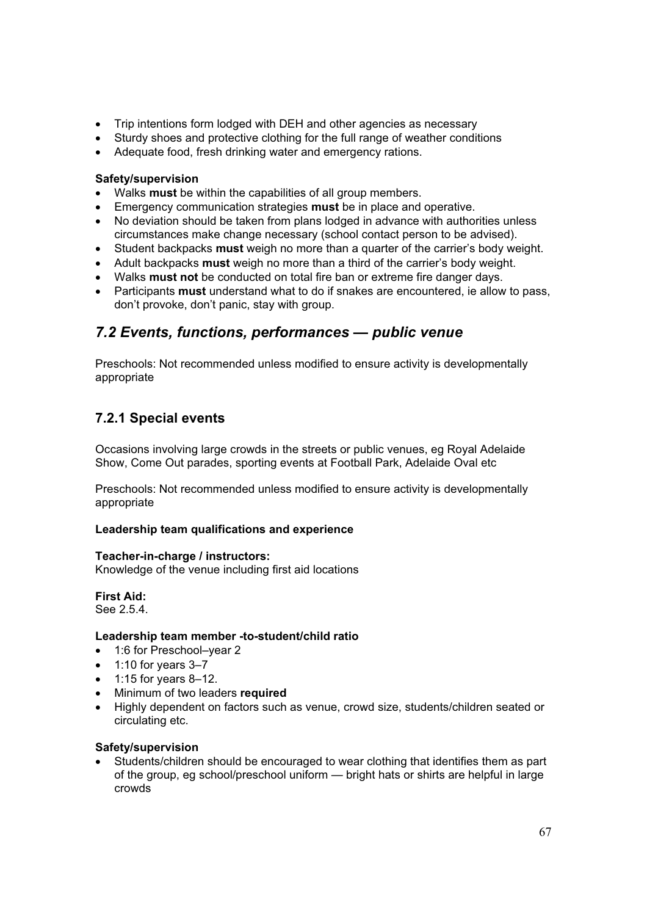- Trip intentions form lodged with DEH and other agencies as necessary
- Sturdy shoes and protective clothing for the full range of weather conditions
- Adequate food, fresh drinking water and emergency rations.

#### **Safety/supervision**

- Walks must be within the capabilities of all group members.
- **Emergency communication strategies must** be in place and operative.
- No deviation should be taken from plans lodged in advance with authorities unless circumstances make change necessary (school contact person to be advised).
- **•** Student backpacks **must** weigh no more than a quarter of the carrier's body weight.
- x Adult backpacks **must** weigh no more than a third of the carrier's body weight.
- **Walks must not** be conducted on total fire ban or extreme fire danger days.
- x Participants **must** understand what to do if snakes are encountered, ie allow to pass, don't provoke, don't panic, stay with group.

# *7.2 Events, functions, performances — public venue*

Preschools: Not recommended unless modified to ensure activity is developmentally appropriate

### **7.2.1 Special events**

Occasions involving large crowds in the streets or public venues, eg Royal Adelaide Show, Come Out parades, sporting events at Football Park, Adelaide Oval etc

Preschools: Not recommended unless modified to ensure activity is developmentally appropriate

#### **Leadership team qualifications and experience**

#### **Teacher-in-charge / instructors:**

Knowledge of the venue including first aid locations

**First Aid:**  See 2.5.4.

#### **Leadership team member -to-student/child ratio**

- 1:6 for Preschool–vear 2
- $\bullet$  1:10 for years 3–7
- $\bullet$  1:15 for years 8-12.
- **•** Minimum of two leaders **required**
- Highly dependent on factors such as venue, crowd size, students/children seated or circulating etc.

#### **Safety/supervision**

Students/children should be encouraged to wear clothing that identifies them as part of the group, eg school/preschool uniform — bright hats or shirts are helpful in large crowds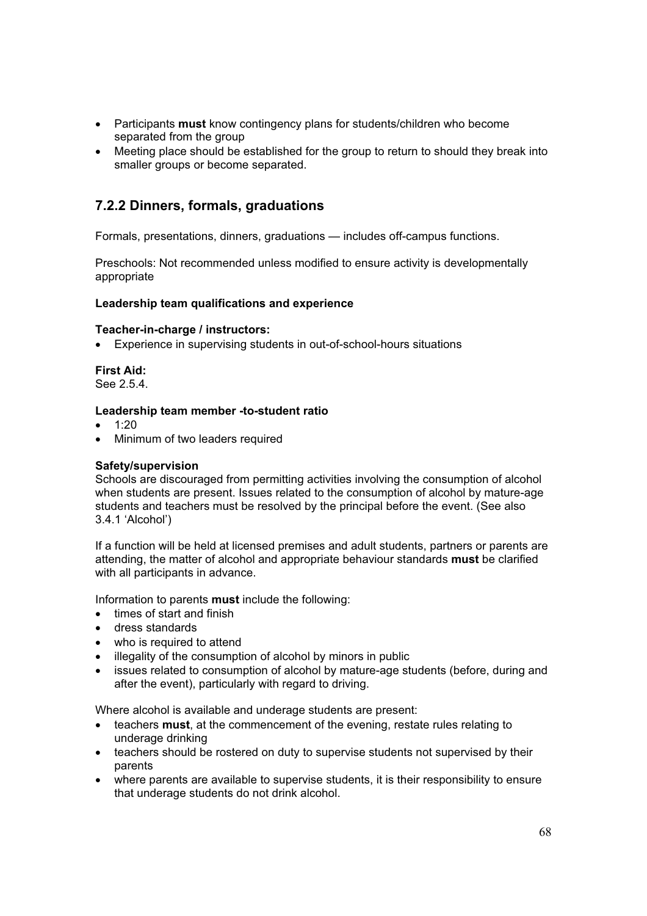- **•** Participants **must** know contingency plans for students/children who become separated from the group
- Meeting place should be established for the group to return to should they break into smaller groups or become separated.

### **7.2.2 Dinners, formals, graduations**

Formals, presentations, dinners, graduations — includes off-campus functions.

Preschools: Not recommended unless modified to ensure activity is developmentally appropriate

#### **Leadership team qualifications and experience**

#### **Teacher-in-charge / instructors:**

• Experience in supervising students in out-of-school-hours situations

**First Aid:**  See 2.5.4.

#### **Leadership team member -to-student ratio**

- $1:20$
- Minimum of two leaders required

#### **Safety/supervision**

Schools are discouraged from permitting activities involving the consumption of alcohol when students are present. Issues related to the consumption of alcohol by mature-age students and teachers must be resolved by the principal before the event. (See also 3.4.1 'Alcohol')

If a function will be held at licensed premises and adult students, partners or parents are attending, the matter of alcohol and appropriate behaviour standards **must** be clarified with all participants in advance.

Information to parents **must** include the following:

- $\bullet$  times of start and finish
- dress standards
- who is required to attend
- illegality of the consumption of alcohol by minors in public
- issues related to consumption of alcohol by mature-age students (before, during and after the event), particularly with regard to driving.

Where alcohol is available and underage students are present:

- x teachers **must**, at the commencement of the evening, restate rules relating to underage drinking
- teachers should be rostered on duty to supervise students not supervised by their parents
- where parents are available to supervise students, it is their responsibility to ensure that underage students do not drink alcohol.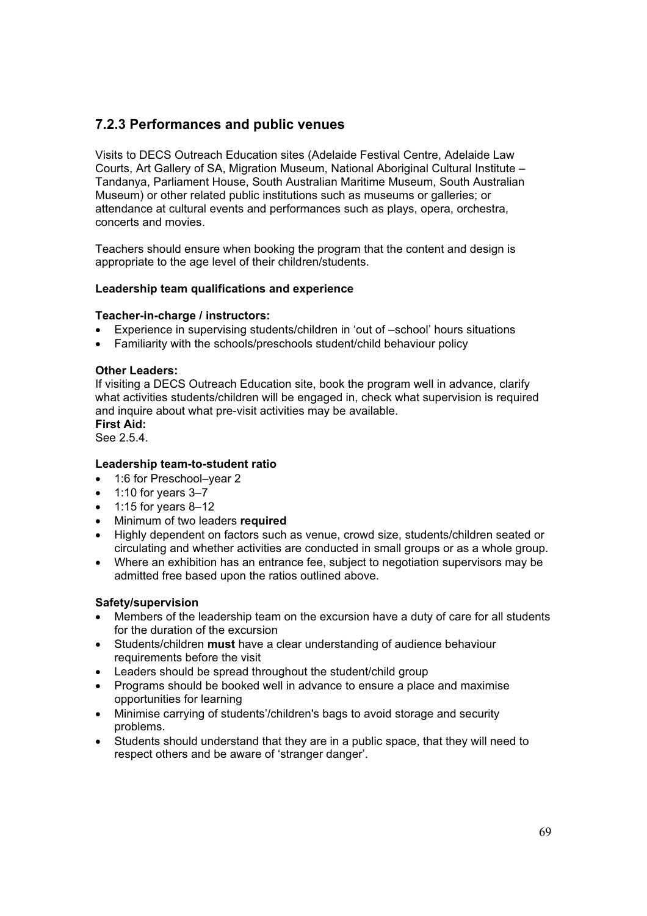### **7.2.3 Performances and public venues**

Visits to DECS Outreach Education sites (Adelaide Festival Centre, Adelaide Law Courts, Art Gallery of SA, Migration Museum, National Aboriginal Cultural Institute – Tandanya, Parliament House, South Australian Maritime Museum, South Australian Museum) or other related public institutions such as museums or galleries; or attendance at cultural events and performances such as plays, opera, orchestra, concerts and movies.

Teachers should ensure when booking the program that the content and design is appropriate to the age level of their children/students.

#### **Leadership team qualifications and experience**

#### **Teacher-in-charge / instructors:**

- Experience in supervising students/children in 'out of –school' hours situations
- Familiarity with the schools/preschools student/child behaviour policy

#### **Other Leaders:**

If visiting a DECS Outreach Education site, book the program well in advance, clarify what activities students/children will be engaged in, check what supervision is required and inquire about what pre-visit activities may be available.

**First Aid:** 

See 2.5.4.

#### **Leadership team-to-student ratio**

- 1:6 for Preschool–vear 2
- $\bullet$  1:10 for years 3–7
- $\bullet$  1:15 for years 8-12
- **•** Minimum of two leaders **required**
- Highly dependent on factors such as venue, crowd size, students/children seated or circulating and whether activities are conducted in small groups or as a whole group.
- Where an exhibition has an entrance fee, subject to negotiation supervisors may be admitted free based upon the ratios outlined above.

#### **Safety/supervision**

- Members of the leadership team on the excursion have a duty of care for all students for the duration of the excursion
- x Students/children **must** have a clear understanding of audience behaviour requirements before the visit
- Leaders should be spread throughout the student/child group
- Programs should be booked well in advance to ensure a place and maximise opportunities for learning
- Minimise carrying of students'/children's bags to avoid storage and security problems.
- Students should understand that they are in a public space, that they will need to respect others and be aware of 'stranger danger'.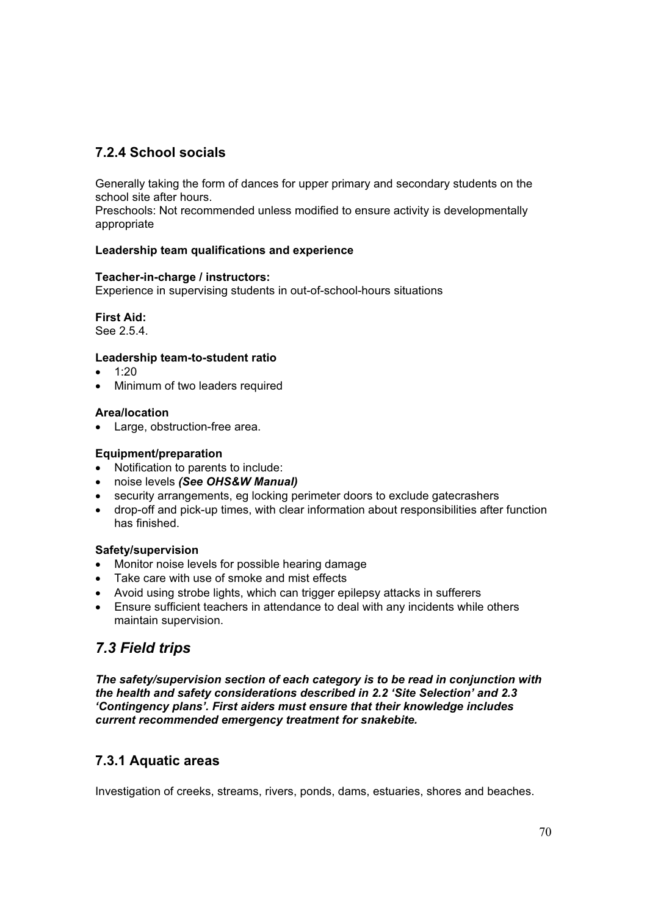# **7.2.4 School socials**

Generally taking the form of dances for upper primary and secondary students on the school site after hours.

Preschools: Not recommended unless modified to ensure activity is developmentally appropriate

## **Leadership team qualifications and experience**

#### **Teacher-in-charge / instructors:**

Experience in supervising students in out-of-school-hours situations

**First Aid:** 

See 2.5.4.

## **Leadership team-to-student ratio**

- $\bullet$  1:20
- Minimum of two leaders required

## **Area/location**

• Large, obstruction-free area.

## **Equipment/preparation**

- Notification to parents to include:
- x noise levels *(See OHS&W Manual)*
- security arrangements, eg locking perimeter doors to exclude gatecrashers
- drop-off and pick-up times, with clear information about responsibilities after function has finished.

#### **Safety/supervision**

- Monitor noise levels for possible hearing damage
- Take care with use of smoke and mist effects
- Avoid using strobe lights, which can trigger epilepsy attacks in sufferers
- Ensure sufficient teachers in attendance to deal with any incidents while others maintain supervision.

# *7.3 Field trips*

*The safety/supervision section of each category is to be read in conjunction with the health and safety considerations described in 2.2 'Site Selection' and 2.3 'Contingency plans'. First aiders must ensure that their knowledge includes current recommended emergency treatment for snakebite.* 

# **7.3.1 Aquatic areas**

Investigation of creeks, streams, rivers, ponds, dams, estuaries, shores and beaches.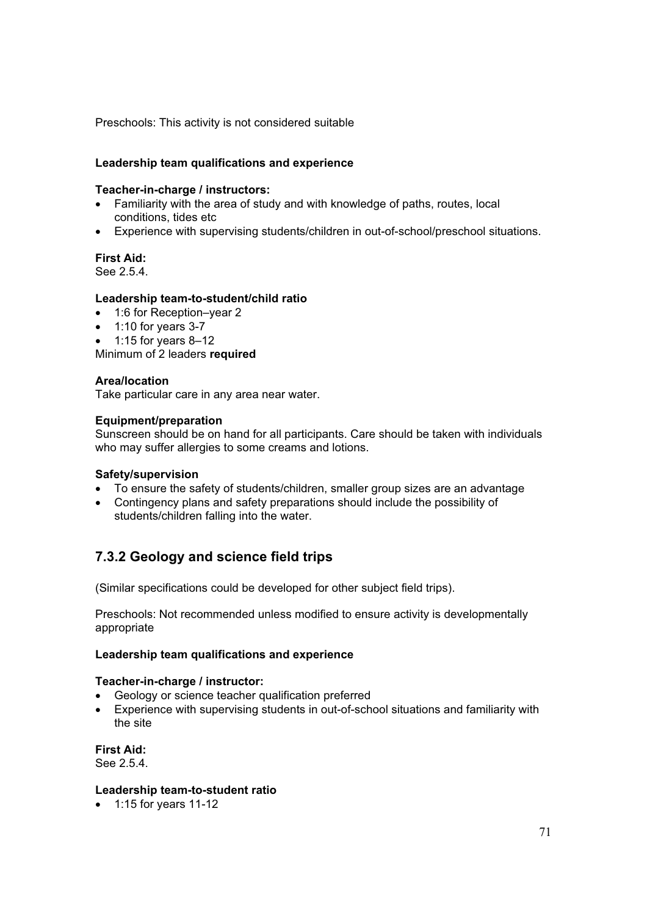Preschools: This activity is not considered suitable

### **Leadership team qualifications and experience**

#### **Teacher-in-charge / instructors:**

- Familiarity with the area of study and with knowledge of paths, routes, local conditions, tides etc
- Experience with supervising students/children in out-of-school/preschool situations.

## **First Aid:**

See 2.5.4.

## **Leadership team-to-student/child ratio**

- 1:6 for Reception–year 2
- $\bullet$  1:10 for years 3-7
- $\bullet$  1:15 for years 8–12

Minimum of 2 leaders **required** 

#### **Area/location**

Take particular care in any area near water.

#### **Equipment/preparation**

Sunscreen should be on hand for all participants. Care should be taken with individuals who may suffer allergies to some creams and lotions.

#### **Safety/supervision**

- To ensure the safety of students/children, smaller group sizes are an advantage
- Contingency plans and safety preparations should include the possibility of students/children falling into the water.

# **7.3.2 Geology and science field trips**

(Similar specifications could be developed for other subject field trips).

Preschools: Not recommended unless modified to ensure activity is developmentally appropriate

#### **Leadership team qualifications and experience**

#### **Teacher-in-charge / instructor:**

- Geology or science teacher qualification preferred
- Experience with supervising students in out-of-school situations and familiarity with the site

**First Aid:**  See 2.5.4.

#### **Leadership team-to-student ratio**

 $\bullet$  1:15 for years 11-12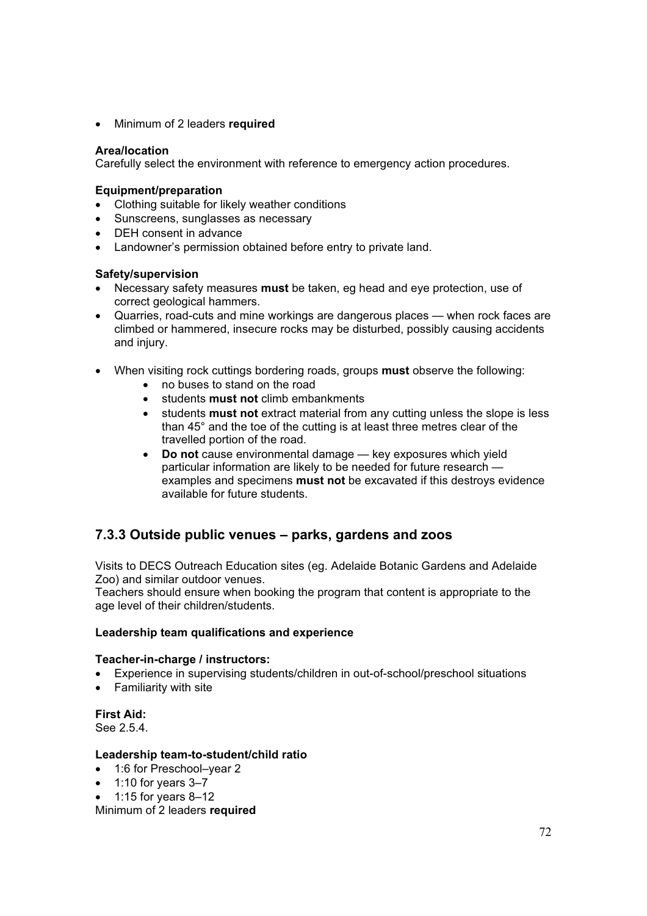x Minimum of 2 leaders **required** 

### **Area/location**

Carefully select the environment with reference to emergency action procedures.

#### **Equipment/preparation**

- Clothing suitable for likely weather conditions
- Sunscreens, sunglasses as necessary
- DEH consent in advance
- Landowner's permission obtained before entry to private land.

## **Safety/supervision**

- x Necessary safety measures **must** be taken, eg head and eye protection, use of correct geological hammers.
- Quarries, road-cuts and mine workings are dangerous places when rock faces are climbed or hammered, insecure rocks may be disturbed, possibly causing accidents and injury.
- x When visiting rock cuttings bordering roads, groups **must** observe the following:
	- no buses to stand on the road
	- x students **must not** climb embankments
	- students **must not** extract material from any cutting unless the slope is less than 45° and the toe of the cutting is at least three metres clear of the travelled portion of the road.
	- **Do not** cause environmental damage key exposures which yield particular information are likely to be needed for future research examples and specimens **must not** be excavated if this destroys evidence available for future students.

# **7.3.3 Outside public venues – parks, gardens and zoos**

Visits to DECS Outreach Education sites (eg. Adelaide Botanic Gardens and Adelaide Zoo) and similar outdoor venues.

Teachers should ensure when booking the program that content is appropriate to the age level of their children/students.

#### **Leadership team qualifications and experience**

#### **Teacher-in-charge / instructors:**

- x Experience in supervising students/children in out-of-school/preschool situations
- Familiarity with site

**First Aid:** 

See 2.5.4.

#### **Leadership team-to-student/child ratio**

- 1:6 for Preschool–vear 2
- $\bullet$  1:10 for years 3–7
- x 1:15 for years 8–12

Minimum of 2 leaders **required**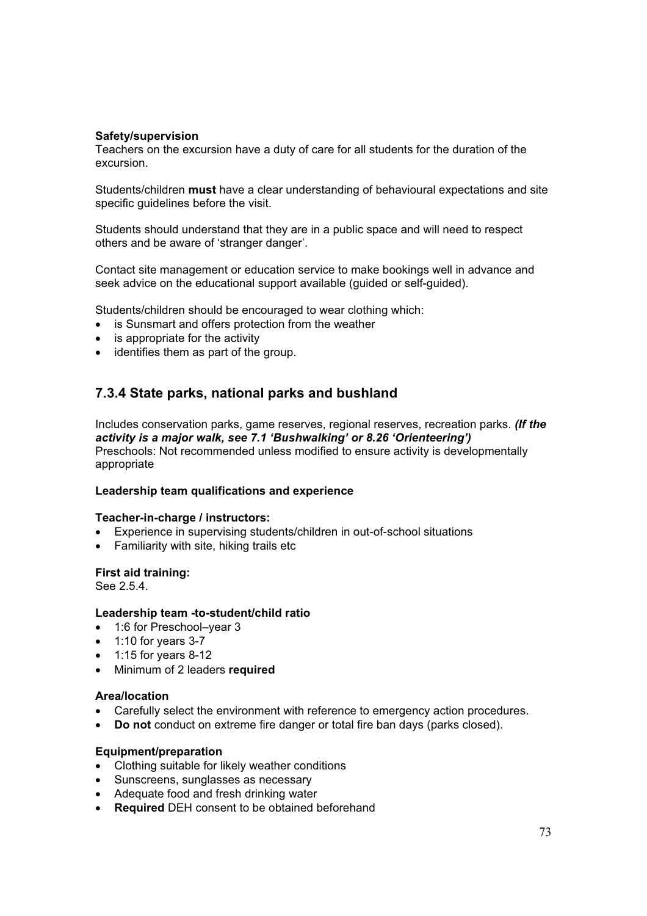#### **Safety/supervision**

Teachers on the excursion have a duty of care for all students for the duration of the excursion.

Students/children **must** have a clear understanding of behavioural expectations and site specific guidelines before the visit.

Students should understand that they are in a public space and will need to respect others and be aware of 'stranger danger'.

Contact site management or education service to make bookings well in advance and seek advice on the educational support available (quided or self-quided).

Students/children should be encouraged to wear clothing which:

- is Sunsmart and offers protection from the weather
- $\bullet$  is appropriate for the activity
- $\bullet$  identifies them as part of the group.

# **7.3.4 State parks, national parks and bushland**

Includes conservation parks, game reserves, regional reserves, recreation parks. *(If the activity is a major walk, see 7.1 'Bushwalking' or 8.26 'Orienteering')* Preschools: Not recommended unless modified to ensure activity is developmentally appropriate

#### **Leadership team qualifications and experience**

#### **Teacher-in-charge / instructors:**

- Experience in supervising students/children in out-of-school situations
- Familiarity with site, hiking trails etc

#### **First aid training:**

See 2.5.4.

#### **Leadership team -to-student/child ratio**

- 1:6 for Preschool–year 3
- $\bullet$  1:10 for years 3-7
- $\bullet$  1:15 for years 8-12
- x Minimum of 2 leaders **required**

#### **Area/location**

- Carefully select the environment with reference to emergency action procedures.
- **Do not** conduct on extreme fire danger or total fire ban days (parks closed).

#### **Equipment/preparation**

- Clothing suitable for likely weather conditions
- Sunscreens, sunglasses as necessary
- Adequate food and fresh drinking water
- **Required** DEH consent to be obtained beforehand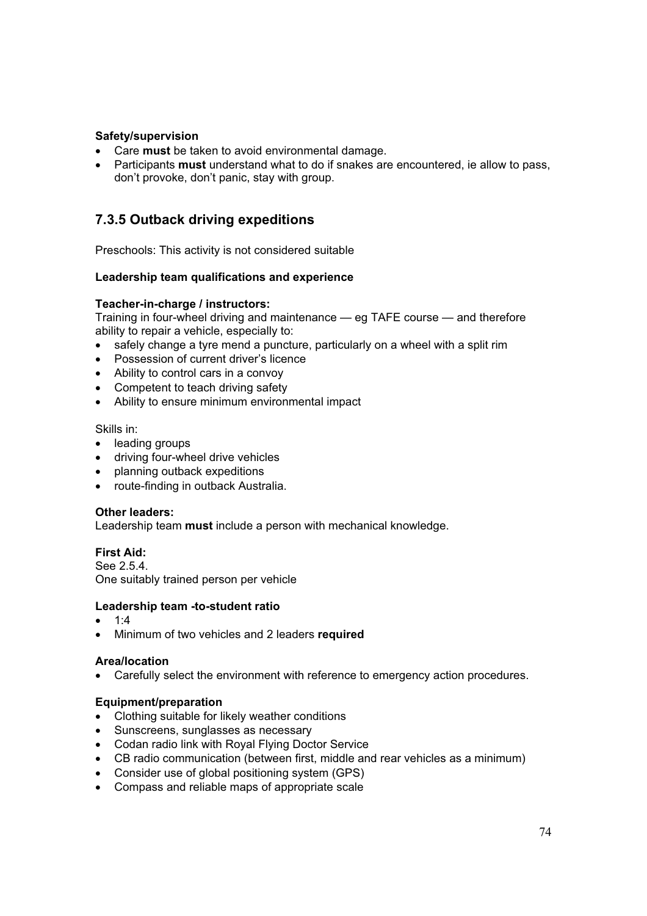## **Safety/supervision**

- **Care must** be taken to avoid environmental damage.<br>• Participants must understand what to do if snakes are
- x Participants **must** understand what to do if snakes are encountered, ie allow to pass, don't provoke, don't panic, stay with group.

# **7.3.5 Outback driving expeditions**

Preschools: This activity is not considered suitable

#### **Leadership team qualifications and experience**

#### **Teacher-in-charge / instructors:**

Training in four-wheel driving and maintenance — eg TAFE course — and therefore ability to repair a vehicle, especially to:

- safely change a tyre mend a puncture, particularly on a wheel with a split rim
- Possession of current driver's licence
- Ability to control cars in a convoy
- Competent to teach driving safety
- Ability to ensure minimum environmental impact

Skills in:

- leading groups
- driving four-wheel drive vehicles
- planning outback expeditions
- route-finding in outback Australia.

#### **Other leaders:**

Leadership team **must** include a person with mechanical knowledge.

**First Aid:**  See 2.5.4. One suitably trained person per vehicle

## **Leadership team -to-student ratio**

- $1:4$
- x Minimum of two vehicles and 2 leaders **required**

#### **Area/location**

• Carefully select the environment with reference to emergency action procedures.

#### **Equipment/preparation**

- Clothing suitable for likely weather conditions
- Sunscreens, sunglasses as necessary
- Codan radio link with Royal Flying Doctor Service
- CB radio communication (between first, middle and rear vehicles as a minimum)
- Consider use of global positioning system (GPS)
- Compass and reliable maps of appropriate scale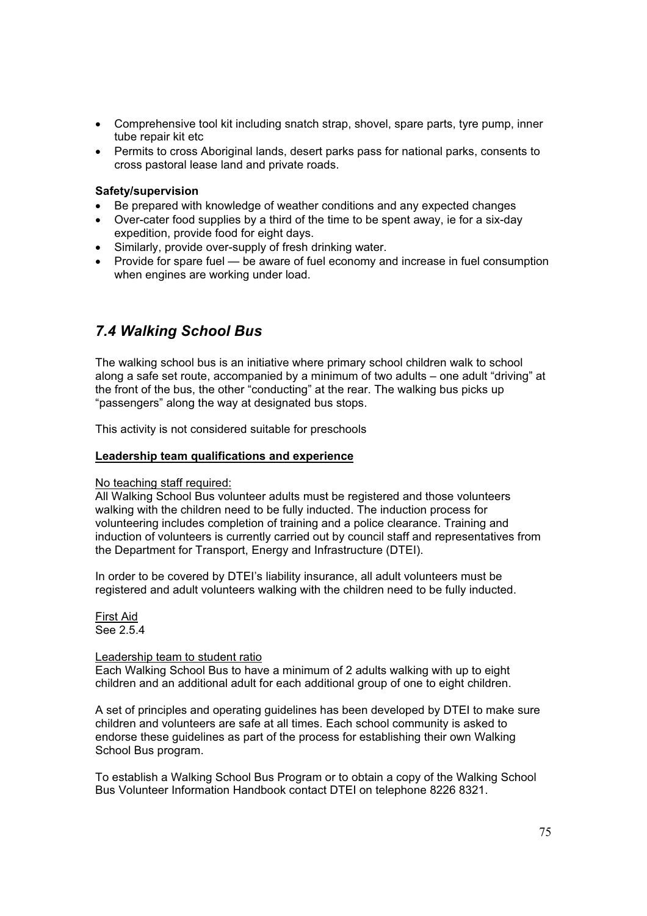- Comprehensive tool kit including snatch strap, shovel, spare parts, tyre pump, inner tube repair kit etc
- Permits to cross Aboriginal lands, desert parks pass for national parks, consents to cross pastoral lease land and private roads.

### **Safety/supervision**

- Be prepared with knowledge of weather conditions and any expected changes
- Over-cater food supplies by a third of the time to be spent away, ie for a six-day expedition, provide food for eight days.
- Similarly, provide over-supply of fresh drinking water.
- Provide for spare fuel be aware of fuel economy and increase in fuel consumption when engines are working under load.

# *7.4 Walking School Bus*

The walking school bus is an initiative where primary school children walk to school along a safe set route, accompanied by a minimum of two adults – one adult "driving" at the front of the bus, the other "conducting" at the rear. The walking bus picks up "passengers" along the way at designated bus stops.

This activity is not considered suitable for preschools

#### **Leadership team qualifications and experience**

No teaching staff required:

All Walking School Bus volunteer adults must be registered and those volunteers walking with the children need to be fully inducted. The induction process for volunteering includes completion of training and a police clearance. Training and induction of volunteers is currently carried out by council staff and representatives from the Department for Transport, Energy and Infrastructure (DTEI).

In order to be covered by DTEI's liability insurance, all adult volunteers must be registered and adult volunteers walking with the children need to be fully inducted.

First Aid See 2.5.4

#### Leadership team to student ratio

Each Walking School Bus to have a minimum of 2 adults walking with up to eight children and an additional adult for each additional group of one to eight children.

A set of principles and operating guidelines has been developed by DTEI to make sure children and volunteers are safe at all times. Each school community is asked to endorse these guidelines as part of the process for establishing their own Walking School Bus program.

To establish a Walking School Bus Program or to obtain a copy of the Walking School Bus Volunteer Information Handbook contact DTEI on telephone 8226 8321.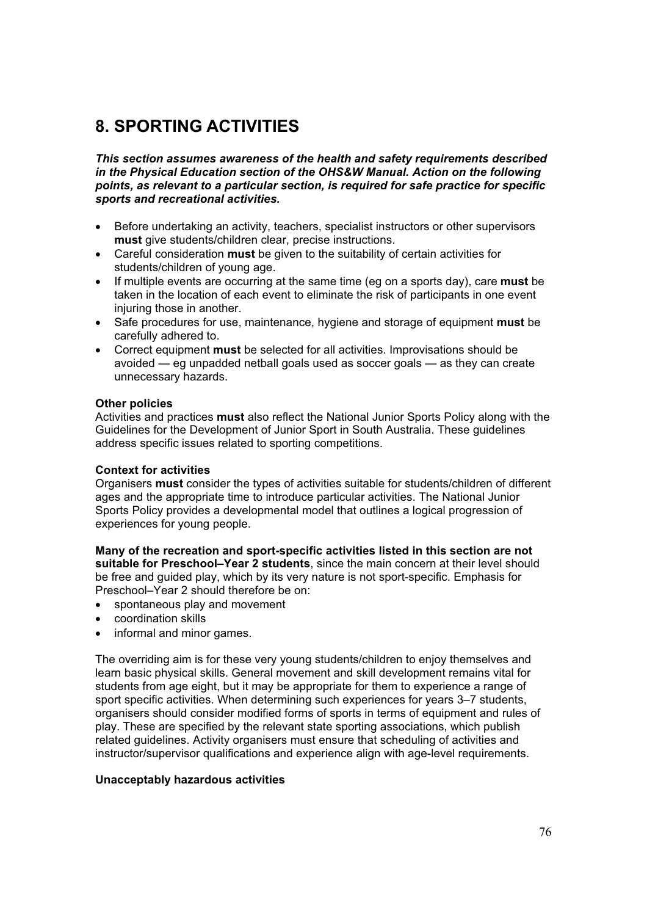# **8. SPORTING ACTIVITIES**

*This section assumes awareness of the health and safety requirements described in the Physical Education section of the OHS&W Manual. Action on the following points, as relevant to a particular section, is required for safe practice for specific sports and recreational activities.* 

- Before undertaking an activity, teachers, specialist instructors or other supervisors **must** give students/children clear, precise instructions.
- x Careful consideration **must** be given to the suitability of certain activities for students/children of young age.
- x If multiple events are occurring at the same time (eg on a sports day), care **must** be taken in the location of each event to eliminate the risk of participants in one event injuring those in another.
- Safe procedures for use, maintenance, hygiene and storage of equipment **must** be carefully adhered to.
- **•** Correct equipment **must** be selected for all activities. Improvisations should be avoided — eg unpadded netball goals used as soccer goals — as they can create unnecessary hazards.

#### **Other policies**

Activities and practices **must** also reflect the National Junior Sports Policy along with the Guidelines for the Development of Junior Sport in South Australia. These guidelines address specific issues related to sporting competitions.

#### **Context for activities**

Organisers **must** consider the types of activities suitable for students/children of different ages and the appropriate time to introduce particular activities. The National Junior Sports Policy provides a developmental model that outlines a logical progression of experiences for young people.

**Many of the recreation and sport-specific activities listed in this section are not suitable for Preschool–Year 2 students**, since the main concern at their level should be free and guided play, which by its very nature is not sport-specific. Emphasis for Preschool–Year 2 should therefore be on:

- spontaneous play and movement
- coordination skills
- informal and minor games.

The overriding aim is for these very young students/children to enjoy themselves and learn basic physical skills. General movement and skill development remains vital for students from age eight, but it may be appropriate for them to experience a range of sport specific activities. When determining such experiences for years 3–7 students, organisers should consider modified forms of sports in terms of equipment and rules of play. These are specified by the relevant state sporting associations, which publish related guidelines. Activity organisers must ensure that scheduling of activities and instructor/supervisor qualifications and experience align with age-level requirements.

#### **Unacceptably hazardous activities**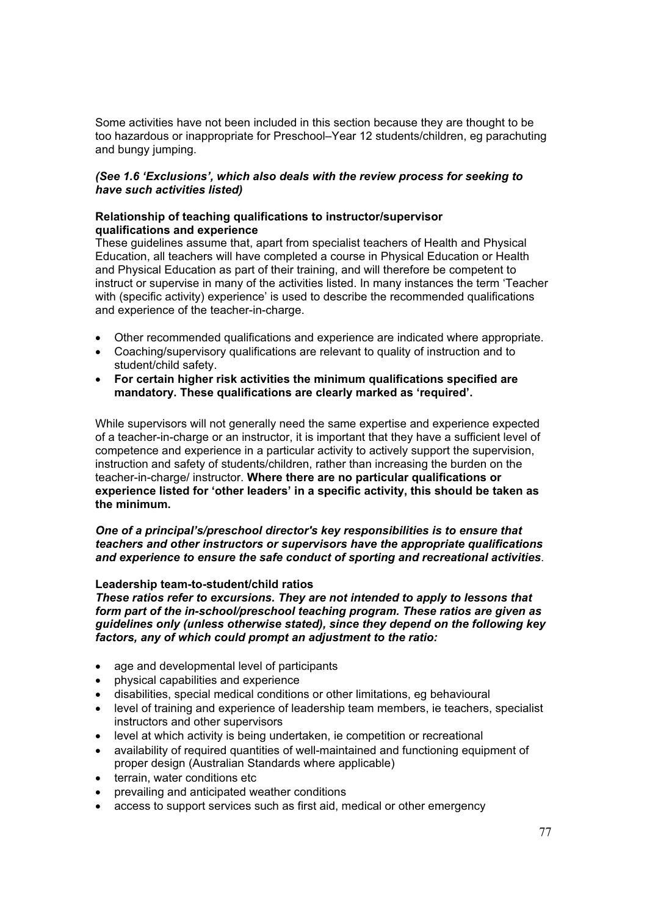Some activities have not been included in this section because they are thought to be too hazardous or inappropriate for Preschool–Year 12 students/children, eg parachuting and bungy jumping.

### *(See 1.6 'Exclusions', which also deals with the review process for seeking to have such activities listed)*

#### **Relationship of teaching qualifications to instructor/supervisor qualifications and experience**

These guidelines assume that, apart from specialist teachers of Health and Physical Education, all teachers will have completed a course in Physical Education or Health and Physical Education as part of their training, and will therefore be competent to instruct or supervise in many of the activities listed. In many instances the term 'Teacher with (specific activity) experience' is used to describe the recommended qualifications and experience of the teacher-in-charge.

- Other recommended qualifications and experience are indicated where appropriate.
- Coaching/supervisory qualifications are relevant to quality of instruction and to student/child safety.
- x **For certain higher risk activities the minimum qualifications specified are mandatory. These qualifications are clearly marked as 'required'.**

While supervisors will not generally need the same expertise and experience expected of a teacher-in-charge or an instructor, it is important that they have a sufficient level of competence and experience in a particular activity to actively support the supervision, instruction and safety of students/children, rather than increasing the burden on the teacher-in-charge/ instructor. **Where there are no particular qualifications or experience listed for 'other leaders' in a specific activity, this should be taken as the minimum.** 

#### *One of a principal's/preschool director's key responsibilities is to ensure that teachers and other instructors or supervisors have the appropriate qualifications and experience to ensure the safe conduct of sporting and recreational activities*.

#### **Leadership team-to-student/child ratios**

*These ratios refer to excursions. They are not intended to apply to lessons that form part of the in-school/preschool teaching program. These ratios are given as guidelines only (unless otherwise stated), since they depend on the following key factors, any of which could prompt an adjustment to the ratio:* 

- age and developmental level of participants
- physical capabilities and experience
- disabilities, special medical conditions or other limitations, eg behavioural
- level of training and experience of leadership team members, ie teachers, specialist instructors and other supervisors
- level at which activity is being undertaken, ie competition or recreational
- availability of required quantities of well-maintained and functioning equipment of proper design (Australian Standards where applicable)
- terrain, water conditions etc
- prevailing and anticipated weather conditions
- access to support services such as first aid, medical or other emergency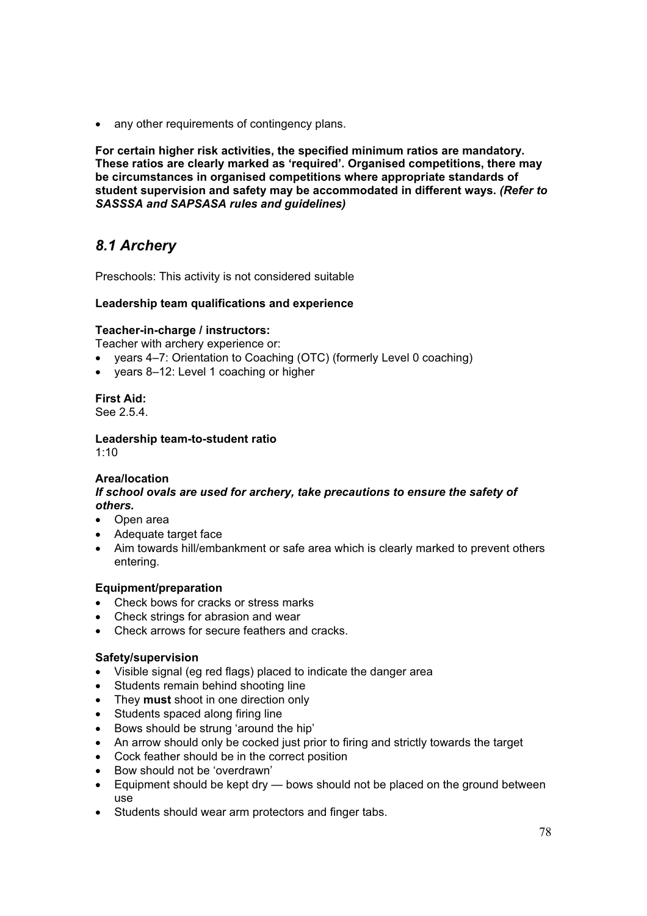• any other requirements of contingency plans.

**For certain higher risk activities, the specified minimum ratios are mandatory. These ratios are clearly marked as 'required'. Organised competitions, there may be circumstances in organised competitions where appropriate standards of student supervision and safety may be accommodated in different ways.** *(Refer to SASSSA and SAPSASA rules and guidelines)*

# *8.1 Archery*

Preschools: This activity is not considered suitable

# **Leadership team qualifications and experience**

# **Teacher-in-charge / instructors:**

Teacher with archery experience or:

- years 4–7: Orientation to Coaching (OTC) (formerly Level 0 coaching)
- years 8-12: Level 1 coaching or higher

**First Aid:**  See 2.5.4.

**Leadership team-to-student ratio**   $1:10$ 

# **Area/location**

*If school ovals are used for archery, take precautions to ensure the safety of others.*

- Open area
- Adequate target face
- Aim towards hill/embankment or safe area which is clearly marked to prevent others entering.

# **Equipment/preparation**

- Check bows for cracks or stress marks
- Check strings for abrasion and wear
- Check arrows for secure feathers and cracks.

#### **Safety/supervision**

- Visible signal (eg red flags) placed to indicate the danger area
- Students remain behind shooting line
- They **must** shoot in one direction only
- Students spaced along firing line
- Bows should be strung 'around the hip'
- An arrow should only be cocked just prior to firing and strictly towards the target
- Cock feather should be in the correct position
- Bow should not be 'overdrawn'
- Equipment should be kept dry  $-$  bows should not be placed on the ground between use
- Students should wear arm protectors and finger tabs.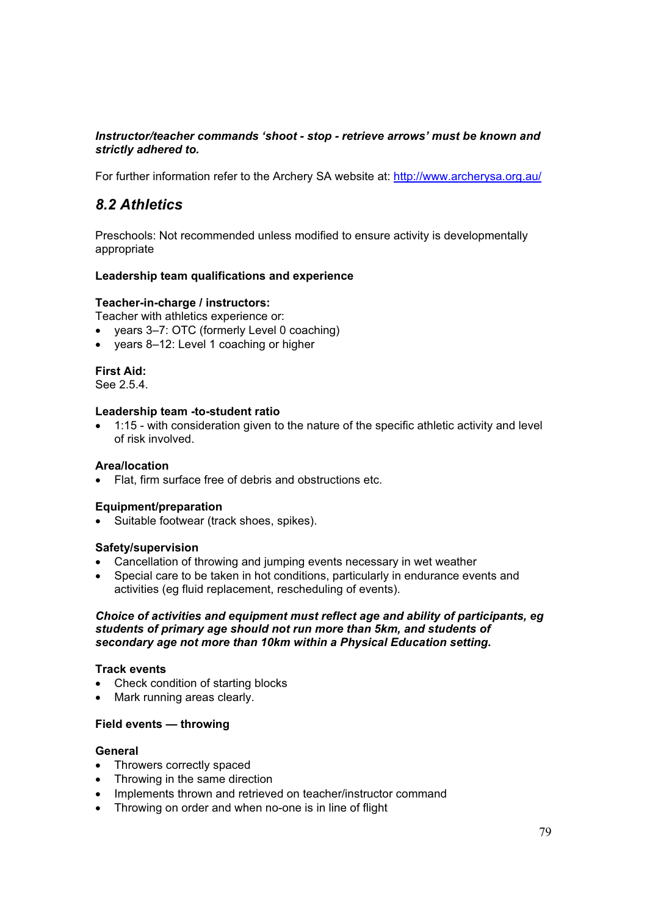# *Instructor/teacher commands 'shoot - stop - retrieve arrows' must be known and strictly adhered to.*

For further information refer to the Archery SA website at: http://www.archerysa.org.au/

# *8.2 Athletics*

Preschools: Not recommended unless modified to ensure activity is developmentally appropriate

## **Leadership team qualifications and experience**

#### **Teacher-in-charge / instructors:**

Teacher with athletics experience or:

- years 3–7: OTC (formerly Level 0 coaching)
- vears 8–12: Level 1 coaching or higher

# **First Aid:**

See 2.5.4.

#### **Leadership team -to-student ratio**

• 1:15 - with consideration given to the nature of the specific athletic activity and level of risk involved.

## **Area/location**

• Flat, firm surface free of debris and obstructions etc.

#### **Equipment/preparation**

• Suitable footwear (track shoes, spikes).

#### **Safety/supervision**

- Cancellation of throwing and jumping events necessary in wet weather
- Special care to be taken in hot conditions, particularly in endurance events and activities (eg fluid replacement, rescheduling of events).

#### *Choice of activities and equipment must reflect age and ability of participants, eg students of primary age should not run more than 5km, and students of secondary age not more than 10km within a Physical Education setting.*

#### **Track events**

- Check condition of starting blocks
- Mark running areas clearly.

#### **Field events — throwing**

#### **General**

- Throwers correctly spaced
- Throwing in the same direction
- Implements thrown and retrieved on teacher/instructor command
- Throwing on order and when no-one is in line of flight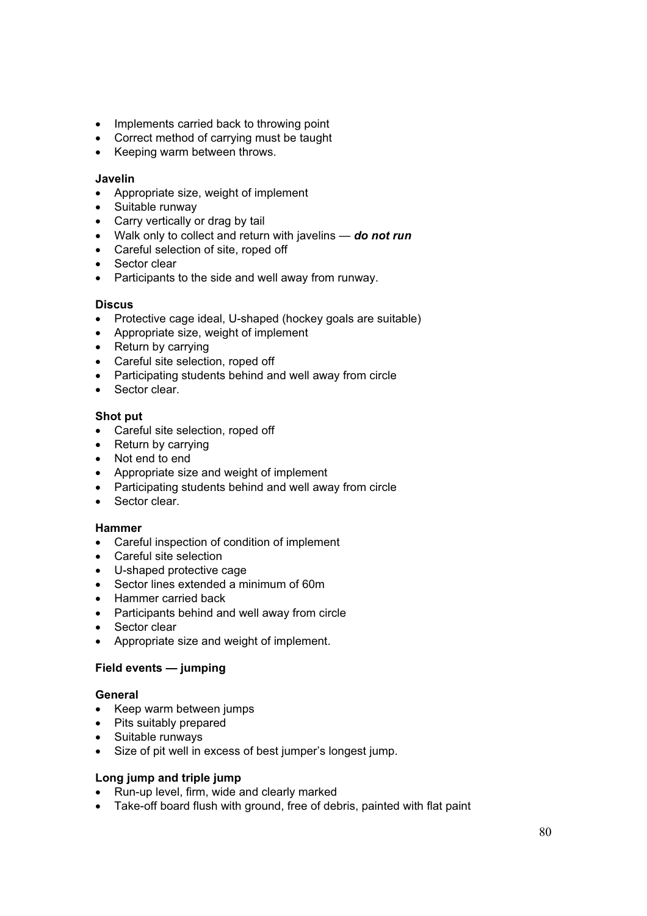- Implements carried back to throwing point
- Correct method of carrying must be taught
- Keeping warm between throws.

#### **Javelin**

- Appropriate size, weight of implement
- Suitable runway
- Carry vertically or drag by tail
- x Walk only to collect and return with javelins *do not run*
- Careful selection of site, roped off
- Sector clear
- Participants to the side and well away from runway.

#### **Discus**

- Protective cage ideal, U-shaped (hockey goals are suitable)
- Appropriate size, weight of implement
- $\bullet$  Return by carrying
- Careful site selection, roped off
- Participating students behind and well away from circle
- $\bullet$  Sector clear.

# **Shot put**

- Careful site selection, roped off
- $\bullet$  Return by carrying
- Not end to end
- Appropriate size and weight of implement
- Participating students behind and well away from circle
- Sector clear.

#### **Hammer**

- Careful inspection of condition of implement
- Careful site selection
- U-shaped protective cage
- Sector lines extended a minimum of 60m
- Hammer carried back
- Participants behind and well away from circle
- Sector clear
- Appropriate size and weight of implement.

#### **Field events — jumping**

#### **General**

- Keep warm between jumps
- $\bullet$  Pits suitably prepared
- Suitable runways
- Size of pit well in excess of best jumper's longest jump.

# **Long jump and triple jump**

- Run-up level, firm, wide and clearly marked
- Take-off board flush with ground, free of debris, painted with flat paint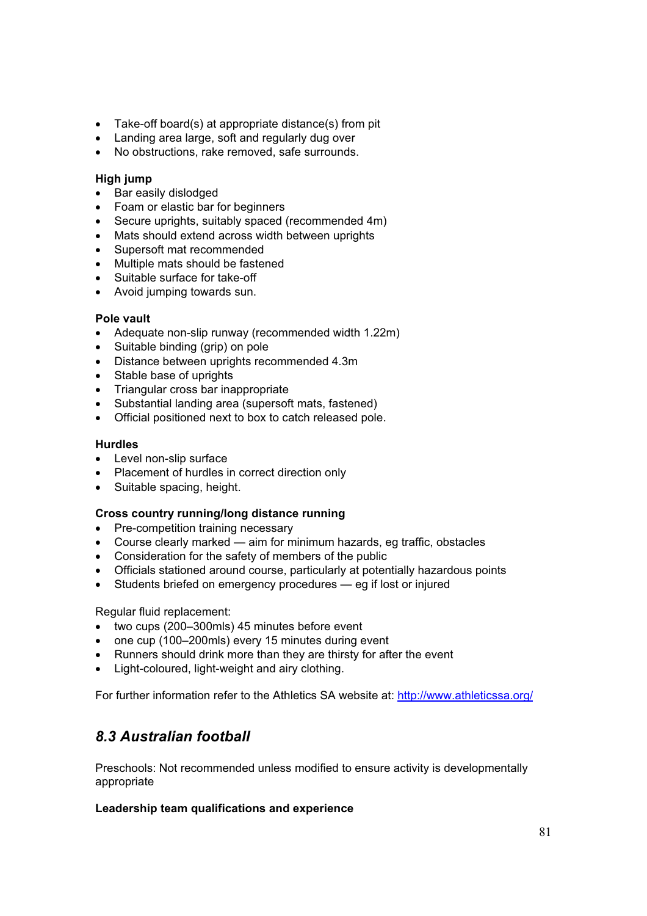- Take-off board(s) at appropriate distance(s) from pit
- Landing area large, soft and regularly dug over
- No obstructions, rake removed, safe surrounds.

#### **High jump**

- Bar easily dislodged
- Foam or elastic bar for beginners
- Secure uprights, suitably spaced (recommended 4m)
- Mats should extend across width between uprights
- Supersoft mat recommended
- Multiple mats should be fastened
- Suitable surface for take-off
- Avoid jumping towards sun.

## **Pole vault**

- Adequate non-slip runway (recommended width 1.22m)
- Suitable binding (grip) on pole
- Distance between uprights recommended 4.3m
- Stable base of uprights
- Triangular cross bar inappropriate
- Substantial landing area (supersoft mats, fastened)
- Official positioned next to box to catch released pole.

## **Hurdles**

- Level non-slip surface
- Placement of hurdles in correct direction only
- $\bullet$  Suitable spacing, height.

#### **Cross country running/long distance running**

- Pre-competition training necessary
- Course clearly marked aim for minimum hazards, eg traffic, obstacles
- Consideration for the safety of members of the public
- Officials stationed around course, particularly at potentially hazardous points
- $\bullet$  Students briefed on emergency procedures  $\_\,$  eg if lost or injured

Regular fluid replacement:

- $\bullet$  two cups (200–300mls) 45 minutes before event
- one cup (100–200mls) every 15 minutes during event
- Runners should drink more than they are thirsty for after the event
- Light-coloured, light-weight and airy clothing.

For further information refer to the Athletics SA website at: http://www.athleticssa.org/

# *8.3 Australian football*

Preschools: Not recommended unless modified to ensure activity is developmentally appropriate

# **Leadership team qualifications and experience**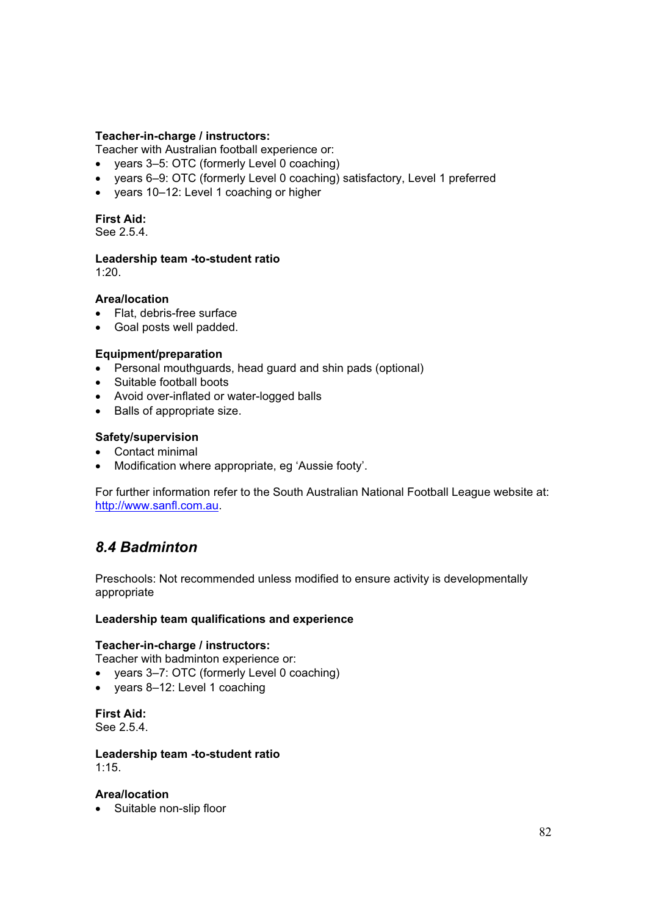## **Teacher-in-charge / instructors:**

Teacher with Australian football experience or:

- years 3–5: OTC (formerly Level 0 coaching)
- x years 6–9: OTC (formerly Level 0 coaching) satisfactory, Level 1 preferred
- years 10-12: Level 1 coaching or higher

# **First Aid:**

See 2.5.4.

## **Leadership team -to-student ratio**

1:20.

## **Area/location**

- Flat, debris-free surface
- Goal posts well padded.

## **Equipment/preparation**

- Personal mouthguards, head guard and shin pads (optional)
- Suitable football boots
- Avoid over-inflated or water-logged balls
- $\bullet$  Balls of appropriate size.

## **Safety/supervision**

- Contact minimal
- Modification where appropriate, eg 'Aussie footy'.

For further information refer to the South Australian National Football League website at: http://www.sanfl.com.au.

# *8.4 Badminton*

Preschools: Not recommended unless modified to ensure activity is developmentally appropriate

#### **Leadership team qualifications and experience**

#### **Teacher-in-charge / instructors:**

Teacher with badminton experience or:

- years 3–7: OTC (formerly Level 0 coaching)
- $\bullet$  years 8–12: Level 1 coaching

#### **First Aid:**

See 2.5.4.

#### **Leadership team -to-student ratio**  1:15.

#### **Area/location**

• Suitable non-slip floor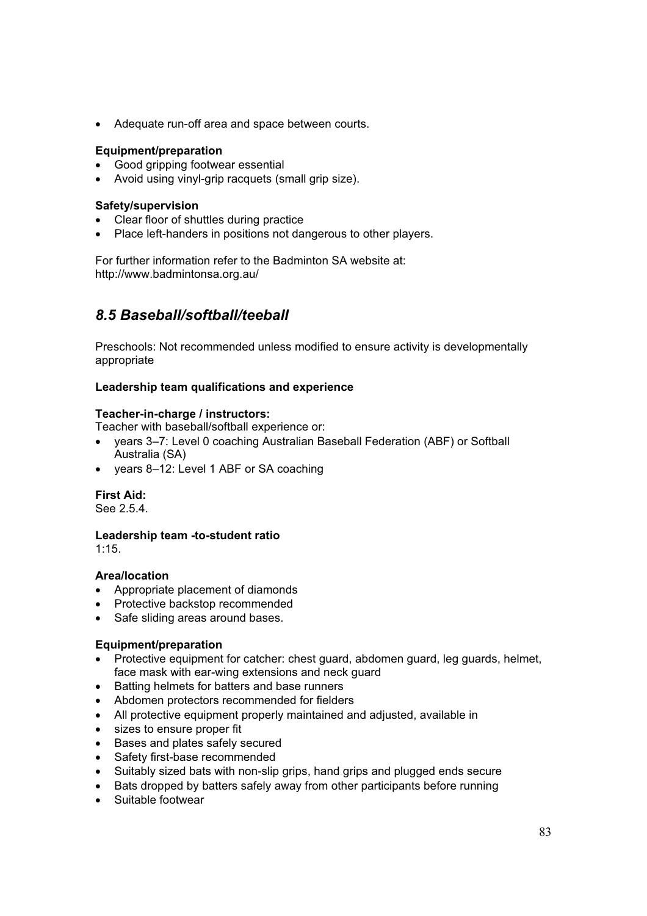• Adequate run-off area and space between courts.

## **Equipment/preparation**

- Good gripping footwear essential
- Avoid using vinyl-grip racquets (small grip size).

## **Safety/supervision**

- Clear floor of shuttles during practice
- Place left-handers in positions not dangerous to other players.

For further information refer to the Badminton SA website at: http://www.badmintonsa.org.au/

# *8.5 Baseball/softball/teeball*

Preschools: Not recommended unless modified to ensure activity is developmentally appropriate

## **Leadership team qualifications and experience**

## **Teacher-in-charge / instructors:**

Teacher with baseball/softball experience or:

- years 3–7: Level 0 coaching Australian Baseball Federation (ABF) or Softball Australia (SA)
- years 8-12: Level 1 ABF or SA coaching

# **First Aid:**

See 2.5.4.

#### **Leadership team -to-student ratio**

1:15.

#### **Area/location**

- Appropriate placement of diamonds
- Protective backstop recommended
- Safe sliding areas around bases.

#### **Equipment/preparation**

- Protective equipment for catcher: chest guard, abdomen guard, leg guards, helmet, face mask with ear-wing extensions and neck guard
- Batting helmets for batters and base runners
- Abdomen protectors recommended for fielders
- All protective equipment properly maintained and adjusted, available in
- sizes to ensure proper fit
- Bases and plates safely secured
- Safety first-base recommended
- Suitably sized bats with non-slip grips, hand grips and plugged ends secure
- Bats dropped by batters safely away from other participants before running
- Suitable footwear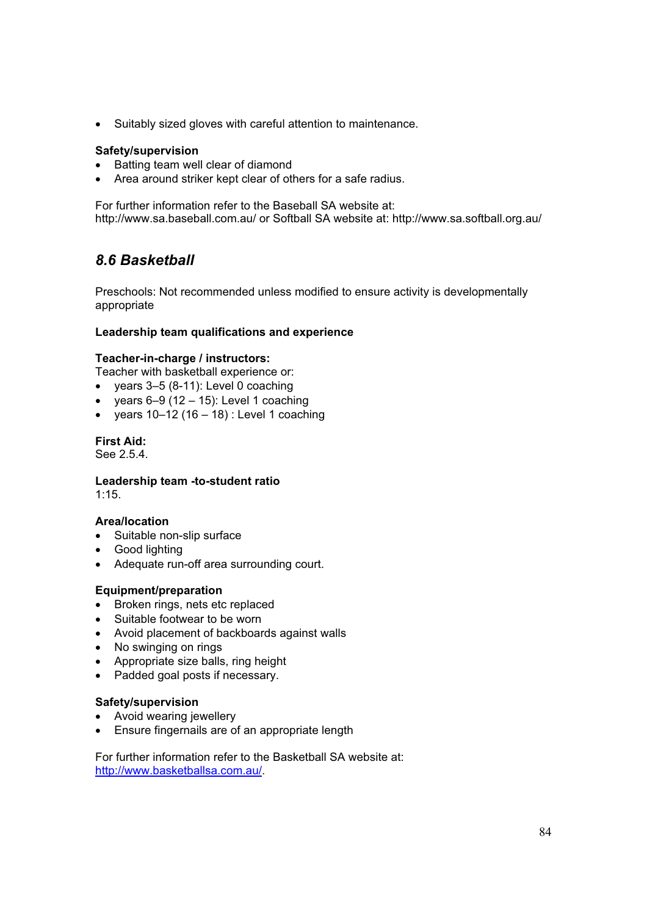• Suitably sized gloves with careful attention to maintenance.

### **Safety/supervision**

- Batting team well clear of diamond
- Area around striker kept clear of others for a safe radius.

For further information refer to the Baseball SA website at: http://www.sa.baseball.com.au/ or Softball SA website at: http://www.sa.softball.org.au/

# *8.6 Basketball*

Preschools: Not recommended unless modified to ensure activity is developmentally appropriate

## **Leadership team qualifications and experience**

#### **Teacher-in-charge / instructors:**

Teacher with basketball experience or:

- $\bullet$  years 3–5 (8-11): Level 0 coaching
- vears  $6-9$  (12 15): Level 1 coaching
- vears  $10-12$  (16 18) : Level 1 coaching

**First Aid:** 

See 2.5.4.

**Leadership team -to-student ratio**  1:15.

#### **Area/location**

- Suitable non-slip surface
- Good lighting
- Adequate run-off area surrounding court.

#### **Equipment/preparation**

- Broken rings, nets etc replaced
- Suitable footwear to be worn
- Avoid placement of backboards against walls
- No swinging on rings
- Appropriate size balls, ring height
- Padded goal posts if necessary.

#### **Safety/supervision**

- Avoid wearing jewellery
- Ensure fingernails are of an appropriate length

For further information refer to the Basketball SA website at: http://www.basketballsa.com.au/.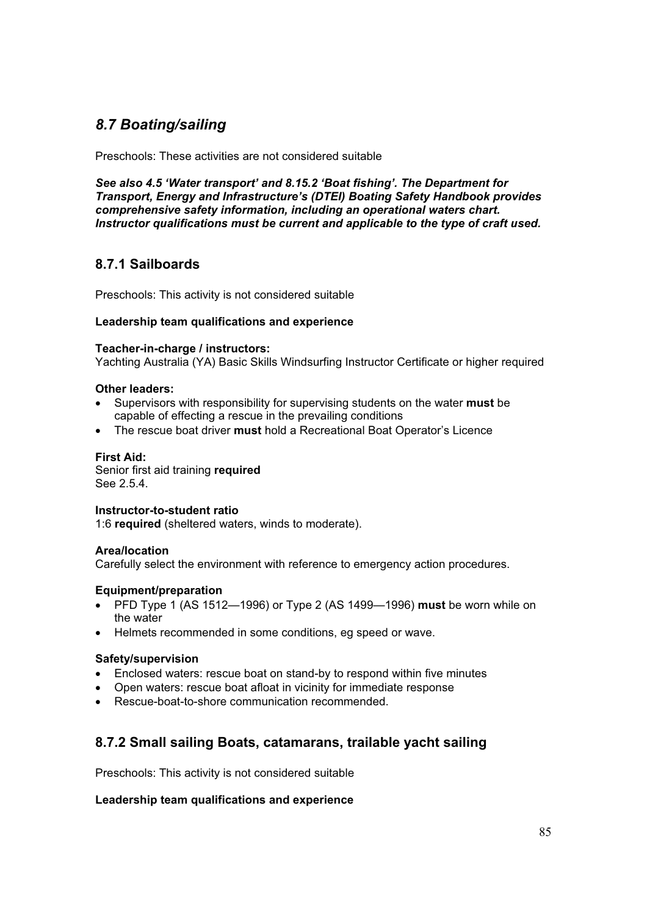# *8.7 Boating/sailing*

Preschools: These activities are not considered suitable

*See also 4.5 'Water transport' and 8.15.2 'Boat fishing'. The Department for Transport, Energy and Infrastructure's (DTEI) Boating Safety Handbook provides comprehensive safety information, including an operational waters chart. Instructor qualifications must be current and applicable to the type of craft used.* 

# **8.7.1 Sailboards**

Preschools: This activity is not considered suitable

# **Leadership team qualifications and experience**

#### **Teacher-in-charge / instructors:**

Yachting Australia (YA) Basic Skills Windsurfing Instructor Certificate or higher required

## **Other leaders:**

- Supervisors with responsibility for supervising students on the water **must** be capable of effecting a rescue in the prevailing conditions
- x The rescue boat driver **must** hold a Recreational Boat Operator's Licence

### **First Aid:**

Senior first aid training **required**  See 2.5.4.

#### **Instructor-to-student ratio**

1:6 **required** (sheltered waters, winds to moderate).

#### **Area/location**

Carefully select the environment with reference to emergency action procedures.

#### **Equipment/preparation**

- x PFD Type 1 (AS 1512—1996) or Type 2 (AS 1499—1996) **must** be worn while on the water
- Helmets recommended in some conditions, eg speed or wave.

#### **Safety/supervision**

- Enclosed waters: rescue boat on stand-by to respond within five minutes
- Open waters: rescue boat afloat in vicinity for immediate response
- Rescue-boat-to-shore communication recommended.

# **8.7.2 Small sailing Boats, catamarans, trailable yacht sailing**

Preschools: This activity is not considered suitable

#### **Leadership team qualifications and experience**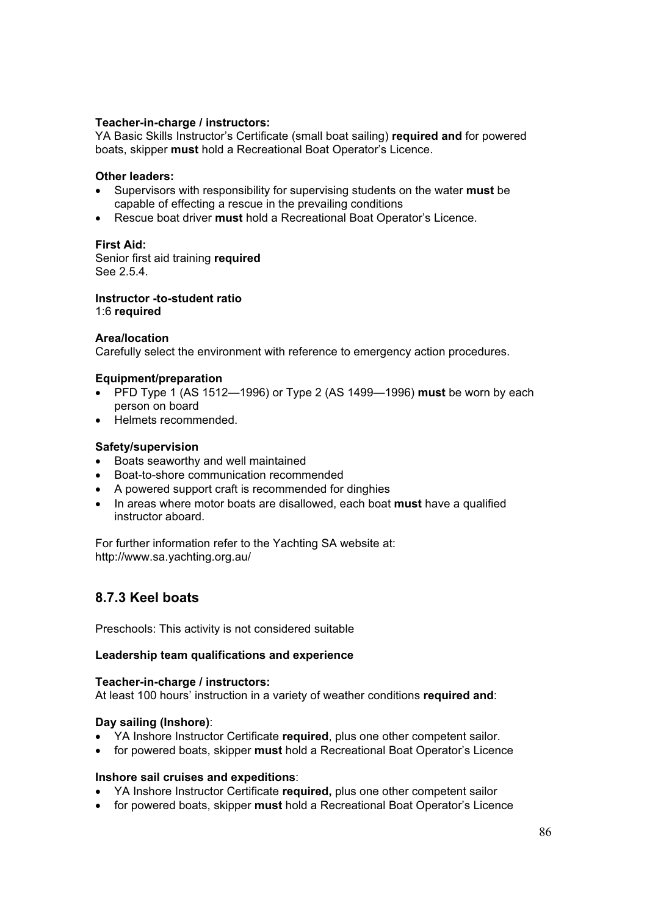## **Teacher-in-charge / instructors:**

YA Basic Skills Instructor's Certificate (small boat sailing) **required and** for powered boats, skipper **must** hold a Recreational Boat Operator's Licence.

#### **Other leaders:**

- Supervisors with responsibility for supervising students on the water must be capable of effecting a rescue in the prevailing conditions
- **Example 2** Rescue boat driver **must** hold a Recreational Boat Operator's Licence.

#### **First Aid:**

Senior first aid training **required**  See 2.5.4.

**Instructor -to-student ratio**  1:6 **required**

#### **Area/location**

Carefully select the environment with reference to emergency action procedures.

#### **Equipment/preparation**

- x PFD Type 1 (AS 1512—1996) or Type 2 (AS 1499—1996) **must** be worn by each person on board
- Helmets recommended.

#### **Safety/supervision**

- Boats seaworthy and well maintained
- Boat-to-shore communication recommended
- A powered support craft is recommended for dinghies
- In areas where motor boats are disallowed, each boat **must** have a qualified instructor aboard.

For further information refer to the Yachting SA website at: http://www.sa.yachting.org.au/

# **8.7.3 Keel boats**

Preschools: This activity is not considered suitable

#### **Leadership team qualifications and experience**

#### **Teacher-in-charge / instructors:**

At least 100 hours' instruction in a variety of weather conditions **required and**:

#### **Day sailing (Inshore)**:

- x YA Inshore Instructor Certificate **required**, plus one other competent sailor.
- x for powered boats, skipper **must** hold a Recreational Boat Operator's Licence

#### **Inshore sail cruises and expeditions**:

- x YA Inshore Instructor Certificate **required,** plus one other competent sailor
- x for powered boats, skipper **must** hold a Recreational Boat Operator's Licence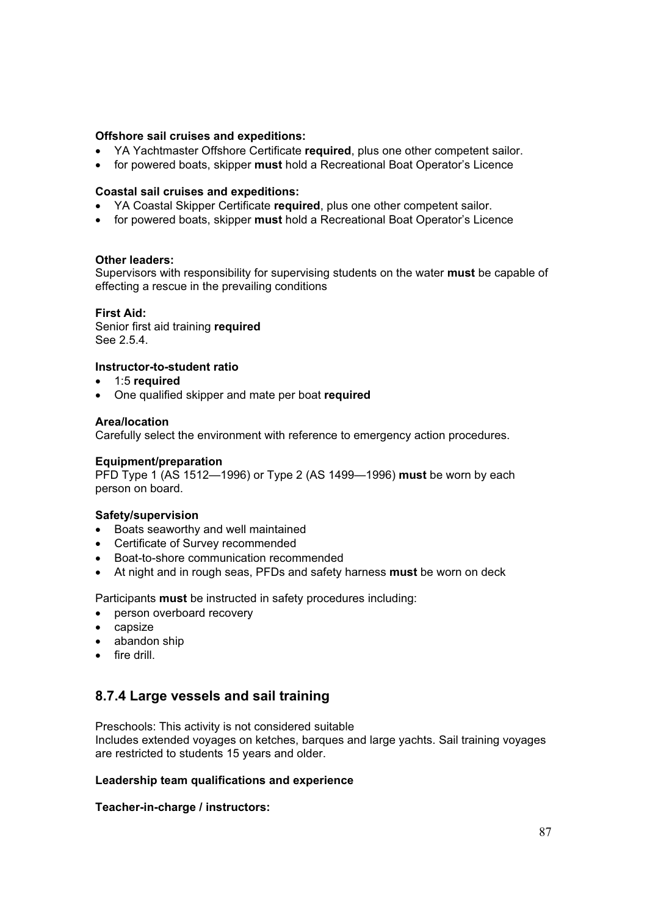## **Offshore sail cruises and expeditions:**

- x YA Yachtmaster Offshore Certificate **required**, plus one other competent sailor.
- for powered boats, skipper **must** hold a Recreational Boat Operator's Licence

#### **Coastal sail cruises and expeditions:**

- YA Coastal Skipper Certificate required, plus one other competent sailor.
- for powered boats, skipper **must** hold a Recreational Boat Operator's Licence

#### **Other leaders:**

Supervisors with responsibility for supervising students on the water **must** be capable of effecting a rescue in the prevailing conditions

#### **First Aid:**

Senior first aid training **required**  See 2.5.4.

# **Instructor-to-student ratio**

- x 1:5 **required**
- x One qualified skipper and mate per boat **required**

#### **Area/location**

Carefully select the environment with reference to emergency action procedures.

#### **Equipment/preparation**

PFD Type 1 (AS 1512—1996) or Type 2 (AS 1499—1996) **must** be worn by each person on board.

#### **Safety/supervision**

- Boats seaworthy and well maintained
- Certificate of Survey recommended
- Boat-to-shore communication recommended
- At night and in rough seas, PFDs and safety harness **must** be worn on deck

Participants **must** be instructed in safety procedures including:

- person overboard recovery
- $\bullet$  capsize
- abandon ship
- $\bullet$  fire drill

# **8.7.4 Large vessels and sail training**

Preschools: This activity is not considered suitable Includes extended voyages on ketches, barques and large yachts. Sail training voyages are restricted to students 15 years and older.

#### **Leadership team qualifications and experience**

#### **Teacher-in-charge / instructors:**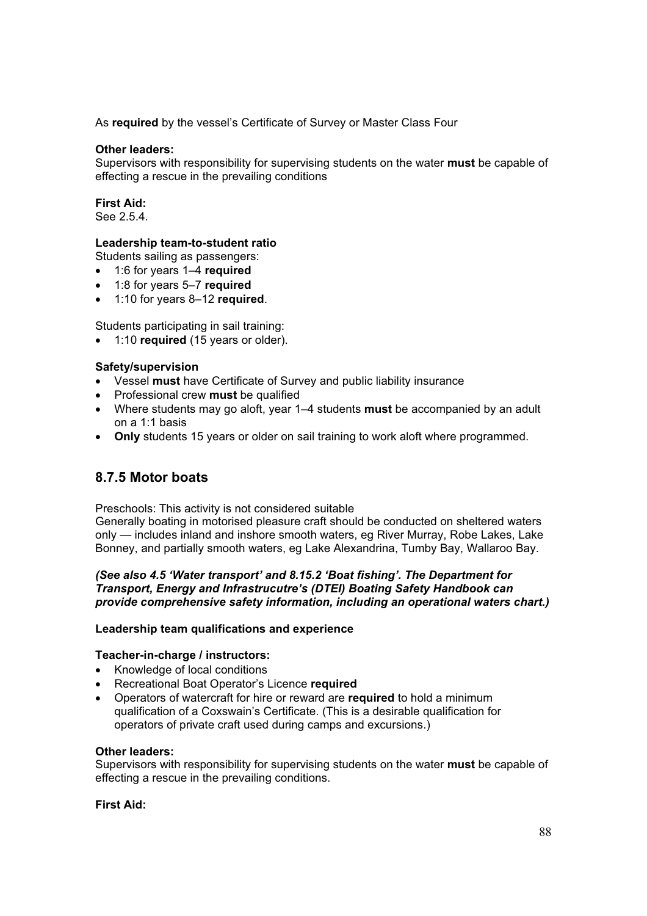As **required** by the vessel's Certificate of Survey or Master Class Four

### **Other leaders:**

Supervisors with responsibility for supervising students on the water **must** be capable of effecting a rescue in the prevailing conditions

## **First Aid:**

See 2.5.4.

## **Leadership team-to-student ratio**

Students sailing as passengers:

- x 1:6 for years 1–4 **required**
- x 1:8 for years 5–7 **required**
- x 1:10 for years 8–12 **required**.

Students participating in sail training:

x 1:10 **required** (15 years or older).

## **Safety/supervision**

- Vessel must have Certificate of Survey and public liability insurance
- **•** Professional crew **must** be qualified
- x Where students may go aloft, year 1–4 students **must** be accompanied by an adult on a 1:1 basis
- Only students 15 years or older on sail training to work aloft where programmed.

# **8.7.5 Motor boats**

Preschools: This activity is not considered suitable

Generally boating in motorised pleasure craft should be conducted on sheltered waters only — includes inland and inshore smooth waters, eg River Murray, Robe Lakes, Lake Bonney, and partially smooth waters, eg Lake Alexandrina, Tumby Bay, Wallaroo Bay.

# *(See also 4.5 'Water transport' and 8.15.2 'Boat fishing'. The Department for Transport, Energy and Infrastrucutre's (DTEI) Boating Safety Handbook can provide comprehensive safety information, including an operational waters chart.)*

#### **Leadership team qualifications and experience**

#### **Teacher-in-charge / instructors:**

- Knowledge of local conditions
- **•** Recreational Boat Operator's Licence required
- x Operators of watercraft for hire or reward are **required** to hold a minimum qualification of a Coxswain's Certificate. (This is a desirable qualification for operators of private craft used during camps and excursions.)

#### **Other leaders:**

Supervisors with responsibility for supervising students on the water **must** be capable of effecting a rescue in the prevailing conditions.

#### **First Aid:**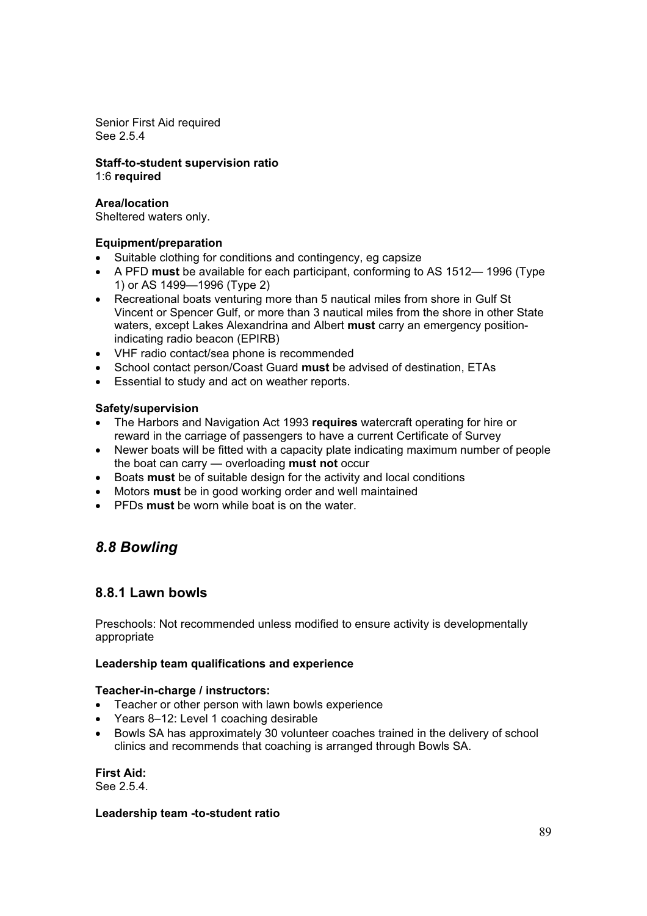Senior First Aid required See 2.5.4

**Staff-to-student supervision ratio**  1:6 **required**

### **Area/location**

Sheltered waters only.

## **Equipment/preparation**

- Suitable clothing for conditions and contingency, eg capsize
- x A PFD **must** be available for each participant, conforming to AS 1512— 1996 (Type 1) or AS 1499—1996 (Type 2)
- Recreational boats venturing more than 5 nautical miles from shore in Gulf St Vincent or Spencer Gulf, or more than 3 nautical miles from the shore in other State waters, except Lakes Alexandrina and Albert **must** carry an emergency positionindicating radio beacon (EPIRB)
- VHF radio contact/sea phone is recommended
- x School contact person/Coast Guard **must** be advised of destination, ETAs
- Essential to study and act on weather reports.

## **Safety/supervision**

- The Harbors and Navigation Act 1993 **requires** watercraft operating for hire or reward in the carriage of passengers to have a current Certificate of Survey
- Newer boats will be fitted with a capacity plate indicating maximum number of people the boat can carry — overloading **must not** occur
- **•** Boats **must** be of suitable design for the activity and local conditions
- Motors **must** be in good working order and well maintained
- **•** PFDs must be worn while boat is on the water.

# *8.8 Bowling*

# **8.8.1 Lawn bowls**

Preschools: Not recommended unless modified to ensure activity is developmentally appropriate

#### **Leadership team qualifications and experience**

#### **Teacher-in-charge / instructors:**

- Teacher or other person with lawn bowls experience
- $\bullet$  Years 8–12: Level 1 coaching desirable
- Bowls SA has approximately 30 volunteer coaches trained in the delivery of school clinics and recommends that coaching is arranged through Bowls SA.

#### **First Aid:**

See 2.5.4.

#### **Leadership team -to-student ratio**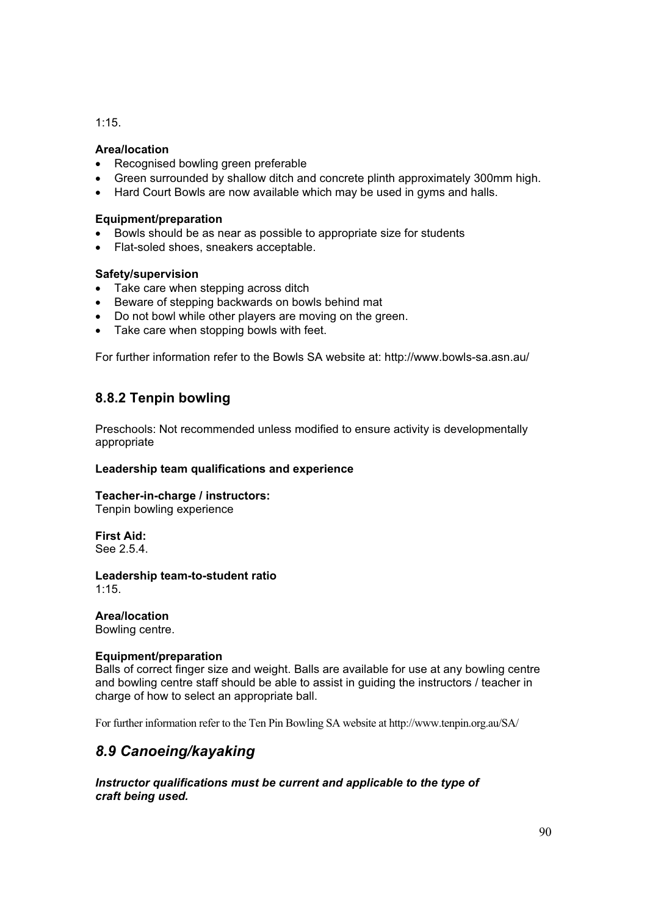1:15.

### **Area/location**

- Recognised bowling green preferable
- Green surrounded by shallow ditch and concrete plinth approximately 300mm high.
- Hard Court Bowls are now available which may be used in gyms and halls.

### **Equipment/preparation**

- Bowls should be as near as possible to appropriate size for students
- Flat-soled shoes, sneakers acceptable.

## **Safety/supervision**

- Take care when stepping across ditch
- Beware of stepping backwards on bowls behind mat
- Do not bowl while other players are moving on the green.
- Take care when stopping bowls with feet.

For further information refer to the Bowls SA website at: http://www.bowls-sa.asn.au/

# **8.8.2 Tenpin bowling**

Preschools: Not recommended unless modified to ensure activity is developmentally appropriate

#### **Leadership team qualifications and experience**

# **Teacher-in-charge / instructors:**

Tenpin bowling experience

#### **First Aid:**  See 2.5.4.

**Leadership team-to-student ratio**  1:15.

**Area/location** Bowling centre.

# **Equipment/preparation**

Balls of correct finger size and weight. Balls are available for use at any bowling centre and bowling centre staff should be able to assist in guiding the instructors / teacher in charge of how to select an appropriate ball.

For further information refer to the Ten Pin Bowling SA website at http://www.tenpin.org.au/SA/

# *8.9 Canoeing/kayaking*

*Instructor qualifications must be current and applicable to the type of craft being used.*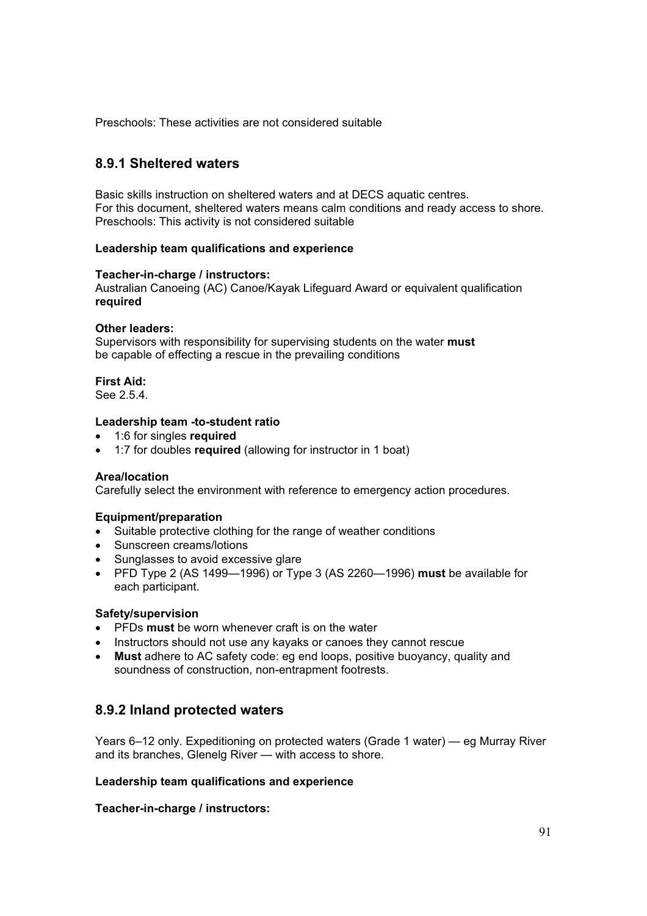Preschools: These activities are not considered suitable

# **8.9.1 Sheltered waters**

Basic skills instruction on sheltered waters and at DECS aquatic centres. For this document, sheltered waters means calm conditions and ready access to shore. Preschools: This activity is not considered suitable

#### **Leadership team qualifications and experience**

#### **Teacher-in-charge / instructors:**

Australian Canoeing (AC) Canoe/Kayak Lifeguard Award or equivalent qualification **required**

# **Other leaders:**

Supervisors with responsibility for supervising students on the water **must** be capable of effecting a rescue in the prevailing conditions

#### **First Aid:**

See 2.5.4.

#### **Leadership team -to-student ratio**

- x 1:6 for singles **required**
- 1:7 for doubles **required** (allowing for instructor in 1 boat)

#### **Area/location**

Carefully select the environment with reference to emergency action procedures.

#### **Equipment/preparation**

- Suitable protective clothing for the range of weather conditions
- Sunscreen creams/lotions
- Sunglasses to avoid excessive glare
- x PFD Type 2 (AS 1499—1996) or Type 3 (AS 2260—1996) **must** be available for each participant.

#### **Safety/supervision**

- **•** PFDs must be worn whenever craft is on the water
- Instructors should not use any kayaks or canoes they cannot rescue
- x **Must** adhere to AC safety code: eg end loops, positive buoyancy, quality and soundness of construction, non-entrapment footrests.

# **8.9.2 Inland protected waters**

Years 6–12 only. Expeditioning on protected waters (Grade 1 water) — eg Murray River and its branches, Glenelg River — with access to shore.

#### **Leadership team qualifications and experience**

**Teacher-in-charge / instructors:**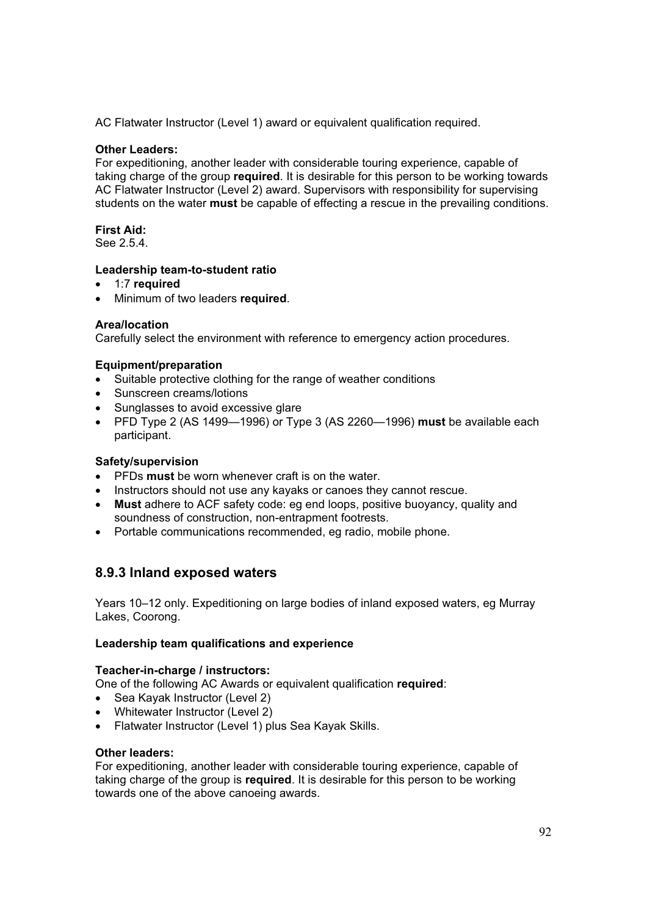AC Flatwater Instructor (Level 1) award or equivalent qualification required.

### **Other Leaders:**

For expeditioning, another leader with considerable touring experience, capable of taking charge of the group **required**. It is desirable for this person to be working towards AC Flatwater Instructor (Level 2) award. Supervisors with responsibility for supervising students on the water **must** be capable of effecting a rescue in the prevailing conditions.

# **First Aid:**

See 2.5.4.

#### **Leadership team-to-student ratio**

- x 1:7 **required**
- x Minimum of two leaders **required**.

## **Area/location**

Carefully select the environment with reference to emergency action procedures.

## **Equipment/preparation**

- Suitable protective clothing for the range of weather conditions
- Sunscreen creams/lotions
- Sunglasses to avoid excessive glare
- x PFD Type 2 (AS 1499—1996) or Type 3 (AS 2260—1996) **must** be available each participant.

### **Safety/supervision**

- **PFDs must** be worn whenever craft is on the water.
- Instructors should not use any kayaks or canoes they cannot rescue.
- x **Must** adhere to ACF safety code: eg end loops, positive buoyancy, quality and soundness of construction, non-entrapment footrests.
- Portable communications recommended, eg radio, mobile phone.

# **8.9.3 Inland exposed waters**

Years 10–12 only. Expeditioning on large bodies of inland exposed waters, eg Murray Lakes, Coorong.

#### **Leadership team qualifications and experience**

#### **Teacher-in-charge / instructors:**

One of the following AC Awards or equivalent qualification **required**:

- Sea Kayak Instructor (Level 2)
- Whitewater Instructor (Level 2)
- Flatwater Instructor (Level 1) plus Sea Kayak Skills.

#### **Other leaders:**

For expeditioning, another leader with considerable touring experience, capable of taking charge of the group is **required**. It is desirable for this person to be working towards one of the above canoeing awards.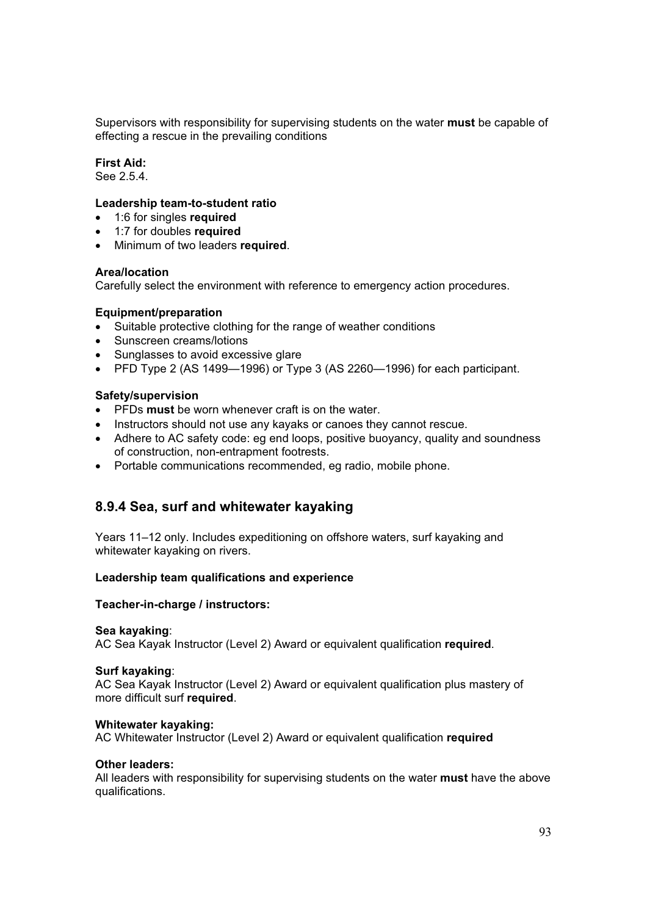Supervisors with responsibility for supervising students on the water **must** be capable of effecting a rescue in the prevailing conditions

## **First Aid:**

See 2.5.4.

#### **Leadership team-to-student ratio**

- x 1:6 for singles **required**
- x 1:7 for doubles **required**
- **•** Minimum of two leaders **required**.

#### **Area/location**

Carefully select the environment with reference to emergency action procedures.

#### **Equipment/preparation**

- Suitable protective clothing for the range of weather conditions
- Sunscreen creams/lotions
- Sunglasses to avoid excessive glare
- $\bullet$  PFD Type 2 (AS 1499-1996) or Type 3 (AS 2260-1996) for each participant.

#### **Safety/supervision**

- **•** PFDs must be worn whenever craft is on the water.
- Instructors should not use any kayaks or canoes they cannot rescue.
- Adhere to AC safety code: eg end loops, positive buoyancy, quality and soundness of construction, non-entrapment footrests.
- Portable communications recommended, eg radio, mobile phone.

# **8.9.4 Sea, surf and whitewater kayaking**

Years 11–12 only. Includes expeditioning on offshore waters, surf kayaking and whitewater kayaking on rivers.

#### **Leadership team qualifications and experience**

#### **Teacher-in-charge / instructors:**

#### **Sea kayaking**:

AC Sea Kayak Instructor (Level 2) Award or equivalent qualification **required**.

#### **Surf kayaking**:

AC Sea Kayak Instructor (Level 2) Award or equivalent qualification plus mastery of more difficult surf **required**.

#### **Whitewater kayaking:**

AC Whitewater Instructor (Level 2) Award or equivalent qualification **required** 

#### **Other leaders:**

All leaders with responsibility for supervising students on the water **must** have the above qualifications.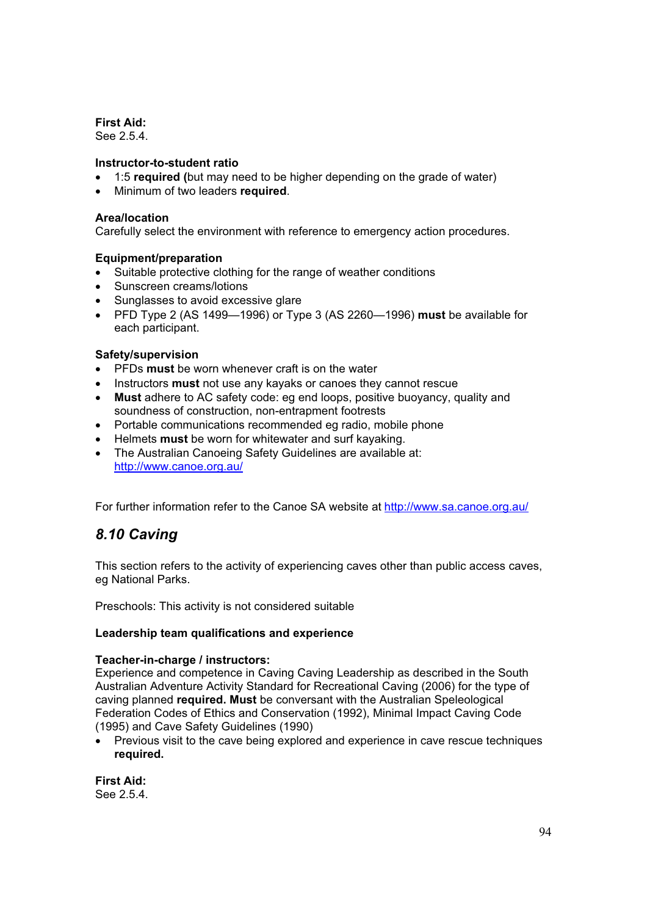**First Aid:** 

See 2.5.4.

## **Instructor-to-student ratio**

- x 1:5 **required (**but may need to be higher depending on the grade of water)
- x Minimum of two leaders **required**.

### **Area/location**

Carefully select the environment with reference to emergency action procedures.

## **Equipment/preparation**

- Suitable protective clothing for the range of weather conditions
- Sunscreen creams/lotions
- Sunglasses to avoid excessive glare
- x PFD Type 2 (AS 1499—1996) or Type 3 (AS 2260—1996) **must** be available for each participant.

## **Safety/supervision**

- **•** PFDs **must** be worn whenever craft is on the water
- **•** Instructors **must** not use any kayaks or canoes they cannot rescue
- x **Must** adhere to AC safety code: eg end loops, positive buoyancy, quality and soundness of construction, non-entrapment footrests
- Portable communications recommended eg radio, mobile phone
- **EXECT** Helmets **must** be worn for whitewater and surf kayaking.
- The Australian Canoeing Safety Guidelines are available at: http://www.canoe.org.au/

For further information refer to the Canoe SA website at http://www.sa.canoe.org.au/

# *8.10 Caving*

This section refers to the activity of experiencing caves other than public access caves, eg National Parks.

Preschools: This activity is not considered suitable

#### **Leadership team qualifications and experience**

#### **Teacher-in-charge / instructors:**

Experience and competence in Caving Caving Leadership as described in the South Australian Adventure Activity Standard for Recreational Caving (2006) for the type of caving planned **required. Must** be conversant with the Australian Speleological Federation Codes of Ethics and Conservation (1992), Minimal Impact Caving Code (1995) and Cave Safety Guidelines (1990)

• Previous visit to the cave being explored and experience in cave rescue techniques **required.**

**First Aid:**  See 2.5.4.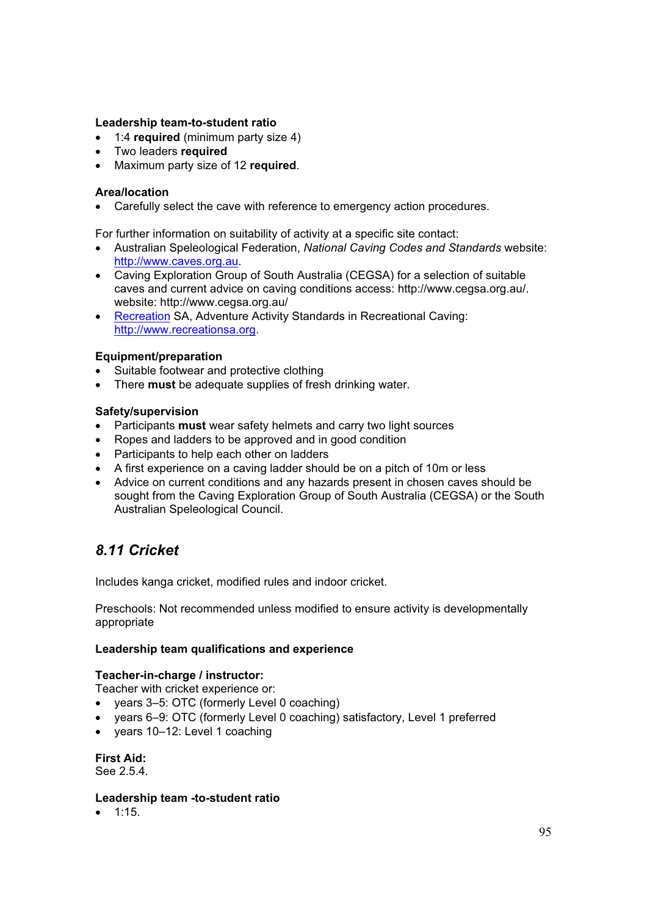### **Leadership team-to-student ratio**

- x 1:4 **required** (minimum party size 4)
- **•** Two leaders **required**
- x Maximum party size of 12 **required**.

#### **Area/location**

• Carefully select the cave with reference to emergency action procedures.

For further information on suitability of activity at a specific site contact:

- x Australian Speleological Federation, *National Caving Codes and Standards* website: http://www.caves.org.au.
- Caving Exploration Group of South Australia (CEGSA) for a selection of suitable caves and current advice on caving conditions access: http://www.cegsa.org.au/. website: http://www.cegsa.org.au/
- Recreation SA, Adventure Activity Standards in Recreational Caving: http://www.recreationsa.org.

#### **Equipment/preparation**

- Suitable footwear and protective clothing
- **•** There **must** be adequate supplies of fresh drinking water.

## **Safety/supervision**

- **•** Participants **must** wear safety helmets and carry two light sources
- Ropes and ladders to be approved and in good condition
- Participants to help each other on ladders
- A first experience on a caving ladder should be on a pitch of 10m or less
- Advice on current conditions and any hazards present in chosen caves should be sought from the Caving Exploration Group of South Australia (CEGSA) or the South Australian Speleological Council.

# *8.11 Cricket*

Includes kanga cricket, modified rules and indoor cricket.

Preschools: Not recommended unless modified to ensure activity is developmentally appropriate

#### **Leadership team qualifications and experience**

# **Teacher-in-charge / instructor:**

Teacher with cricket experience or:

- years 3–5: OTC (formerly Level 0 coaching)
- years 6–9: OTC (formerly Level 0 coaching) satisfactory, Level 1 preferred
- years 10-12: Level 1 coaching

**First Aid:**  See 2.5.4.

#### **Leadership team -to-student ratio**

 $\bullet$  1:15.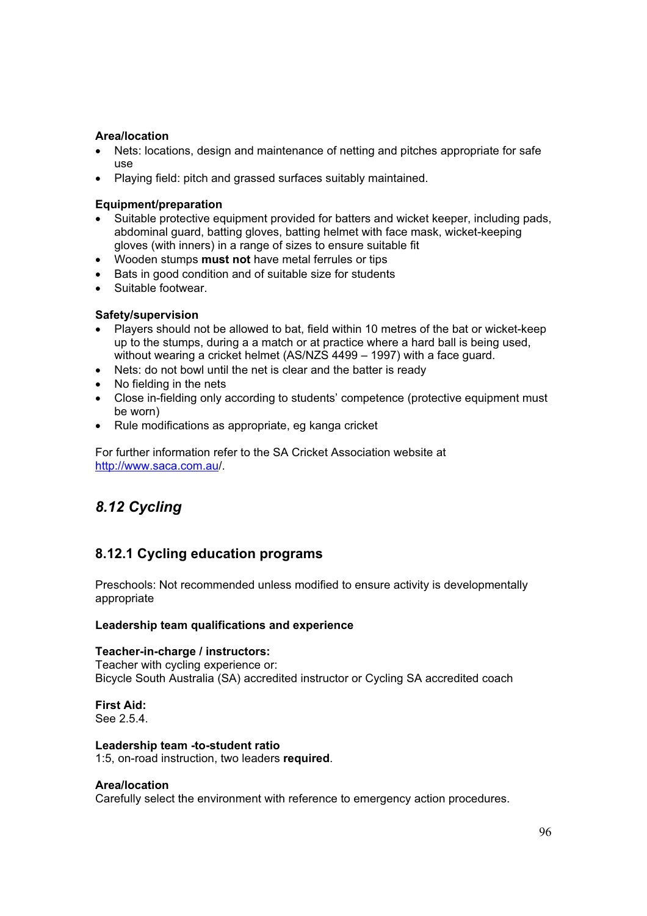### **Area/location**

- Nets: locations, design and maintenance of netting and pitches appropriate for safe use
- Playing field: pitch and grassed surfaces suitably maintained.

## **Equipment/preparation**

- Suitable protective equipment provided for batters and wicket keeper, including pads, abdominal guard, batting gloves, batting helmet with face mask, wicket-keeping gloves (with inners) in a range of sizes to ensure suitable fit
- x Wooden stumps **must not** have metal ferrules or tips
- Bats in good condition and of suitable size for students
- Suitable footwear

## **Safety/supervision**

- Players should not be allowed to bat, field within 10 metres of the bat or wicket-keep up to the stumps, during a a match or at practice where a hard ball is being used, without wearing a cricket helmet (AS/NZS 4499 – 1997) with a face guard.
- Nets: do not bowl until the net is clear and the batter is ready
- No fielding in the nets
- Close in-fielding only according to students' competence (protective equipment must be worn)
- Rule modifications as appropriate, eg kanga cricket

For further information refer to the SA Cricket Association website at http://www.saca.com.au/.

# *8.12 Cycling*

# **8.12.1 Cycling education programs**

Preschools: Not recommended unless modified to ensure activity is developmentally appropriate

#### **Leadership team qualifications and experience**

#### **Teacher-in-charge / instructors:**

Teacher with cycling experience or: Bicycle South Australia (SA) accredited instructor or Cycling SA accredited coach

#### **First Aid:**  See 2.5.4.

**Leadership team -to-student ratio**  1:5, on-road instruction, two leaders **required**.

#### **Area/location**

Carefully select the environment with reference to emergency action procedures.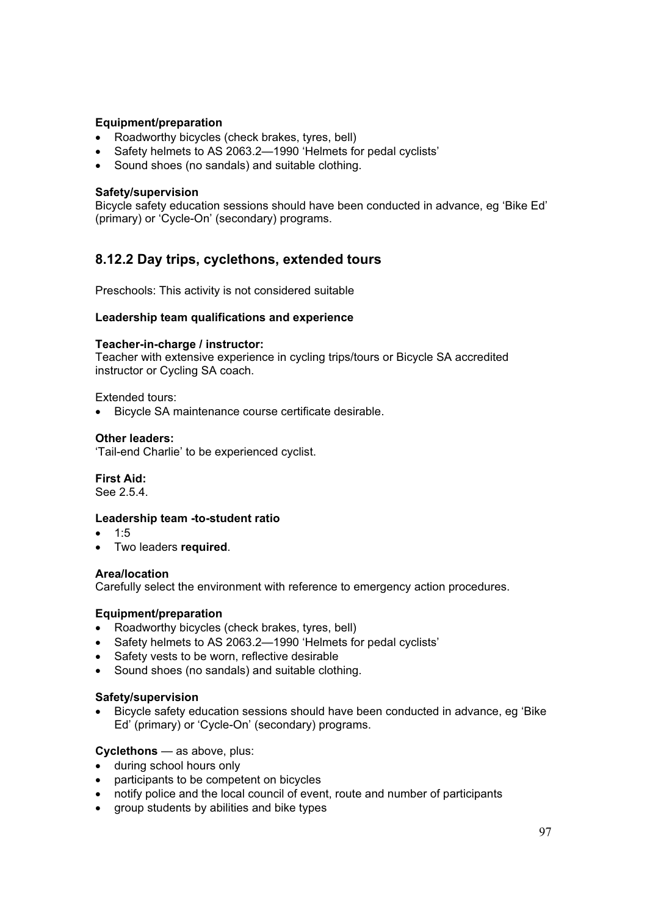### **Equipment/preparation**

- Roadworthy bicycles (check brakes, tyres, bell)
- Safety helmets to AS 2063.2-1990 'Helmets for pedal cyclists'
- Sound shoes (no sandals) and suitable clothing.

#### **Safety/supervision**

Bicycle safety education sessions should have been conducted in advance, eg 'Bike Ed' (primary) or 'Cycle-On' (secondary) programs.

# **8.12.2 Day trips, cyclethons, extended tours**

Preschools: This activity is not considered suitable

#### **Leadership team qualifications and experience**

#### **Teacher-in-charge / instructor:**

Teacher with extensive experience in cycling trips/tours or Bicycle SA accredited instructor or Cycling SA coach.

Extended tours:

• Bicycle SA maintenance course certificate desirable.

#### **Other leaders:**

'Tail-end Charlie' to be experienced cyclist.

# **First Aid:**

See 2.5.4.

#### **Leadership team -to-student ratio**

- $1:5$
- x Two leaders **required**.

#### **Area/location**

Carefully select the environment with reference to emergency action procedures.

#### **Equipment/preparation**

- Roadworthy bicycles (check brakes, tyres, bell)
- Safety helmets to AS 2063.2-1990 'Helmets for pedal cyclists'
- Safety vests to be worn, reflective desirable
- Sound shoes (no sandals) and suitable clothing.

#### **Safety/supervision**

• Bicycle safety education sessions should have been conducted in advance, eg 'Bike Ed' (primary) or 'Cycle-On' (secondary) programs.

#### **Cyclethons** — as above, plus:

- during school hours only
- participants to be competent on bicycles
- notify police and the local council of event, route and number of participants
- group students by abilities and bike types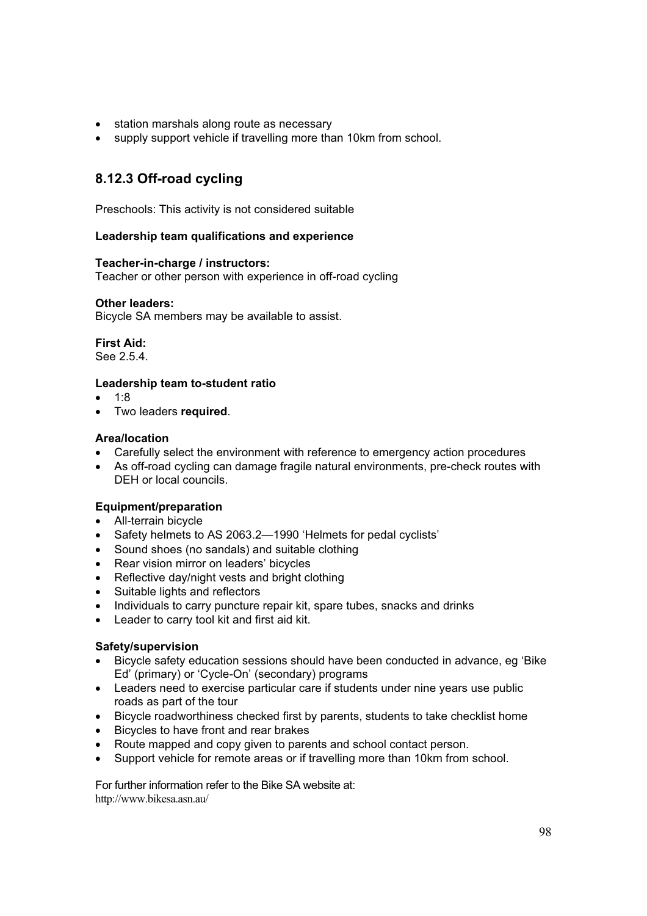- station marshals along route as necessary
- supply support vehicle if travelling more than 10km from school.

# **8.12.3 Off-road cycling**

Preschools: This activity is not considered suitable

## **Leadership team qualifications and experience**

#### **Teacher-in-charge / instructors:**

Teacher or other person with experience in off-road cycling

#### **Other leaders:**

Bicycle SA members may be available to assist.

# **First Aid:**

See 2.5.4.

## **Leadership team to-student ratio**

- $1:8$
- **•** Two leaders **required**.

#### **Area/location**

- Carefully select the environment with reference to emergency action procedures
- As off-road cycling can damage fragile natural environments, pre-check routes with DEH or local councils.

# **Equipment/preparation**

- All-terrain bicycle
- Safety helmets to AS 2063.2-1990 'Helmets for pedal cyclists'
- $\bullet$  Sound shoes (no sandals) and suitable clothing
- Rear vision mirror on leaders' bicycles
- $\bullet$  Reflective day/night vests and bright clothing
- Suitable lights and reflectors
- Individuals to carry puncture repair kit, spare tubes, snacks and drinks
- Leader to carry tool kit and first aid kit.

# **Safety/supervision**

- Bicycle safety education sessions should have been conducted in advance, eg 'Bike Ed' (primary) or 'Cycle-On' (secondary) programs
- Leaders need to exercise particular care if students under nine years use public roads as part of the tour
- Bicycle roadworthiness checked first by parents, students to take checklist home
- Bicycles to have front and rear brakes
- Route mapped and copy given to parents and school contact person.
- Support vehicle for remote areas or if travelling more than 10km from school.

For further information refer to the Bike SA website at: http://www.bikesa.asn.au/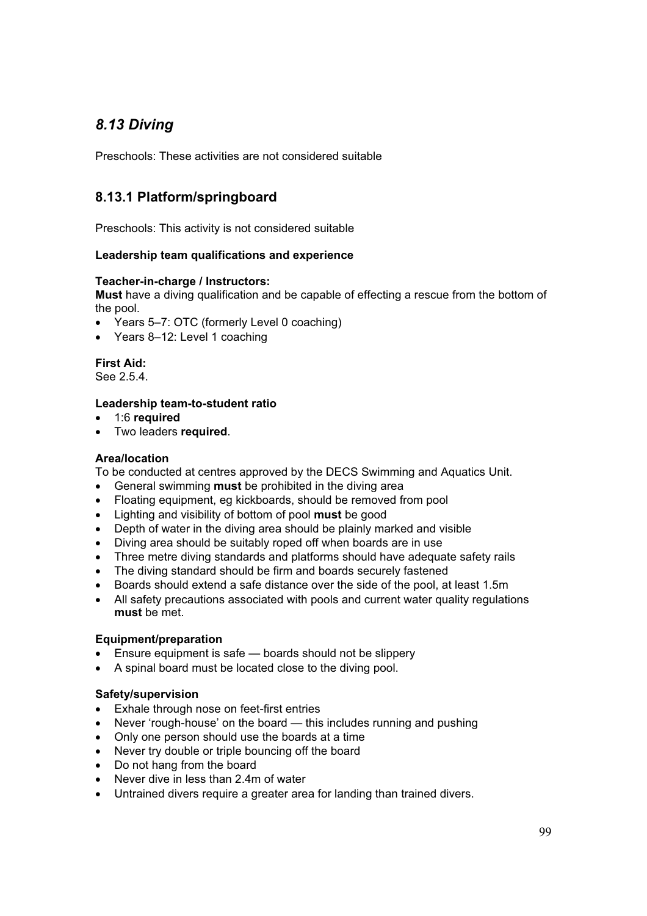# *8.13 Diving*

Preschools: These activities are not considered suitable

# **8.13.1 Platform/springboard**

Preschools: This activity is not considered suitable

# **Leadership team qualifications and experience**

## **Teacher-in-charge / Instructors:**

**Must** have a diving qualification and be capable of effecting a rescue from the bottom of the pool.

- Years 5–7: OTC (formerly Level 0 coaching)
- $\bullet$  Years 8-12: Level 1 coaching

**First Aid:**  See 2.5.4.

## **Leadership team-to-student ratio**

- x 1:6 **required**
- **•** Two leaders **required**.

### **Area/location**

To be conducted at centres approved by the DECS Swimming and Aquatics Unit.

- x General swimming **must** be prohibited in the diving area
- Floating equipment, eg kickboards, should be removed from pool
- x Lighting and visibility of bottom of pool **must** be good
- Depth of water in the diving area should be plainly marked and visible
- Diving area should be suitably roped off when boards are in use
- Three metre diving standards and platforms should have adequate safety rails
- The diving standard should be firm and boards securely fastened
- Boards should extend a safe distance over the side of the pool, at least 1.5m
- All safety precautions associated with pools and current water quality regulations **must** be met.

#### **Equipment/preparation**

- $\bullet$  Ensure equipment is safe boards should not be slippery
- A spinal board must be located close to the diving pool.

# **Safety/supervision**

- Exhale through nose on feet-first entries
- Never 'rough-house' on the board this includes running and pushing
- Only one person should use the boards at a time
- Never try double or triple bouncing off the board
- Do not hang from the board
- $\bullet$  Never dive in less than 2.4m of water
- Untrained divers require a greater area for landing than trained divers.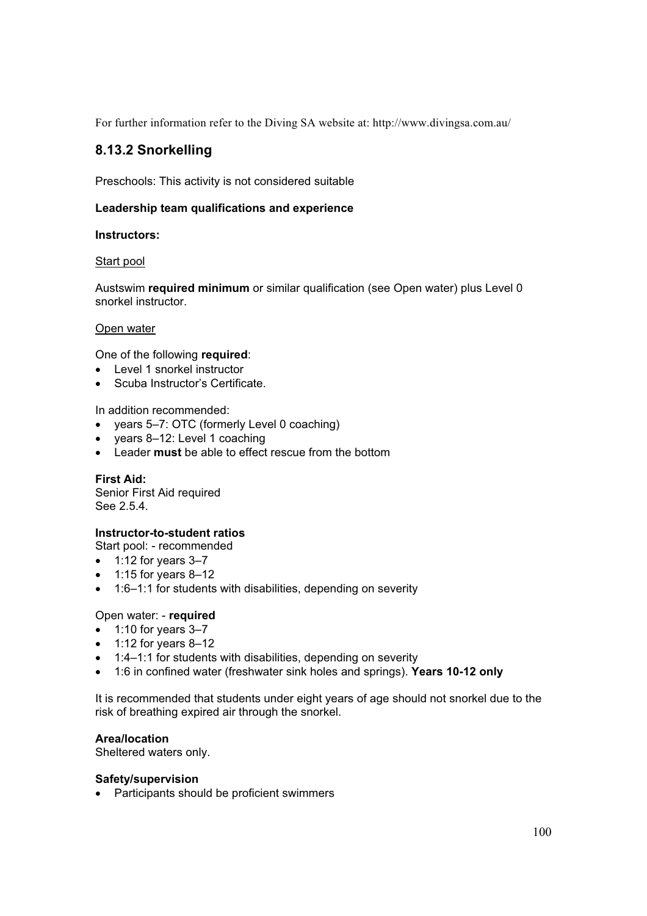For further information refer to the Diving SA website at: http://www.divingsa.com.au/

# **8.13.2 Snorkelling**

Preschools: This activity is not considered suitable

# **Leadership team qualifications and experience**

#### **Instructors:**

#### Start pool

Austswim **required minimum** or similar qualification (see Open water) plus Level 0 snorkel instructor.

## Open water

One of the following **required**:

- Level 1 snorkel instructor
- Scuba Instructor's Certificate.

In addition recommended:

- $\bullet$  years 5–7: OTC (formerly Level 0 coaching)
- $\bullet$  years 8–12: Level 1 coaching
- **EXECT** Leader **must** be able to effect rescue from the bottom

#### **First Aid:**

Senior First Aid required See 2.5.4.

# **Instructor-to-student ratios**

Start pool: - recommended

- $\bullet$  1:12 for years 3–7
- $\bullet$  1:15 for years 8-12
- 1:6–1:1 for students with disabilities, depending on severity

# Open water: - **required**

- $\bullet$  1:10 for years 3-7
- $\bullet$  1:12 for years 8-12
- $\bullet$  1:4–1:1 for students with disabilities, depending on severity
- x 1:6 in confined water (freshwater sink holes and springs). **Years 10-12 only**

It is recommended that students under eight years of age should not snorkel due to the risk of breathing expired air through the snorkel.

#### **Area/location**

Sheltered waters only.

#### **Safety/supervision**

• Participants should be proficient swimmers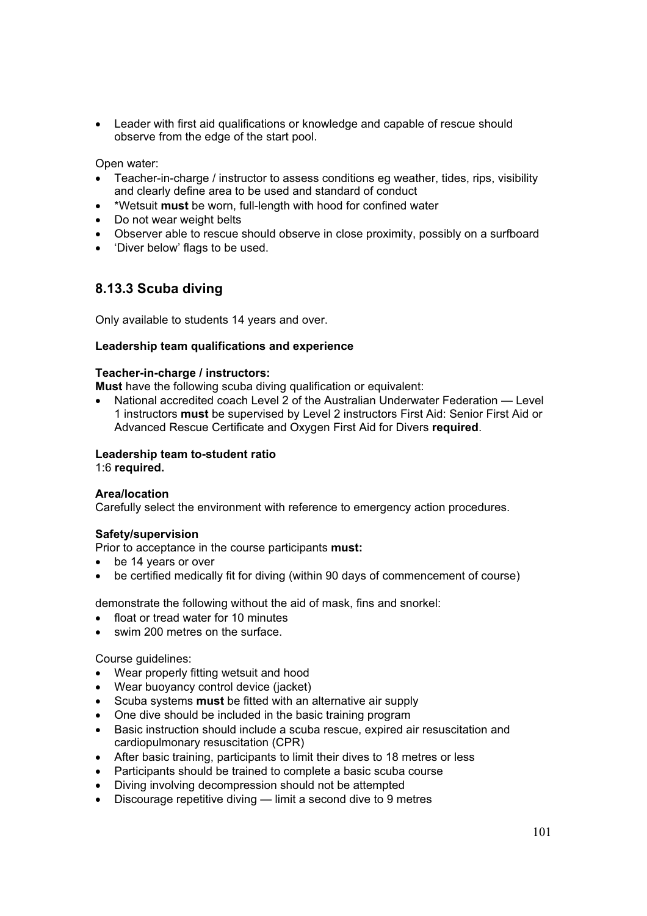• Leader with first aid qualifications or knowledge and capable of rescue should observe from the edge of the start pool.

Open water:

- Teacher-in-charge / instructor to assess conditions eg weather, tides, rips, visibility and clearly define area to be used and standard of conduct
- x \*Wetsuit **must** be worn, full-length with hood for confined water
- Do not wear weight belts
- Observer able to rescue should observe in close proximity, possibly on a surfboard
- 'Diver below' flags to be used.

# **8.13.3 Scuba diving**

Only available to students 14 years and over.

#### **Leadership team qualifications and experience**

#### **Teacher-in-charge / instructors:**

**Must** have the following scuba diving qualification or equivalent:

National accredited coach Level 2 of the Australian Underwater Federation — Level 1 instructors **must** be supervised by Level 2 instructors First Aid: Senior First Aid or Advanced Rescue Certificate and Oxygen First Aid for Divers **required**.

#### **Leadership team to-student ratio**

1:6 **required.**

#### **Area/location**

Carefully select the environment with reference to emergency action procedures.

#### **Safety/supervision**

Prior to acceptance in the course participants **must:**

- be 14 years or over
- be certified medically fit for diving (within 90 days of commencement of course)

demonstrate the following without the aid of mask, fins and snorkel:

- float or tread water for 10 minutes
- swim 200 metres on the surface.

#### Course guidelines:

- Wear properly fitting wetsuit and hood
- Wear buoyancy control device (jacket)
- **•** Scuba systems **must** be fitted with an alternative air supply
- One dive should be included in the basic training program
- Basic instruction should include a scuba rescue, expired air resuscitation and cardiopulmonary resuscitation (CPR)
- After basic training, participants to limit their dives to 18 metres or less
- Participants should be trained to complete a basic scuba course
- Diving involving decompression should not be attempted
- $\bullet$  Discourage repetitive diving  $\frac{1}{2}$  Dimit a second dive to 9 metres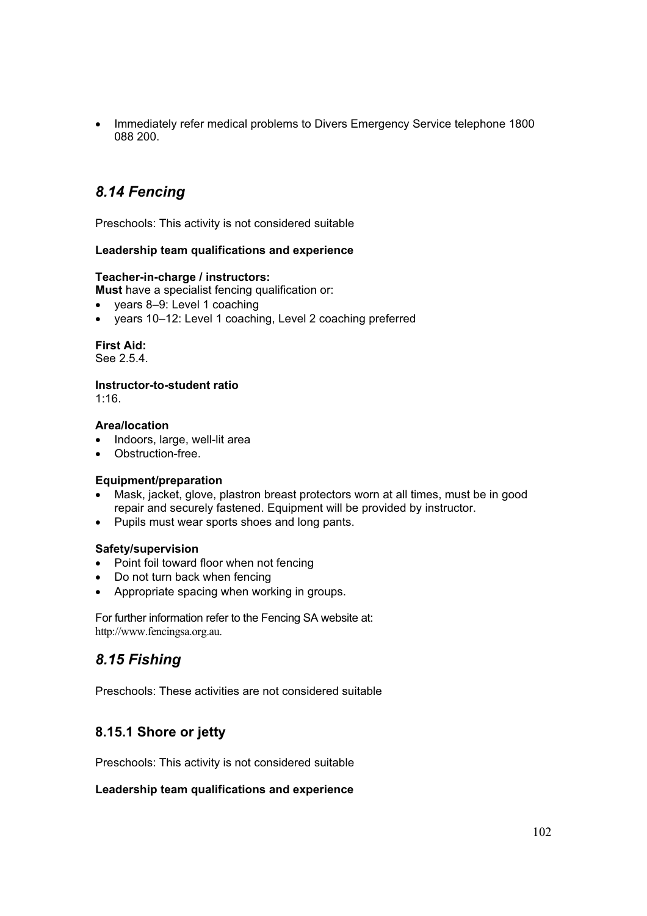Immediately refer medical problems to Divers Emergency Service telephone 1800 088 200.

# *8.14 Fencing*

Preschools: This activity is not considered suitable

## **Leadership team qualifications and experience**

#### **Teacher-in-charge / instructors:**

**Must** have a specialist fencing qualification or:

- $\bullet$  years 8–9: Level 1 coaching
- vears 10–12: Level 1 coaching, Level 2 coaching preferred

#### **First Aid:**

See 2.5.4.

#### **Instructor-to-student ratio**

1:16.

#### **Area/location**

- Indoors, large, well-lit area
- Obstruction-free.

#### **Equipment/preparation**

- Mask, jacket, glove, plastron breast protectors worn at all times, must be in good repair and securely fastened. Equipment will be provided by instructor.
- Pupils must wear sports shoes and long pants.

#### **Safety/supervision**

- Point foil toward floor when not fencing
- Do not turn back when fencing
- Appropriate spacing when working in groups.

For further information refer to the Fencing SA website at: http://www.fencingsa.org.au.

# *8.15 Fishing*

Preschools: These activities are not considered suitable

# **8.15.1 Shore or jetty**

Preschools: This activity is not considered suitable

#### **Leadership team qualifications and experience**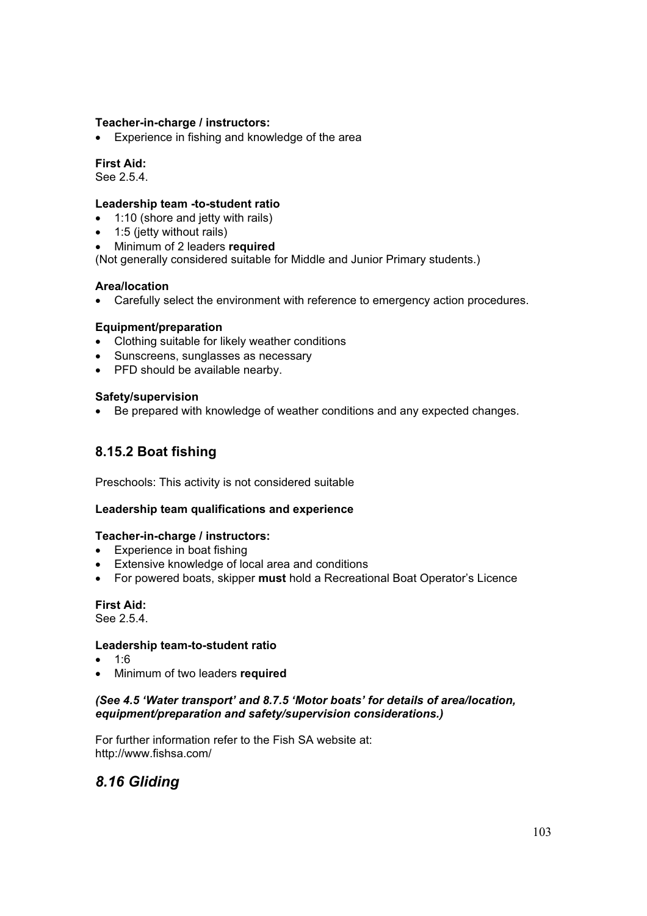### **Teacher-in-charge / instructors:**

• Experience in fishing and knowledge of the area

#### **First Aid:**

See 2.5.4.

#### **Leadership team -to-student ratio**

- $\bullet$  1:10 (shore and jetty with rails)
- $\bullet$  1:5 (jetty without rails)
- x Minimum of 2 leaders **required**

(Not generally considered suitable for Middle and Junior Primary students.)

#### **Area/location**

• Carefully select the environment with reference to emergency action procedures.

#### **Equipment/preparation**

- Clothing suitable for likely weather conditions
- Sunscreens, sunglasses as necessary
- PFD should be available nearby.

## **Safety/supervision**

• Be prepared with knowledge of weather conditions and any expected changes.

# **8.15.2 Boat fishing**

Preschools: This activity is not considered suitable

#### **Leadership team qualifications and experience**

#### **Teacher-in-charge / instructors:**

- $\bullet$  Experience in boat fishing
- Extensive knowledge of local area and conditions
- For powered boats, skipper **must** hold a Recreational Boat Operator's Licence

# **First Aid:**

See 2.5.4.

#### **Leadership team-to-student ratio**

- $1:6$
- x Minimum of two leaders **required**

# *(See 4.5 'Water transport' and 8.7.5 'Motor boats' for details of area/location, equipment/preparation and safety/supervision considerations.)*

For further information refer to the Fish SA website at: http://www.fishsa.com/

# *8.16 Gliding*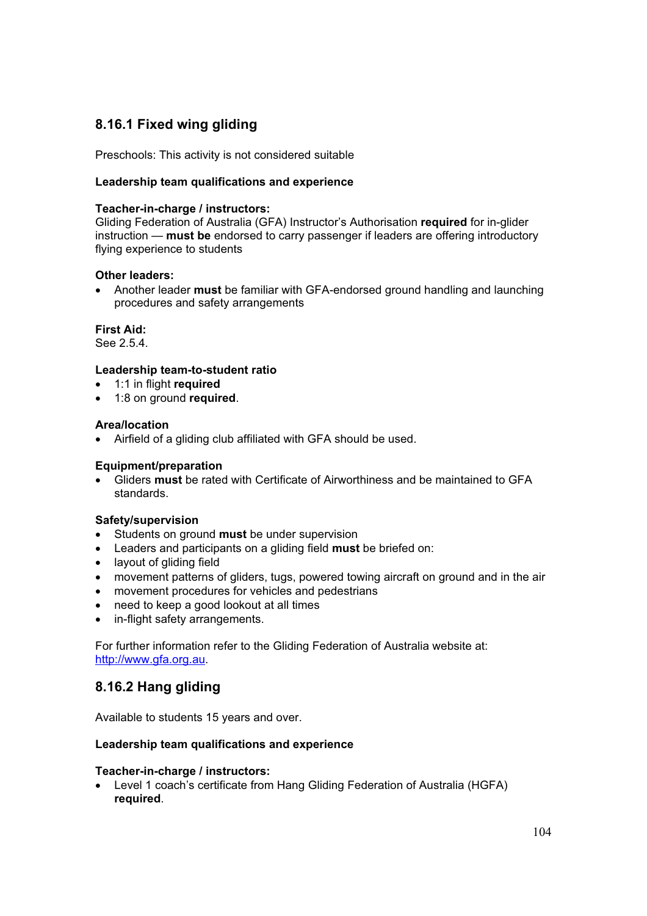# **8.16.1 Fixed wing gliding**

Preschools: This activity is not considered suitable

# **Leadership team qualifications and experience**

#### **Teacher-in-charge / instructors:**

Gliding Federation of Australia (GFA) Instructor's Authorisation **required** for in-glider instruction — **must be** endorsed to carry passenger if leaders are offering introductory flying experience to students

## **Other leaders:**

• Another leader **must** be familiar with GFA-endorsed ground handling and launching procedures and safety arrangements

#### **First Aid:**

See 2.5.4.

#### **Leadership team-to-student ratio**

- x 1:1 in flight **required**
- x 1:8 on ground **required**.

#### **Area/location**

• Airfield of a gliding club affiliated with GFA should be used.

#### **Equipment/preparation**

x Gliders **must** be rated with Certificate of Airworthiness and be maintained to GFA standards.

#### **Safety/supervision**

- **•** Students on ground **must** be under supervision
- x Leaders and participants on a gliding field **must** be briefed on:
- layout of gliding field
- movement patterns of gliders, tugs, powered towing aircraft on ground and in the air
- movement procedures for vehicles and pedestrians
- need to keep a good lookout at all times
- in-flight safety arrangements.

For further information refer to the Gliding Federation of Australia website at: http://www.gfa.org.au.

# **8.16.2 Hang gliding**

Available to students 15 years and over.

#### **Leadership team qualifications and experience**

#### **Teacher-in-charge / instructors:**

• Level 1 coach's certificate from Hang Gliding Federation of Australia (HGFA) **required**.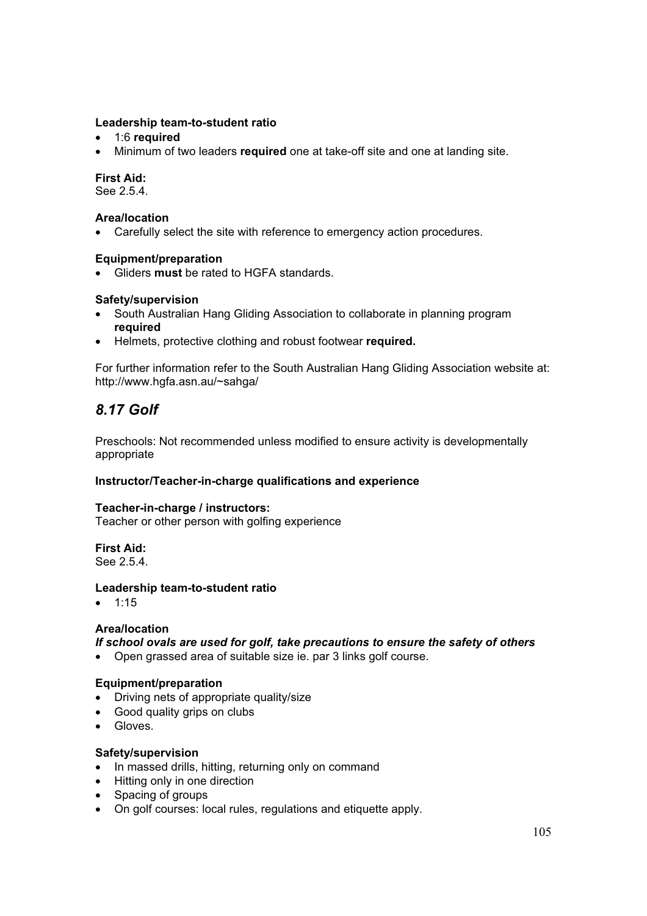### **Leadership team-to-student ratio**

- **•** 1:6 **required**
- Minimum of two leaders **required** one at take-off site and one at landing site.

### **First Aid:**

See 2.5.4.

#### **Area/location**

• Carefully select the site with reference to emergency action procedures.

#### **Equipment/preparation**

x Gliders **must** be rated to HGFA standards.

#### **Safety/supervision**

- South Australian Hang Gliding Association to collaborate in planning program **required**
- **EXECT:** Helmets, protective clothing and robust footwear **required.**

For further information refer to the South Australian Hang Gliding Association website at: http://www.hgfa.asn.au/~sahga/

# *8.17 Golf*

Preschools: Not recommended unless modified to ensure activity is developmentally appropriate

#### **Instructor/Teacher-in-charge qualifications and experience**

#### **Teacher-in-charge / instructors:**

Teacher or other person with golfing experience

# **First Aid:**

See 2.5.4.

#### **Leadership team-to-student ratio**

 $\bullet$  1:15

#### **Area/location**

# *If school ovals are used for golf, take precautions to ensure the safety of others*

• Open grassed area of suitable size ie. par 3 links golf course.

#### **Equipment/preparation**

- Driving nets of appropriate quality/size
- Good quality grips on clubs
- Gloves.

#### **Safety/supervision**

- In massed drills, hitting, returning only on command
- Hitting only in one direction
- Spacing of groups
- On golf courses: local rules, regulations and etiquette apply.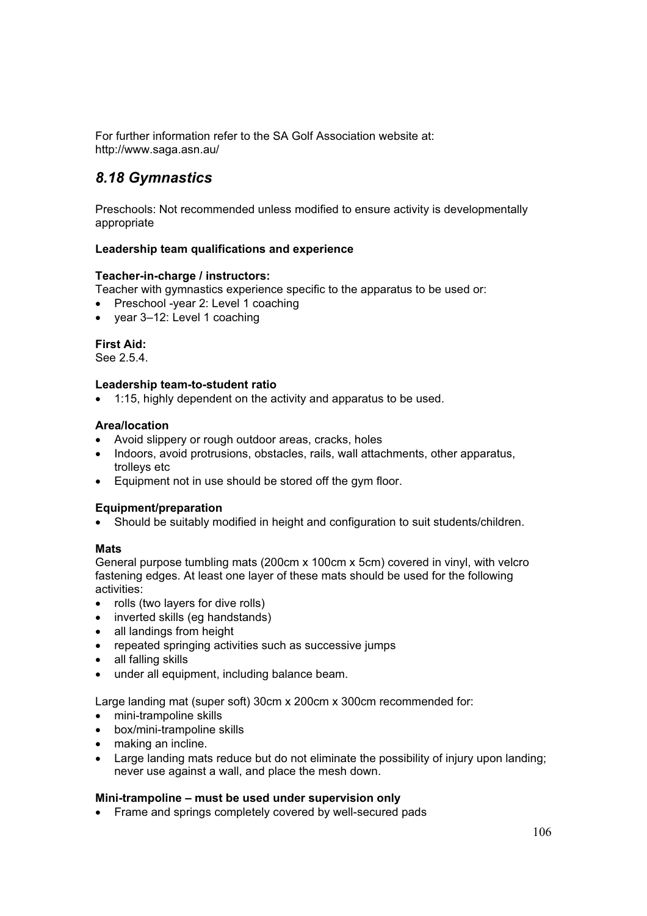For further information refer to the SA Golf Association website at: http://www.saga.asn.au/

# *8.18 Gymnastics*

Preschools: Not recommended unless modified to ensure activity is developmentally appropriate

## **Leadership team qualifications and experience**

### **Teacher-in-charge / instructors:**

Teacher with gymnastics experience specific to the apparatus to be used or:

- Preschool -year 2: Level 1 coaching
- x year 3–12: Level 1 coaching

## **First Aid:**

See 2.5.4.

### **Leadership team-to-student ratio**

 $\bullet$  1:15, highly dependent on the activity and apparatus to be used.

### **Area/location**

- Avoid slippery or rough outdoor areas, cracks, holes
- Indoors, avoid protrusions, obstacles, rails, wall attachments, other apparatus, trolleys etc
- Equipment not in use should be stored off the gym floor.

### **Equipment/preparation**

• Should be suitably modified in height and configuration to suit students/children.

### **Mats**

General purpose tumbling mats (200cm x 100cm x 5cm) covered in vinyl, with velcro fastening edges. At least one layer of these mats should be used for the following activities:

- $\bullet$  rolls (two lavers for dive rolls)
- $\bullet$  inverted skills (eg handstands)
- all landings from height
- repeated springing activities such as successive jumps
- all falling skills
- under all equipment, including balance beam.

Large landing mat (super soft) 30cm x 200cm x 300cm recommended for:

- mini-trampoline skills
- $\bullet$  box/mini-trampoline skills
- making an incline.
- Large landing mats reduce but do not eliminate the possibility of injury upon landing; never use against a wall, and place the mesh down.

### **Mini-trampoline – must be used under supervision only**

• Frame and springs completely covered by well-secured pads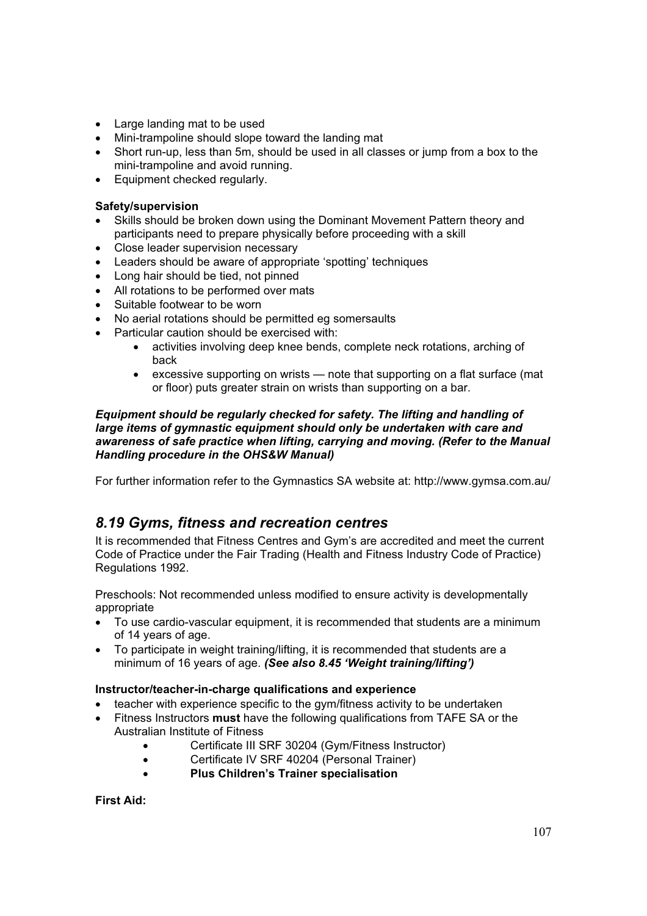- Large landing mat to be used
- Mini-trampoline should slope toward the landing mat
- Short run-up, less than 5m, should be used in all classes or jump from a box to the mini-trampoline and avoid running.
- Equipment checked regularly.

## **Safety/supervision**

- Skills should be broken down using the Dominant Movement Pattern theory and participants need to prepare physically before proceeding with a skill
- Close leader supervision necessary
- Leaders should be aware of appropriate 'spotting' techniques
- Long hair should be tied, not pinned
- All rotations to be performed over mats
- Suitable footwear to be worn
- No aerial rotations should be permitted eg somersaults
- Particular caution should be exercised with:
	- activities involving deep knee bends, complete neck rotations, arching of back
	- excessive supporting on wrists note that supporting on a flat surface (mat or floor) puts greater strain on wrists than supporting on a bar.

### *Equipment should be regularly checked for safety. The lifting and handling of large items of gymnastic equipment should only be undertaken with care and awareness of safe practice when lifting, carrying and moving. (Refer to the Manual Handling procedure in the OHS&W Manual)*

For further information refer to the Gymnastics SA website at: http://www.gymsa.com.au/

## *8.19 Gyms, fitness and recreation centres*

It is recommended that Fitness Centres and Gym's are accredited and meet the current Code of Practice under the Fair Trading (Health and Fitness Industry Code of Practice) Regulations 1992.

Preschools: Not recommended unless modified to ensure activity is developmentally appropriate

- To use cardio-vascular equipment, it is recommended that students are a minimum of 14 years of age.
- To participate in weight training/lifting, it is recommended that students are a minimum of 16 years of age. *(See also 8.45 'Weight training/lifting')*

## **Instructor/teacher-in-charge qualifications and experience**

- $\bullet$  teacher with experience specific to the gym/fitness activity to be undertaken
- Fitness Instructors **must** have the following qualifications from TAFE SA or the Australian Institute of Fitness
	- Certificate III SRF 30204 (Gym/Fitness Instructor)
	- **•** Certificate IV SRF 40204 (Personal Trainer)
	- x **Plus Children's Trainer specialisation**

**First Aid:**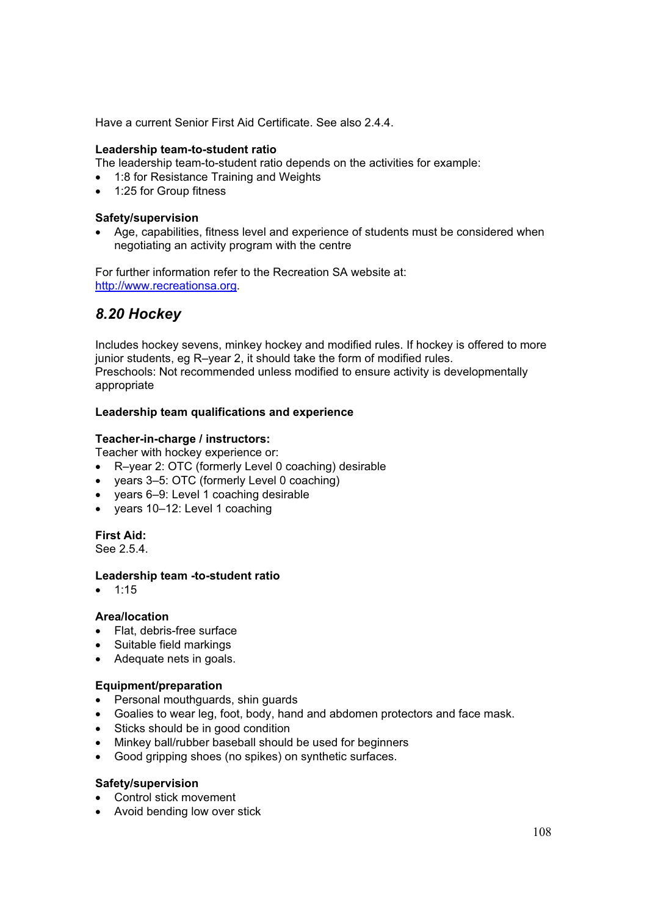Have a current Senior First Aid Certificate. See also 2.4.4.

#### **Leadership team-to-student ratio**

The leadership team-to-student ratio depends on the activities for example:

- 1:8 for Resistance Training and Weights
- 1:25 for Group fitness

#### **Safety/supervision**

• Age, capabilities, fitness level and experience of students must be considered when negotiating an activity program with the centre

For further information refer to the Recreation SA website at: http://www.recreationsa.org.

## *8.20 Hockey*

Includes hockey sevens, minkey hockey and modified rules. If hockey is offered to more junior students, eg R–year 2, it should take the form of modified rules. Preschools: Not recommended unless modified to ensure activity is developmentally appropriate

#### **Leadership team qualifications and experience**

#### **Teacher-in-charge / instructors:**

Teacher with hockey experience or:

- R–year 2: OTC (formerly Level 0 coaching) desirable
- years 3–5: OTC (formerly Level 0 coaching)
- x years 6–9: Level 1 coaching desirable
- years 10-12: Level 1 coaching

**First Aid:** 

See 2.5.4.

### **Leadership team -to-student ratio**

 $• 1:15$ 

### **Area/location**

- Flat, debris-free surface
- Suitable field markings
- Adequate nets in goals.

#### **Equipment/preparation**

- Personal mouthquards, shin quards
- Goalies to wear leg, foot, body, hand and abdomen protectors and face mask.
- Sticks should be in good condition
- Minkey ball/rubber baseball should be used for beginners
- Good gripping shoes (no spikes) on synthetic surfaces.

#### **Safety/supervision**

- Control stick movement
- Avoid bending low over stick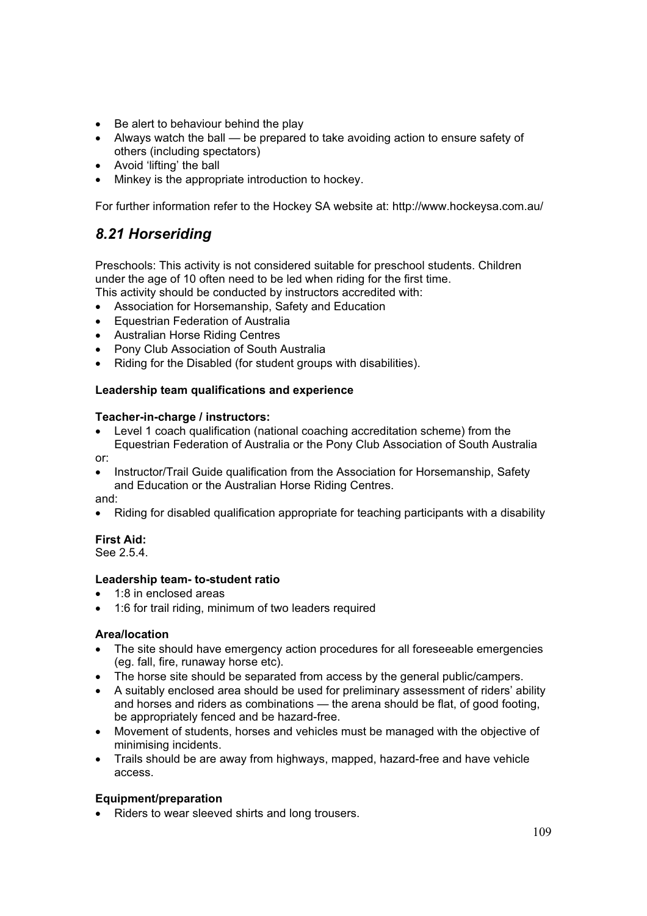- Be alert to behaviour behind the play
- $\bullet$  Always watch the ball be prepared to take avoiding action to ensure safety of others (including spectators)
- Avoid 'lifting' the ball
- Minkey is the appropriate introduction to hockey.

For further information refer to the Hockey SA website at: http://www.hockeysa.com.au/

## *8.21 Horseriding*

Preschools: This activity is not considered suitable for preschool students. Children under the age of 10 often need to be led when riding for the first time.

This activity should be conducted by instructors accredited with:

- Association for Horsemanship, Safety and Education
- Equestrian Federation of Australia
- Australian Horse Riding Centres
- Pony Club Association of South Australia
- Riding for the Disabled (for student groups with disabilities).

### **Leadership team qualifications and experience**

### **Teacher-in-charge / instructors:**

- Level 1 coach qualification (national coaching accreditation scheme) from the Equestrian Federation of Australia or the Pony Club Association of South Australia
- or:
- x Instructor/Trail Guide qualification from the Association for Horsemanship, Safety and Education or the Australian Horse Riding Centres. and:
- Riding for disabled qualification appropriate for teaching participants with a disability

## **First Aid:**

See 2.5.4.

## **Leadership team- to-student ratio**

- 1:8 in enclosed areas
- 1:6 for trail riding, minimum of two leaders required

### **Area/location**

- The site should have emergency action procedures for all foreseeable emergencies (eg. fall, fire, runaway horse etc).
- The horse site should be separated from access by the general public/campers.
- A suitably enclosed area should be used for preliminary assessment of riders' ability and horses and riders as combinations — the arena should be flat, of good footing, be appropriately fenced and be hazard-free.
- Movement of students, horses and vehicles must be managed with the objective of minimising incidents.
- Trails should be are away from highways, mapped, hazard-free and have vehicle access.

## **Equipment/preparation**

• Riders to wear sleeved shirts and long trousers.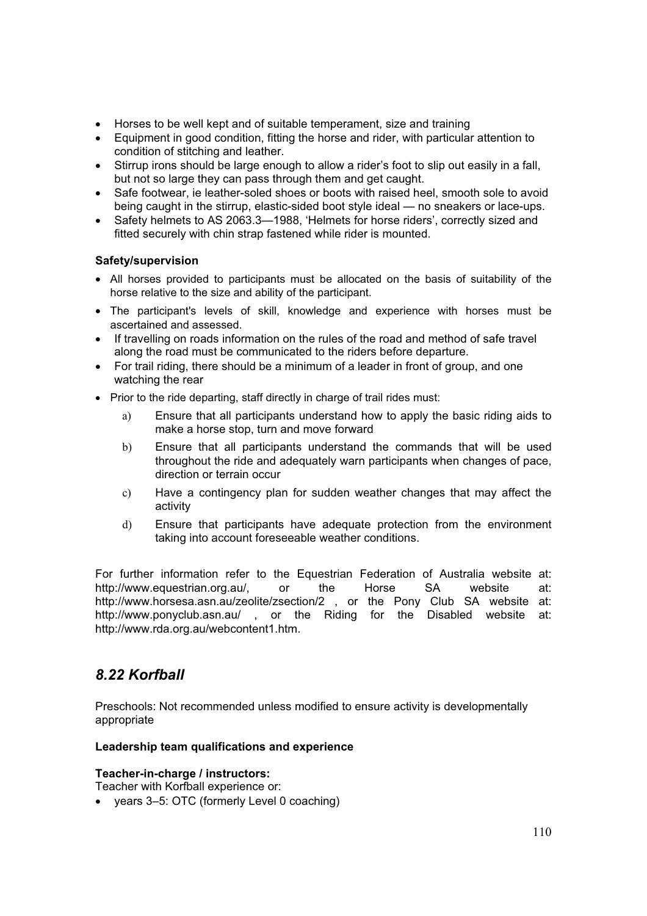- Horses to be well kept and of suitable temperament, size and training
- Equipment in good condition, fitting the horse and rider, with particular attention to condition of stitching and leather.
- Stirrup irons should be large enough to allow a rider's foot to slip out easily in a fall, but not so large they can pass through them and get caught.
- Safe footwear, ie leather-soled shoes or boots with raised heel, smooth sole to avoid being caught in the stirrup, elastic-sided boot style ideal — no sneakers or lace-ups.
- Safety helmets to AS 2063.3-1988, 'Helmets for horse riders', correctly sized and fitted securely with chin strap fastened while rider is mounted.

### **Safety/supervision**

- All horses provided to participants must be allocated on the basis of suitability of the horse relative to the size and ability of the participant.
- The participant's levels of skill, knowledge and experience with horses must be ascertained and assessed.
- If travelling on roads information on the rules of the road and method of safe travel along the road must be communicated to the riders before departure.
- For trail riding, there should be a minimum of a leader in front of group, and one watching the rear
- Prior to the ride departing, staff directly in charge of trail rides must:
	- a) Ensure that all participants understand how to apply the basic riding aids to make a horse stop, turn and move forward
	- b) Ensure that all participants understand the commands that will be used throughout the ride and adequately warn participants when changes of pace, direction or terrain occur
	- c) Have a contingency plan for sudden weather changes that may affect the activity
	- d) Ensure that participants have adequate protection from the environment taking into account foreseeable weather conditions.

For further information refer to the Equestrian Federation of Australia website at: http://www.equestrian.org.au/, or the Horse SA website at: http://www.horsesa.asn.au/zeolite/zsection/2 , or the Pony Club SA website at: http://www.ponyclub.asn.au/ , or the Riding for the Disabled website at: http://www.rda.org.au/webcontent1.htm.

# *8.22 Korfball*

Preschools: Not recommended unless modified to ensure activity is developmentally appropriate

### **Leadership team qualifications and experience**

### **Teacher-in-charge / instructors:**

Teacher with Korfball experience or:

• years 3–5: OTC (formerly Level 0 coaching)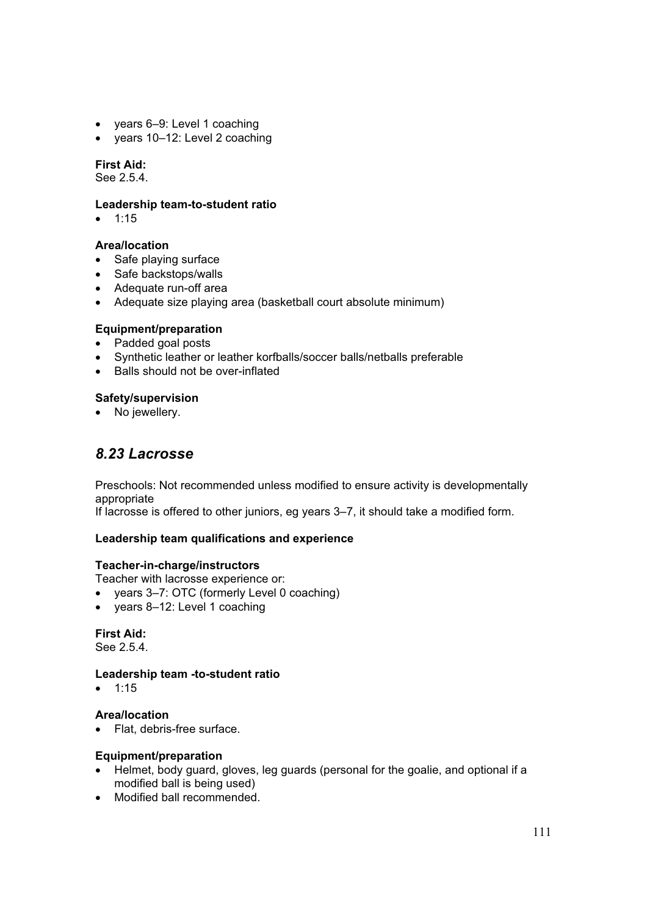- $\bullet$  years 6–9: Level 1 coaching
- years 10-12: Level 2 coaching

### **First Aid:**

See 2.5.4.

#### **Leadership team-to-student ratio**

 $• 1:15$ 

### **Area/location**

- Safe plaving surface
- Safe backstops/walls
- Adequate run-off area
- Adequate size playing area (basketball court absolute minimum)

### **Equipment/preparation**

- Padded goal posts
- Synthetic leather or leather korfballs/soccer balls/netballs preferable
- $\bullet$  Balls should not be over-inflated

### **Safety/supervision**

• No jewellery.

## *8.23 Lacrosse*

Preschools: Not recommended unless modified to ensure activity is developmentally appropriate

If lacrosse is offered to other juniors, eg years 3–7, it should take a modified form.

### **Leadership team qualifications and experience**

### **Teacher-in-charge/instructors**

Teacher with lacrosse experience or:

- years 3–7: OTC (formerly Level 0 coaching)
- years 8-12: Level 1 coaching

### **First Aid:**

See 2.5.4.

### **Leadership team -to-student ratio**

 $• 1:15$ 

### **Area/location**

• Flat, debris-free surface.

### **Equipment/preparation**

- Helmet, body guard, gloves, leg guards (personal for the goalie, and optional if a modified ball is being used)
- Modified ball recommended.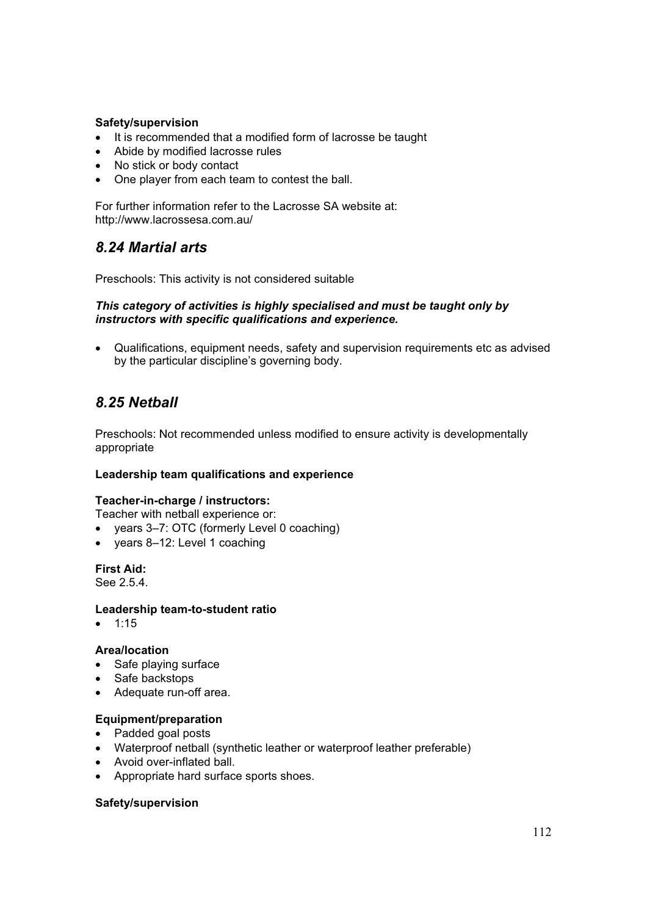### **Safety/supervision**

- It is recommended that a modified form of lacrosse be taught
- Abide by modified lacrosse rules
- No stick or body contact
- One player from each team to contest the ball.

For further information refer to the Lacrosse SA website at: http://www.lacrossesa.com.au/

## *8.24 Martial arts*

Preschools: This activity is not considered suitable

### *This category of activities is highly specialised and must be taught only by instructors with specific qualifications and experience.*

• Qualifications, equipment needs, safety and supervision requirements etc as advised by the particular discipline's governing body.

## *8.25 Netball*

Preschools: Not recommended unless modified to ensure activity is developmentally appropriate

### **Leadership team qualifications and experience**

### **Teacher-in-charge / instructors:**

Teacher with netball experience or:

- years 3–7: OTC (formerly Level 0 coaching)
- $\bullet$  years 8–12: Level 1 coaching

## **First Aid:**

See 2.5.4.

### **Leadership team-to-student ratio**

 $\bullet$  1:15

### **Area/location**

- $\bullet$  Safe playing surface
- Safe backstops
- Adequate run-off area.

### **Equipment/preparation**

- Padded goal posts
- Waterproof netball (synthetic leather or waterproof leather preferable)
- Avoid over-inflated ball.
- Appropriate hard surface sports shoes.

### **Safety/supervision**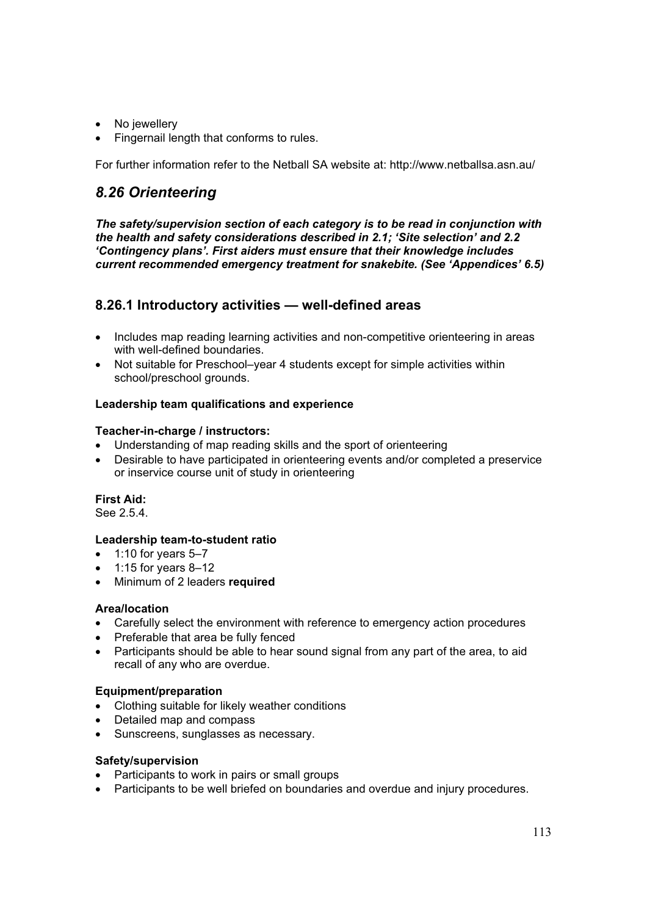- No jewellery
- Fingernail length that conforms to rules.

For further information refer to the Netball SA website at: http://www.netballsa.asn.au/

## *8.26 Orienteering*

*The safety/supervision section of each category is to be read in conjunction with the health and safety considerations described in 2.1; 'Site selection' and 2.2 'Contingency plans'. First aiders must ensure that their knowledge includes current recommended emergency treatment for snakebite. (See 'Appendices' 6.5)* 

## **8.26.1 Introductory activities — well-defined areas**

- Includes map reading learning activities and non-competitive orienteering in areas with well-defined boundaries.
- Not suitable for Preschool–year 4 students except for simple activities within school/preschool grounds.

## **Leadership team qualifications and experience**

### **Teacher-in-charge / instructors:**

- Understanding of map reading skills and the sport of orienteering
- Desirable to have participated in orienteering events and/or completed a preservice or inservice course unit of study in orienteering

### **First Aid:**

See 2.5.4.

## **Leadership team-to-student ratio**

- $\bullet$  1:10 for years 5–7
- $\bullet$  1:15 for years 8-12
- x Minimum of 2 leaders **required**

## **Area/location**

- Carefully select the environment with reference to emergency action procedures
- Preferable that area be fully fenced
- Participants should be able to hear sound signal from any part of the area, to aid recall of any who are overdue.

### **Equipment/preparation**

- Clothing suitable for likely weather conditions
- Detailed map and compass
- Sunscreens, sunglasses as necessary.

### **Safety/supervision**

- Participants to work in pairs or small groups
- Participants to be well briefed on boundaries and overdue and injury procedures.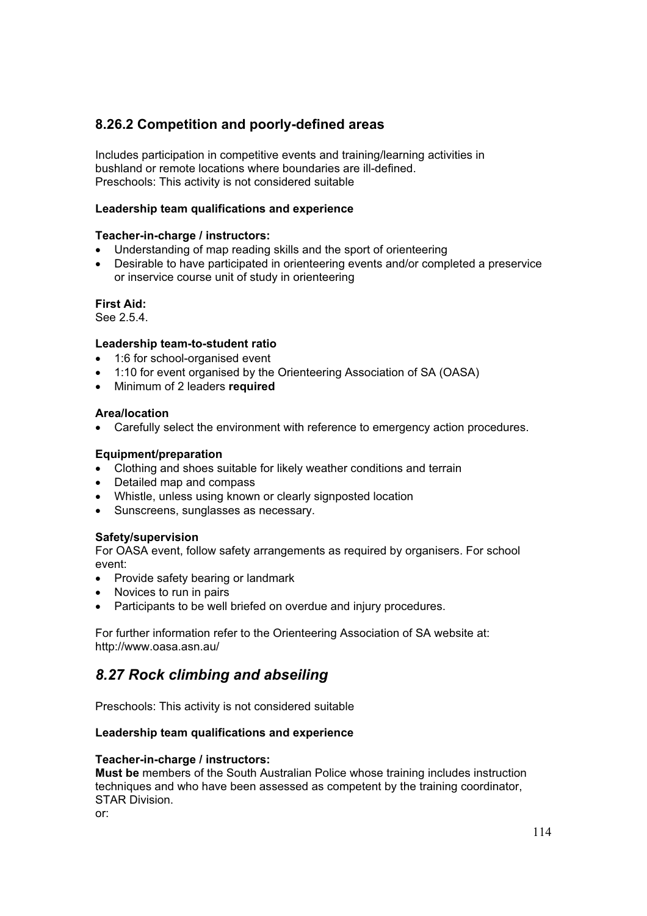## **8.26.2 Competition and poorly-defined areas**

Includes participation in competitive events and training/learning activities in bushland or remote locations where boundaries are ill-defined. Preschools: This activity is not considered suitable

### **Leadership team qualifications and experience**

### **Teacher-in-charge / instructors:**

- Understanding of map reading skills and the sport of orienteering
- Desirable to have participated in orienteering events and/or completed a preservice or inservice course unit of study in orienteering

### **First Aid:**

See 2.5.4.

### **Leadership team-to-student ratio**

- $\bullet$  1:6 for school-organised event
- 1:10 for event organised by the Orienteering Association of SA (OASA)
- x Minimum of 2 leaders **required**

### **Area/location**

• Carefully select the environment with reference to emergency action procedures.

### **Equipment/preparation**

- Clothing and shoes suitable for likely weather conditions and terrain
- Detailed map and compass
- Whistle, unless using known or clearly signposted location
- Sunscreens, sunglasses as necessary.

## **Safety/supervision**

For OASA event, follow safety arrangements as required by organisers. For school event:

- Provide safety bearing or landmark
- Novices to run in pairs
- Participants to be well briefed on overdue and injury procedures.

For further information refer to the Orienteering Association of SA website at: http://www.oasa.asn.au/

## *8.27 Rock climbing and abseiling*

Preschools: This activity is not considered suitable

### **Leadership team qualifications and experience**

### **Teacher-in-charge / instructors:**

**Must be** members of the South Australian Police whose training includes instruction techniques and who have been assessed as competent by the training coordinator, STAR Division.

or: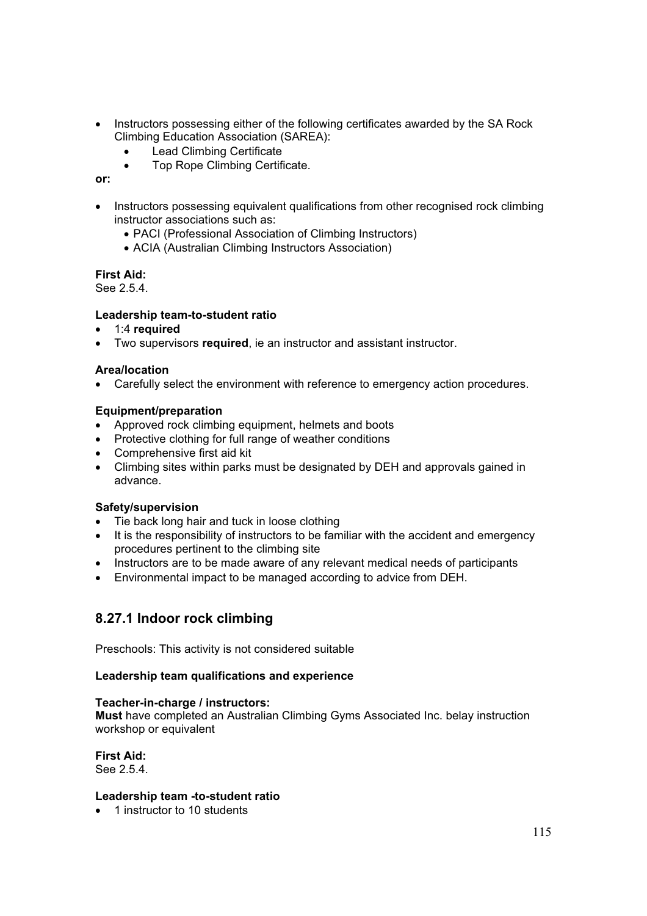- Instructors possessing either of the following certificates awarded by the SA Rock Climbing Education Association (SAREA):
	- Lead Climbing Certificate
	- Top Rope Climbing Certificate.

### **or:**

- Instructors possessing equivalent qualifications from other recognised rock climbing instructor associations such as:
	- PACI (Professional Association of Climbing Instructors)
	- ACIA (Australian Climbing Instructors Association)

### **First Aid:**

See 2.5.4.

### **Leadership team-to-student ratio**

- x 1:4 **required**
- **•** Two supervisors **required**, ie an instructor and assistant instructor.

#### **Area/location**

• Carefully select the environment with reference to emergency action procedures.

### **Equipment/preparation**

- Approved rock climbing equipment, helmets and boots
- Protective clothing for full range of weather conditions
- $\bullet$  Comprehensive first aid kit
- Climbing sites within parks must be designated by DEH and approvals gained in advance.

### **Safety/supervision**

- Tie back long hair and tuck in loose clothing
- It is the responsibility of instructors to be familiar with the accident and emergency procedures pertinent to the climbing site
- Instructors are to be made aware of any relevant medical needs of participants
- Environmental impact to be managed according to advice from DEH.

## **8.27.1 Indoor rock climbing**

Preschools: This activity is not considered suitable

### **Leadership team qualifications and experience**

#### **Teacher-in-charge / instructors:**

**Must** have completed an Australian Climbing Gyms Associated Inc. belay instruction workshop or equivalent

**First Aid:**  See 2.5.4.

### **Leadership team -to-student ratio**

 $\bullet$  1 instructor to 10 students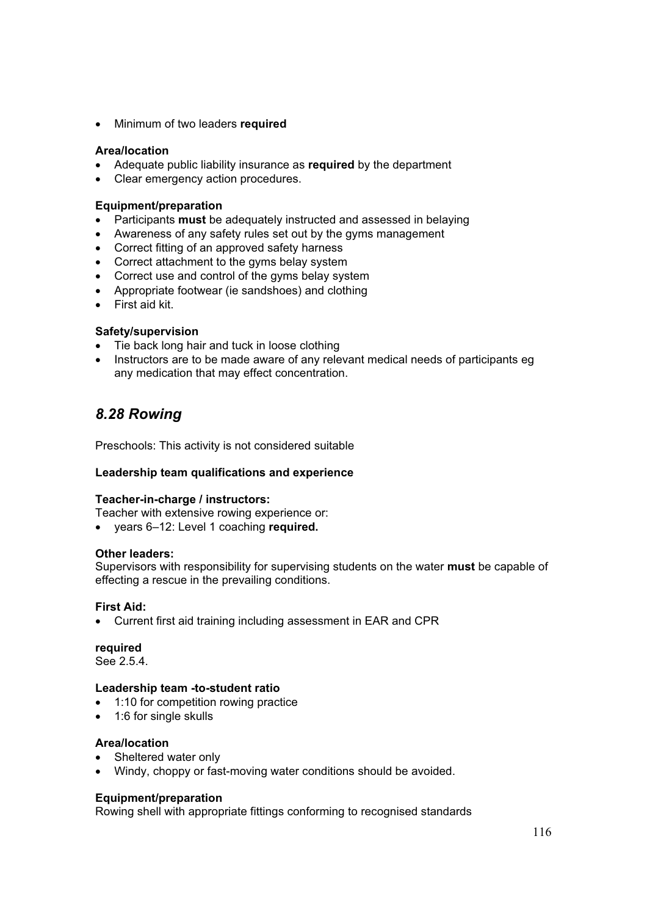**•** Minimum of two leaders **required** 

### **Area/location**

- Adequate public liability insurance as **required** by the department
- Clear emergency action procedures.

### **Equipment/preparation**

- Participants **must** be adequately instructed and assessed in belaying
- Awareness of any safety rules set out by the gyms management
- Correct fitting of an approved safety harness
- Correct attachment to the gyms belay system
- Correct use and control of the gyms belay system
- Appropriate footwear (ie sandshoes) and clothing
- First aid kit.

### **Safety/supervision**

- Tie back long hair and tuck in loose clothing
- Instructors are to be made aware of any relevant medical needs of participants eg any medication that may effect concentration.

## *8.28 Rowing*

Preschools: This activity is not considered suitable

## **Leadership team qualifications and experience**

### **Teacher-in-charge / instructors:**

Teacher with extensive rowing experience or:

x years 6–12: Level 1 coaching **required.**

### **Other leaders:**

Supervisors with responsibility for supervising students on the water **must** be capable of effecting a rescue in the prevailing conditions.

## **First Aid:**

• Current first aid training including assessment in EAR and CPR

### **required**

See 2.5.4.

### **Leadership team -to-student ratio**

- 1:10 for competition rowing practice
- 1:6 for single skulls

## **Area/location**

- Sheltered water only
- Windy, choppy or fast-moving water conditions should be avoided.

### **Equipment/preparation**

Rowing shell with appropriate fittings conforming to recognised standards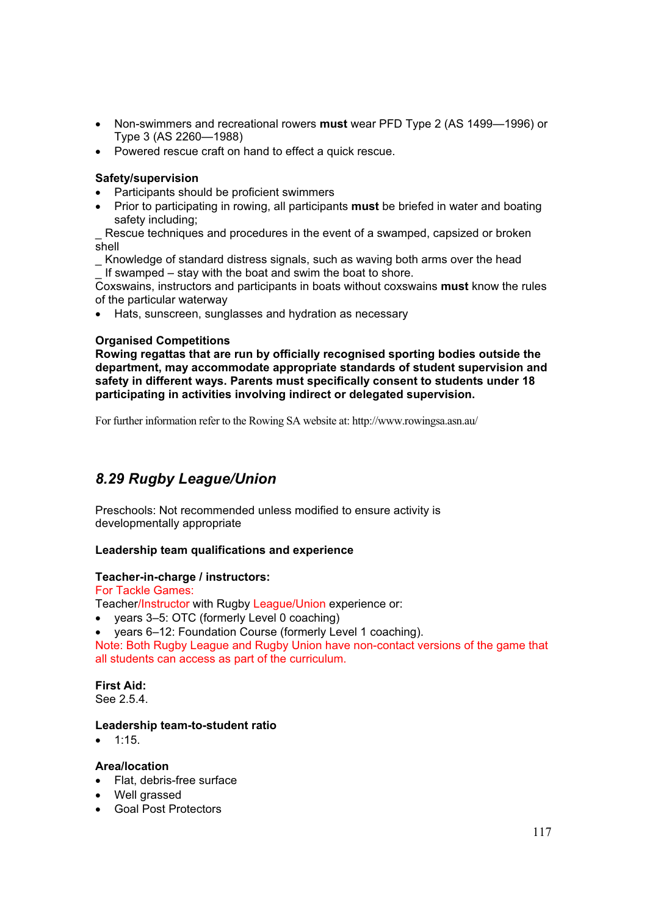- x Non-swimmers and recreational rowers **must** wear PFD Type 2 (AS 1499—1996) or Type 3 (AS 2260—1988)
- Powered rescue craft on hand to effect a quick rescue.

### **Safety/supervision**

- Participants should be proficient swimmers
- **•** Prior to participating in rowing, all participants **must** be briefed in water and boating safety including;

Rescue techniques and procedures in the event of a swamped, capsized or broken shell

\_ Knowledge of standard distress signals, such as waving both arms over the head If swamped – stay with the boat and swim the boat to shore.

Coxswains, instructors and participants in boats without coxswains **must** know the rules of the particular waterway

• Hats, sunscreen, sunglasses and hydration as necessary

### **Organised Competitions**

**Rowing regattas that are run by officially recognised sporting bodies outside the department, may accommodate appropriate standards of student supervision and safety in different ways. Parents must specifically consent to students under 18 participating in activities involving indirect or delegated supervision.** 

For further information refer to the Rowing SA website at: http://www.rowingsa.asn.au/

## *8.29 Rugby League/Union*

Preschools: Not recommended unless modified to ensure activity is developmentally appropriate

### **Leadership team qualifications and experience**

### **Teacher-in-charge / instructors:**

For Tackle Games:

Teacher/Instructor with Rugby League/Union experience or:

- years 3–5: OTC (formerly Level 0 coaching)
- years 6–12: Foundation Course (formerly Level 1 coaching).

Note: Both Rugby League and Rugby Union have non-contact versions of the game that all students can access as part of the curriculum.

**First Aid:**  See 2.5.4.

### **Leadership team-to-student ratio**

 $\bullet$  1:15

### **Area/location**

- Flat, debris-free surface
- Well grassed
- Goal Post Protectors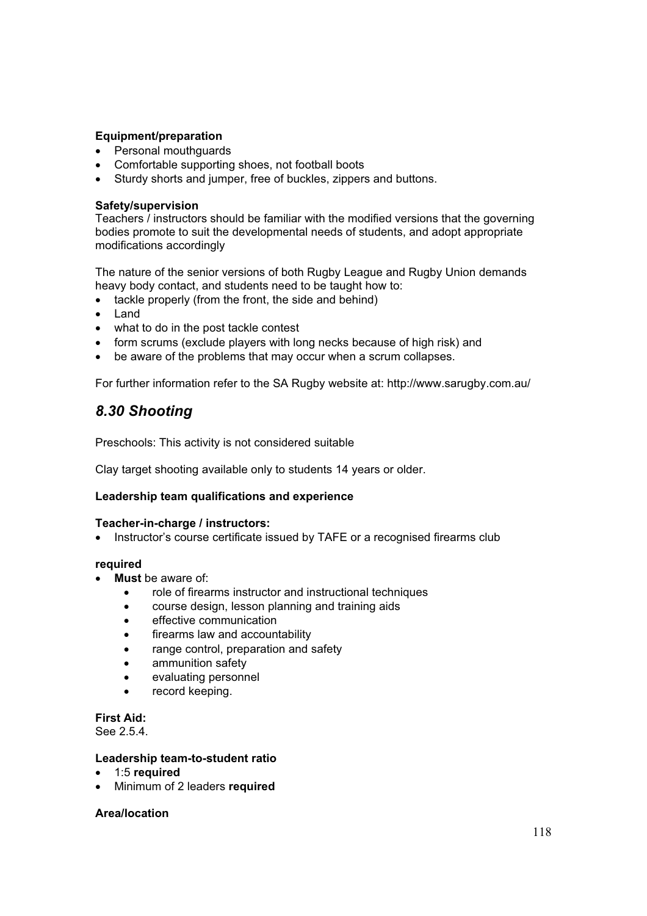## **Equipment/preparation**

- Personal mouthquards
- Comfortable supporting shoes, not football boots
- Sturdy shorts and jumper, free of buckles, zippers and buttons.

### **Safety/supervision**

Teachers / instructors should be familiar with the modified versions that the governing bodies promote to suit the developmental needs of students, and adopt appropriate modifications accordingly

The nature of the senior versions of both Rugby League and Rugby Union demands heavy body contact, and students need to be taught how to:

- tackle properly (from the front, the side and behind)
- Land
- what to do in the post tackle contest
- form scrums (exclude players with long necks because of high risk) and
- be aware of the problems that may occur when a scrum collapses.

For further information refer to the SA Rugby website at: http://www.sarugby.com.au/

## *8.30 Shooting*

Preschools: This activity is not considered suitable

Clay target shooting available only to students 14 years or older.

### **Leadership team qualifications and experience**

### **Teacher-in-charge / instructors:**

• Instructor's course certificate issued by TAFE or a recognised firearms club

### **required**

- **Must** be aware of:
	- role of firearms instructor and instructional techniques
	- **•** course design, lesson planning and training aids
	- effective communication
	- firearms law and accountability
	- range control, preparation and safety
	- ammunition safety
	- evaluating personnel
	- record keeping.

**First Aid:** 

See 2.5.4.

### **Leadership team-to-student ratio**

- x 1:5 **required**
- x Minimum of 2 leaders **required**

### **Area/location**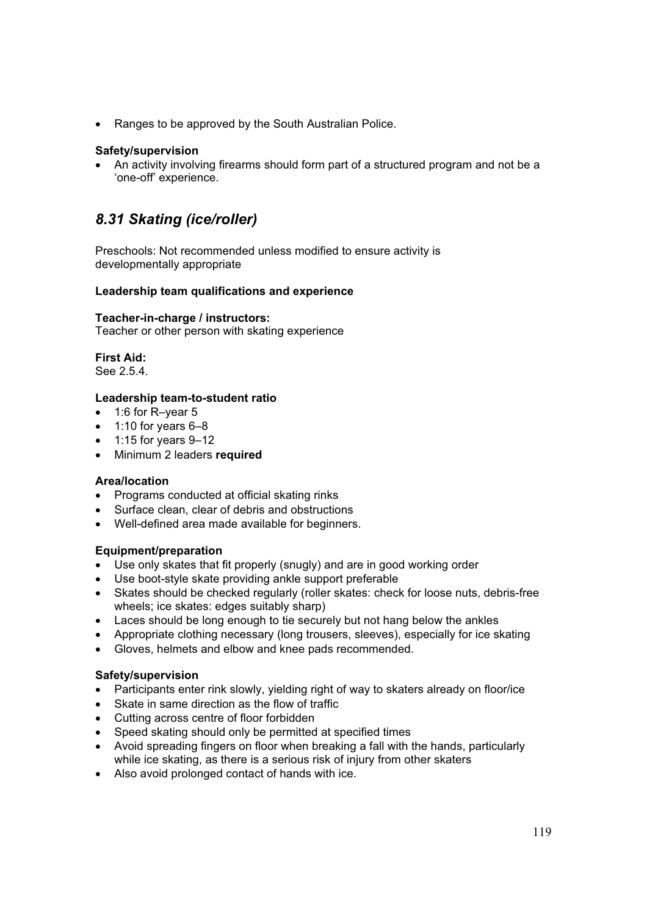• Ranges to be approved by the South Australian Police.

### **Safety/supervision**

• An activity involving firearms should form part of a structured program and not be a 'one-off' experience.

## *8.31 Skating (ice/roller)*

Preschools: Not recommended unless modified to ensure activity is developmentally appropriate

### **Leadership team qualifications and experience**

### **Teacher-in-charge / instructors:**

Teacher or other person with skating experience

**First Aid:**  See 2.5.4.

### **Leadership team-to-student ratio**

- $\bullet$  1:6 for R–vear 5
- $\bullet$  1:10 for years 6–8
- $\bullet$  1:15 for years 9-12
- Minimum 2 leaders **required**

### **Area/location**

- Programs conducted at official skating rinks
- Surface clean, clear of debris and obstructions
- Well-defined area made available for beginners.

### **Equipment/preparation**

- Use only skates that fit properly (snugly) and are in good working order
- Use boot-style skate providing ankle support preferable
- Skates should be checked regularly (roller skates: check for loose nuts, debris-free wheels; ice skates: edges suitably sharp)
- Laces should be long enough to tie securely but not hang below the ankles
- Appropriate clothing necessary (long trousers, sleeves), especially for ice skating
- Gloves, helmets and elbow and knee pads recommended.

### **Safety/supervision**

- Participants enter rink slowly, yielding right of way to skaters already on floor/ice
- Skate in same direction as the flow of traffic
- Cutting across centre of floor forbidden
- Speed skating should only be permitted at specified times
- Avoid spreading fingers on floor when breaking a fall with the hands, particularly while ice skating, as there is a serious risk of injury from other skaters
- Also avoid prolonged contact of hands with ice.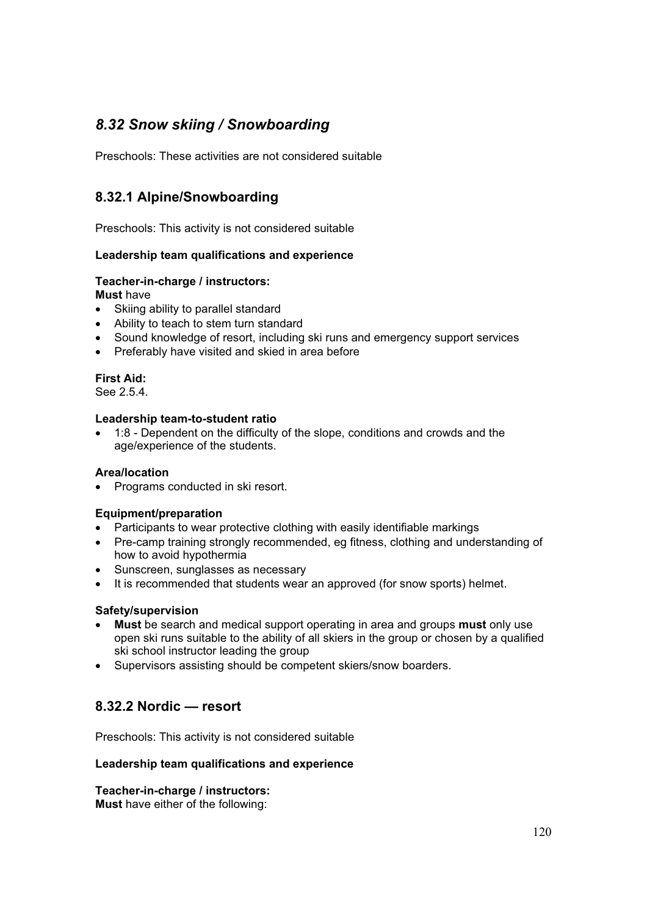# *8.32 Snow skiing / Snowboarding*

Preschools: These activities are not considered suitable

## **8.32.1 Alpine/Snowboarding**

Preschools: This activity is not considered suitable

## **Leadership team qualifications and experience**

### **Teacher-in-charge / instructors:**

**Must** have

- Skiing ability to parallel standard
- Ability to teach to stem turn standard
- Sound knowledge of resort, including ski runs and emergency support services
- Preferably have visited and skied in area before

**First Aid:**  See 2.5.4.

### **Leadership team-to-student ratio**

• 1:8 - Dependent on the difficulty of the slope, conditions and crowds and the age/experience of the students.

### **Area/location**

• Programs conducted in ski resort.

### **Equipment/preparation**

- Participants to wear protective clothing with easily identifiable markings
- Pre-camp training strongly recommended, eg fitness, clothing and understanding of how to avoid hypothermia
- Sunscreen, sunglasses as necessary
- It is recommended that students wear an approved (for snow sports) helmet.

### **Safety/supervision**

- x **Must** be search and medical support operating in area and groups **must** only use open ski runs suitable to the ability of all skiers in the group or chosen by a qualified ski school instructor leading the group
- Supervisors assisting should be competent skiers/snow boarders.

## **8.32.2 Nordic — resort**

Preschools: This activity is not considered suitable

### **Leadership team qualifications and experience**

## **Teacher-in-charge / instructors:**

**Must** have either of the following: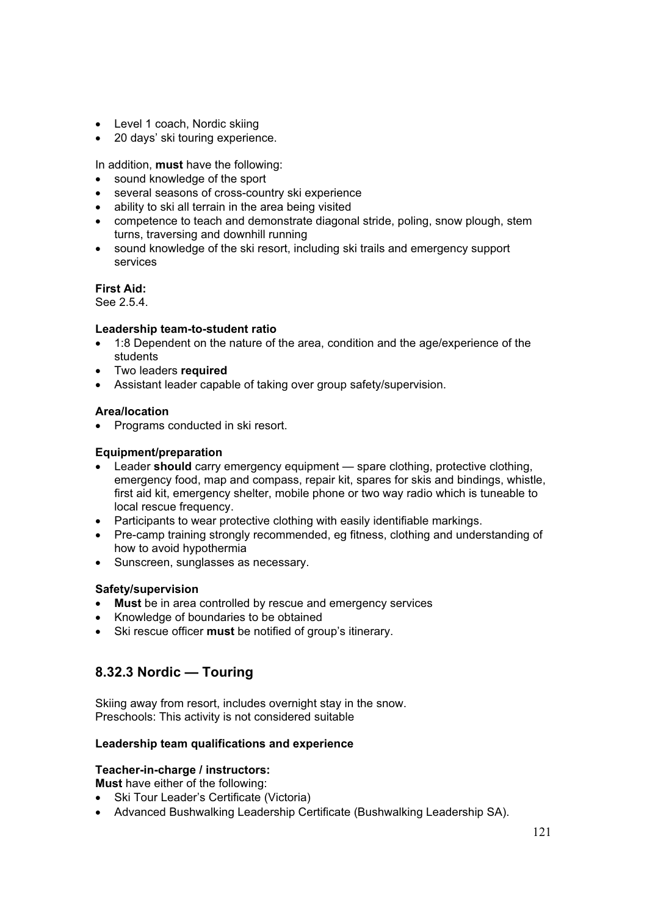- Level 1 coach, Nordic skiing
- 20 days' ski touring experience.

In addition, **must** have the following:

- sound knowledge of the sport
- several seasons of cross-country ski experience
- ability to ski all terrain in the area being visited
- competence to teach and demonstrate diagonal stride, poling, snow plough, stem turns, traversing and downhill running
- sound knowledge of the ski resort, including ski trails and emergency support services

### **First Aid:**

See 2.5.4.

### **Leadership team-to-student ratio**

- 1:8 Dependent on the nature of the area, condition and the age/experience of the students
- **•** Two leaders **required**
- Assistant leader capable of taking over group safety/supervision.

### **Area/location**

• Programs conducted in ski resort.

### **Equipment/preparation**

- **Example 2 Leader should** carry emergency equipment spare clothing, protective clothing, emergency food, map and compass, repair kit, spares for skis and bindings, whistle, first aid kit, emergency shelter, mobile phone or two way radio which is tuneable to local rescue frequency.
- Participants to wear protective clothing with easily identifiable markings.
- Pre-camp training strongly recommended, eg fitness, clothing and understanding of how to avoid hypothermia
- Sunscreen, sunglasses as necessary.

### **Safety/supervision**

- Must be in area controlled by rescue and emergency services
- Knowledge of boundaries to be obtained
- Ski rescue officer must be notified of group's itinerary.

## **8.32.3 Nordic — Touring**

Skiing away from resort, includes overnight stay in the snow. Preschools: This activity is not considered suitable

### **Leadership team qualifications and experience**

## **Teacher-in-charge / instructors:**

**Must** have either of the following:

- Ski Tour Leader's Certificate (Victoria)
- Advanced Bushwalking Leadership Certificate (Bushwalking Leadership SA).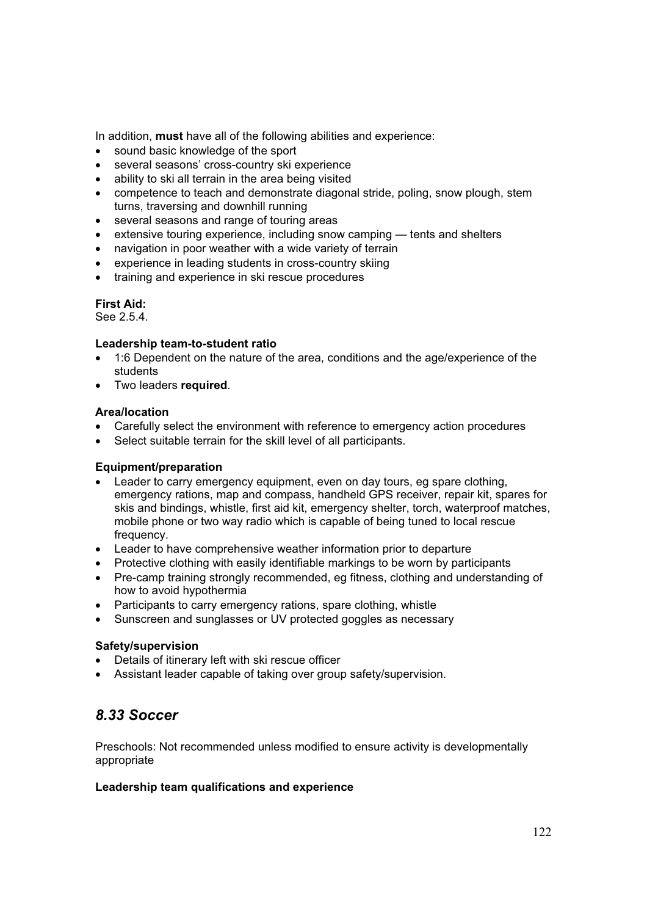In addition, **must** have all of the following abilities and experience:

- sound basic knowledge of the sport
- several seasons' cross-country ski experience
- ability to ski all terrain in the area being visited
- x competence to teach and demonstrate diagonal stride, poling, snow plough, stem turns, traversing and downhill running
- several seasons and range of touring areas
- extensive touring experience, including snow camping tents and shelters
- navigation in poor weather with a wide variety of terrain
- experience in leading students in cross-country skiing
- training and experience in ski rescue procedures

### **First Aid:**

See 2.5.4.

### **Leadership team-to-student ratio**

- 1:6 Dependent on the nature of the area, conditions and the age/experience of the students
- **•** Two leaders **required**.

### **Area/location**

- Carefully select the environment with reference to emergency action procedures
- Select suitable terrain for the skill level of all participants.

### **Equipment/preparation**

- Leader to carry emergency equipment, even on day tours, eg spare clothing, emergency rations, map and compass, handheld GPS receiver, repair kit, spares for skis and bindings, whistle, first aid kit, emergency shelter, torch, waterproof matches, mobile phone or two way radio which is capable of being tuned to local rescue frequency.
- Leader to have comprehensive weather information prior to departure
- Protective clothing with easily identifiable markings to be worn by participants
- Pre-camp training strongly recommended, eg fitness, clothing and understanding of how to avoid hypothermia
- Participants to carry emergency rations, spare clothing, whistle
- Sunscreen and sunglasses or UV protected goggles as necessary

## **Safety/supervision**

- Details of itinerary left with ski rescue officer
- Assistant leader capable of taking over group safety/supervision.

## *8.33 Soccer*

Preschools: Not recommended unless modified to ensure activity is developmentally appropriate

### **Leadership team qualifications and experience**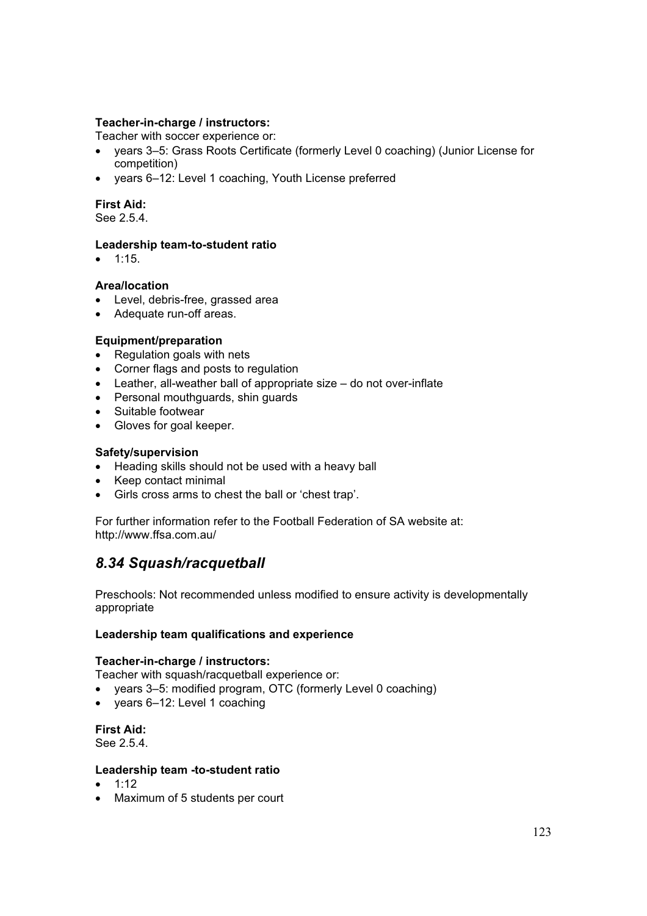### **Teacher-in-charge / instructors:**

Teacher with soccer experience or:

- vears 3–5: Grass Roots Certificate (formerly Level 0 coaching) (Junior License for competition)
- years 6-12: Level 1 coaching, Youth License preferred

### **First Aid:**

See 2.5.4.

### **Leadership team-to-student ratio**

 $\bullet$  1:15.

### **Area/location**

- Level, debris-free, grassed area
- Adequate run-off areas.

### **Equipment/preparation**

- Regulation goals with nets
- Corner flags and posts to regulation
- $\bullet$  Leather, all-weather ball of appropriate size do not over-inflate
- Personal mouthguards, shin guards
- Suitable footwear
- Gloves for goal keeper.

### **Safety/supervision**

- Heading skills should not be used with a heavy ball
- Keep contact minimal
- Girls cross arms to chest the ball or 'chest trap'.

For further information refer to the Football Federation of SA website at: http://www.ffsa.com.au/

## *8.34 Squash/racquetball*

Preschools: Not recommended unless modified to ensure activity is developmentally appropriate

### **Leadership team qualifications and experience**

### **Teacher-in-charge / instructors:**

Teacher with squash/racquetball experience or:

- years 3–5: modified program, OTC (formerly Level 0 coaching)
- years 6-12: Level 1 coaching

**First Aid:** 

See 2.5.4.

### **Leadership team -to-student ratio**

- $\bullet$  1:12
- Maximum of 5 students per court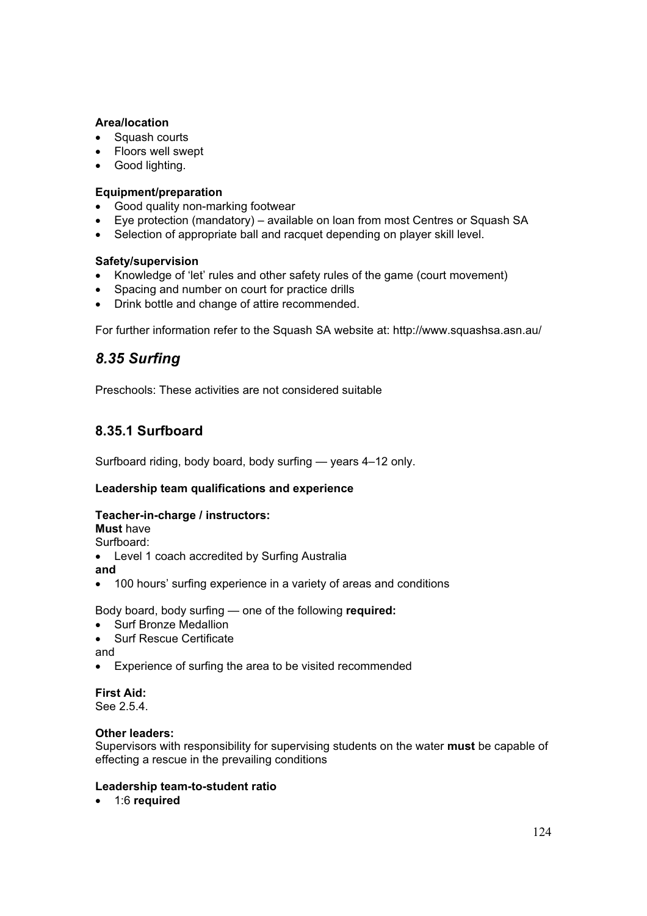### **Area/location**

- Squash courts
- Floors well swept
- Good lighting.

### **Equipment/preparation**

- Good quality non-marking footwear
- Eye protection (mandatory) available on loan from most Centres or Squash SA
- Selection of appropriate ball and racquet depending on player skill level.

### **Safety/supervision**

- Knowledge of 'let' rules and other safety rules of the game (court movement)
- Spacing and number on court for practice drills
- Drink bottle and change of attire recommended.

For further information refer to the Squash SA website at: http://www.squashsa.asn.au/

## *8.35 Surfing*

Preschools: These activities are not considered suitable

## **8.35.1 Surfboard**

Surfboard riding, body board, body surfing — years 4–12 only.

### **Leadership team qualifications and experience**

## **Teacher-in-charge / instructors:**

**Must** have

Surfboard:

• Level 1 coach accredited by Surfing Australia

**and**

100 hours' surfing experience in a variety of areas and conditions

Body board, body surfing — one of the following **required:**

- Surf Bronze Medallion
- Surf Rescue Certificate

and

• Experience of surfing the area to be visited recommended

## **First Aid:**

See 2.5.4.

### **Other leaders:**

Supervisors with responsibility for supervising students on the water **must** be capable of effecting a rescue in the prevailing conditions

### **Leadership team-to-student ratio**

• 1:6 **required**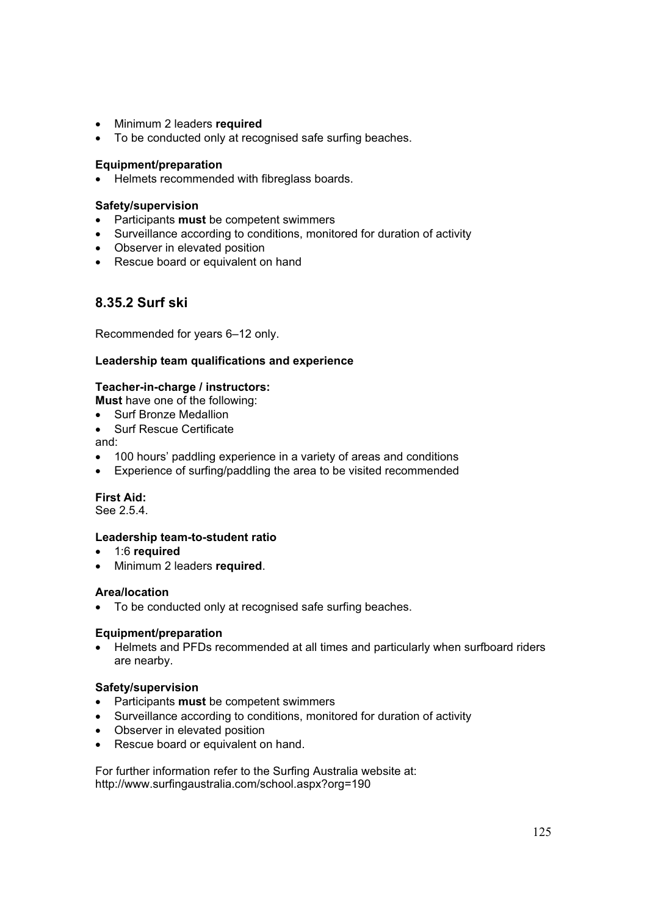- Minimum 2 leaders **required**
- To be conducted only at recognised safe surfing beaches.

### **Equipment/preparation**

• Helmets recommended with fibreglass boards.

### **Safety/supervision**

- **•** Participants **must** be competent swimmers
- Surveillance according to conditions, monitored for duration of activity
- Observer in elevated position
- Rescue board or equivalent on hand

## **8.35.2 Surf ski**

Recommended for years 6–12 only.

### **Leadership team qualifications and experience**

### **Teacher-in-charge / instructors:**

**Must** have one of the following:

- Surf Bronze Medallion
- Surf Rescue Certificate

and:

- 100 hours' paddling experience in a variety of areas and conditions
- Experience of surfing/paddling the area to be visited recommended

## **First Aid:**

See 2.5.4.

### **Leadership team-to-student ratio**

- **•** 1:6 **required**
- **•** Minimum 2 leaders **required**.

### **Area/location**

• To be conducted only at recognised safe surfing beaches.

### **Equipment/preparation**

• Helmets and PFDs recommended at all times and particularly when surfboard riders are nearby.

### **Safety/supervision**

- Participants **must** be competent swimmers
- Surveillance according to conditions, monitored for duration of activity
- Observer in elevated position
- Rescue board or equivalent on hand.

For further information refer to the Surfing Australia website at: http://www.surfingaustralia.com/school.aspx?org=190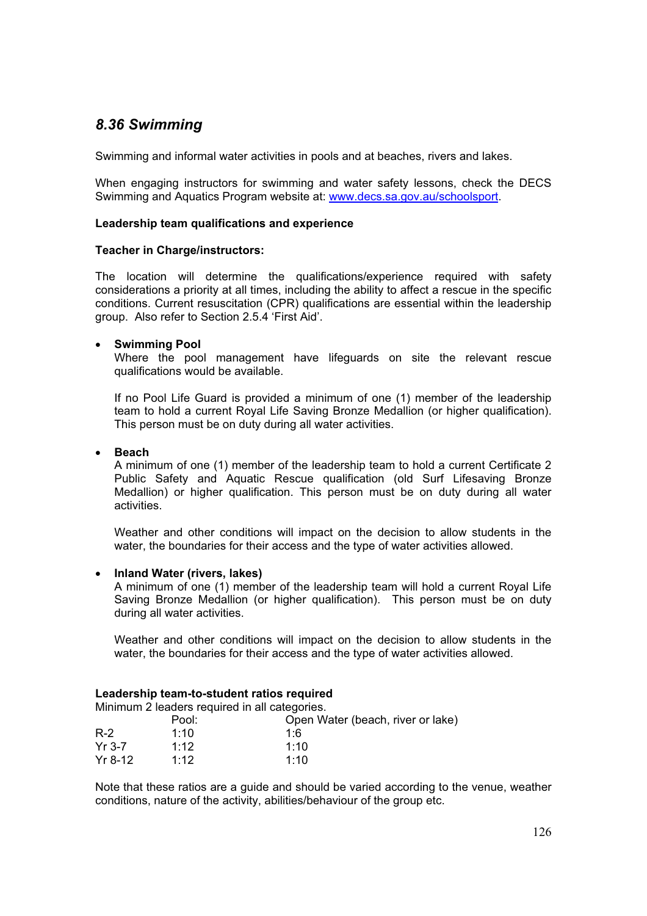## *8.36 Swimming*

Swimming and informal water activities in pools and at beaches, rivers and lakes.

When engaging instructors for swimming and water safety lessons, check the DECS Swimming and Aquatics Program website at: www.decs.sa.gov.au/schoolsport.

#### **Leadership team qualifications and experience**

### **Teacher in Charge/instructors:**

The location will determine the qualifications/experience required with safety considerations a priority at all times, including the ability to affect a rescue in the specific conditions. Current resuscitation (CPR) qualifications are essential within the leadership group. Also refer to Section 2.5.4 'First Aid'.

### x **Swimming Pool**

 Where the pool management have lifeguards on site the relevant rescue qualifications would be available.

 If no Pool Life Guard is provided a minimum of one (1) member of the leadership team to hold a current Royal Life Saving Bronze Medallion (or higher qualification). This person must be on duty during all water activities.

x **Beach**

 A minimum of one (1) member of the leadership team to hold a current Certificate 2 Public Safety and Aquatic Rescue qualification (old Surf Lifesaving Bronze Medallion) or higher qualification. This person must be on duty during all water activities.

 Weather and other conditions will impact on the decision to allow students in the water, the boundaries for their access and the type of water activities allowed.

#### x **Inland Water (rivers, lakes)**

 A minimum of one (1) member of the leadership team will hold a current Royal Life Saving Bronze Medallion (or higher qualification). This person must be on duty during all water activities.

 Weather and other conditions will impact on the decision to allow students in the water, the boundaries for their access and the type of water activities allowed.

#### **Leadership team-to-student ratios required**

Minimum 2 leaders required in all categories.

|           | Pool: | Open Water (beach, river or lake) |
|-----------|-------|-----------------------------------|
| $R-2$     | 1:10  | 1.6                               |
| $Yr$ 3-7  | 1:12  | 1:10                              |
| $Yr$ 8-12 | 1:12  | 1:10                              |

Note that these ratios are a guide and should be varied according to the venue, weather conditions, nature of the activity, abilities/behaviour of the group etc.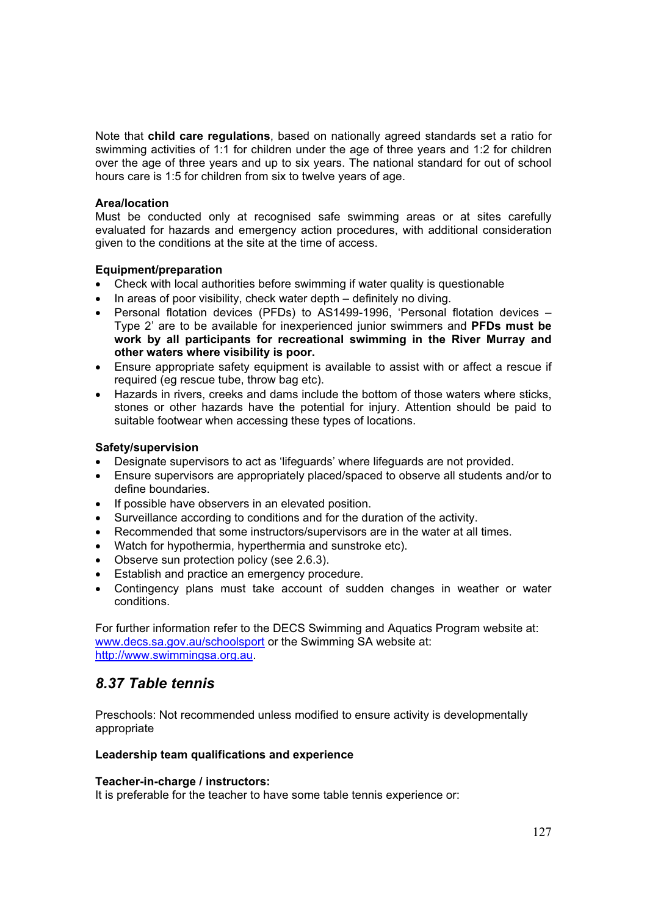Note that **child care regulations**, based on nationally agreed standards set a ratio for swimming activities of 1:1 for children under the age of three years and 1:2 for children over the age of three years and up to six years. The national standard for out of school hours care is 1:5 for children from six to twelve years of age.

### **Area/location**

Must be conducted only at recognised safe swimming areas or at sites carefully evaluated for hazards and emergency action procedures, with additional consideration given to the conditions at the site at the time of access.

#### **Equipment/preparation**

- Check with local authorities before swimming if water quality is questionable
- $\bullet$  In areas of poor visibility, check water depth definitely no diving.
- Personal flotation devices (PFDs) to AS1499-1996, 'Personal flotation devices Type 2' are to be available for inexperienced junior swimmers and **PFDs must be work by all participants for recreational swimming in the River Murray and other waters where visibility is poor.**
- Ensure appropriate safety equipment is available to assist with or affect a rescue if required (eg rescue tube, throw bag etc).
- Hazards in rivers, creeks and dams include the bottom of those waters where sticks, stones or other hazards have the potential for injury. Attention should be paid to suitable footwear when accessing these types of locations.

#### **Safety/supervision**

- Designate supervisors to act as 'lifeguards' where lifeguards are not provided.
- Ensure supervisors are appropriately placed/spaced to observe all students and/or to define boundaries.
- If possible have observers in an elevated position.
- Surveillance according to conditions and for the duration of the activity.
- Recommended that some instructors/supervisors are in the water at all times.
- Watch for hypothermia, hyperthermia and sunstroke etc).
- Observe sun protection policy (see 2.6.3).
- Establish and practice an emergency procedure.
- Contingency plans must take account of sudden changes in weather or water conditions.

For further information refer to the DECS Swimming and Aquatics Program website at: www.decs.sa.gov.au/schoolsport or the Swimming SA website at: http://www.swimmingsa.org.au.

## *8.37 Table tennis*

Preschools: Not recommended unless modified to ensure activity is developmentally appropriate

### **Leadership team qualifications and experience**

### **Teacher-in-charge / instructors:**

It is preferable for the teacher to have some table tennis experience or: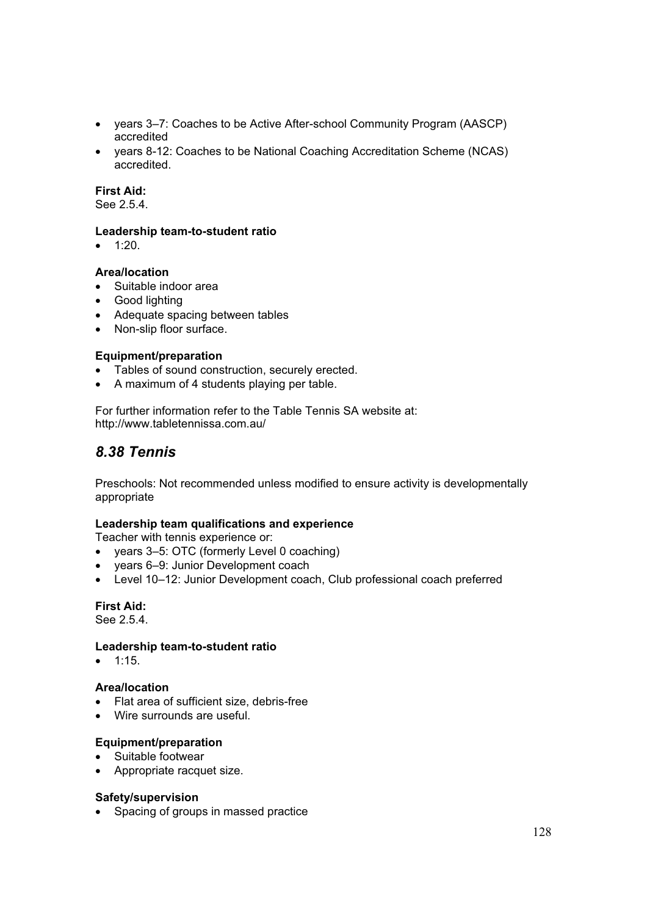- years 3–7: Coaches to be Active After-school Community Program (AASCP) accredited
- vears 8-12: Coaches to be National Coaching Accreditation Scheme (NCAS) accredited.

### **First Aid:**

See 2.5.4.

### **Leadership team-to-student ratio**

 $\bullet$  1:20.

### **Area/location**

- Suitable indoor area
- Good lighting
- Adequate spacing between tables
- Non-slip floor surface.

### **Equipment/preparation**

- Tables of sound construction, securely erected.
- A maximum of 4 students playing per table.

For further information refer to the Table Tennis SA website at: http://www.tabletennissa.com.au/

## *8.38 Tennis*

Preschools: Not recommended unless modified to ensure activity is developmentally appropriate

### **Leadership team qualifications and experience**

Teacher with tennis experience or:

- years 3–5: OTC (formerly Level 0 coaching)
- years 6-9: Junior Development coach
- Level 10–12: Junior Development coach, Club professional coach preferred

## **First Aid:**

See 2.5.4.

### **Leadership team-to-student ratio**

 $\bullet$  1:15.

### **Area/location**

- Flat area of sufficient size, debris-free
- Wire surrounds are useful.

## **Equipment/preparation**

- Suitable footwear
- Appropriate racquet size.

### **Safety/supervision**

• Spacing of groups in massed practice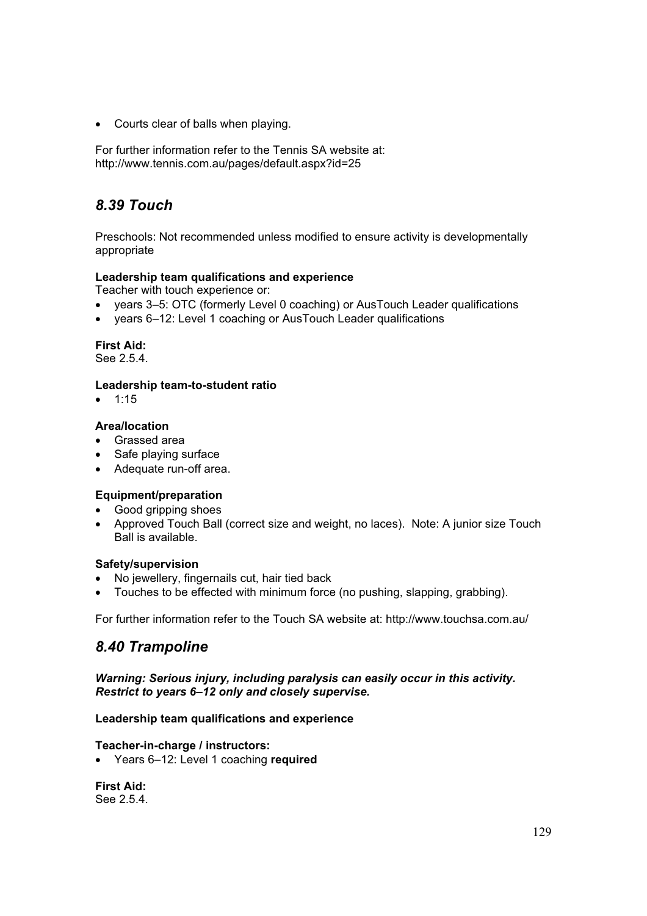• Courts clear of balls when playing.

For further information refer to the Tennis SA website at: http://www.tennis.com.au/pages/default.aspx?id=25

# *8.39 Touch*

Preschools: Not recommended unless modified to ensure activity is developmentally appropriate

## **Leadership team qualifications and experience**

Teacher with touch experience or:

- years 3–5: OTC (formerly Level 0 coaching) or AusTouch Leader qualifications
- vears 6–12: Level 1 coaching or AusTouch Leader qualifications

### **First Aid:**

See 2.5.4.

### **Leadership team-to-student ratio**

 $• 1:15$ 

### **Area/location**

- Grassed area
- Safe playing surface
- Adequate run-off area.
- **Equipment/preparation**
- Good gripping shoes
- Approved Touch Ball (correct size and weight, no laces). Note: A junior size Touch Ball is available.

### **Safety/supervision**

- No jewellery, fingernails cut, hair tied back
- Touches to be effected with minimum force (no pushing, slapping, grabbing).

For further information refer to the Touch SA website at: http://www.touchsa.com.au/

## *8.40 Trampoline*

*Warning: Serious injury, including paralysis can easily occur in this activity. Restrict to years 6–12 only and closely supervise.* 

### **Leadership team qualifications and experience**

### **Teacher-in-charge / instructors:**

x Years 6–12: Level 1 coaching **required**

**First Aid:**  See 2.5.4.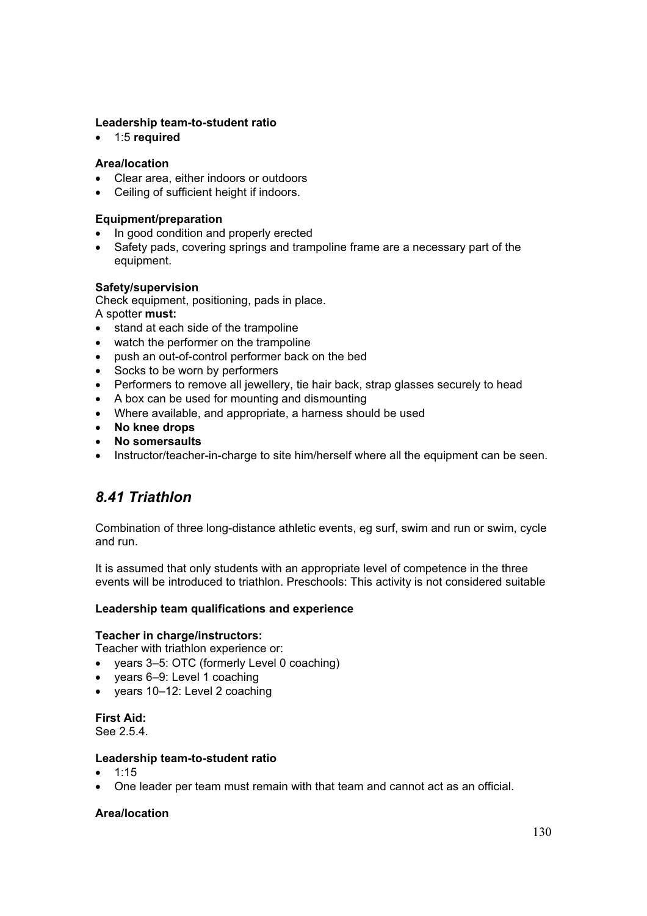### **Leadership team-to-student ratio**

**•** 1:5 **required** 

### **Area/location**

- Clear area, either indoors or outdoors
- Ceiling of sufficient height if indoors.

### **Equipment/preparation**

- In good condition and properly erected
- Safety pads, covering springs and trampoline frame are a necessary part of the equipment.

### **Safety/supervision**

Check equipment, positioning, pads in place.

A spotter **must:**

- stand at each side of the trampoline
- watch the performer on the trampoline
- push an out-of-control performer back on the bed
- Socks to be worn by performers
- Performers to remove all jewellery, tie hair back, strap glasses securely to head
- A box can be used for mounting and dismounting
- Where available, and appropriate, a harness should be used
- x **No knee drops**
- x **No somersaults**
- Instructor/teacher-in-charge to site him/herself where all the equipment can be seen.

## *8.41 Triathlon*

Combination of three long-distance athletic events, eg surf, swim and run or swim, cycle and run.

It is assumed that only students with an appropriate level of competence in the three events will be introduced to triathlon. Preschools: This activity is not considered suitable

### **Leadership team qualifications and experience**

### **Teacher in charge/instructors:**

Teacher with triathlon experience or:

- years 3–5: OTC (formerly Level 0 coaching)
- years 6-9: Level 1 coaching
- $\bullet$  years 10–12: Level 2 coaching

**First Aid:**  See 2.5.4.

### **Leadership team-to-student ratio**

- $1:15$
- One leader per team must remain with that team and cannot act as an official.

### **Area/location**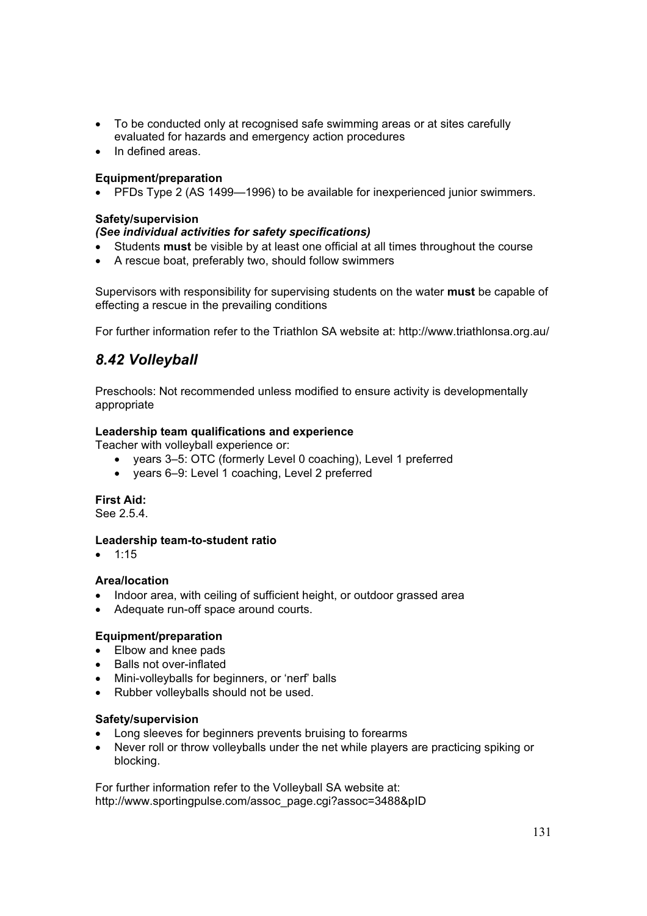- To be conducted only at recognised safe swimming areas or at sites carefully evaluated for hazards and emergency action procedures
- In defined areas

### **Equipment/preparation**

• PFDs Type 2 (AS 1499—1996) to be available for inexperienced junior swimmers.

### **Safety/supervision**

### *(See individual activities for safety specifications)*

- x Students **must** be visible by at least one official at all times throughout the course
- A rescue boat, preferably two, should follow swimmers

Supervisors with responsibility for supervising students on the water **must** be capable of effecting a rescue in the prevailing conditions

For further information refer to the Triathlon SA website at: http://www.triathlonsa.org.au/

## *8.42 Volleyball*

Preschools: Not recommended unless modified to ensure activity is developmentally appropriate

### **Leadership team qualifications and experience**

Teacher with volleyball experience or:

- years 3–5: OTC (formerly Level 0 coaching), Level 1 preferred
- years 6-9: Level 1 coaching, Level 2 preferred

**First Aid:** 

See 2.5.4.

### **Leadership team-to-student ratio**

 $\bullet$  1:15

### **Area/location**

- Indoor area, with ceiling of sufficient height, or outdoor grassed area
- Adequate run-off space around courts.

### **Equipment/preparation**

- Elbow and knee pads
- Balls not over-inflated
- Mini-volleyballs for beginners, or 'nerf' balls
- Rubber volleyballs should not be used.

### **Safety/supervision**

- Long sleeves for beginners prevents bruising to forearms
- Never roll or throw volleyballs under the net while players are practicing spiking or blocking.

For further information refer to the Volleyball SA website at: http://www.sportingpulse.com/assoc\_page.cgi?assoc=3488&pID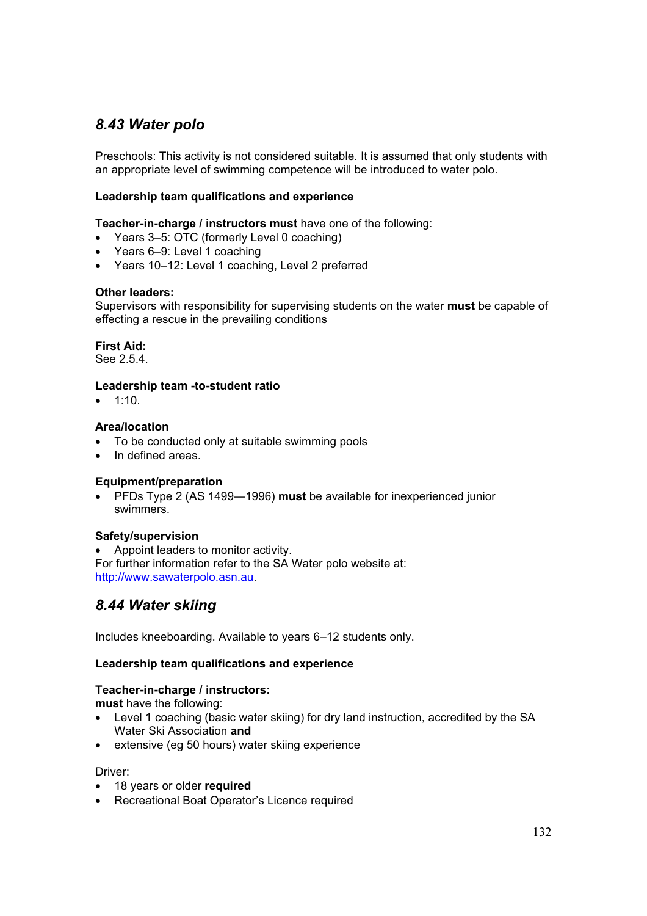## *8.43 Water polo*

Preschools: This activity is not considered suitable. It is assumed that only students with an appropriate level of swimming competence will be introduced to water polo.

### **Leadership team qualifications and experience**

**Teacher-in-charge / instructors must** have one of the following:

- Years 3–5: OTC (formerly Level 0 coaching)
- Years 6–9: Level 1 coaching
- Years 10-12: Level 1 coaching, Level 2 preferred

### **Other leaders:**

Supervisors with responsibility for supervising students on the water **must** be capable of effecting a rescue in the prevailing conditions

**First Aid:**  See 2.5.4.

### **Leadership team -to-student ratio**

 $\bullet$  1:10.

### **Area/location**

- To be conducted only at suitable swimming pools
- In defined areas.

### **Equipment/preparation**

x PFDs Type 2 (AS 1499—1996) **must** be available for inexperienced junior swimmers.

### **Safety/supervision**

• Appoint leaders to monitor activity. For further information refer to the SA Water polo website at: http://www.sawaterpolo.asn.au.

## *8.44 Water skiing*

Includes kneeboarding. Available to years 6–12 students only.

### **Leadership team qualifications and experience**

### **Teacher-in-charge / instructors:**

**must** have the following:

- Level 1 coaching (basic water skiing) for dry land instruction, accredited by the SA Water Ski Association **and**
- extensive (eg 50 hours) water skiing experience

Driver:

- 18 years or older **required**
- Recreational Boat Operator's Licence required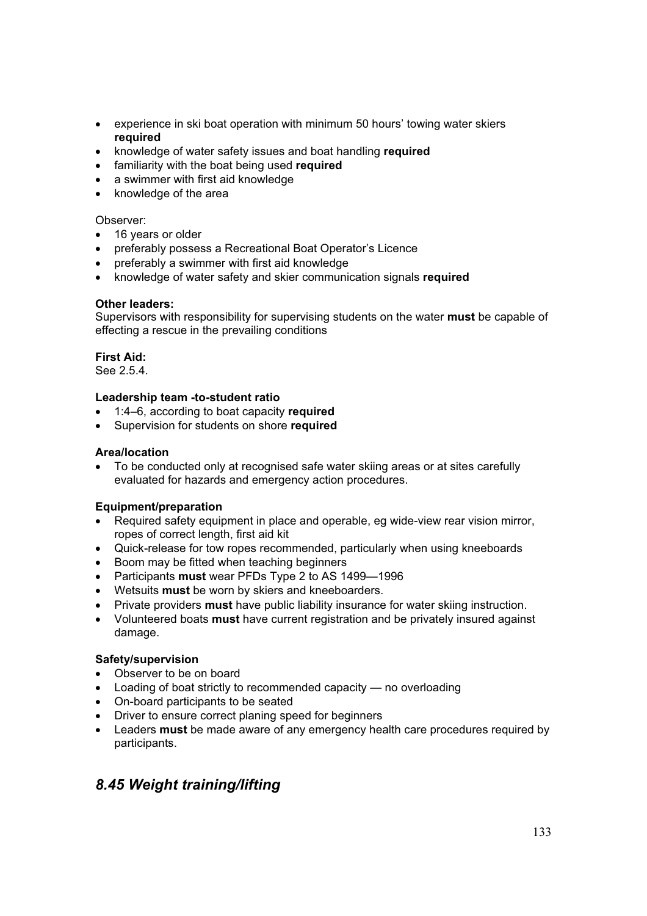- experience in ski boat operation with minimum 50 hours' towing water skiers **required**
- **EXEDENT** knowledge of water safety issues and boat handling **required**
- **•** familiarity with the boat being used required
- a swimmer with first aid knowledge
- knowledge of the area

### Observer:

- 16 years or older
- preferably possess a Recreational Boat Operator's Licence
- preferably a swimmer with first aid knowledge
- x knowledge of water safety and skier communication signals **required**

### **Other leaders:**

Supervisors with responsibility for supervising students on the water **must** be capable of effecting a rescue in the prevailing conditions

## **First Aid:**

See 2.5.4.

### **Leadership team -to-student ratio**

- x 1:4–6, according to boat capacity **required**
- Supervision for students on shore **required**

### **Area/location**

To be conducted only at recognised safe water skiing areas or at sites carefully evaluated for hazards and emergency action procedures.

### **Equipment/preparation**

- $\bullet$  Required safety equipment in place and operable, eq wide-view rear vision mirror, ropes of correct length, first aid kit
- Quick-release for tow ropes recommended, particularly when using kneeboards
- Boom may be fitted when teaching beginners
- x Participants **must** wear PFDs Type 2 to AS 1499—1996
- **•** Wetsuits **must** be worn by skiers and kneeboarders.
- **•** Private providers **must** have public liability insurance for water skiing instruction.
- Volunteered boats **must** have current registration and be privately insured against damage.

### **Safety/supervision**

- Observer to be on board
- $\bullet$  Loading of boat strictly to recommended capacity no overloading
- On-board participants to be seated
- Driver to ensure correct planing speed for beginners
- Leaders **must** be made aware of any emergency health care procedures required by participants.

## *8.45 Weight training/lifting*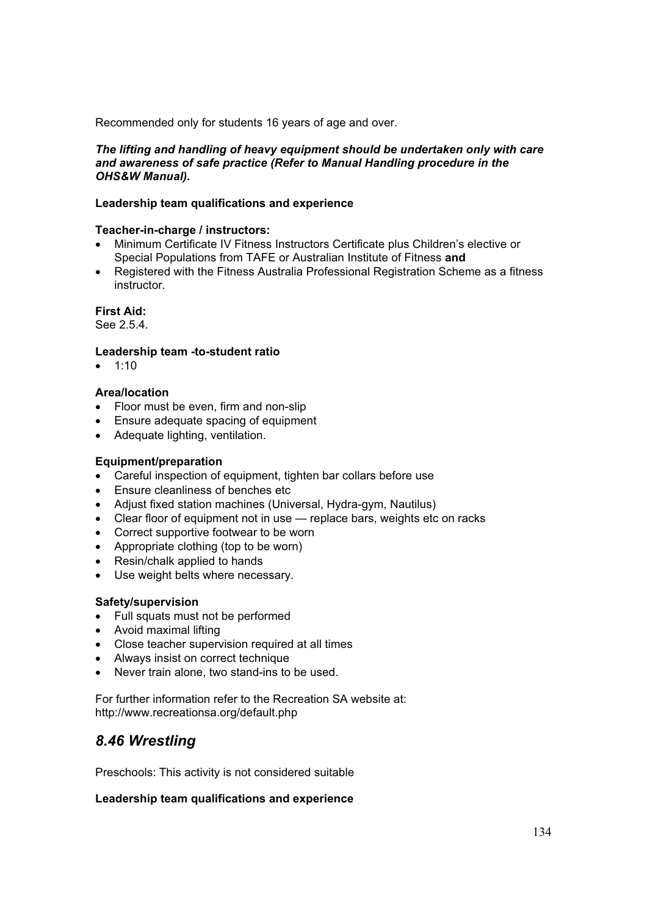Recommended only for students 16 years of age and over.

### *The lifting and handling of heavy equipment should be undertaken only with care and awareness of safe practice (Refer to Manual Handling procedure in the OHS&W Manual).*

### **Leadership team qualifications and experience**

### **Teacher-in-charge / instructors:**

- x Minimum Certificate IV Fitness Instructors Certificate plus Children's elective or Special Populations from TAFE or Australian Institute of Fitness **and**
- x Registered with the Fitness Australia Professional Registration Scheme as a fitness instructor.

### **First Aid:**

See 2.5.4.

### **Leadership team -to-student ratio**

 $\bullet$  1:10

### **Area/location**

- Floor must be even, firm and non-slip
- Ensure adequate spacing of equipment
- Adequate lighting, ventilation.

### **Equipment/preparation**

- Careful inspection of equipment, tighten bar collars before use
- Ensure cleanliness of benches etc
- Adjust fixed station machines (Universal, Hydra-gym, Nautilus)
- Clear floor of equipment not in use replace bars, weights etc on racks
- Correct supportive footwear to be worn
- Appropriate clothing (top to be worn)
- Resin/chalk applied to hands
- Use weight belts where necessary.

### **Safety/supervision**

- Full squats must not be performed
- Avoid maximal lifting
- Close teacher supervision required at all times
- Always insist on correct technique
- $\bullet$  Never train alone, two stand-ins to be used.

For further information refer to the Recreation SA website at: http://www.recreationsa.org/default.php

## *8.46 Wrestling*

Preschools: This activity is not considered suitable

### **Leadership team qualifications and experience**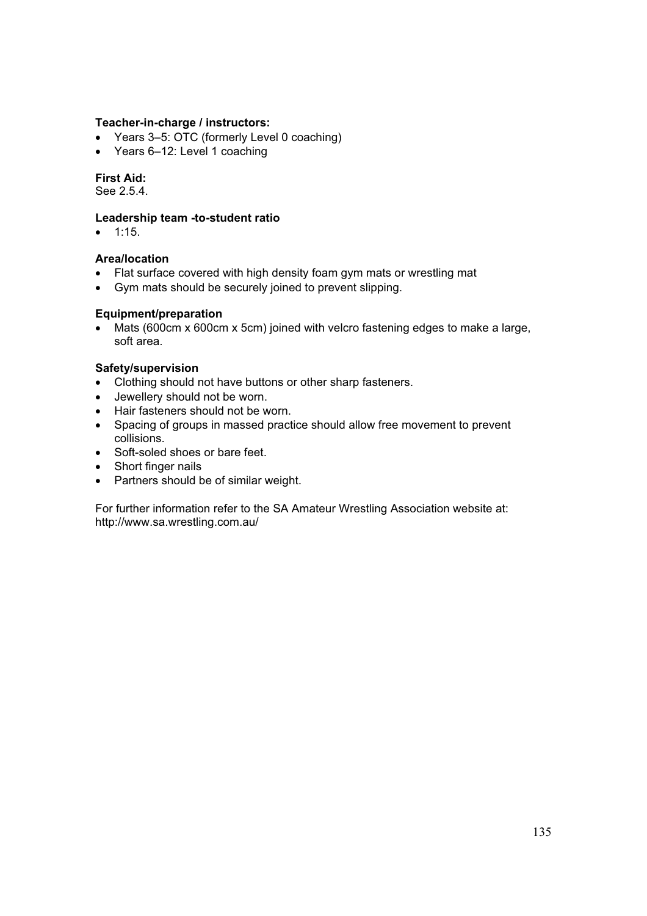### **Teacher-in-charge / instructors:**

- Years 3–5: OTC (formerly Level 0 coaching)
- $\bullet$  Years 6–12: Level 1 coaching

### **First Aid:**

See 2.5.4.

### **Leadership team -to-student ratio**

 $\bullet$  1:15.

# **Area/location**

- Flat surface covered with high density foam gym mats or wrestling mat
- Gym mats should be securely joined to prevent slipping.

### **Equipment/preparation**

• Mats (600cm x 600cm x 5cm) joined with velcro fastening edges to make a large, soft area.

### **Safety/supervision**

- Clothing should not have buttons or other sharp fasteners.
- Jewellery should not be worn.
- Hair fasteners should not be worn.
- Spacing of groups in massed practice should allow free movement to prevent collisions.
- Soft-soled shoes or bare feet.
- Short finger nails
- Partners should be of similar weight.

For further information refer to the SA Amateur Wrestling Association website at: http://www.sa.wrestling.com.au/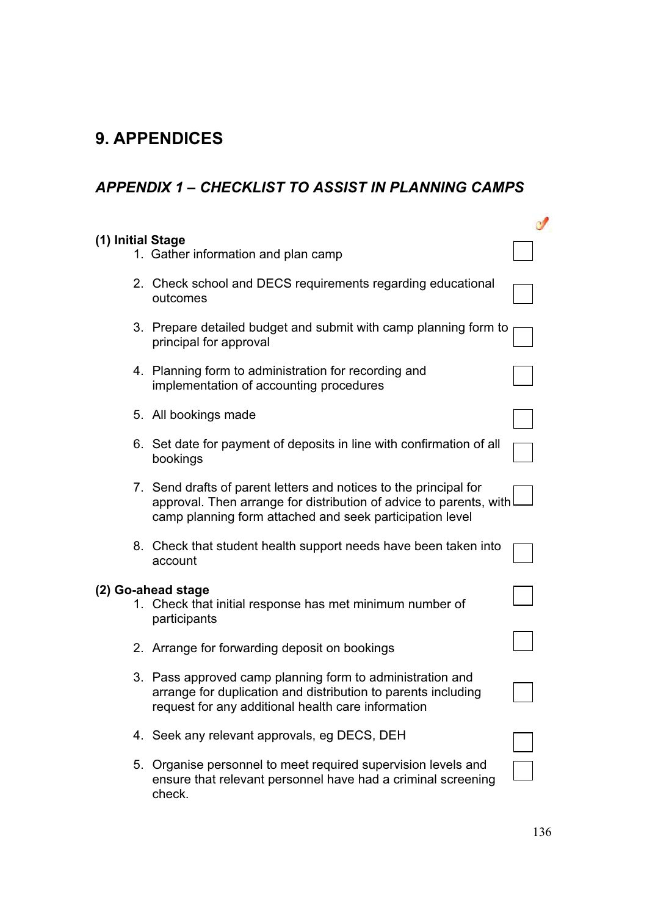# **9. APPENDICES**

# *APPENDIX 1 – CHECKLIST TO ASSIST IN PLANNING CAMPS*

| (1) Initial Stage | 1. Gather information and plan camp                                                                                                                                                                 |  |
|-------------------|-----------------------------------------------------------------------------------------------------------------------------------------------------------------------------------------------------|--|
|                   | 2. Check school and DECS requirements regarding educational<br>outcomes                                                                                                                             |  |
|                   | 3. Prepare detailed budget and submit with camp planning form to<br>principal for approval                                                                                                          |  |
|                   | 4. Planning form to administration for recording and<br>implementation of accounting procedures                                                                                                     |  |
|                   | 5. All bookings made                                                                                                                                                                                |  |
|                   | 6. Set date for payment of deposits in line with confirmation of all<br>bookings                                                                                                                    |  |
|                   | 7. Send drafts of parent letters and notices to the principal for<br>approval. Then arrange for distribution of advice to parents, with<br>camp planning form attached and seek participation level |  |
|                   | 8. Check that student health support needs have been taken into<br>account                                                                                                                          |  |
|                   | (2) Go-ahead stage<br>1. Check that initial response has met minimum number of<br>participants                                                                                                      |  |
|                   | 2. Arrange for forwarding deposit on bookings                                                                                                                                                       |  |
|                   | 3. Pass approved camp planning form to administration and<br>arrange for duplication and distribution to parents including<br>request for any additional health care information                    |  |
|                   | 4. Seek any relevant approvals, eg DECS, DEH                                                                                                                                                        |  |
|                   | 5. Organise personnel to meet required supervision levels and<br>ensure that relevant personnel have had a criminal screening<br>check.                                                             |  |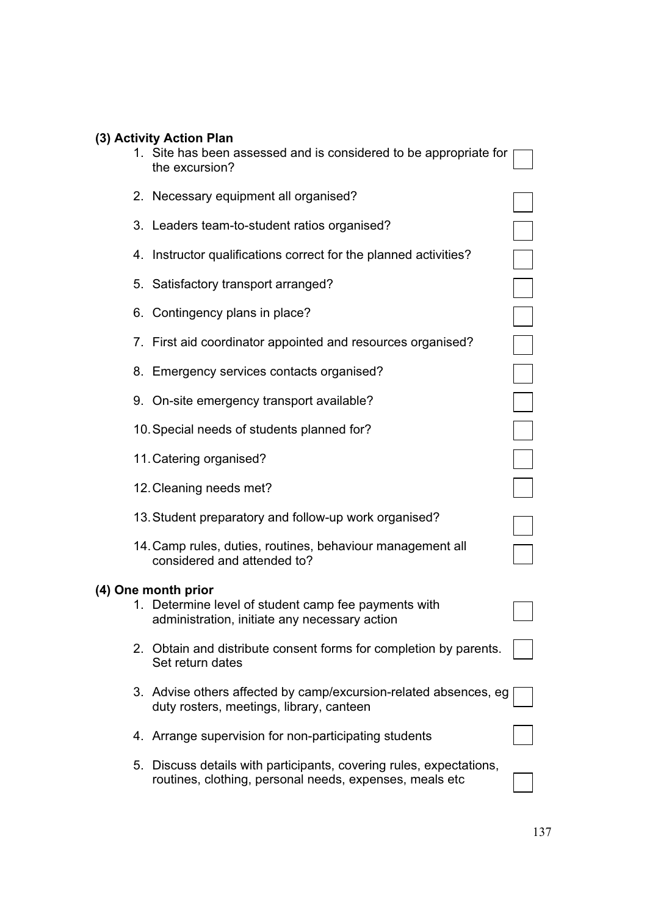|                     | (3) Activity Action Plan<br>1. Site has been assessed and is considered to be appropriate for<br>the excursion?                |  |
|---------------------|--------------------------------------------------------------------------------------------------------------------------------|--|
|                     | 2. Necessary equipment all organised?                                                                                          |  |
|                     | 3. Leaders team-to-student ratios organised?                                                                                   |  |
|                     | 4. Instructor qualifications correct for the planned activities?                                                               |  |
|                     | 5. Satisfactory transport arranged?                                                                                            |  |
|                     | 6. Contingency plans in place?                                                                                                 |  |
|                     | 7. First aid coordinator appointed and resources organised?                                                                    |  |
|                     | 8. Emergency services contacts organised?                                                                                      |  |
|                     | 9. On-site emergency transport available?                                                                                      |  |
|                     | 10. Special needs of students planned for?                                                                                     |  |
|                     | 11. Catering organised?                                                                                                        |  |
|                     | 12. Cleaning needs met?                                                                                                        |  |
|                     | 13. Student preparatory and follow-up work organised?                                                                          |  |
|                     | 14. Camp rules, duties, routines, behaviour management all<br>considered and attended to?                                      |  |
| (4) One month prior | 1. Determine level of student camp fee payments with<br>administration, initiate any necessary action                          |  |
|                     | 2. Obtain and distribute consent forms for completion by parents.<br>Set return dates                                          |  |
|                     | 3. Advise others affected by camp/excursion-related absences, eg<br>duty rosters, meetings, library, canteen                   |  |
|                     | 4. Arrange supervision for non-participating students                                                                          |  |
|                     | 5. Discuss details with participants, covering rules, expectations,<br>routines, clothing, personal needs, expenses, meals etc |  |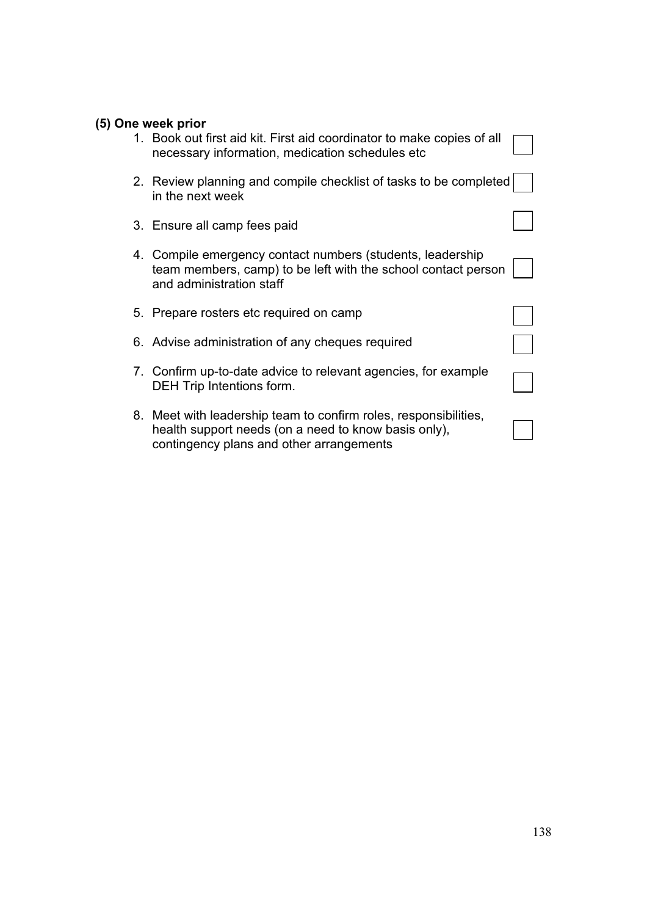| (5) One week prior                                                                                                                                                   |  |
|----------------------------------------------------------------------------------------------------------------------------------------------------------------------|--|
| 1. Book out first aid kit. First aid coordinator to make copies of all<br>necessary information, medication schedules etc                                            |  |
| 2. Review planning and compile checklist of tasks to be completed<br>in the next week                                                                                |  |
| 3. Ensure all camp fees paid                                                                                                                                         |  |
| 4. Compile emergency contact numbers (students, leadership<br>team members, camp) to be left with the school contact person<br>and administration staff              |  |
| 5. Prepare rosters etc required on camp                                                                                                                              |  |
| 6. Advise administration of any cheques required                                                                                                                     |  |
| 7. Confirm up-to-date advice to relevant agencies, for example<br>DEH Trip Intentions form.                                                                          |  |
| 8. Meet with leadership team to confirm roles, responsibilities,<br>health support needs (on a need to know basis only),<br>contingency plans and other arrangements |  |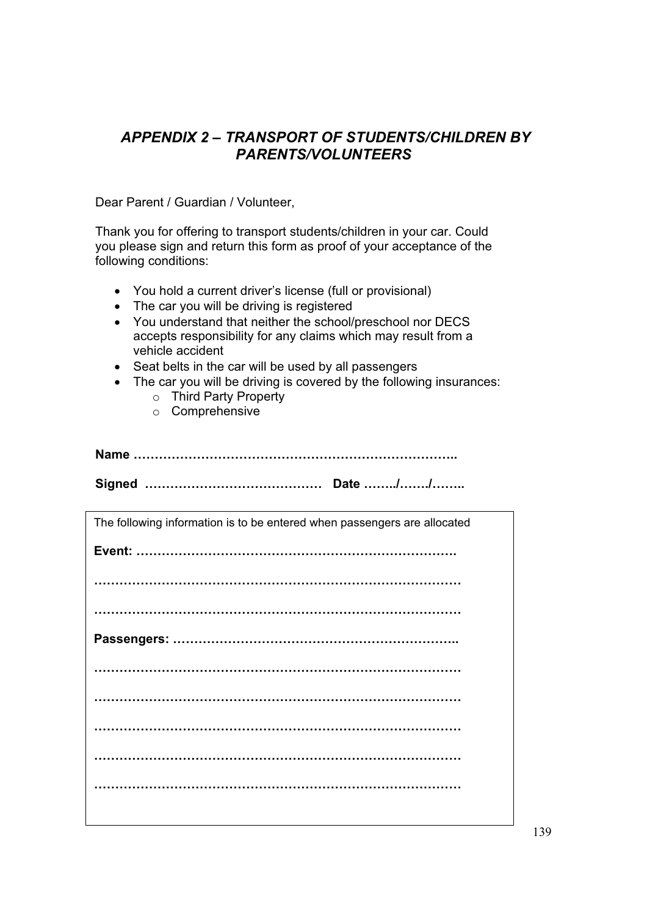## *APPENDIX 2 – TRANSPORT OF STUDENTS/CHILDREN BY PARENTS/VOLUNTEERS*

Dear Parent / Guardian / Volunteer,

Thank you for offering to transport students/children in your car. Could you please sign and return this form as proof of your acceptance of the following conditions:

- You hold a current driver's license (full or provisional)
- The car you will be driving is registered
- You understand that neither the school/preschool nor DECS accepts responsibility for any claims which may result from a vehicle accident
- Seat belts in the car will be used by all passengers
- The car you will be driving is covered by the following insurances:
	- o Third Party Property
	- o Comprehensive

**Name …………………………………………………………………..** 

**Signed …………………………………… Date ……../……./……..** 

| The following information is to be entered when passengers are allocated |
|--------------------------------------------------------------------------|
|                                                                          |
|                                                                          |
|                                                                          |
|                                                                          |
|                                                                          |
|                                                                          |
|                                                                          |
|                                                                          |
|                                                                          |
|                                                                          |
|                                                                          |
|                                                                          |